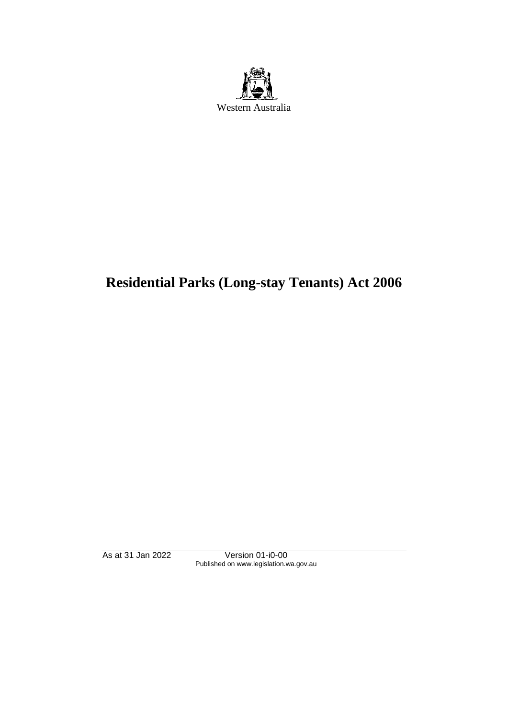

# **Residential Parks (Long-stay Tenants) Act 2006**

As at 31 Jan 2022 Version 01-i0-00 Published on www.legislation.wa.gov.au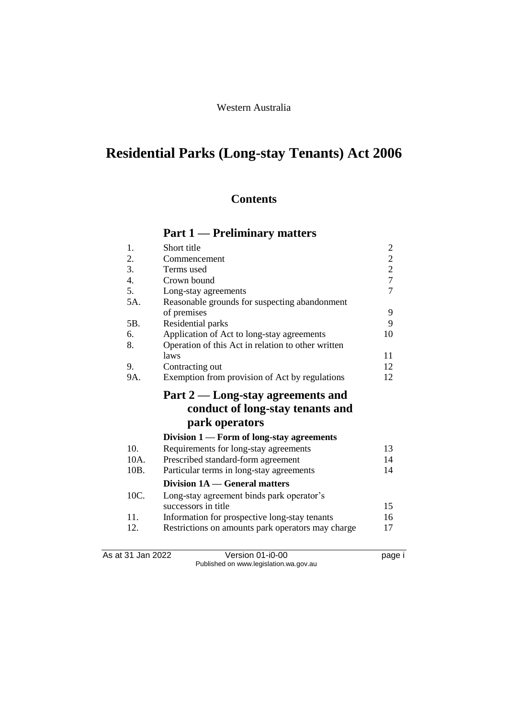### Western Australia

# **Residential Parks (Long-stay Tenants) Act 2006**

### **Contents**

## **Part 1 — Preliminary matters**

| 1.   | Short title                                        | $\overline{c}$                             |
|------|----------------------------------------------------|--------------------------------------------|
| 2.   | Commencement                                       |                                            |
| 3.   | Terms used                                         | $\begin{array}{c} 2 \\ 2 \\ 7 \end{array}$ |
| 4.   | Crown bound                                        |                                            |
| 5.   | Long-stay agreements                               | $\overline{7}$                             |
| 5A.  | Reasonable grounds for suspecting abandonment      |                                            |
|      | of premises                                        | 9                                          |
| 5B.  | Residential parks                                  | 9                                          |
| 6.   | Application of Act to long-stay agreements         | 10                                         |
| 8.   | Operation of this Act in relation to other written |                                            |
|      | laws                                               | 11                                         |
| 9.   | Contracting out                                    | 12                                         |
| 9A.  | Exemption from provision of Act by regulations     | 12                                         |
|      | Part 2 — Long-stay agreements and                  |                                            |
|      | conduct of long-stay tenants and                   |                                            |
|      | park operators                                     |                                            |
|      | Division $1$ — Form of long-stay agreements        |                                            |
| 10.  | Requirements for long-stay agreements              | 13                                         |
| 10A. | Prescribed standard-form agreement                 | 14                                         |
| 10B. | Particular terms in long-stay agreements           | 14                                         |
|      | Division 1A — General matters                      |                                            |
| 10C. | Long-stay agreement binds park operator's          |                                            |
|      | successors in title                                | 15                                         |
| 11.  | Information for prospective long-stay tenants      | 16                                         |
| 12.  | Restrictions on amounts park operators may charge  | 17                                         |
|      |                                                    |                                            |

As at 31 Jan 2022 Version 01-i0-00 Page i Published on www.legislation.wa.gov.au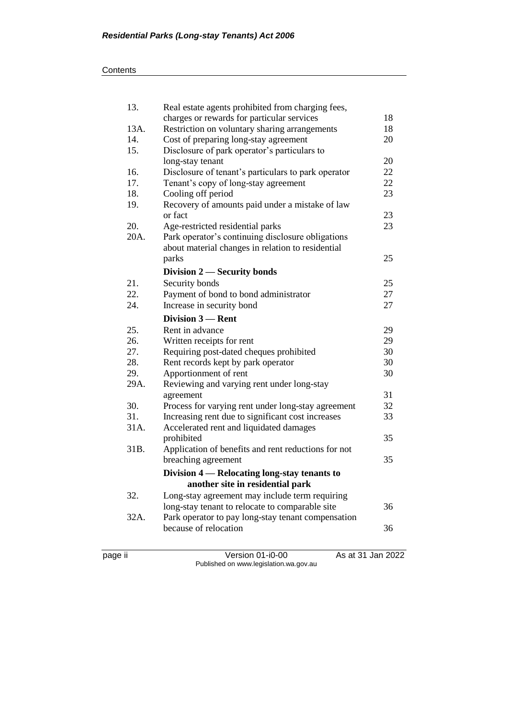| page ii | Version 01-i0-00                                    | As at 31 Jan 2022 |
|---------|-----------------------------------------------------|-------------------|
|         |                                                     |                   |
|         | because of relocation                               | 36                |
| 32A.    | Park operator to pay long-stay tenant compensation  |                   |
|         | long-stay tenant to relocate to comparable site     | 36                |
| 32.     | Long-stay agreement may include term requiring      |                   |
|         | another site in residential park                    |                   |
|         | Division 4 — Relocating long-stay tenants to        |                   |
|         | breaching agreement                                 | 35                |
| 31B.    | Application of benefits and rent reductions for not |                   |
|         | prohibited                                          | 35                |
| 31A.    | Accelerated rent and liquidated damages             |                   |
| 31.     | Increasing rent due to significant cost increases   | 33                |
| 30.     | Process for varying rent under long-stay agreement  | 32                |
|         | agreement                                           | 31                |
| 29A.    | Reviewing and varying rent under long-stay          |                   |
| 29.     | Apportionment of rent                               | 30                |
| 28.     | Rent records kept by park operator                  | 30                |
| 27.     | Requiring post-dated cheques prohibited             | 30                |
| 26.     | Written receipts for rent                           | 29                |
| 25.     | Rent in advance                                     | 29                |
|         | Division 3 - Rent                                   |                   |
| 24.     | Increase in security bond                           | 27                |
| 22.     | Payment of bond to bond administrator               | 27                |
| 21.     | Security bonds                                      | 25                |
|         | Division 2 - Security bonds                         |                   |
|         | parks                                               | 25                |
|         | about material changes in relation to residential   |                   |
| 20A.    | Park operator's continuing disclosure obligations   |                   |
| 20.     | Age-restricted residential parks                    | 23                |
|         | or fact                                             | 23                |
| 19.     | Recovery of amounts paid under a mistake of law     |                   |
| 18.     | Cooling off period                                  | 23                |
| 17.     | Tenant's copy of long-stay agreement                | 22                |
| 16.     | Disclosure of tenant's particulars to park operator | 22                |
|         | long-stay tenant                                    | 20                |
| 15.     | Disclosure of park operator's particulars to        |                   |
| 14.     | Cost of preparing long-stay agreement               | 20                |
| 13A.    | Restriction on voluntary sharing arrangements       | 18                |
|         | charges or rewards for particular services          | 18                |
| 13.     | Real estate agents prohibited from charging fees,   |                   |

Published on www.legislation.wa.gov.au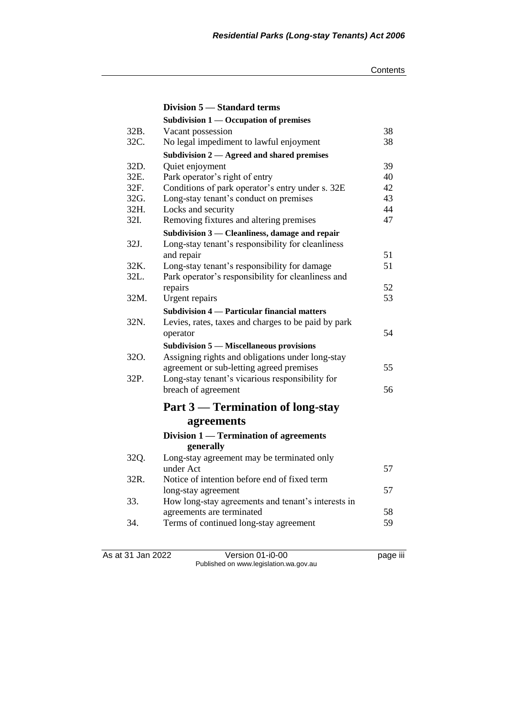|      | Division 5 - Standard terms                         |    |
|------|-----------------------------------------------------|----|
|      | Subdivision $1$ — Occupation of premises            |    |
| 32B. | Vacant possession                                   | 38 |
| 32C. | No legal impediment to lawful enjoyment             | 38 |
|      | Subdivision 2 - Agreed and shared premises          |    |
| 32D. | Quiet enjoyment                                     | 39 |
| 32E. | Park operator's right of entry                      | 40 |
| 32F. | Conditions of park operator's entry under s. 32E    | 42 |
| 32G. | Long-stay tenant's conduct on premises              | 43 |
| 32H. | Locks and security                                  | 44 |
| 32I. | Removing fixtures and altering premises             | 47 |
|      | Subdivision 3 - Cleanliness, damage and repair      |    |
| 32J. | Long-stay tenant's responsibility for cleanliness   |    |
|      | and repair                                          | 51 |
| 32K. | Long-stay tenant's responsibility for damage        | 51 |
| 32L. | Park operator's responsibility for cleanliness and  |    |
|      | repairs                                             | 52 |
| 32M. | Urgent repairs                                      | 53 |
|      | Subdivision 4 — Particular financial matters        |    |
| 32N. | Levies, rates, taxes and charges to be paid by park |    |
|      | operator                                            | 54 |
|      | <b>Subdivision 5 – Miscellaneous provisions</b>     |    |
| 32O. | Assigning rights and obligations under long-stay    |    |
|      | agreement or sub-letting agreed premises            | 55 |
| 32P. | Long-stay tenant's vicarious responsibility for     |    |
|      | breach of agreement                                 | 56 |
|      | Part 3 — Termination of long-stay                   |    |
|      |                                                     |    |
|      | agreements                                          |    |
|      | Division 1 — Termination of agreements              |    |
|      | generally                                           |    |
| 32Q. | Long-stay agreement may be terminated only          |    |
|      | under Act                                           | 57 |
| 32R. | Notice of intention before end of fixed term        |    |
|      | long-stay agreement                                 | 57 |
| 33.  | How long-stay agreements and tenant's interests in  |    |
|      | agreements are terminated                           | 58 |
| 34.  | Terms of continued long-stay agreement              | 59 |
|      |                                                     |    |

As at 31 Jan 2022 Version 01-i0-00 page iii Published on www.legislation.wa.gov.au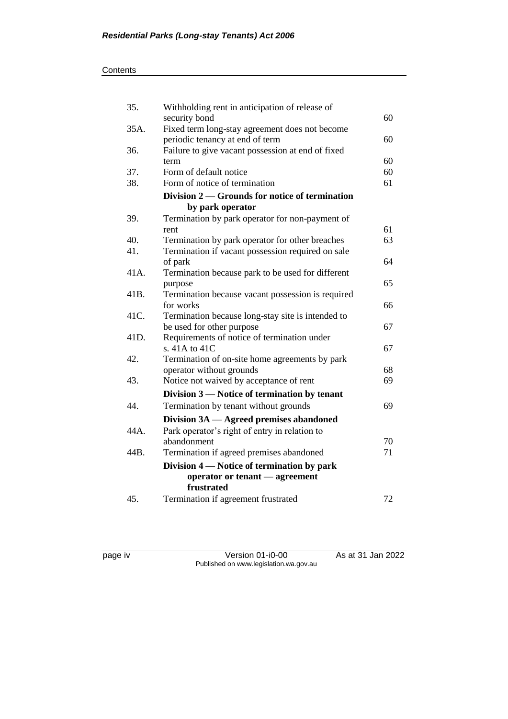### **Contents**

| 35.  | Withholding rent in anticipation of release of                      |    |
|------|---------------------------------------------------------------------|----|
|      | security bond                                                       | 60 |
| 35A. | Fixed term long-stay agreement does not become                      |    |
|      | periodic tenancy at end of term                                     | 60 |
| 36.  | Failure to give vacant possession at end of fixed                   |    |
|      | term                                                                | 60 |
| 37.  | Form of default notice                                              | 60 |
| 38.  | Form of notice of termination                                       | 61 |
|      | Division 2 — Grounds for notice of termination                      |    |
|      | by park operator                                                    |    |
| 39.  | Termination by park operator for non-payment of                     |    |
|      | rent                                                                | 61 |
| 40.  | Termination by park operator for other breaches                     | 63 |
| 41.  | Termination if vacant possession required on sale                   |    |
|      | of park                                                             | 64 |
| 41A. | Termination because park to be used for different                   |    |
|      | purpose                                                             | 65 |
| 41B. | Termination because vacant possession is required                   |    |
|      | for works                                                           | 66 |
| 41C. | Termination because long-stay site is intended to                   |    |
|      | be used for other purpose                                           | 67 |
| 41D. | Requirements of notice of termination under<br>s. 41A to 41C        |    |
| 42.  |                                                                     | 67 |
|      | Termination of on-site home agreements by park                      | 68 |
| 43.  | operator without grounds<br>Notice not waived by acceptance of rent | 69 |
|      |                                                                     |    |
|      | Division 3 — Notice of termination by tenant                        |    |
| 44.  | Termination by tenant without grounds                               | 69 |
|      | Division 3A - Agreed premises abandoned                             |    |
| 44A. | Park operator's right of entry in relation to                       |    |
|      | abandonment                                                         | 70 |
| 44B. | Termination if agreed premises abandoned                            | 71 |
|      | Division 4 — Notice of termination by park                          |    |
|      | operator or tenant - agreement                                      |    |
|      | frustrated                                                          |    |
| 45.  | Termination if agreement frustrated                                 | 72 |

page iv Version 01-i0-00 As at 31 Jan 2022 Published on www.legislation.wa.gov.au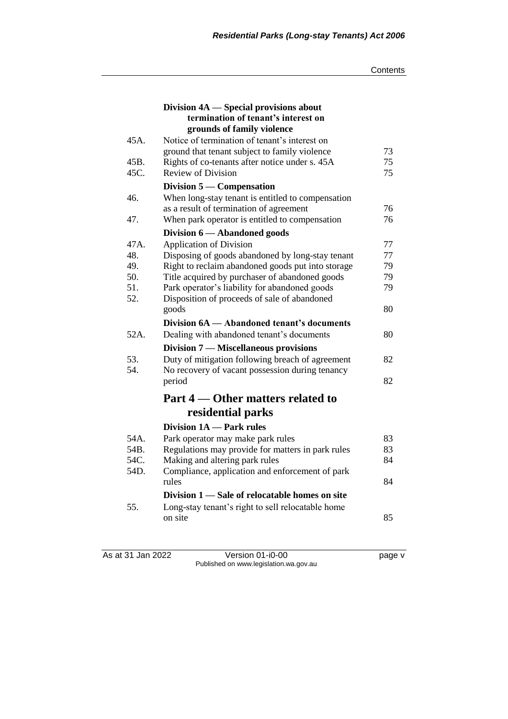|      | Division 4A — Special provisions about                                                 |    |
|------|----------------------------------------------------------------------------------------|----|
|      | termination of tenant's interest on                                                    |    |
|      | grounds of family violence                                                             |    |
| 45A. | Notice of termination of tenant's interest on                                          |    |
|      | ground that tenant subject to family violence                                          | 73 |
| 45B. | Rights of co-tenants after notice under s. 45A                                         | 75 |
| 45C. | <b>Review of Division</b>                                                              | 75 |
|      | Division $5$ — Compensation                                                            |    |
| 46.  | When long-stay tenant is entitled to compensation                                      |    |
|      | as a result of termination of agreement                                                | 76 |
| 47.  | When park operator is entitled to compensation                                         | 76 |
|      | Division 6 - Abandoned goods                                                           |    |
| 47A. | <b>Application of Division</b>                                                         | 77 |
| 48.  | Disposing of goods abandoned by long-stay tenant                                       | 77 |
| 49.  | Right to reclaim abandoned goods put into storage                                      | 79 |
| 50.  | Title acquired by purchaser of abandoned goods                                         | 79 |
| 51.  | Park operator's liability for abandoned goods                                          | 79 |
| 52.  | Disposition of proceeds of sale of abandoned                                           |    |
|      | goods                                                                                  | 80 |
|      | Division 6A — Abandoned tenant's documents                                             |    |
| 52A. | Dealing with abandoned tenant's documents                                              | 80 |
|      | Division 7 — Miscellaneous provisions                                                  |    |
| 53.  | Duty of mitigation following breach of agreement                                       | 82 |
| 54.  | No recovery of vacant possession during tenancy                                        |    |
|      | period                                                                                 | 82 |
|      | Part 4 — Other matters related to                                                      |    |
|      | residential parks                                                                      |    |
|      | Division 1A - Park rules                                                               |    |
| 54A. |                                                                                        | 83 |
| 54B. | Park operator may make park rules<br>Regulations may provide for matters in park rules | 83 |
| 54C. | Making and altering park rules                                                         | 84 |
| 54D. | Compliance, application and enforcement of park                                        |    |
|      | rules                                                                                  | 84 |
|      |                                                                                        |    |
|      | Division 1 - Sale of relocatable homes on site                                         |    |
| 55.  | Long-stay tenant's right to sell relocatable home                                      |    |
|      | on site                                                                                | 85 |

As at 31 Jan 2022 Version 01-i0-00 page v Published on www.legislation.wa.gov.au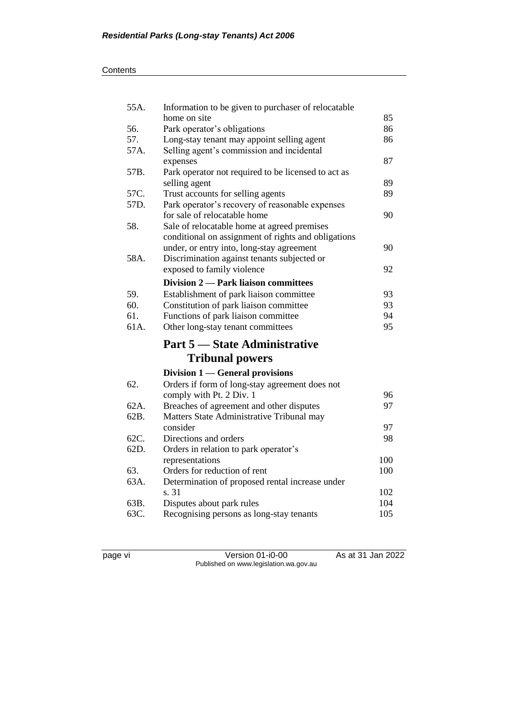| 55A. | Information to be given to purchaser of relocatable |     |
|------|-----------------------------------------------------|-----|
|      | home on site                                        | 85  |
| 56.  | Park operator's obligations                         | 86  |
| 57.  | Long-stay tenant may appoint selling agent          | 86  |
| 57A. | Selling agent's commission and incidental           |     |
|      | expenses                                            | 87  |
| 57B. | Park operator not required to be licensed to act as |     |
|      | selling agent                                       | 89  |
| 57C. | Trust accounts for selling agents                   | 89  |
| 57D. | Park operator's recovery of reasonable expenses     |     |
|      | for sale of relocatable home                        | 90  |
| 58.  | Sale of relocatable home at agreed premises         |     |
|      | conditional on assignment of rights and obligations |     |
|      | under, or entry into, long-stay agreement           | 90  |
| 58A. | Discrimination against tenants subjected or         |     |
|      | exposed to family violence                          | 92  |
|      | Division 2 — Park liaison committees                |     |
| 59.  | Establishment of park liaison committee             | 93  |
| 60.  | Constitution of park liaison committee              | 93  |
| 61.  | Functions of park liaison committee                 | 94  |
| 61A. | Other long-stay tenant committees                   | 95  |
|      | <b>Part 5 — State Administrative</b>                |     |
|      |                                                     |     |
|      | <b>Tribunal powers</b>                              |     |
|      | Division 1 — General provisions                     |     |
| 62.  | Orders if form of long-stay agreement does not      |     |
|      | comply with Pt. 2 Div. 1                            | 96  |
| 62A. | Breaches of agreement and other disputes            | 97  |
| 62B. | Matters State Administrative Tribunal may           |     |
|      | consider                                            | 97  |
| 62C. | Directions and orders                               | 98  |
| 62D. | Orders in relation to park operator's               |     |
|      | representations                                     | 100 |
| 63.  | Orders for reduction of rent                        | 100 |
| 63A. | Determination of proposed rental increase under     |     |
|      | s. 31                                               | 102 |
| 63B. | Disputes about park rules                           | 104 |
| 63C. | Recognising persons as long-stay tenants            | 105 |

page vi Version 01-i0-00 As at 31 Jan 2022 Published on www.legislation.wa.gov.au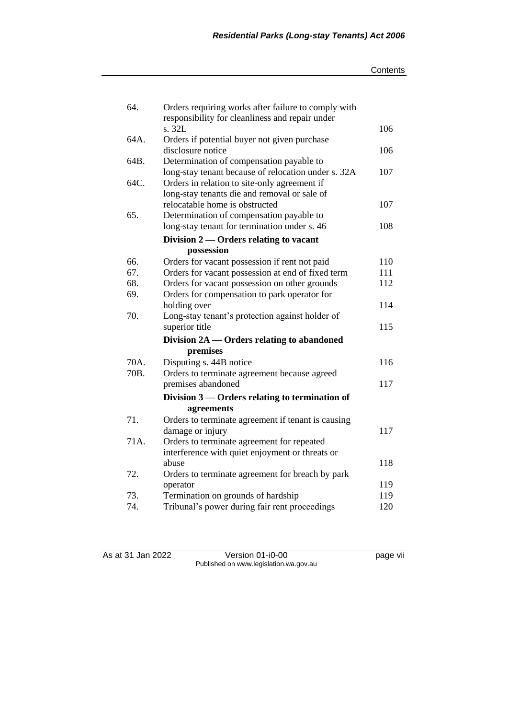| 64.  | Orders requiring works after failure to comply with |     |
|------|-----------------------------------------------------|-----|
|      | responsibility for cleanliness and repair under     |     |
|      | s. 32L                                              | 106 |
| 64A. | Orders if potential buyer not given purchase        |     |
|      | disclosure notice                                   | 106 |
| 64B. | Determination of compensation payable to            |     |
|      | long-stay tenant because of relocation under s. 32A | 107 |
| 64C. | Orders in relation to site-only agreement if        |     |
|      | long-stay tenants die and removal or sale of        |     |
|      | relocatable home is obstructed                      | 107 |
| 65.  | Determination of compensation payable to            |     |
|      | long-stay tenant for termination under s. 46        | 108 |
|      | Division $2$ — Orders relating to vacant            |     |
|      | possession                                          |     |
| 66.  | Orders for vacant possession if rent not paid       | 110 |
| 67.  | Orders for vacant possession at end of fixed term   | 111 |
| 68.  | Orders for vacant possession on other grounds       | 112 |
| 69.  | Orders for compensation to park operator for        |     |
|      | holding over                                        | 114 |
| 70.  | Long-stay tenant's protection against holder of     |     |
|      | superior title                                      | 115 |
|      | Division 2A — Orders relating to abandoned          |     |
|      | premises                                            |     |
| 70A. | Disputing s. 44B notice                             | 116 |
| 70B. | Orders to terminate agreement because agreed        |     |
|      | premises abandoned                                  | 117 |
|      | Division $3$ — Orders relating to termination of    |     |
|      | agreements                                          |     |
| 71.  | Orders to terminate agreement if tenant is causing  |     |
|      | damage or injury                                    | 117 |
| 71A. | Orders to terminate agreement for repeated          |     |
|      | interference with quiet enjoyment or threats or     |     |
|      | abuse                                               | 118 |
| 72.  | Orders to terminate agreement for breach by park    |     |
|      | operator                                            | 119 |
| 73.  | Termination on grounds of hardship                  | 119 |
| 74.  | Tribunal's power during fair rent proceedings       | 120 |

As at 31 Jan 2022 Version 01-i0-00 page vii Published on www.legislation.wa.gov.au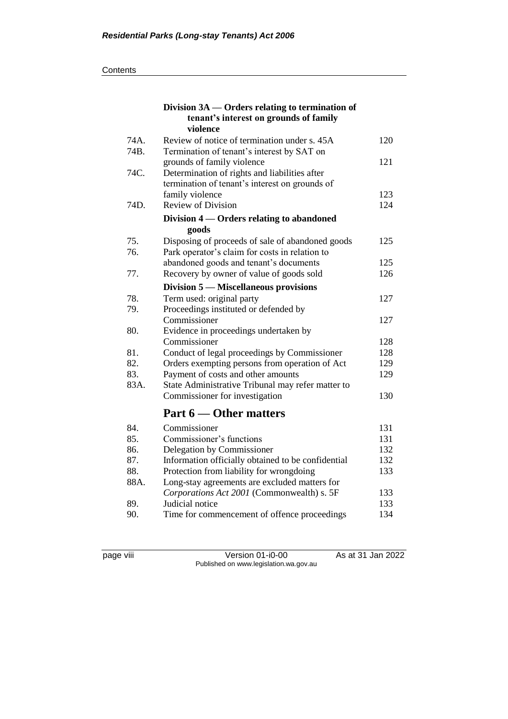|              | Division 3A — Orders relating to termination of<br>tenant's interest on grounds of family<br>violence |     |
|--------------|-------------------------------------------------------------------------------------------------------|-----|
| 74A.<br>74B. | Review of notice of termination under s. 45A<br>Termination of tenant's interest by SAT on            | 120 |
|              | grounds of family violence                                                                            | 121 |
| 74C.         | Determination of rights and liabilities after                                                         |     |
|              | termination of tenant's interest on grounds of                                                        |     |
|              | family violence                                                                                       | 123 |
| 74D.         | Review of Division                                                                                    | 124 |
|              | Division 4 — Orders relating to abandoned                                                             |     |
| 75.          | goods                                                                                                 | 125 |
| 76.          | Disposing of proceeds of sale of abandoned goods<br>Park operator's claim for costs in relation to    |     |
|              | abandoned goods and tenant's documents                                                                | 125 |
| 77.          | Recovery by owner of value of goods sold                                                              | 126 |
|              | Division 5 — Miscellaneous provisions                                                                 |     |
| 78.          |                                                                                                       | 127 |
| 79.          | Term used: original party<br>Proceedings instituted or defended by                                    |     |
|              | Commissioner                                                                                          | 127 |
| 80.          | Evidence in proceedings undertaken by                                                                 |     |
|              | Commissioner                                                                                          | 128 |
| 81.          | Conduct of legal proceedings by Commissioner                                                          | 128 |
| 82.          | Orders exempting persons from operation of Act                                                        | 129 |
| 83.          | Payment of costs and other amounts                                                                    | 129 |
| 83A.         | State Administrative Tribunal may refer matter to                                                     |     |
|              | Commissioner for investigation                                                                        | 130 |
|              | Part 6 — Other matters                                                                                |     |
| 84.          | Commissioner                                                                                          | 131 |
| 85.          | Commissioner's functions                                                                              | 131 |
| 86.          | Delegation by Commissioner                                                                            | 132 |
| 87.          | Information officially obtained to be confidential                                                    | 132 |
| 88.          | Protection from liability for wrongdoing                                                              | 133 |
| 88A.         | Long-stay agreements are excluded matters for                                                         |     |
|              | Corporations Act 2001 (Commonwealth) s. 5F                                                            | 133 |
| 89.          | Judicial notice                                                                                       | 133 |
| 90.          | Time for commencement of offence proceedings                                                          | 134 |

page viii Version 01-i0-00 As at 31 Jan 2022 Published on www.legislation.wa.gov.au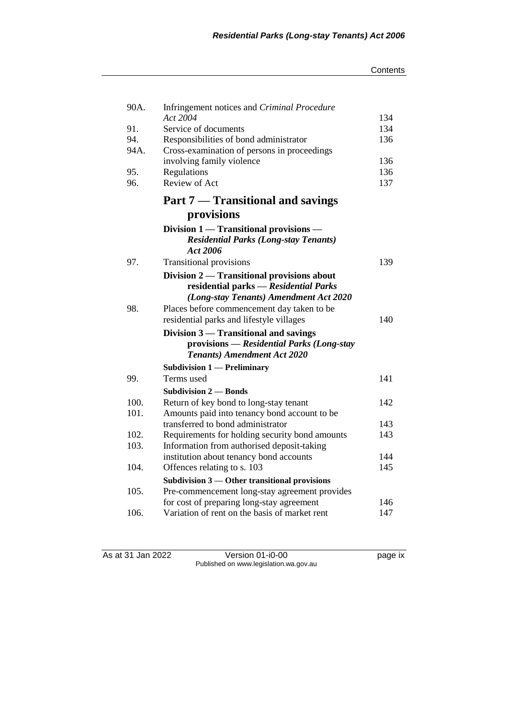#### **Contents**

| Infringement notices and Criminal Procedure              |                                                                                                                                                                                                                                                                           |
|----------------------------------------------------------|---------------------------------------------------------------------------------------------------------------------------------------------------------------------------------------------------------------------------------------------------------------------------|
|                                                          | 134                                                                                                                                                                                                                                                                       |
|                                                          | 134                                                                                                                                                                                                                                                                       |
|                                                          | 136                                                                                                                                                                                                                                                                       |
|                                                          |                                                                                                                                                                                                                                                                           |
|                                                          | 136                                                                                                                                                                                                                                                                       |
|                                                          | 136                                                                                                                                                                                                                                                                       |
|                                                          | 137                                                                                                                                                                                                                                                                       |
| Part 7 — Transitional and savings                        |                                                                                                                                                                                                                                                                           |
| provisions                                               |                                                                                                                                                                                                                                                                           |
| Division 1 — Transitional provisions —                   |                                                                                                                                                                                                                                                                           |
| <b>Residential Parks (Long-stay Tenants)</b><br>Act 2006 |                                                                                                                                                                                                                                                                           |
| <b>Transitional provisions</b>                           | 139                                                                                                                                                                                                                                                                       |
| Division 2 — Transitional provisions about               |                                                                                                                                                                                                                                                                           |
|                                                          |                                                                                                                                                                                                                                                                           |
| (Long-stay Tenants) Amendment Act 2020                   |                                                                                                                                                                                                                                                                           |
| Places before commencement day taken to be               |                                                                                                                                                                                                                                                                           |
| residential parks and lifestyle villages                 | 140                                                                                                                                                                                                                                                                       |
| Division 3 — Transitional and savings                    |                                                                                                                                                                                                                                                                           |
| provisions — Residential Parks (Long-stay                |                                                                                                                                                                                                                                                                           |
| <b>Tenants) Amendment Act 2020</b>                       |                                                                                                                                                                                                                                                                           |
| <b>Subdivision 1 — Preliminary</b>                       |                                                                                                                                                                                                                                                                           |
| Terms used                                               | 141                                                                                                                                                                                                                                                                       |
| <b>Subdivision 2 – Bonds</b>                             |                                                                                                                                                                                                                                                                           |
|                                                          | 142                                                                                                                                                                                                                                                                       |
| Amounts paid into tenancy bond account to be             |                                                                                                                                                                                                                                                                           |
| transferred to bond administrator                        | 143                                                                                                                                                                                                                                                                       |
| Requirements for holding security bond amounts           | 143                                                                                                                                                                                                                                                                       |
| Information from authorised deposit-taking               |                                                                                                                                                                                                                                                                           |
| institution about tenancy bond accounts                  | 144                                                                                                                                                                                                                                                                       |
| Offences relating to s. 103                              | 145                                                                                                                                                                                                                                                                       |
| Subdivision 3 - Other transitional provisions            |                                                                                                                                                                                                                                                                           |
| Pre-commencement long-stay agreement provides            |                                                                                                                                                                                                                                                                           |
| for cost of preparing long-stay agreement                | 146                                                                                                                                                                                                                                                                       |
| Variation of rent on the basis of market rent            | 147                                                                                                                                                                                                                                                                       |
|                                                          | Act 2004<br>Service of documents<br>Responsibilities of bond administrator<br>Cross-examination of persons in proceedings<br>involving family violence<br>Regulations<br>Review of Act<br>residential parks - Residential Parks<br>Return of key bond to long-stay tenant |

As at 31 Jan 2022 Version 01-i0-00 page ix Published on www.legislation.wa.gov.au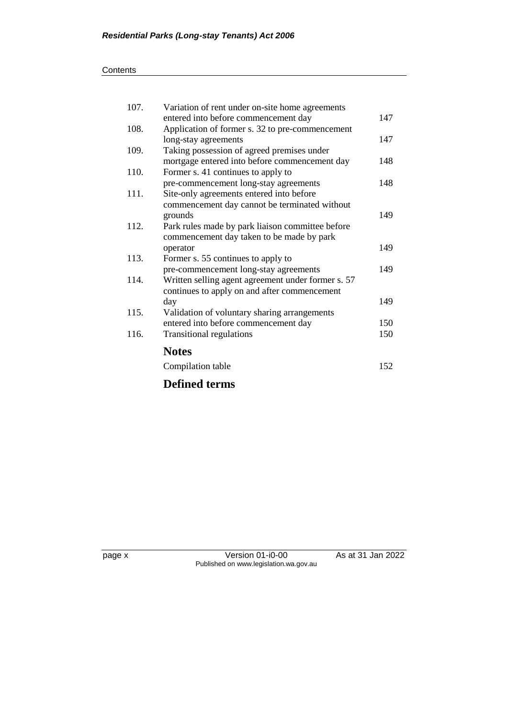| 107. | Variation of rent under on-site home agreements    |     |
|------|----------------------------------------------------|-----|
|      | entered into before commencement day               | 147 |
| 108. | Application of former s. 32 to pre-commencement    |     |
|      | long-stay agreements                               | 147 |
| 109. | Taking possession of agreed premises under         |     |
|      | mortgage entered into before commencement day      | 148 |
| 110. | Former s. 41 continues to apply to                 |     |
|      | pre-commencement long-stay agreements              | 148 |
| 111. | Site-only agreements entered into before           |     |
|      | commencement day cannot be terminated without      |     |
|      | grounds                                            | 149 |
| 112. | Park rules made by park liaison committee before   |     |
|      | commencement day taken to be made by park          |     |
|      | operator                                           | 149 |
| 113. | Former s. 55 continues to apply to                 |     |
|      | pre-commencement long-stay agreements              | 149 |
| 114. | Written selling agent agreement under former s. 57 |     |
|      | continues to apply on and after commencement       |     |
|      | day                                                | 149 |
| 115. | Validation of voluntary sharing arrangements       |     |
|      | entered into before commencement day               | 150 |
| 116. | <b>Transitional regulations</b>                    | 150 |
|      | <b>Notes</b>                                       |     |
|      |                                                    |     |
|      | Compilation table                                  | 152 |
|      | <b>Defined terms</b>                               |     |

page x Version 01-i0-00 As at 31 Jan 2022 Published on www.legislation.wa.gov.au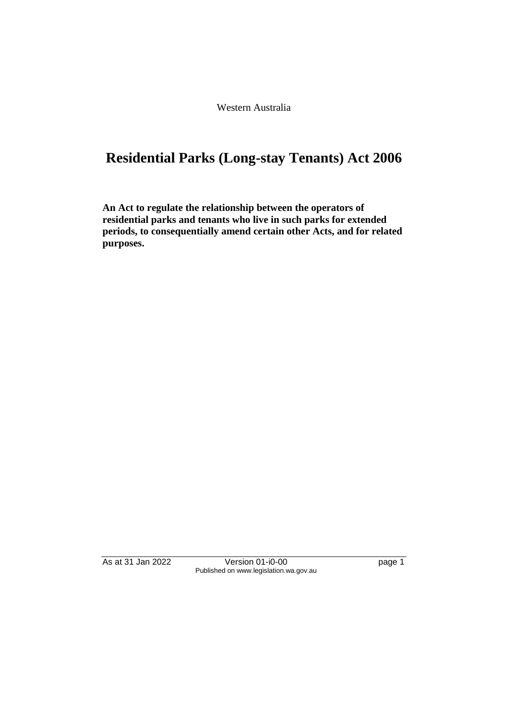Western Australia

# **Residential Parks (Long-stay Tenants) Act 2006**

**An Act to regulate the relationship between the operators of residential parks and tenants who live in such parks for extended periods, to consequentially amend certain other Acts, and for related purposes.**

As at 31 Jan 2022 Version 01-i0-00 Page 1 Published on www.legislation.wa.gov.au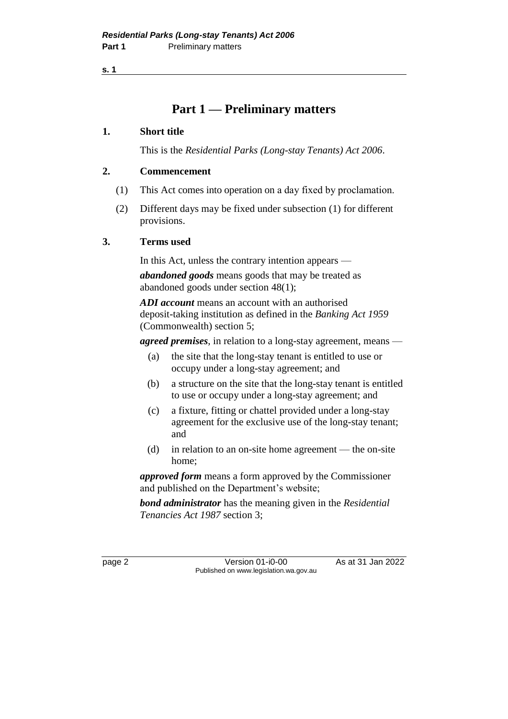**s. 1**

### **Part 1 — Preliminary matters**

### **1. Short title**

This is the *Residential Parks (Long-stay Tenants) Act 2006*.

### **2. Commencement**

- (1) This Act comes into operation on a day fixed by proclamation.
- (2) Different days may be fixed under subsection (1) for different provisions.

### **3. Terms used**

In this Act, unless the contrary intention appears —

*abandoned goods* means goods that may be treated as abandoned goods under section 48(1);

*ADI account* means an account with an authorised deposit-taking institution as defined in the *Banking Act 1959* (Commonwealth) section 5;

*agreed premises*, in relation to a long-stay agreement, means —

- (a) the site that the long-stay tenant is entitled to use or occupy under a long-stay agreement; and
- (b) a structure on the site that the long-stay tenant is entitled to use or occupy under a long-stay agreement; and
- (c) a fixture, fitting or chattel provided under a long-stay agreement for the exclusive use of the long-stay tenant; and
- (d) in relation to an on-site home agreement the on-site home;

*approved form* means a form approved by the Commissioner and published on the Department's website;

*bond administrator* has the meaning given in the *Residential Tenancies Act 1987* section 3;

page 2 **Version 01-i0-00** As at 31 Jan 2022 Published on www.legislation.wa.gov.au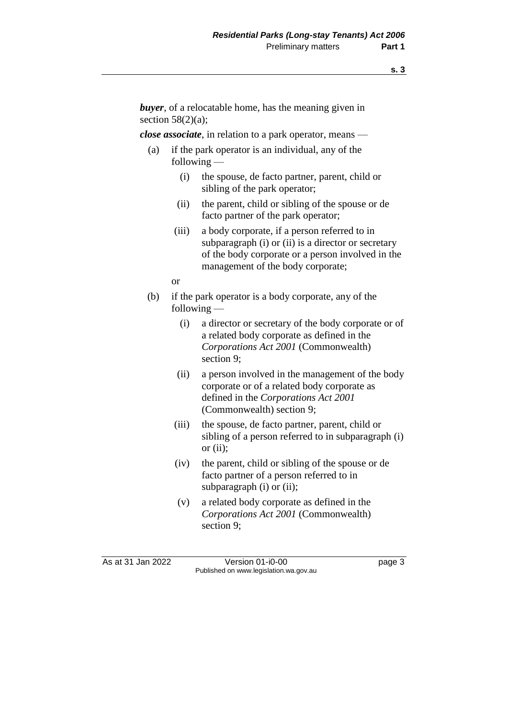*buyer*, of a relocatable home, has the meaning given in section  $58(2)(a)$ :

*close associate*, in relation to a park operator, means —

- (a) if the park operator is an individual, any of the following —
	- (i) the spouse, de facto partner, parent, child or sibling of the park operator;
	- (ii) the parent, child or sibling of the spouse or de facto partner of the park operator;
	- (iii) a body corporate, if a person referred to in subparagraph (i) or (ii) is a director or secretary of the body corporate or a person involved in the management of the body corporate;

or

- (b) if the park operator is a body corporate, any of the following —
	- (i) a director or secretary of the body corporate or of a related body corporate as defined in the *Corporations Act 2001* (Commonwealth) section 9;
	- (ii) a person involved in the management of the body corporate or of a related body corporate as defined in the *Corporations Act 2001*  (Commonwealth) section 9;
	- (iii) the spouse, de facto partner, parent, child or sibling of a person referred to in subparagraph (i) or  $(ii)$ ;
	- (iv) the parent, child or sibling of the spouse or de facto partner of a person referred to in subparagraph (i) or (ii);
	- (v) a related body corporate as defined in the *Corporations Act 2001* (Commonwealth) section 9;

As at 31 Jan 2022 Version 01-i0-00 Page 3 Published on www.legislation.wa.gov.au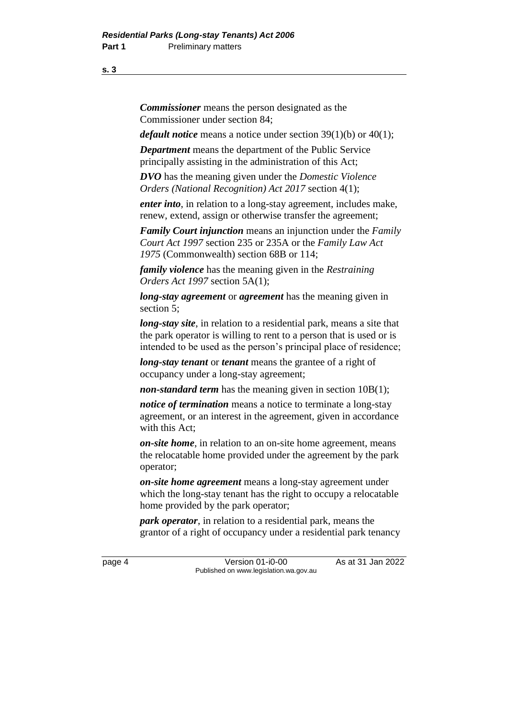**s. 3**

*Commissioner* means the person designated as the Commissioner under section 84;

*default notice* means a notice under section 39(1)(b) or 40(1);

*Department* means the department of the Public Service principally assisting in the administration of this Act;

*DVO* has the meaning given under the *Domestic Violence Orders (National Recognition) Act 2017* section 4(1);

*enter into*, in relation to a long-stay agreement, includes make, renew, extend, assign or otherwise transfer the agreement;

*Family Court injunction* means an injunction under the *Family Court Act 1997* section 235 or 235A or the *Family Law Act 1975* (Commonwealth) section 68B or 114;

*family violence* has the meaning given in the *Restraining Orders Act 1997* section 5A(1);

*long-stay agreement* or *agreement* has the meaning given in section 5;

*long-stay site*, in relation to a residential park, means a site that the park operator is willing to rent to a person that is used or is intended to be used as the person's principal place of residence;

*long-stay tenant* or *tenant* means the grantee of a right of occupancy under a long-stay agreement;

*non-standard term* has the meaning given in section 10B(1);

*notice of termination* means a notice to terminate a long-stay agreement, or an interest in the agreement, given in accordance with this Act;

*on-site home*, in relation to an on-site home agreement, means the relocatable home provided under the agreement by the park operator;

*on-site home agreement* means a long-stay agreement under which the long-stay tenant has the right to occupy a relocatable home provided by the park operator;

*park operator*, in relation to a residential park, means the grantor of a right of occupancy under a residential park tenancy

page 4 Version 01-i0-00 As at 31 Jan 2022 Published on www.legislation.wa.gov.au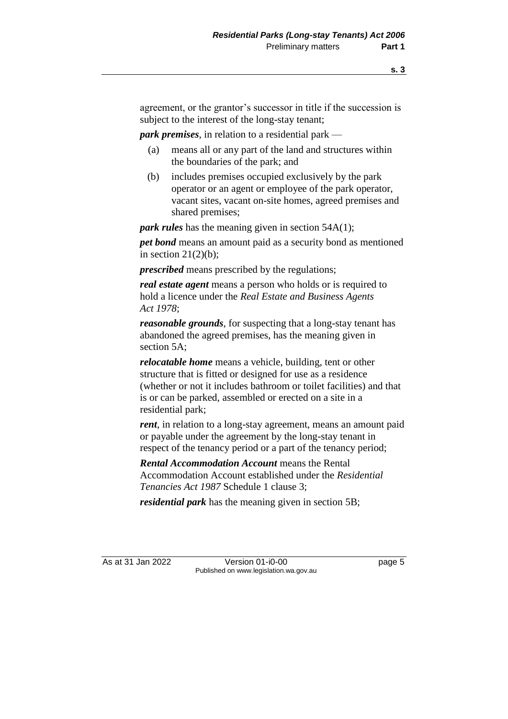agreement, or the grantor's successor in title if the succession is subject to the interest of the long-stay tenant;

*park premises*, in relation to a residential park —

- (a) means all or any part of the land and structures within the boundaries of the park; and
- (b) includes premises occupied exclusively by the park operator or an agent or employee of the park operator, vacant sites, vacant on-site homes, agreed premises and shared premises;

*park rules* has the meaning given in section 54A(1);

*pet bond* means an amount paid as a security bond as mentioned in section  $21(2)(b)$ ;

*prescribed* means prescribed by the regulations;

*real estate agent* means a person who holds or is required to hold a licence under the *Real Estate and Business Agents Act 1978*;

*reasonable grounds*, for suspecting that a long-stay tenant has abandoned the agreed premises, has the meaning given in section 5A;

*relocatable home* means a vehicle, building, tent or other structure that is fitted or designed for use as a residence (whether or not it includes bathroom or toilet facilities) and that is or can be parked, assembled or erected on a site in a residential park;

*rent*, in relation to a long-stay agreement, means an amount paid or payable under the agreement by the long-stay tenant in respect of the tenancy period or a part of the tenancy period;

*Rental Accommodation Account* means the Rental Accommodation Account established under the *Residential Tenancies Act 1987* Schedule 1 clause 3;

*residential park* has the meaning given in section 5B;

As at 31 Jan 2022 Version 01-i0-00 Version 01-i0-00 Published on www.legislation.wa.gov.au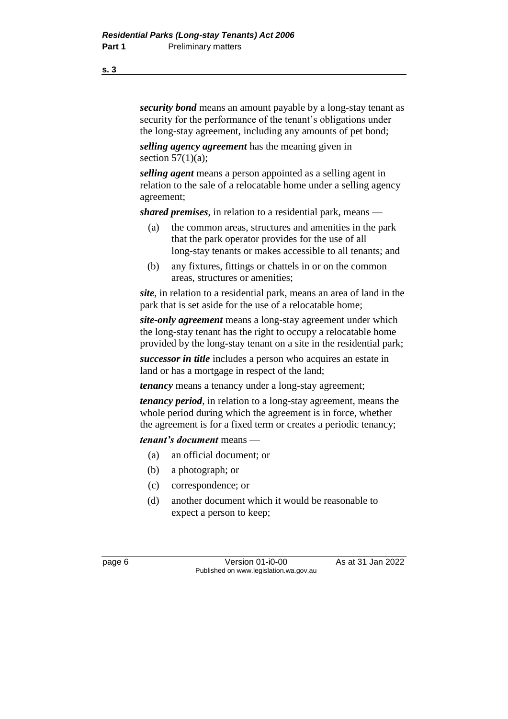*security bond* means an amount payable by a long-stay tenant as security for the performance of the tenant's obligations under the long-stay agreement, including any amounts of pet bond;

*selling agency agreement* has the meaning given in section  $57(1)(a)$ ;

*selling agent* means a person appointed as a selling agent in relation to the sale of a relocatable home under a selling agency agreement;

*shared premises*, in relation to a residential park, means —

- (a) the common areas, structures and amenities in the park that the park operator provides for the use of all long-stay tenants or makes accessible to all tenants; and
- (b) any fixtures, fittings or chattels in or on the common areas, structures or amenities;

*site*, in relation to a residential park, means an area of land in the park that is set aside for the use of a relocatable home;

*site-only agreement* means a long-stay agreement under which the long-stay tenant has the right to occupy a relocatable home provided by the long-stay tenant on a site in the residential park;

*successor in title* includes a person who acquires an estate in land or has a mortgage in respect of the land;

*tenancy* means a tenancy under a long-stay agreement;

*tenancy period*, in relation to a long-stay agreement, means the whole period during which the agreement is in force, whether the agreement is for a fixed term or creates a periodic tenancy;

*tenant's document* means —

- (a) an official document; or
- (b) a photograph; or
- (c) correspondence; or
- (d) another document which it would be reasonable to expect a person to keep;

page 6 **Version 01-i0-00** As at 31 Jan 2022 Published on www.legislation.wa.gov.au

**s. 3**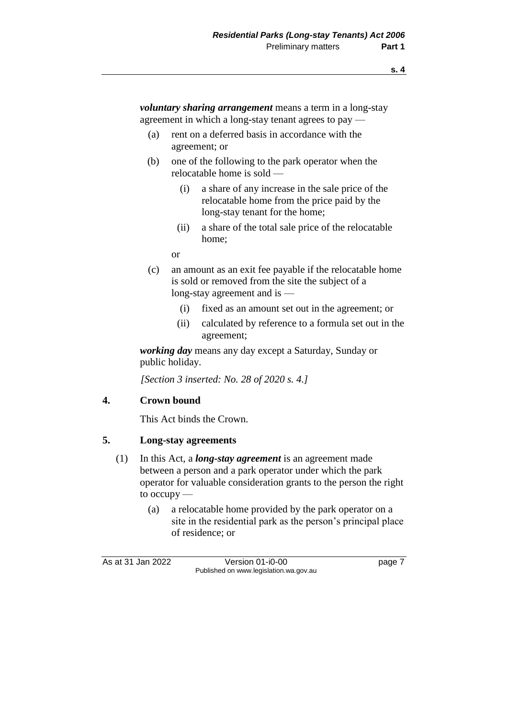*voluntary sharing arrangement* means a term in a long-stay agreement in which a long-stay tenant agrees to pay —

- (a) rent on a deferred basis in accordance with the agreement; or
- (b) one of the following to the park operator when the relocatable home is sold —
	- (i) a share of any increase in the sale price of the relocatable home from the price paid by the long-stay tenant for the home;
	- (ii) a share of the total sale price of the relocatable home;
	- or
- (c) an amount as an exit fee payable if the relocatable home is sold or removed from the site the subject of a long-stay agreement and is —
	- (i) fixed as an amount set out in the agreement; or
	- (ii) calculated by reference to a formula set out in the agreement;

*working day* means any day except a Saturday, Sunday or public holiday.

*[Section 3 inserted: No. 28 of 2020 s. 4.]*

### **4. Crown bound**

This Act binds the Crown.

### **5. Long-stay agreements**

- (1) In this Act, a *long-stay agreement* is an agreement made between a person and a park operator under which the park operator for valuable consideration grants to the person the right to occupy —
	- (a) a relocatable home provided by the park operator on a site in the residential park as the person's principal place of residence; or

As at 31 Jan 2022 Version 01-i0-00 Page 7 Published on www.legislation.wa.gov.au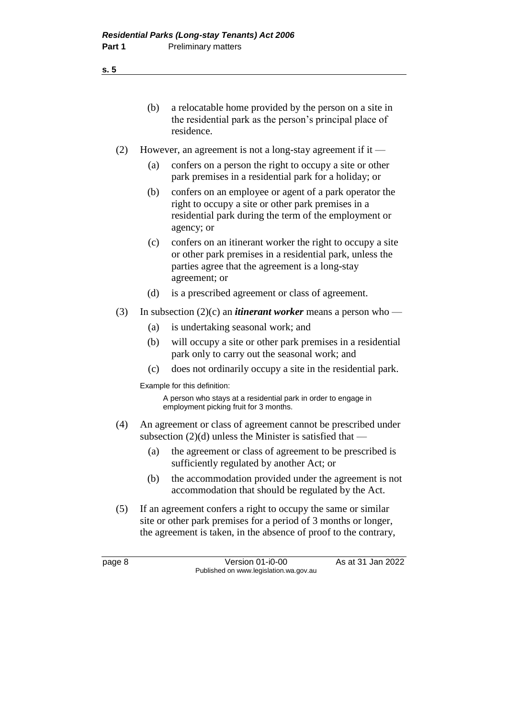- (b) a relocatable home provided by the person on a site in the residential park as the person's principal place of residence. (2) However, an agreement is not a long-stay agreement if it — (a) confers on a person the right to occupy a site or other park premises in a residential park for a holiday; or (b) confers on an employee or agent of a park operator the right to occupy a site or other park premises in a residential park during the term of the employment or agency; or (c) confers on an itinerant worker the right to occupy a site or other park premises in a residential park, unless the parties agree that the agreement is a long-stay agreement; or (d) is a prescribed agreement or class of agreement. (3) In subsection  $(2)(c)$  an *itinerant worker* means a person who — (a) is undertaking seasonal work; and (b) will occupy a site or other park premises in a residential park only to carry out the seasonal work; and
	- (c) does not ordinarily occupy a site in the residential park.

Example for this definition:

A person who stays at a residential park in order to engage in employment picking fruit for 3 months.

- (4) An agreement or class of agreement cannot be prescribed under subsection  $(2)(d)$  unless the Minister is satisfied that —
	- (a) the agreement or class of agreement to be prescribed is sufficiently regulated by another Act; or
	- (b) the accommodation provided under the agreement is not accommodation that should be regulated by the Act.
- (5) If an agreement confers a right to occupy the same or similar site or other park premises for a period of 3 months or longer, the agreement is taken, in the absence of proof to the contrary,

page 8 **Version 01-i0-00** As at 31 Jan 2022 Published on www.legislation.wa.gov.au

**s. 5**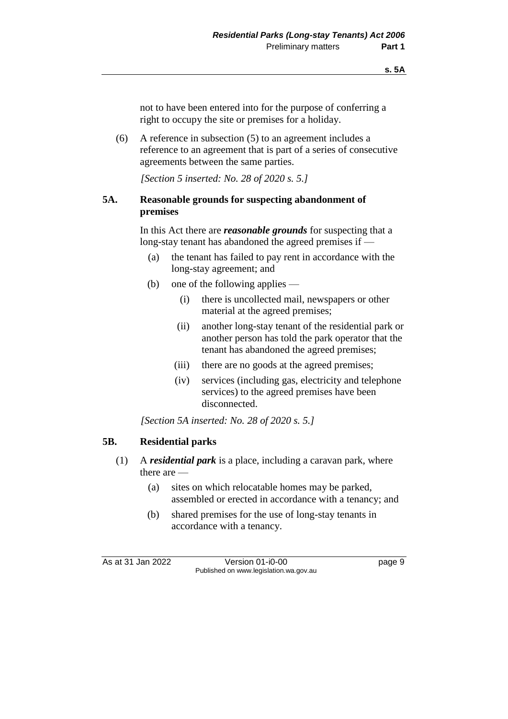not to have been entered into for the purpose of conferring a right to occupy the site or premises for a holiday.

(6) A reference in subsection (5) to an agreement includes a reference to an agreement that is part of a series of consecutive agreements between the same parties.

*[Section 5 inserted: No. 28 of 2020 s. 5.]*

### **5A. Reasonable grounds for suspecting abandonment of premises**

In this Act there are *reasonable grounds* for suspecting that a long-stay tenant has abandoned the agreed premises if —

- (a) the tenant has failed to pay rent in accordance with the long-stay agreement; and
- (b) one of the following applies
	- (i) there is uncollected mail, newspapers or other material at the agreed premises;
	- (ii) another long-stay tenant of the residential park or another person has told the park operator that the tenant has abandoned the agreed premises;
	- (iii) there are no goods at the agreed premises;
	- (iv) services (including gas, electricity and telephone services) to the agreed premises have been disconnected.

*[Section 5A inserted: No. 28 of 2020 s. 5.]*

### **5B. Residential parks**

- (1) A *residential park* is a place, including a caravan park, where there are —
	- (a) sites on which relocatable homes may be parked, assembled or erected in accordance with a tenancy; and
	- (b) shared premises for the use of long-stay tenants in accordance with a tenancy.

As at 31 Jan 2022 Version 01-i0-00 Page 9 Published on www.legislation.wa.gov.au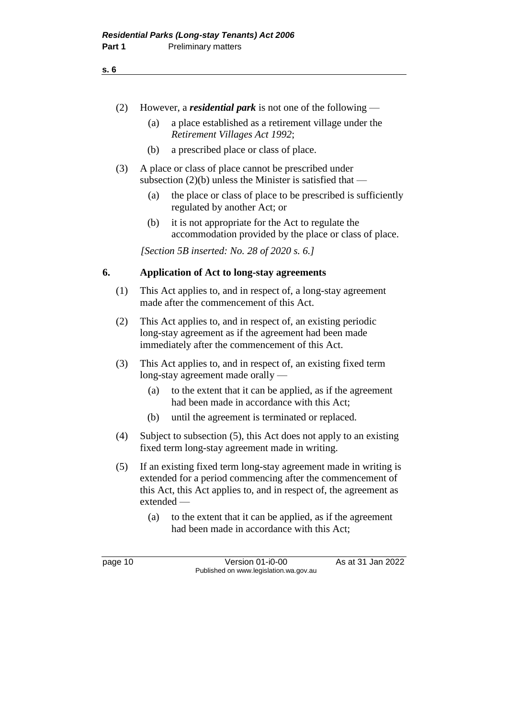#### **s. 6**

- (2) However, a *residential park* is not one of the following
	- (a) a place established as a retirement village under the *Retirement Villages Act 1992*;
	- (b) a prescribed place or class of place.
- (3) A place or class of place cannot be prescribed under subsection  $(2)(b)$  unless the Minister is satisfied that —
	- (a) the place or class of place to be prescribed is sufficiently regulated by another Act; or
	- (b) it is not appropriate for the Act to regulate the accommodation provided by the place or class of place.

*[Section 5B inserted: No. 28 of 2020 s. 6.]*

### **6. Application of Act to long-stay agreements**

- (1) This Act applies to, and in respect of, a long-stay agreement made after the commencement of this Act.
- (2) This Act applies to, and in respect of, an existing periodic long-stay agreement as if the agreement had been made immediately after the commencement of this Act.
- (3) This Act applies to, and in respect of, an existing fixed term long-stay agreement made orally —
	- (a) to the extent that it can be applied, as if the agreement had been made in accordance with this Act;
	- (b) until the agreement is terminated or replaced.
- (4) Subject to subsection (5), this Act does not apply to an existing fixed term long-stay agreement made in writing.
- (5) If an existing fixed term long-stay agreement made in writing is extended for a period commencing after the commencement of this Act, this Act applies to, and in respect of, the agreement as extended —
	- (a) to the extent that it can be applied, as if the agreement had been made in accordance with this Act;

page 10 **Version 01-i0-00** As at 31 Jan 2022 Published on www.legislation.wa.gov.au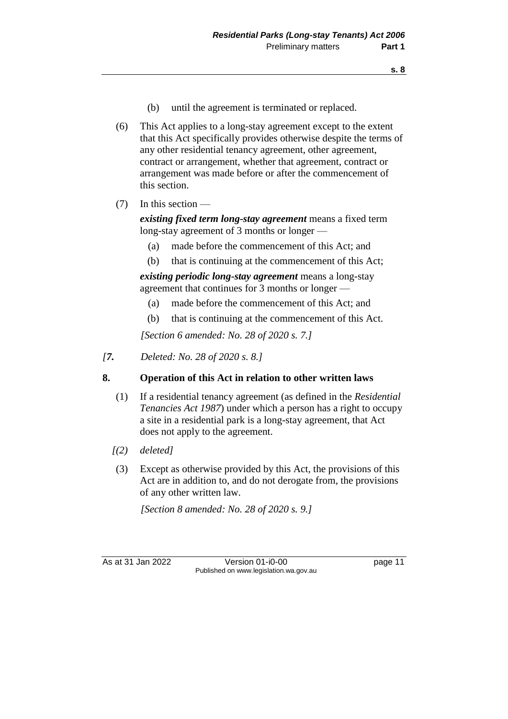- (b) until the agreement is terminated or replaced.
- (6) This Act applies to a long-stay agreement except to the extent that this Act specifically provides otherwise despite the terms of any other residential tenancy agreement, other agreement, contract or arrangement, whether that agreement, contract or arrangement was made before or after the commencement of this section.
- (7) In this section —

*existing fixed term long-stay agreement* means a fixed term long-stay agreement of 3 months or longer —

- (a) made before the commencement of this Act; and
- (b) that is continuing at the commencement of this Act;

*existing periodic long-stay agreement* means a long-stay agreement that continues for 3 months or longer —

- (a) made before the commencement of this Act; and
- (b) that is continuing at the commencement of this Act.

*[Section 6 amended: No. 28 of 2020 s. 7.]*

*[7. Deleted: No. 28 of 2020 s. 8.]*

### **8. Operation of this Act in relation to other written laws**

- (1) If a residential tenancy agreement (as defined in the *Residential Tenancies Act 1987*) under which a person has a right to occupy a site in a residential park is a long-stay agreement, that Act does not apply to the agreement.
- *[(2) deleted]*
- (3) Except as otherwise provided by this Act, the provisions of this Act are in addition to, and do not derogate from, the provisions of any other written law.

*[Section 8 amended: No. 28 of 2020 s. 9.]*

As at 31 Jan 2022 Version 01-i0-00 page 11 Published on www.legislation.wa.gov.au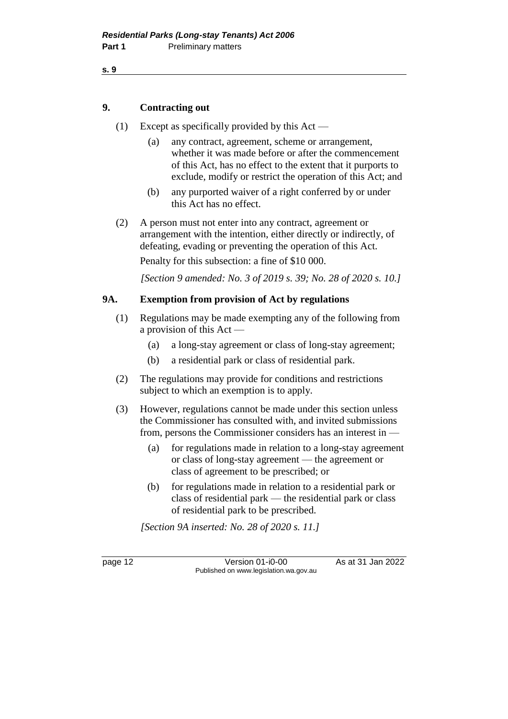```
s. 9
```
### **9. Contracting out**

- (1) Except as specifically provided by this Act
	- (a) any contract, agreement, scheme or arrangement, whether it was made before or after the commencement of this Act, has no effect to the extent that it purports to exclude, modify or restrict the operation of this Act; and
	- (b) any purported waiver of a right conferred by or under this Act has no effect.
- (2) A person must not enter into any contract, agreement or arrangement with the intention, either directly or indirectly, of defeating, evading or preventing the operation of this Act.

Penalty for this subsection: a fine of \$10 000.

*[Section 9 amended: No. 3 of 2019 s. 39; No. 28 of 2020 s. 10.]*

### **9A. Exemption from provision of Act by regulations**

- (1) Regulations may be made exempting any of the following from a provision of this Act —
	- (a) a long-stay agreement or class of long-stay agreement;
	- (b) a residential park or class of residential park.
- (2) The regulations may provide for conditions and restrictions subject to which an exemption is to apply.
- (3) However, regulations cannot be made under this section unless the Commissioner has consulted with, and invited submissions from, persons the Commissioner considers has an interest in —
	- (a) for regulations made in relation to a long-stay agreement or class of long-stay agreement — the agreement or class of agreement to be prescribed; or
	- (b) for regulations made in relation to a residential park or class of residential park — the residential park or class of residential park to be prescribed.

*[Section 9A inserted: No. 28 of 2020 s. 11.]*

page 12 **Version 01-i0-00** As at 31 Jan 2022 Published on www.legislation.wa.gov.au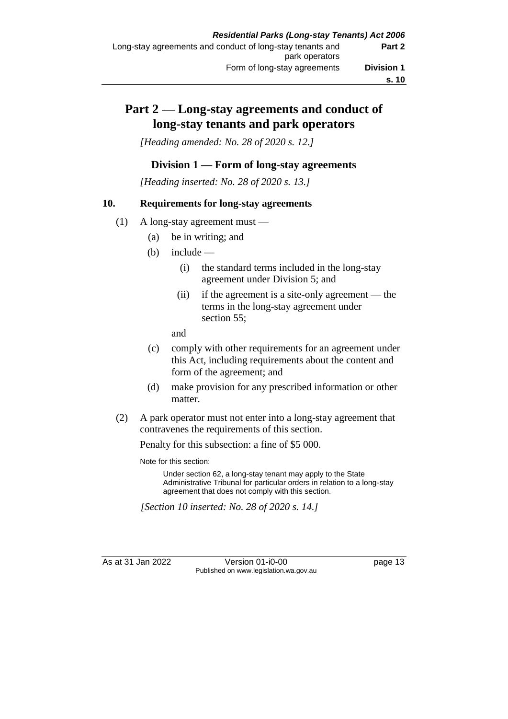### **Part 2 — Long-stay agreements and conduct of long-stay tenants and park operators**

*[Heading amended: No. 28 of 2020 s. 12.]*

### **Division 1 — Form of long-stay agreements**

*[Heading inserted: No. 28 of 2020 s. 13.]*

### **10. Requirements for long-stay agreements**

- (1) A long-stay agreement must
	- (a) be in writing; and
	- $(b)$  include
		- (i) the standard terms included in the long-stay agreement under Division 5; and
		- (ii) if the agreement is a site-only agreement the terms in the long-stay agreement under section 55;

and

- (c) comply with other requirements for an agreement under this Act, including requirements about the content and form of the agreement; and
- (d) make provision for any prescribed information or other matter.
- (2) A park operator must not enter into a long-stay agreement that contravenes the requirements of this section.

Penalty for this subsection: a fine of \$5 000.

Note for this section:

Under section 62, a long-stay tenant may apply to the State Administrative Tribunal for particular orders in relation to a long-stay agreement that does not comply with this section.

*[Section 10 inserted: No. 28 of 2020 s. 14.]*

As at 31 Jan 2022 Version 01-i0-00 page 13 Published on www.legislation.wa.gov.au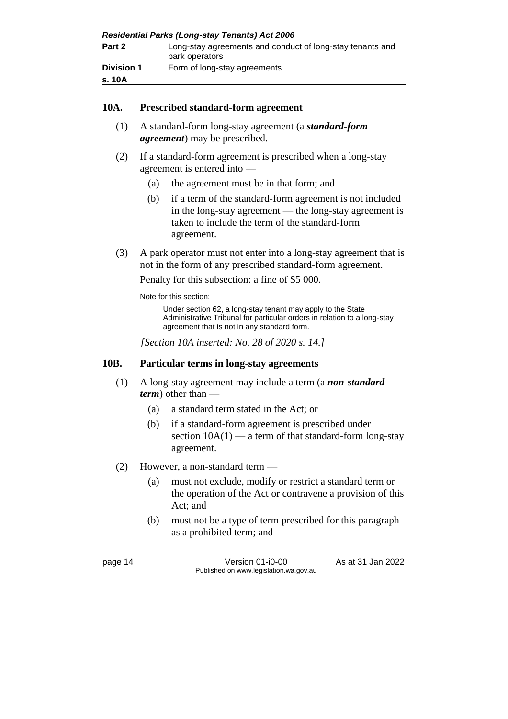| <b>Residential Parks (Long-stay Tenants) Act 2006</b> |                                                                             |  |
|-------------------------------------------------------|-----------------------------------------------------------------------------|--|
| Part 2                                                | Long-stay agreements and conduct of long-stay tenants and<br>park operators |  |
| <b>Division 1</b>                                     | Form of long-stay agreements                                                |  |
| s. 10A                                                |                                                                             |  |

### **10A. Prescribed standard-form agreement**

- (1) A standard-form long-stay agreement (a *standard-form agreement*) may be prescribed.
- (2) If a standard-form agreement is prescribed when a long-stay agreement is entered into —
	- (a) the agreement must be in that form; and
	- (b) if a term of the standard-form agreement is not included in the long-stay agreement — the long-stay agreement is taken to include the term of the standard-form agreement.
- (3) A park operator must not enter into a long-stay agreement that is not in the form of any prescribed standard-form agreement.

Penalty for this subsection: a fine of \$5 000.

Note for this section:

Under section 62, a long-stay tenant may apply to the State Administrative Tribunal for particular orders in relation to a long-stay agreement that is not in any standard form.

*[Section 10A inserted: No. 28 of 2020 s. 14.]*

### **10B. Particular terms in long-stay agreements**

- (1) A long-stay agreement may include a term (a *non-standard term*) other than —
	- (a) a standard term stated in the Act; or
	- (b) if a standard-form agreement is prescribed under section  $10A(1)$  — a term of that standard-form long-stay agreement.
- (2) However, a non-standard term
	- (a) must not exclude, modify or restrict a standard term or the operation of the Act or contravene a provision of this Act; and
	- (b) must not be a type of term prescribed for this paragraph as a prohibited term; and

page 14 Version 01-i0-00 As at 31 Jan 2022 Published on www.legislation.wa.gov.au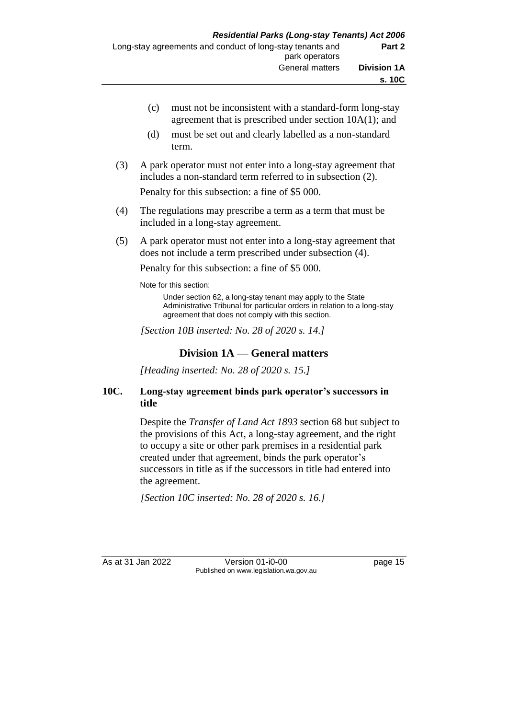- (c) must not be inconsistent with a standard-form long-stay agreement that is prescribed under section 10A(1); and
- (d) must be set out and clearly labelled as a non-standard term.
- (3) A park operator must not enter into a long-stay agreement that includes a non-standard term referred to in subsection (2).

Penalty for this subsection: a fine of \$5 000.

- (4) The regulations may prescribe a term as a term that must be included in a long-stay agreement.
- (5) A park operator must not enter into a long-stay agreement that does not include a term prescribed under subsection (4).

Penalty for this subsection: a fine of \$5 000.

Note for this section:

Under section 62, a long-stay tenant may apply to the State Administrative Tribunal for particular orders in relation to a long-stay agreement that does not comply with this section.

*[Section 10B inserted: No. 28 of 2020 s. 14.]*

### **Division 1A — General matters**

*[Heading inserted: No. 28 of 2020 s. 15.]*

### **10C. Long-stay agreement binds park operator's successors in title**

Despite the *Transfer of Land Act 1893* section 68 but subject to the provisions of this Act, a long-stay agreement, and the right to occupy a site or other park premises in a residential park created under that agreement, binds the park operator's successors in title as if the successors in title had entered into the agreement.

*[Section 10C inserted: No. 28 of 2020 s. 16.]*

As at 31 Jan 2022 Version 01-i0-00 page 15 Published on www.legislation.wa.gov.au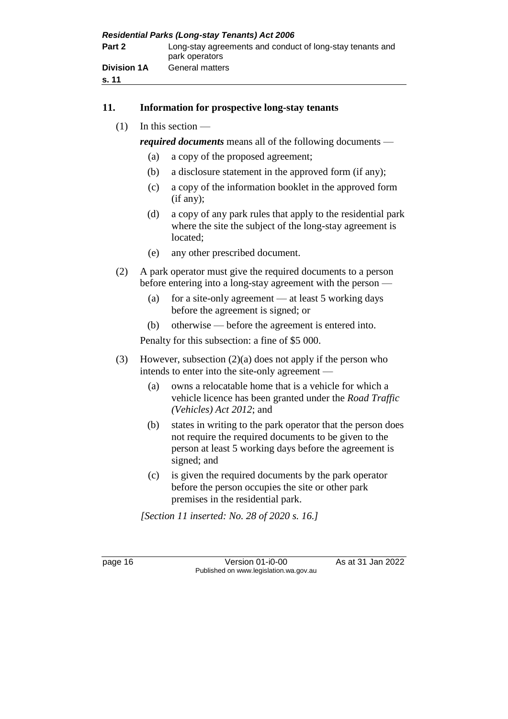| <b>Residential Parks (Long-stay Tenants) Act 2006</b> |                                                                             |  |
|-------------------------------------------------------|-----------------------------------------------------------------------------|--|
| Part 2                                                | Long-stay agreements and conduct of long-stay tenants and<br>park operators |  |
| <b>Division 1A</b><br>s. 11                           | General matters                                                             |  |

### **11. Information for prospective long-stay tenants**

(1) In this section —

*required documents* means all of the following documents —

- (a) a copy of the proposed agreement;
- (b) a disclosure statement in the approved form (if any);
- (c) a copy of the information booklet in the approved form (if any);
- (d) a copy of any park rules that apply to the residential park where the site the subject of the long-stay agreement is located;
- (e) any other prescribed document.
- (2) A park operator must give the required documents to a person before entering into a long-stay agreement with the person —
	- (a) for a site-only agreement at least 5 working days before the agreement is signed; or
	- (b) otherwise before the agreement is entered into.

Penalty for this subsection: a fine of \$5 000.

- (3) However, subsection (2)(a) does not apply if the person who intends to enter into the site-only agreement —
	- (a) owns a relocatable home that is a vehicle for which a vehicle licence has been granted under the *Road Traffic (Vehicles) Act 2012*; and
	- (b) states in writing to the park operator that the person does not require the required documents to be given to the person at least 5 working days before the agreement is signed; and
	- (c) is given the required documents by the park operator before the person occupies the site or other park premises in the residential park.

*[Section 11 inserted: No. 28 of 2020 s. 16.]*

page 16 Version 01-i0-00 As at 31 Jan 2022 Published on www.legislation.wa.gov.au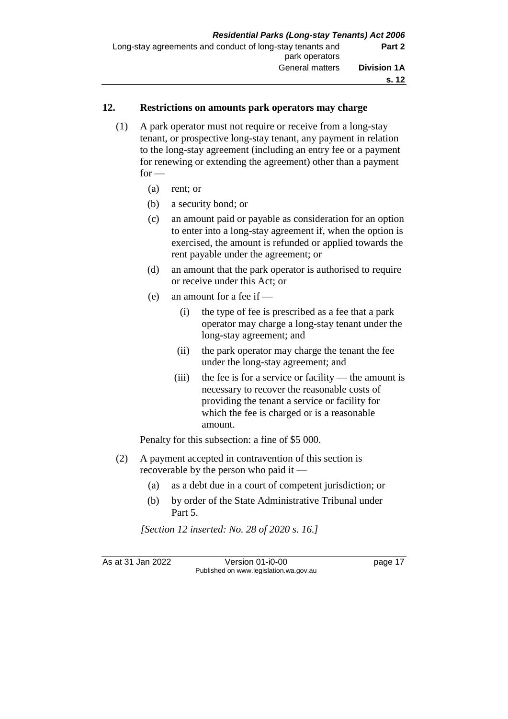### **12. Restrictions on amounts park operators may charge**

- (1) A park operator must not require or receive from a long-stay tenant, or prospective long-stay tenant, any payment in relation to the long-stay agreement (including an entry fee or a payment for renewing or extending the agreement) other than a payment  $for -$ 
	- (a) rent; or
	- (b) a security bond; or
	- (c) an amount paid or payable as consideration for an option to enter into a long-stay agreement if, when the option is exercised, the amount is refunded or applied towards the rent payable under the agreement; or
	- (d) an amount that the park operator is authorised to require or receive under this Act; or
	- (e) an amount for a fee if
		- (i) the type of fee is prescribed as a fee that a park operator may charge a long-stay tenant under the long-stay agreement; and
		- (ii) the park operator may charge the tenant the fee under the long-stay agreement; and
		- (iii) the fee is for a service or facility the amount is necessary to recover the reasonable costs of providing the tenant a service or facility for which the fee is charged or is a reasonable amount.

Penalty for this subsection: a fine of \$5 000.

- (2) A payment accepted in contravention of this section is recoverable by the person who paid it —
	- (a) as a debt due in a court of competent jurisdiction; or
	- (b) by order of the State Administrative Tribunal under Part 5.

*[Section 12 inserted: No. 28 of 2020 s. 16.]*

As at 31 Jan 2022 Version 01-i0-00 page 17 Published on www.legislation.wa.gov.au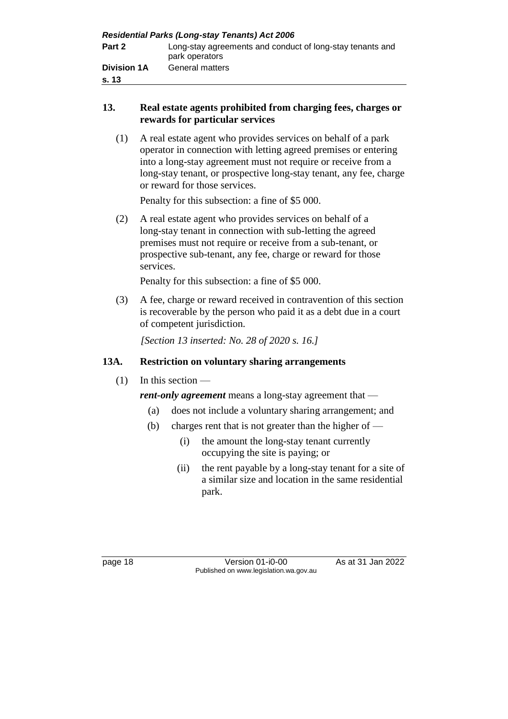| <b>Residential Parks (Long-stay Tenants) Act 2006</b> |                                                                             |  |
|-------------------------------------------------------|-----------------------------------------------------------------------------|--|
| Part 2                                                | Long-stay agreements and conduct of long-stay tenants and<br>park operators |  |
| <b>Division 1A</b><br>s. 13                           | <b>General matters</b>                                                      |  |

### **13. Real estate agents prohibited from charging fees, charges or rewards for particular services**

(1) A real estate agent who provides services on behalf of a park operator in connection with letting agreed premises or entering into a long-stay agreement must not require or receive from a long-stay tenant, or prospective long-stay tenant, any fee, charge or reward for those services.

Penalty for this subsection: a fine of \$5 000.

(2) A real estate agent who provides services on behalf of a long-stay tenant in connection with sub-letting the agreed premises must not require or receive from a sub-tenant, or prospective sub-tenant, any fee, charge or reward for those services.

Penalty for this subsection: a fine of \$5 000.

(3) A fee, charge or reward received in contravention of this section is recoverable by the person who paid it as a debt due in a court of competent jurisdiction.

*[Section 13 inserted: No. 28 of 2020 s. 16.]*

### **13A. Restriction on voluntary sharing arrangements**

 $(1)$  In this section —

*rent-only agreement* means a long-stay agreement that —

- (a) does not include a voluntary sharing arrangement; and
- (b) charges rent that is not greater than the higher of  $-$ 
	- (i) the amount the long-stay tenant currently occupying the site is paying; or
	- (ii) the rent payable by a long-stay tenant for a site of a similar size and location in the same residential park.

page 18 Version 01-i0-00 As at 31 Jan 2022 Published on www.legislation.wa.gov.au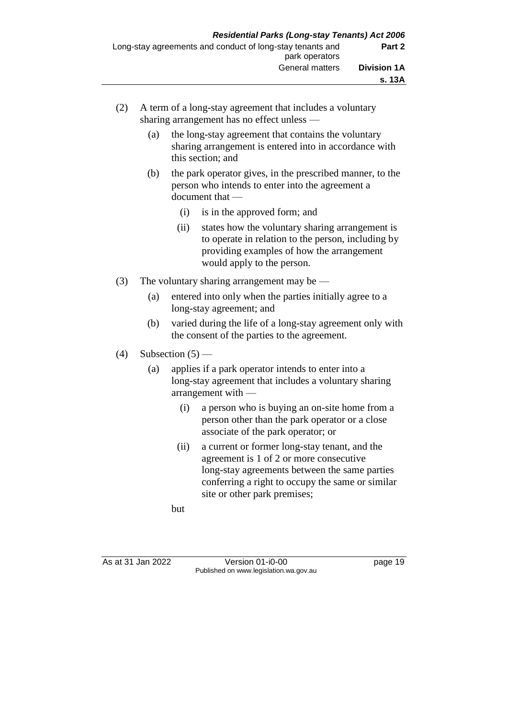- (2) A term of a long-stay agreement that includes a voluntary sharing arrangement has no effect unless —
	- (a) the long-stay agreement that contains the voluntary sharing arrangement is entered into in accordance with this section; and
	- (b) the park operator gives, in the prescribed manner, to the person who intends to enter into the agreement a document that —
		- (i) is in the approved form; and
		- (ii) states how the voluntary sharing arrangement is to operate in relation to the person, including by providing examples of how the arrangement would apply to the person.
- (3) The voluntary sharing arrangement may be
	- (a) entered into only when the parties initially agree to a long-stay agreement; and
	- (b) varied during the life of a long-stay agreement only with the consent of the parties to the agreement.
- (4) Subsection  $(5)$ 
	- (a) applies if a park operator intends to enter into a long-stay agreement that includes a voluntary sharing arrangement with —
		- (i) a person who is buying an on-site home from a person other than the park operator or a close associate of the park operator; or
		- (ii) a current or former long-stay tenant, and the agreement is 1 of 2 or more consecutive long-stay agreements between the same parties conferring a right to occupy the same or similar site or other park premises;

but

As at 31 Jan 2022 Version 01-i0-00 page 19 Published on www.legislation.wa.gov.au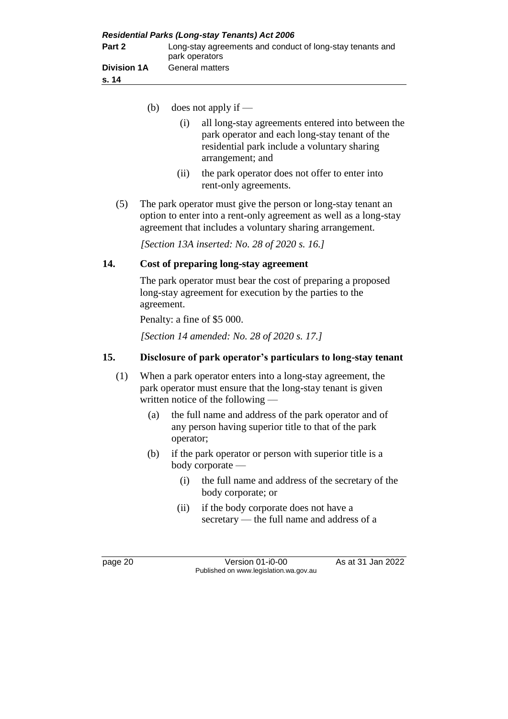| <b>Residential Parks (Long-stay Tenants) Act 2006</b> |                                                                             |  |
|-------------------------------------------------------|-----------------------------------------------------------------------------|--|
| Part 2                                                | Long-stay agreements and conduct of long-stay tenants and<br>park operators |  |
| <b>Division 1A</b><br>s. 14                           | <b>General matters</b>                                                      |  |

(b) does not apply if —

| (i) | all long-stay agreements entered into between the |
|-----|---------------------------------------------------|
|     | park operator and each long-stay tenant of the    |
|     | residential park include a voluntary sharing      |
|     | arrangement; and                                  |

- (ii) the park operator does not offer to enter into rent-only agreements.
- (5) The park operator must give the person or long-stay tenant an option to enter into a rent-only agreement as well as a long-stay agreement that includes a voluntary sharing arrangement.

*[Section 13A inserted: No. 28 of 2020 s. 16.]*

### **14. Cost of preparing long-stay agreement**

The park operator must bear the cost of preparing a proposed long-stay agreement for execution by the parties to the agreement.

Penalty: a fine of \$5 000.

*[Section 14 amended: No. 28 of 2020 s. 17.]*

### **15. Disclosure of park operator's particulars to long-stay tenant**

- (1) When a park operator enters into a long-stay agreement, the park operator must ensure that the long-stay tenant is given written notice of the following —
	- (a) the full name and address of the park operator and of any person having superior title to that of the park operator;
	- (b) if the park operator or person with superior title is a body corporate —
		- (i) the full name and address of the secretary of the body corporate; or
		- (ii) if the body corporate does not have a secretary — the full name and address of a

page 20 Version 01-i0-00 As at 31 Jan 2022 Published on www.legislation.wa.gov.au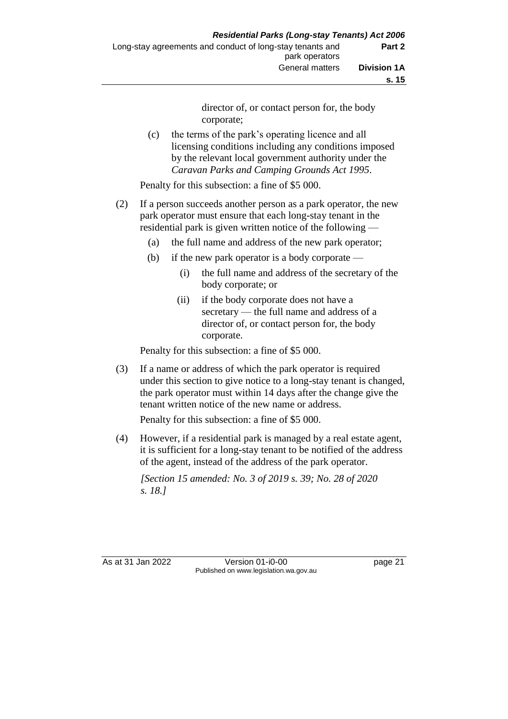director of, or contact person for, the body corporate;

(c) the terms of the park's operating licence and all licensing conditions including any conditions imposed by the relevant local government authority under the *Caravan Parks and Camping Grounds Act 1995*.

Penalty for this subsection: a fine of \$5 000.

- (2) If a person succeeds another person as a park operator, the new park operator must ensure that each long-stay tenant in the residential park is given written notice of the following —
	- (a) the full name and address of the new park operator;
	- (b) if the new park operator is a body corporate
		- (i) the full name and address of the secretary of the body corporate; or
		- (ii) if the body corporate does not have a secretary — the full name and address of a director of, or contact person for, the body corporate.

Penalty for this subsection: a fine of \$5 000.

(3) If a name or address of which the park operator is required under this section to give notice to a long-stay tenant is changed, the park operator must within 14 days after the change give the tenant written notice of the new name or address.

Penalty for this subsection: a fine of \$5 000.

(4) However, if a residential park is managed by a real estate agent, it is sufficient for a long-stay tenant to be notified of the address of the agent, instead of the address of the park operator.

*[Section 15 amended: No. 3 of 2019 s. 39; No. 28 of 2020 s. 18.]*

As at 31 Jan 2022 Version 01-i0-00 page 21 Published on www.legislation.wa.gov.au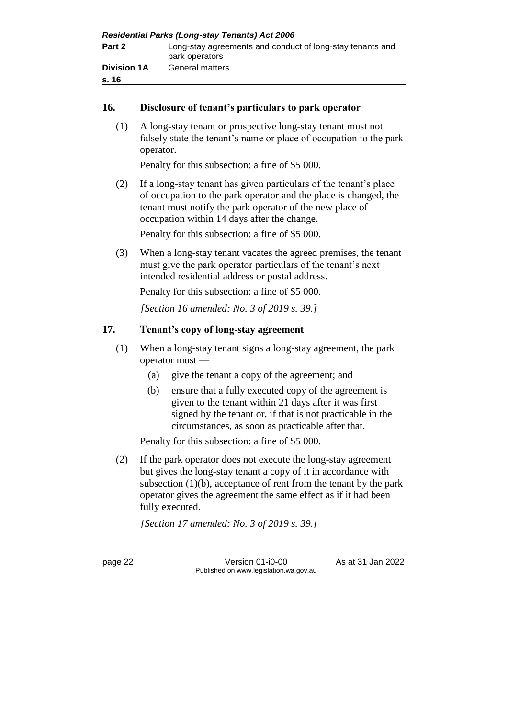| <b>Residential Parks (Long-stay Tenants) Act 2006</b> |                                                                             |  |
|-------------------------------------------------------|-----------------------------------------------------------------------------|--|
| Part 2                                                | Long-stay agreements and conduct of long-stay tenants and<br>park operators |  |
| <b>Division 1A</b><br>s. 16                           | <b>General matters</b>                                                      |  |

### **16. Disclosure of tenant's particulars to park operator**

(1) A long-stay tenant or prospective long-stay tenant must not falsely state the tenant's name or place of occupation to the park operator.

Penalty for this subsection: a fine of \$5 000.

(2) If a long-stay tenant has given particulars of the tenant's place of occupation to the park operator and the place is changed, the tenant must notify the park operator of the new place of occupation within 14 days after the change.

Penalty for this subsection: a fine of \$5 000.

(3) When a long-stay tenant vacates the agreed premises, the tenant must give the park operator particulars of the tenant's next intended residential address or postal address.

Penalty for this subsection: a fine of \$5 000.

*[Section 16 amended: No. 3 of 2019 s. 39.]*

### **17. Tenant's copy of long-stay agreement**

- (1) When a long-stay tenant signs a long-stay agreement, the park operator must —
	- (a) give the tenant a copy of the agreement; and
	- (b) ensure that a fully executed copy of the agreement is given to the tenant within 21 days after it was first signed by the tenant or, if that is not practicable in the circumstances, as soon as practicable after that.

Penalty for this subsection: a fine of \$5 000.

(2) If the park operator does not execute the long-stay agreement but gives the long-stay tenant a copy of it in accordance with subsection  $(1)(b)$ , acceptance of rent from the tenant by the park operator gives the agreement the same effect as if it had been fully executed.

*[Section 17 amended: No. 3 of 2019 s. 39.]*

page 22 Version 01-i0-00 As at 31 Jan 2022 Published on www.legislation.wa.gov.au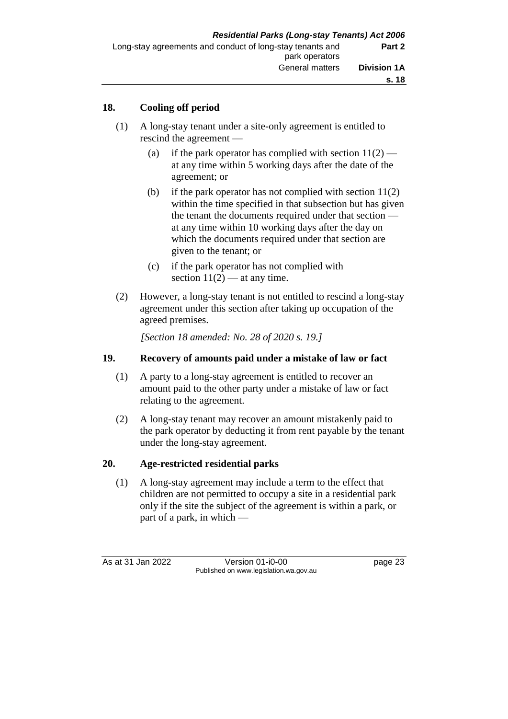### **18. Cooling off period**

- (1) A long-stay tenant under a site-only agreement is entitled to rescind the agreement —
	- (a) if the park operator has complied with section  $11(2)$  at any time within 5 working days after the date of the agreement; or
	- (b) if the park operator has not complied with section 11(2) within the time specified in that subsection but has given the tenant the documents required under that section at any time within 10 working days after the day on which the documents required under that section are given to the tenant; or
	- (c) if the park operator has not complied with section  $11(2)$  — at any time.
- (2) However, a long-stay tenant is not entitled to rescind a long-stay agreement under this section after taking up occupation of the agreed premises.

*[Section 18 amended: No. 28 of 2020 s. 19.]*

### **19. Recovery of amounts paid under a mistake of law or fact**

- (1) A party to a long-stay agreement is entitled to recover an amount paid to the other party under a mistake of law or fact relating to the agreement.
- (2) A long-stay tenant may recover an amount mistakenly paid to the park operator by deducting it from rent payable by the tenant under the long-stay agreement.

### **20. Age-restricted residential parks**

(1) A long-stay agreement may include a term to the effect that children are not permitted to occupy a site in a residential park only if the site the subject of the agreement is within a park, or part of a park, in which —

As at 31 Jan 2022 Version 01-i0-00 page 23 Published on www.legislation.wa.gov.au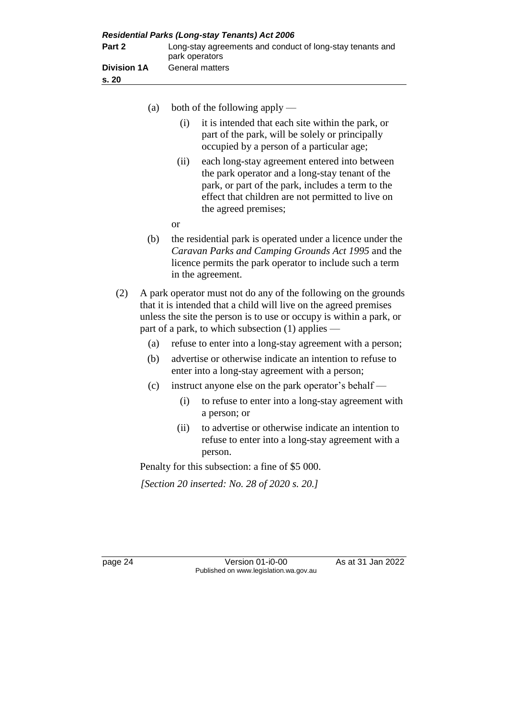| <b>Residential Parks (Long-stay Tenants) Act 2006</b> |                                                                             |  |
|-------------------------------------------------------|-----------------------------------------------------------------------------|--|
| Part 2                                                | Long-stay agreements and conduct of long-stay tenants and<br>park operators |  |
| <b>Division 1A</b><br>s. 20                           | <b>General matters</b>                                                      |  |

- (a) both of the following apply
	- (i) it is intended that each site within the park, or part of the park, will be solely or principally occupied by a person of a particular age;
	- (ii) each long-stay agreement entered into between the park operator and a long-stay tenant of the park, or part of the park, includes a term to the effect that children are not permitted to live on the agreed premises;
	- or
- (b) the residential park is operated under a licence under the *Caravan Parks and Camping Grounds Act 1995* and the licence permits the park operator to include such a term in the agreement.
- (2) A park operator must not do any of the following on the grounds that it is intended that a child will live on the agreed premises unless the site the person is to use or occupy is within a park, or part of a park, to which subsection (1) applies —
	- (a) refuse to enter into a long-stay agreement with a person;
	- (b) advertise or otherwise indicate an intention to refuse to enter into a long-stay agreement with a person;
	- (c) instruct anyone else on the park operator's behalf
		- (i) to refuse to enter into a long-stay agreement with a person; or
		- (ii) to advertise or otherwise indicate an intention to refuse to enter into a long-stay agreement with a person.

Penalty for this subsection: a fine of \$5 000.

*[Section 20 inserted: No. 28 of 2020 s. 20.]*

page 24 Version 01-i0-00 As at 31 Jan 2022 Published on www.legislation.wa.gov.au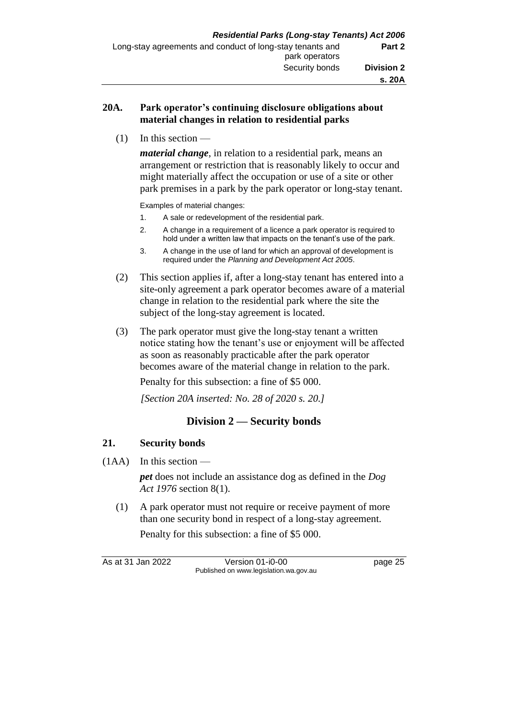## **20A. Park operator's continuing disclosure obligations about material changes in relation to residential parks**

 $(1)$  In this section —

*material change*, in relation to a residential park, means an arrangement or restriction that is reasonably likely to occur and might materially affect the occupation or use of a site or other park premises in a park by the park operator or long-stay tenant.

Examples of material changes:

- 1. A sale or redevelopment of the residential park.
- 2. A change in a requirement of a licence a park operator is required to hold under a written law that impacts on the tenant's use of the park.
- 3. A change in the use of land for which an approval of development is required under the *Planning and Development Act 2005*.
- (2) This section applies if, after a long-stay tenant has entered into a site-only agreement a park operator becomes aware of a material change in relation to the residential park where the site the subject of the long-stay agreement is located.
- (3) The park operator must give the long-stay tenant a written notice stating how the tenant's use or enjoyment will be affected as soon as reasonably practicable after the park operator becomes aware of the material change in relation to the park.

Penalty for this subsection: a fine of \$5 000.

*[Section 20A inserted: No. 28 of 2020 s. 20.]*

# **Division 2 — Security bonds**

## **21. Security bonds**

 $(1AA)$  In this section —

*pet* does not include an assistance dog as defined in the *Dog Act 1976* section 8(1).

(1) A park operator must not require or receive payment of more than one security bond in respect of a long-stay agreement. Penalty for this subsection: a fine of \$5 000.

As at 31 Jan 2022 Version 01-i0-00 page 25 Published on www.legislation.wa.gov.au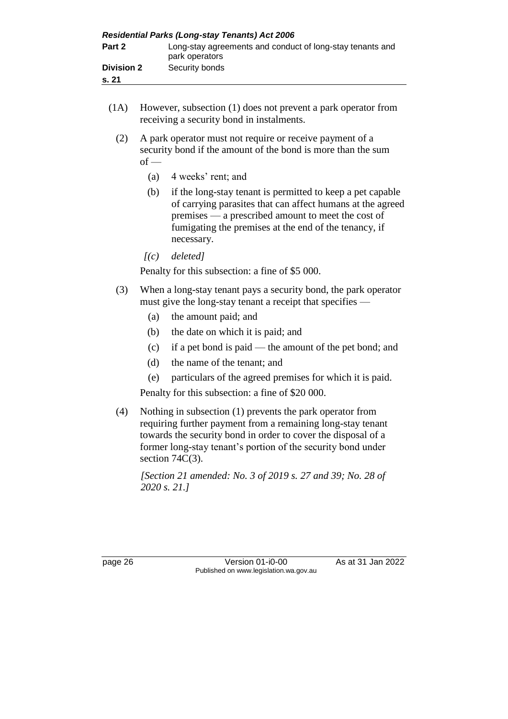| <b>Residential Parks (Long-stay Tenants) Act 2006</b> |                                                                             |  |  |
|-------------------------------------------------------|-----------------------------------------------------------------------------|--|--|
| Part 2                                                | Long-stay agreements and conduct of long-stay tenants and<br>park operators |  |  |
| <b>Division 2</b><br>s. 21                            | Security bonds                                                              |  |  |

- (1A) However, subsection (1) does not prevent a park operator from receiving a security bond in instalments.
	- (2) A park operator must not require or receive payment of a security bond if the amount of the bond is more than the sum  $of -$ 
		- (a) 4 weeks' rent; and
		- (b) if the long-stay tenant is permitted to keep a pet capable of carrying parasites that can affect humans at the agreed premises — a prescribed amount to meet the cost of fumigating the premises at the end of the tenancy, if necessary.
		- *[(c) deleted]*

Penalty for this subsection: a fine of \$5 000.

- (3) When a long-stay tenant pays a security bond, the park operator must give the long-stay tenant a receipt that specifies —
	- (a) the amount paid; and
	- (b) the date on which it is paid; and
	- (c) if a pet bond is paid the amount of the pet bond; and
	- (d) the name of the tenant; and
	- (e) particulars of the agreed premises for which it is paid.

Penalty for this subsection: a fine of \$20 000.

(4) Nothing in subsection (1) prevents the park operator from requiring further payment from a remaining long-stay tenant towards the security bond in order to cover the disposal of a former long-stay tenant's portion of the security bond under section  $74C(3)$ .

*[Section 21 amended: No. 3 of 2019 s. 27 and 39; No. 28 of 2020 s. 21.]*

page 26 Version 01-i0-00 As at 31 Jan 2022 Published on www.legislation.wa.gov.au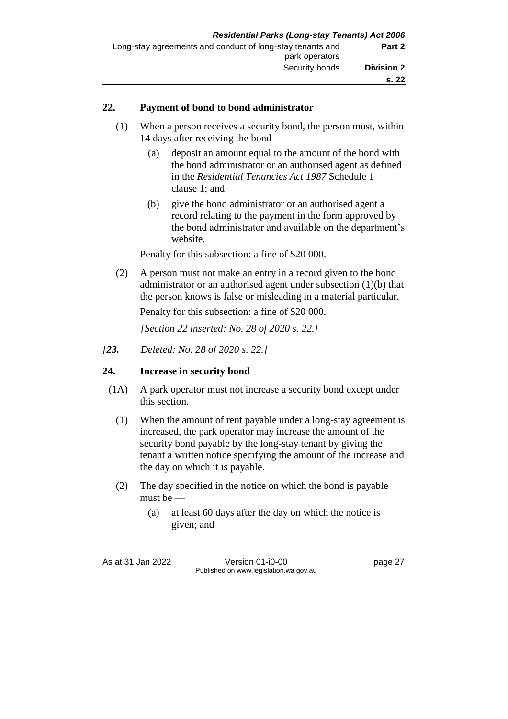## **22. Payment of bond to bond administrator**

- (1) When a person receives a security bond, the person must, within 14 days after receiving the bond —
	- (a) deposit an amount equal to the amount of the bond with the bond administrator or an authorised agent as defined in the *Residential Tenancies Act 1987* Schedule 1 clause 1; and
	- (b) give the bond administrator or an authorised agent a record relating to the payment in the form approved by the bond administrator and available on the department's website.

Penalty for this subsection: a fine of \$20 000.

(2) A person must not make an entry in a record given to the bond administrator or an authorised agent under subsection (1)(b) that the person knows is false or misleading in a material particular.

Penalty for this subsection: a fine of \$20 000.

*[Section 22 inserted: No. 28 of 2020 s. 22.]*

*[23. Deleted: No. 28 of 2020 s. 22.]*

# **24. Increase in security bond**

- (1A) A park operator must not increase a security bond except under this section.
	- (1) When the amount of rent payable under a long-stay agreement is increased, the park operator may increase the amount of the security bond payable by the long-stay tenant by giving the tenant a written notice specifying the amount of the increase and the day on which it is payable.
	- (2) The day specified in the notice on which the bond is payable must be —
		- (a) at least 60 days after the day on which the notice is given; and

As at 31 Jan 2022 Version 01-i0-00 page 27 Published on www.legislation.wa.gov.au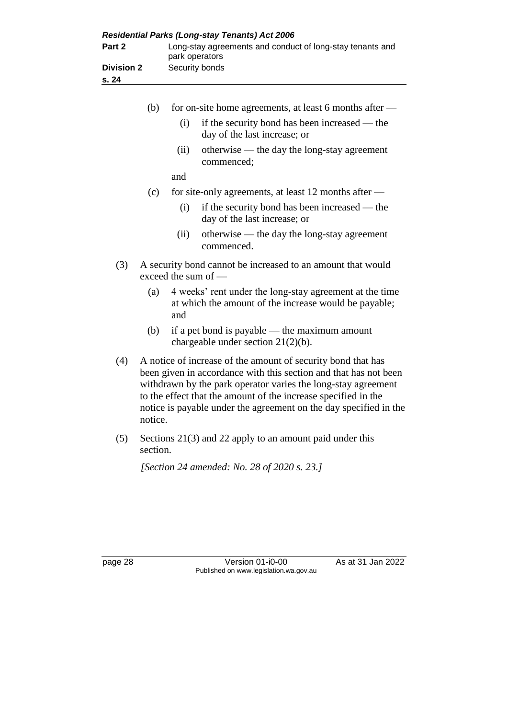|                   | <b>Residential Parks (Long-stay Tenants) Act 2006</b>                       |
|-------------------|-----------------------------------------------------------------------------|
| Part 2            | Long-stay agreements and conduct of long-stay tenants and<br>park operators |
| <b>Division 2</b> | Security bonds                                                              |
| s. 24             |                                                                             |
|                   |                                                                             |

|     | (b) |                                                                                                                                                                                                                                                                     | for on-site home agreements, at least 6 months after —                                                           |
|-----|-----|---------------------------------------------------------------------------------------------------------------------------------------------------------------------------------------------------------------------------------------------------------------------|------------------------------------------------------------------------------------------------------------------|
|     |     | (i)                                                                                                                                                                                                                                                                 | if the security bond has been increased — the<br>day of the last increase; or                                    |
|     |     | (ii)                                                                                                                                                                                                                                                                | otherwise — the day the long-stay agreement<br>commenced;                                                        |
|     |     | and                                                                                                                                                                                                                                                                 |                                                                                                                  |
|     | (c) |                                                                                                                                                                                                                                                                     | for site-only agreements, at least 12 months after $-$                                                           |
|     |     | (i)                                                                                                                                                                                                                                                                 | if the security bond has been increased — the<br>day of the last increase; or                                    |
|     |     | (ii)                                                                                                                                                                                                                                                                | otherwise — the day the long-stay agreement<br>commenced.                                                        |
| (3) |     |                                                                                                                                                                                                                                                                     | A security bond cannot be increased to an amount that would<br>exceed the sum of $-$                             |
|     | (a) | and                                                                                                                                                                                                                                                                 | 4 weeks' rent under the long-stay agreement at the time<br>at which the amount of the increase would be payable; |
|     | (b) |                                                                                                                                                                                                                                                                     | if a pet bond is payable $-$ the maximum amount<br>chargeable under section $21(2)(b)$ .                         |
| (4) |     | A notice of increase of the amount of security bond that has<br>been given in accordance with this section and that has not been<br>withdrawn by the park operator varies the long-stay agreement<br>to the effect that the amount of the increase specified in the |                                                                                                                  |

(5) Sections 21(3) and 22 apply to an amount paid under this section.

notice is payable under the agreement on the day specified in the

*[Section 24 amended: No. 28 of 2020 s. 23.]*

notice.

page 28 Version 01-i0-00 As at 31 Jan 2022 Published on www.legislation.wa.gov.au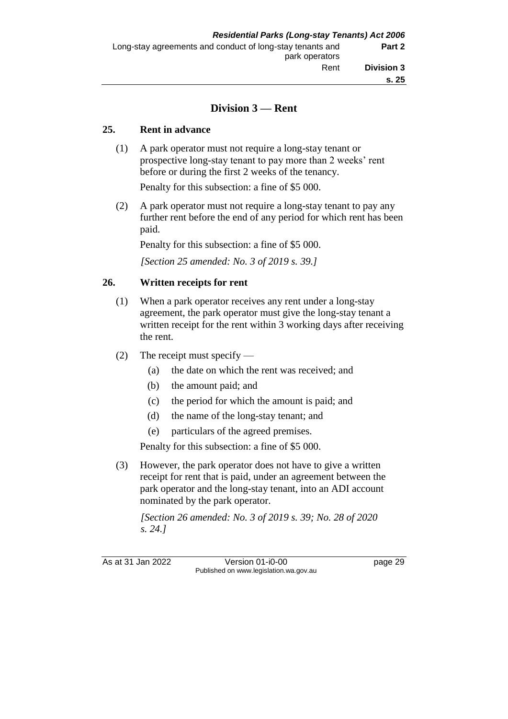## **Division 3 — Rent**

#### **25. Rent in advance**

(1) A park operator must not require a long-stay tenant or prospective long-stay tenant to pay more than 2 weeks' rent before or during the first 2 weeks of the tenancy.

Penalty for this subsection: a fine of \$5 000.

(2) A park operator must not require a long-stay tenant to pay any further rent before the end of any period for which rent has been paid.

Penalty for this subsection: a fine of \$5 000.

*[Section 25 amended: No. 3 of 2019 s. 39.]*

## **26. Written receipts for rent**

- (1) When a park operator receives any rent under a long-stay agreement, the park operator must give the long-stay tenant a written receipt for the rent within 3 working days after receiving the rent.
- (2) The receipt must specify
	- (a) the date on which the rent was received; and
	- (b) the amount paid; and
	- (c) the period for which the amount is paid; and
	- (d) the name of the long-stay tenant; and
	- (e) particulars of the agreed premises.

Penalty for this subsection: a fine of \$5 000.

(3) However, the park operator does not have to give a written receipt for rent that is paid, under an agreement between the park operator and the long-stay tenant, into an ADI account nominated by the park operator.

*[Section 26 amended: No. 3 of 2019 s. 39; No. 28 of 2020 s. 24.]*

As at 31 Jan 2022 Version 01-i0-00 page 29 Published on www.legislation.wa.gov.au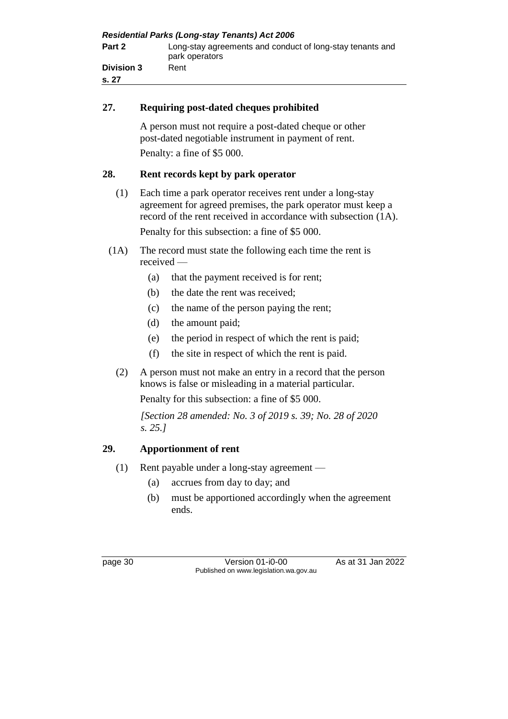| <b>Residential Parks (Long-stay Tenants) Act 2006</b> |                                                                             |  |
|-------------------------------------------------------|-----------------------------------------------------------------------------|--|
| Part 2                                                | Long-stay agreements and conduct of long-stay tenants and<br>park operators |  |
| <b>Division 3</b><br>s. 27                            | Rent                                                                        |  |

## **27. Requiring post-dated cheques prohibited**

A person must not require a post-dated cheque or other post-dated negotiable instrument in payment of rent. Penalty: a fine of \$5 000.

## **28. Rent records kept by park operator**

- (1) Each time a park operator receives rent under a long-stay agreement for agreed premises, the park operator must keep a record of the rent received in accordance with subsection (1A). Penalty for this subsection: a fine of \$5 000.
- (1A) The record must state the following each time the rent is received —
	- (a) that the payment received is for rent;
	- (b) the date the rent was received;
	- (c) the name of the person paying the rent;
	- (d) the amount paid;
	- (e) the period in respect of which the rent is paid;
	- (f) the site in respect of which the rent is paid.
	- (2) A person must not make an entry in a record that the person knows is false or misleading in a material particular.

Penalty for this subsection: a fine of \$5 000.

*[Section 28 amended: No. 3 of 2019 s. 39; No. 28 of 2020 s. 25.]*

# **29. Apportionment of rent**

- (1) Rent payable under a long-stay agreement
	- (a) accrues from day to day; and
	- (b) must be apportioned accordingly when the agreement ends.

page 30 Version 01-i0-00 As at 31 Jan 2022 Published on www.legislation.wa.gov.au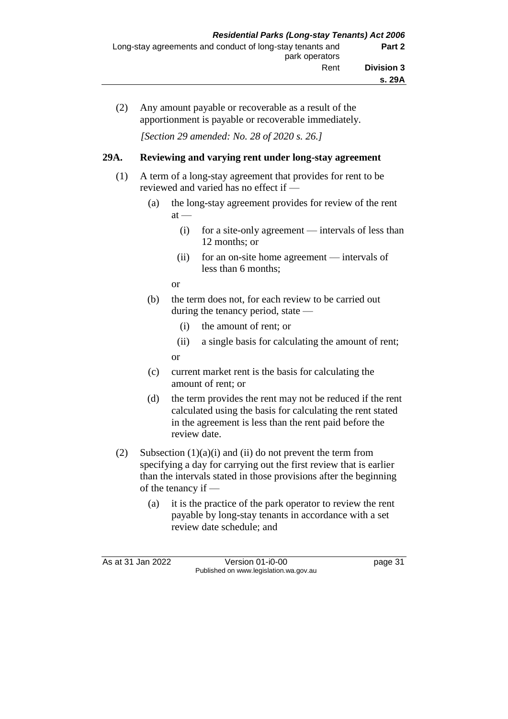(2) Any amount payable or recoverable as a result of the apportionment is payable or recoverable immediately.

*[Section 29 amended: No. 28 of 2020 s. 26.]*

## **29A. Reviewing and varying rent under long-stay agreement**

- (1) A term of a long-stay agreement that provides for rent to be reviewed and varied has no effect if —
	- (a) the long-stay agreement provides for review of the rent  $at -$ 
		- (i) for a site-only agreement intervals of less than 12 months; or
		- (ii) for an on-site home agreement intervals of less than 6 months;

or

- (b) the term does not, for each review to be carried out during the tenancy period, state —
	- (i) the amount of rent; or
	- (ii) a single basis for calculating the amount of rent;

or

- (c) current market rent is the basis for calculating the amount of rent; or
- (d) the term provides the rent may not be reduced if the rent calculated using the basis for calculating the rent stated in the agreement is less than the rent paid before the review date.
- (2) Subsection  $(1)(a)(i)$  and  $(ii)$  do not prevent the term from specifying a day for carrying out the first review that is earlier than the intervals stated in those provisions after the beginning of the tenancy if —
	- (a) it is the practice of the park operator to review the rent payable by long-stay tenants in accordance with a set review date schedule; and

As at 31 Jan 2022 Version 01-i0-00 page 31 Published on www.legislation.wa.gov.au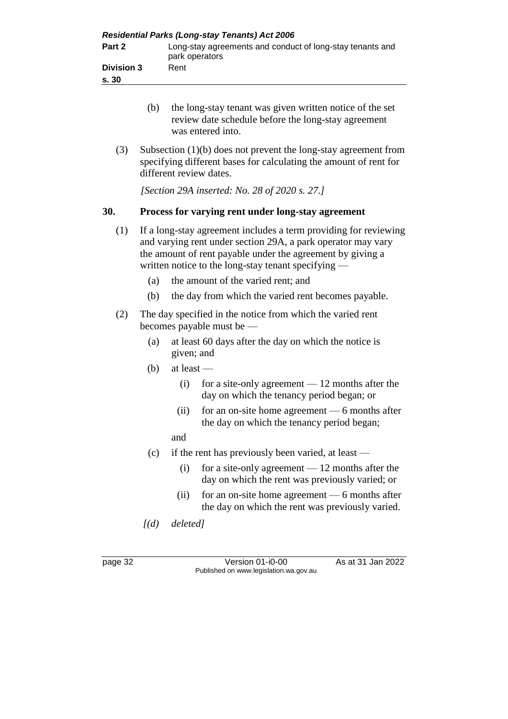| <b>Residential Parks (Long-stay Tenants) Act 2006</b> |                                                                             |  |  |
|-------------------------------------------------------|-----------------------------------------------------------------------------|--|--|
| Part 2                                                | Long-stay agreements and conduct of long-stay tenants and<br>park operators |  |  |
| <b>Division 3</b><br>s.30                             | Rent                                                                        |  |  |

- (b) the long-stay tenant was given written notice of the set review date schedule before the long-stay agreement was entered into.
- (3) Subsection (1)(b) does not prevent the long-stay agreement from specifying different bases for calculating the amount of rent for different review dates.

*[Section 29A inserted: No. 28 of 2020 s. 27.]*

## **30. Process for varying rent under long-stay agreement**

- (1) If a long-stay agreement includes a term providing for reviewing and varying rent under section 29A, a park operator may vary the amount of rent payable under the agreement by giving a written notice to the long-stay tenant specifying —
	- (a) the amount of the varied rent; and
	- (b) the day from which the varied rent becomes payable.
- (2) The day specified in the notice from which the varied rent becomes payable must be —
	- (a) at least 60 days after the day on which the notice is given; and
	- (b) at least
		- (i) for a site-only agreement 12 months after the day on which the tenancy period began; or
		- (ii) for an on-site home agreement 6 months after the day on which the tenancy period began;
		- and
	- (c) if the rent has previously been varied, at least
		- (i) for a site-only agreement 12 months after the day on which the rent was previously varied; or
		- (ii) for an on-site home agreement 6 months after the day on which the rent was previously varied.
	- *[(d) deleted]*

page 32 Version 01-i0-00 As at 31 Jan 2022 Published on www.legislation.wa.gov.au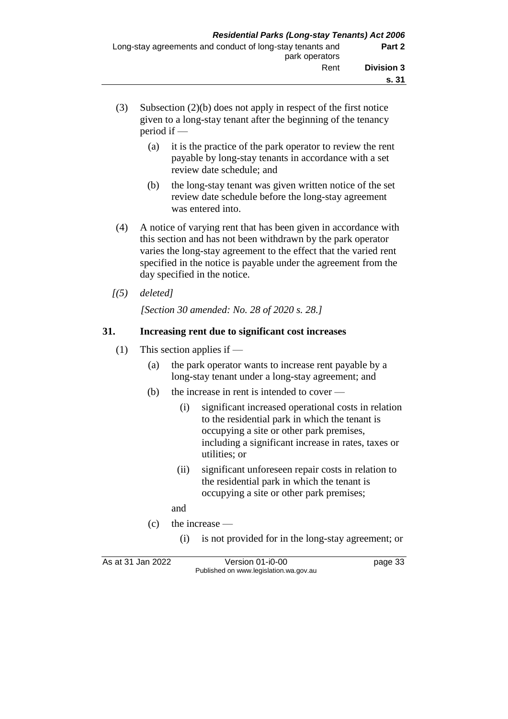- (3) Subsection (2)(b) does not apply in respect of the first notice given to a long-stay tenant after the beginning of the tenancy period if —
	- (a) it is the practice of the park operator to review the rent payable by long-stay tenants in accordance with a set review date schedule; and
	- (b) the long-stay tenant was given written notice of the set review date schedule before the long-stay agreement was entered into.
- (4) A notice of varying rent that has been given in accordance with this section and has not been withdrawn by the park operator varies the long-stay agreement to the effect that the varied rent specified in the notice is payable under the agreement from the day specified in the notice.
- *[(5) deleted]*

*[Section 30 amended: No. 28 of 2020 s. 28.]*

## **31. Increasing rent due to significant cost increases**

- (1) This section applies if
	- (a) the park operator wants to increase rent payable by a long-stay tenant under a long-stay agreement; and
	- (b) the increase in rent is intended to cover
		- (i) significant increased operational costs in relation to the residential park in which the tenant is occupying a site or other park premises, including a significant increase in rates, taxes or utilities; or
		- (ii) significant unforeseen repair costs in relation to the residential park in which the tenant is occupying a site or other park premises;

and

- (c) the increase
	- (i) is not provided for in the long-stay agreement; or

As at 31 Jan 2022 Version 01-i0-00 page 33 Published on www.legislation.wa.gov.au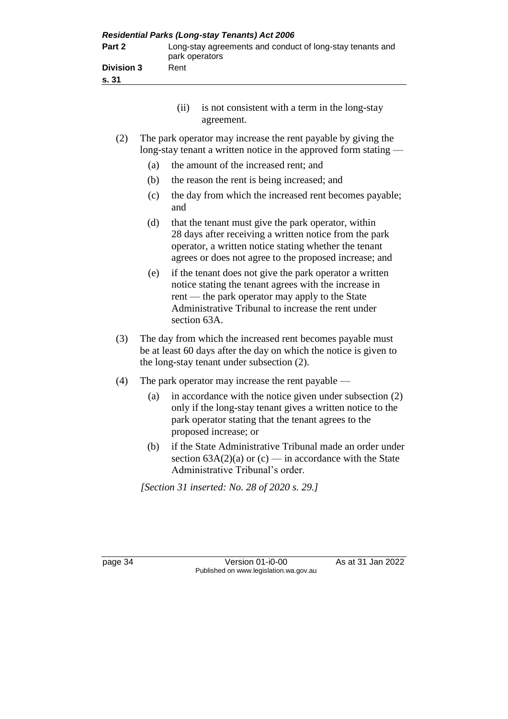| Part 2<br><b>Division 3</b><br>s. 31 | <b>Residential Parks (Long-stay Tenants) Act 2006</b><br>Long-stay agreements and conduct of long-stay tenants and<br>park operators<br>Rent                                                                                                                                                 |  |
|--------------------------------------|----------------------------------------------------------------------------------------------------------------------------------------------------------------------------------------------------------------------------------------------------------------------------------------------|--|
|                                      | is not consistent with a term in the long-stay<br>(ii)<br>agreement.                                                                                                                                                                                                                         |  |
| (2)<br>(a)<br>(b)<br>(c)             | The park operator may increase the rent payable by giving the<br>long-stay tenant a written notice in the approved form stating $-$<br>the amount of the increased rent; and<br>the reason the rent is being increased; and<br>the day from which the increased rent becomes payable;<br>and |  |

- (d) that the tenant must give the park operator, within 28 days after receiving a written notice from the park operator, a written notice stating whether the tenant agrees or does not agree to the proposed increase; and
- (e) if the tenant does not give the park operator a written notice stating the tenant agrees with the increase in rent — the park operator may apply to the State Administrative Tribunal to increase the rent under section 63A.
- (3) The day from which the increased rent becomes payable must be at least 60 days after the day on which the notice is given to the long-stay tenant under subsection (2).
- (4) The park operator may increase the rent payable
	- (a) in accordance with the notice given under subsection (2) only if the long-stay tenant gives a written notice to the park operator stating that the tenant agrees to the proposed increase; or
	- (b) if the State Administrative Tribunal made an order under section  $63A(2)(a)$  or  $(c)$  — in accordance with the State Administrative Tribunal's order.

*[Section 31 inserted: No. 28 of 2020 s. 29.]*

page 34 Version 01-i0-00 As at 31 Jan 2022 Published on www.legislation.wa.gov.au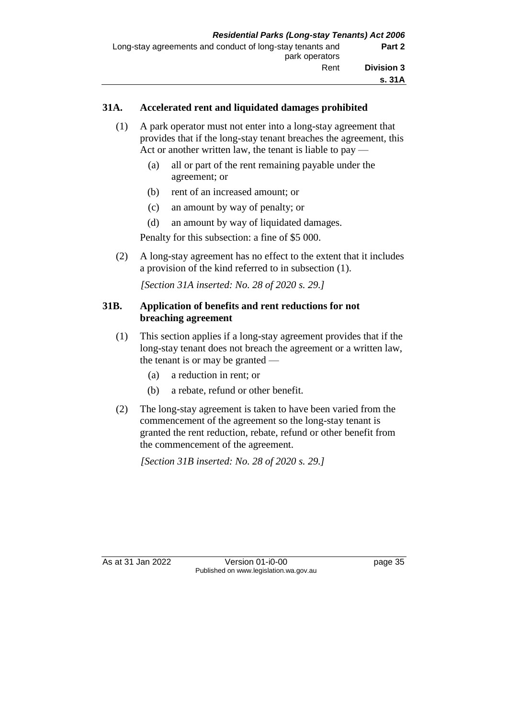## **31A. Accelerated rent and liquidated damages prohibited**

- (1) A park operator must not enter into a long-stay agreement that provides that if the long-stay tenant breaches the agreement, this Act or another written law, the tenant is liable to pay —
	- (a) all or part of the rent remaining payable under the agreement; or
	- (b) rent of an increased amount; or
	- (c) an amount by way of penalty; or
	- (d) an amount by way of liquidated damages.

Penalty for this subsection: a fine of \$5 000.

(2) A long-stay agreement has no effect to the extent that it includes a provision of the kind referred to in subsection (1).

*[Section 31A inserted: No. 28 of 2020 s. 29.]*

## **31B. Application of benefits and rent reductions for not breaching agreement**

- (1) This section applies if a long-stay agreement provides that if the long-stay tenant does not breach the agreement or a written law, the tenant is or may be granted —
	- (a) a reduction in rent; or
	- (b) a rebate, refund or other benefit.
- (2) The long-stay agreement is taken to have been varied from the commencement of the agreement so the long-stay tenant is granted the rent reduction, rebate, refund or other benefit from the commencement of the agreement.

*[Section 31B inserted: No. 28 of 2020 s. 29.]*

As at 31 Jan 2022 Version 01-i0-00 page 35 Published on www.legislation.wa.gov.au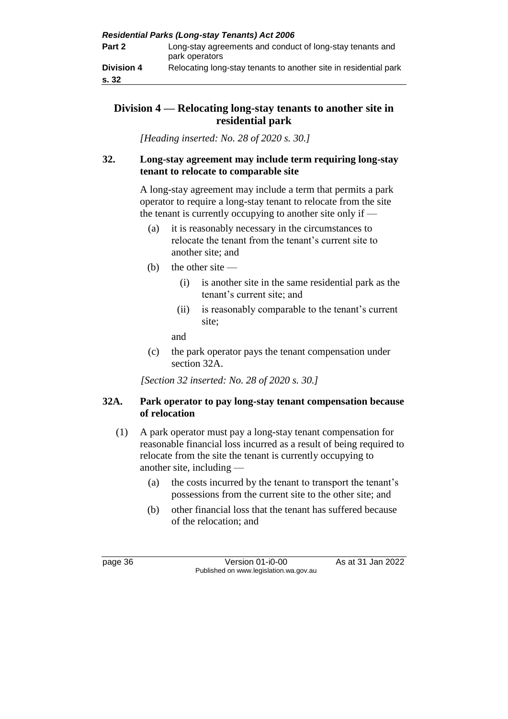## **Division 4 — Relocating long-stay tenants to another site in residential park**

*[Heading inserted: No. 28 of 2020 s. 30.]*

## **32. Long-stay agreement may include term requiring long-stay tenant to relocate to comparable site**

A long-stay agreement may include a term that permits a park operator to require a long-stay tenant to relocate from the site the tenant is currently occupying to another site only if —

- (a) it is reasonably necessary in the circumstances to relocate the tenant from the tenant's current site to another site; and
- (b) the other site  $-$ 
	- (i) is another site in the same residential park as the tenant's current site; and
	- (ii) is reasonably comparable to the tenant's current site;

and

(c) the park operator pays the tenant compensation under section 32A.

*[Section 32 inserted: No. 28 of 2020 s. 30.]*

## **32A. Park operator to pay long-stay tenant compensation because of relocation**

- (1) A park operator must pay a long-stay tenant compensation for reasonable financial loss incurred as a result of being required to relocate from the site the tenant is currently occupying to another site, including —
	- (a) the costs incurred by the tenant to transport the tenant's possessions from the current site to the other site; and
	- (b) other financial loss that the tenant has suffered because of the relocation; and

page 36 Version 01-i0-00 As at 31 Jan 2022 Published on www.legislation.wa.gov.au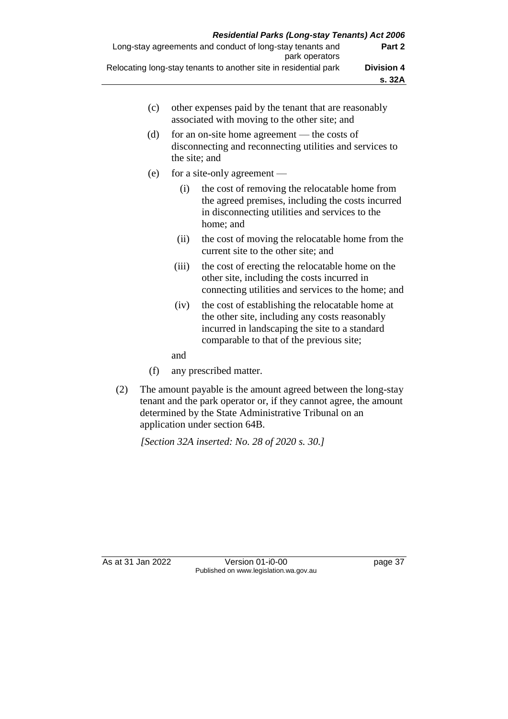|                   | <b>Residential Parks (Long-stay Tenants) Act 2006</b>            |
|-------------------|------------------------------------------------------------------|
| Part 2            | Long-stay agreements and conduct of long-stay tenants and        |
|                   | park operators                                                   |
| <b>Division 4</b> | Relocating long-stay tenants to another site in residential park |
| s. 32A            |                                                                  |

| (c) | other expenses paid by the tenant that are reasonably |
|-----|-------------------------------------------------------|
|     | associated with moving to the other site; and         |

- (d) for an on-site home agreement the costs of disconnecting and reconnecting utilities and services to the site; and
- (e) for a site-only agreement
	- (i) the cost of removing the relocatable home from the agreed premises, including the costs incurred in disconnecting utilities and services to the home; and
	- (ii) the cost of moving the relocatable home from the current site to the other site; and
	- (iii) the cost of erecting the relocatable home on the other site, including the costs incurred in connecting utilities and services to the home; and
	- (iv) the cost of establishing the relocatable home at the other site, including any costs reasonably incurred in landscaping the site to a standard comparable to that of the previous site;
	- and
- (f) any prescribed matter.
- (2) The amount payable is the amount agreed between the long-stay tenant and the park operator or, if they cannot agree, the amount determined by the State Administrative Tribunal on an application under section 64B.

*[Section 32A inserted: No. 28 of 2020 s. 30.]*

As at 31 Jan 2022 Version 01-i0-00 page 37 Published on www.legislation.wa.gov.au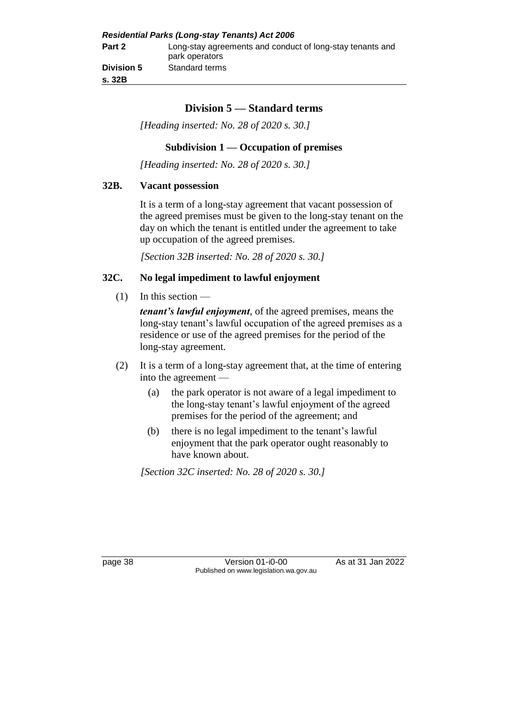# **Division 5 — Standard terms**

*[Heading inserted: No. 28 of 2020 s. 30.]*

#### **Subdivision 1 — Occupation of premises**

*[Heading inserted: No. 28 of 2020 s. 30.]*

#### **32B. Vacant possession**

It is a term of a long-stay agreement that vacant possession of the agreed premises must be given to the long-stay tenant on the day on which the tenant is entitled under the agreement to take up occupation of the agreed premises.

*[Section 32B inserted: No. 28 of 2020 s. 30.]*

#### **32C. No legal impediment to lawful enjoyment**

(1) In this section —

*tenant's lawful enjoyment*, of the agreed premises, means the long-stay tenant's lawful occupation of the agreed premises as a residence or use of the agreed premises for the period of the long-stay agreement.

- (2) It is a term of a long-stay agreement that, at the time of entering into the agreement —
	- (a) the park operator is not aware of a legal impediment to the long-stay tenant's lawful enjoyment of the agreed premises for the period of the agreement; and
	- (b) there is no legal impediment to the tenant's lawful enjoyment that the park operator ought reasonably to have known about.

*[Section 32C inserted: No. 28 of 2020 s. 30.]*

page 38 Version 01-i0-00 As at 31 Jan 2022 Published on www.legislation.wa.gov.au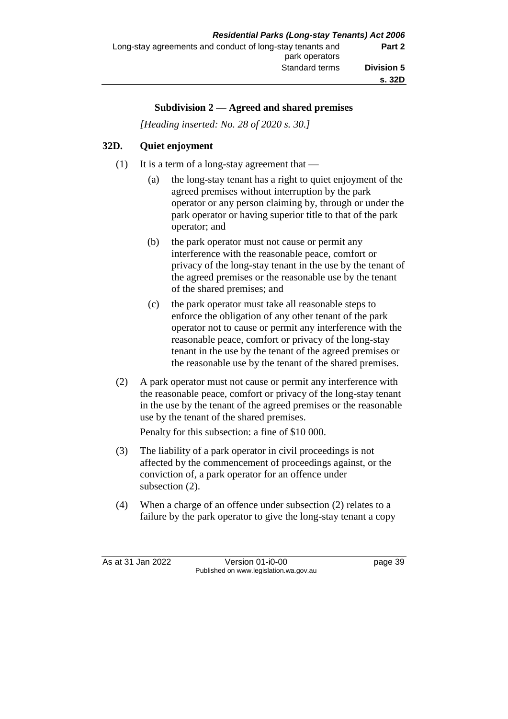## **Subdivision 2 — Agreed and shared premises**

*[Heading inserted: No. 28 of 2020 s. 30.]*

## **32D. Quiet enjoyment**

- (1) It is a term of a long-stay agreement that
	- (a) the long-stay tenant has a right to quiet enjoyment of the agreed premises without interruption by the park operator or any person claiming by, through or under the park operator or having superior title to that of the park operator; and
	- (b) the park operator must not cause or permit any interference with the reasonable peace, comfort or privacy of the long-stay tenant in the use by the tenant of the agreed premises or the reasonable use by the tenant of the shared premises; and
	- (c) the park operator must take all reasonable steps to enforce the obligation of any other tenant of the park operator not to cause or permit any interference with the reasonable peace, comfort or privacy of the long-stay tenant in the use by the tenant of the agreed premises or the reasonable use by the tenant of the shared premises.
- (2) A park operator must not cause or permit any interference with the reasonable peace, comfort or privacy of the long-stay tenant in the use by the tenant of the agreed premises or the reasonable use by the tenant of the shared premises.

Penalty for this subsection: a fine of \$10 000.

- (3) The liability of a park operator in civil proceedings is not affected by the commencement of proceedings against, or the conviction of, a park operator for an offence under subsection (2).
- (4) When a charge of an offence under subsection (2) relates to a failure by the park operator to give the long-stay tenant a copy

As at 31 Jan 2022 Version 01-i0-00 page 39 Published on www.legislation.wa.gov.au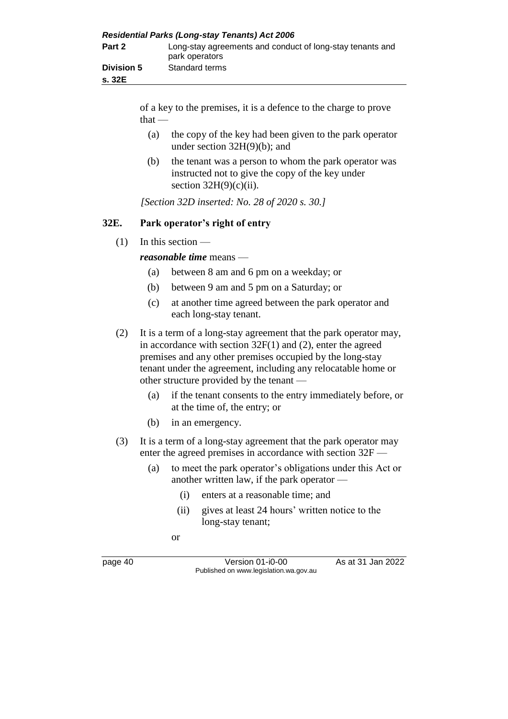| <b>Residential Parks (Long-stay Tenants) Act 2006</b> |                                                                             |  |  |
|-------------------------------------------------------|-----------------------------------------------------------------------------|--|--|
| Part 2                                                | Long-stay agreements and conduct of long-stay tenants and<br>park operators |  |  |
| <b>Division 5</b><br>s. 32E                           | Standard terms                                                              |  |  |

of a key to the premises, it is a defence to the charge to prove  $that -$ 

- (a) the copy of the key had been given to the park operator under section 32H(9)(b); and
- (b) the tenant was a person to whom the park operator was instructed not to give the copy of the key under section  $32H(9)(c)(ii)$ .

*[Section 32D inserted: No. 28 of 2020 s. 30.]*

## **32E. Park operator's right of entry**

(1) In this section —

*reasonable time* means —

- (a) between 8 am and 6 pm on a weekday; or
- (b) between 9 am and 5 pm on a Saturday; or
- (c) at another time agreed between the park operator and each long-stay tenant.
- (2) It is a term of a long-stay agreement that the park operator may, in accordance with section 32F(1) and (2), enter the agreed premises and any other premises occupied by the long-stay tenant under the agreement, including any relocatable home or other structure provided by the tenant —
	- (a) if the tenant consents to the entry immediately before, or at the time of, the entry; or
	- (b) in an emergency.
- (3) It is a term of a long-stay agreement that the park operator may enter the agreed premises in accordance with section 32F —
	- (a) to meet the park operator's obligations under this Act or another written law, if the park operator —
		- (i) enters at a reasonable time; and
		- (ii) gives at least 24 hours' written notice to the long-stay tenant;

or

page 40 Version 01-i0-00 As at 31 Jan 2022 Published on www.legislation.wa.gov.au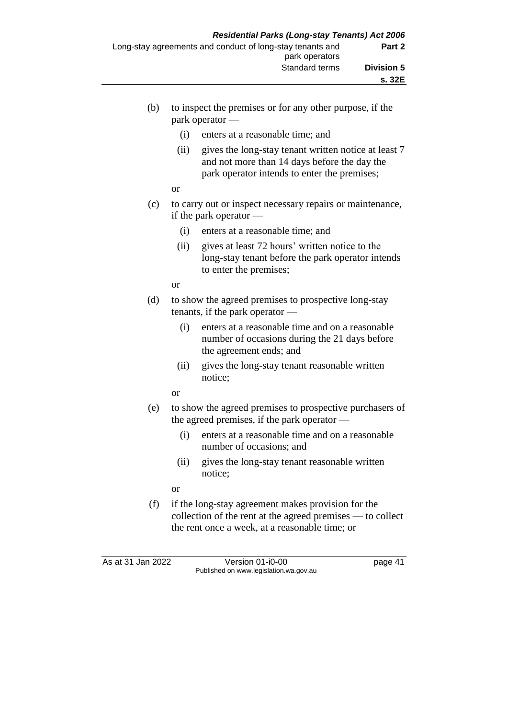- (b) to inspect the premises or for any other purpose, if the park operator —
	- (i) enters at a reasonable time; and
	- (ii) gives the long-stay tenant written notice at least 7 and not more than 14 days before the day the park operator intends to enter the premises;

or

- (c) to carry out or inspect necessary repairs or maintenance, if the park operator —
	- (i) enters at a reasonable time; and
	- (ii) gives at least 72 hours' written notice to the long-stay tenant before the park operator intends to enter the premises;

or

- (d) to show the agreed premises to prospective long-stay tenants, if the park operator —
	- (i) enters at a reasonable time and on a reasonable number of occasions during the 21 days before the agreement ends; and
	- (ii) gives the long-stay tenant reasonable written notice;

or

- (e) to show the agreed premises to prospective purchasers of the agreed premises, if the park operator —
	- (i) enters at a reasonable time and on a reasonable number of occasions; and
	- (ii) gives the long-stay tenant reasonable written notice;

or

(f) if the long-stay agreement makes provision for the collection of the rent at the agreed premises — to collect the rent once a week, at a reasonable time; or

As at 31 Jan 2022 Version 01-i0-00 page 41 Published on www.legislation.wa.gov.au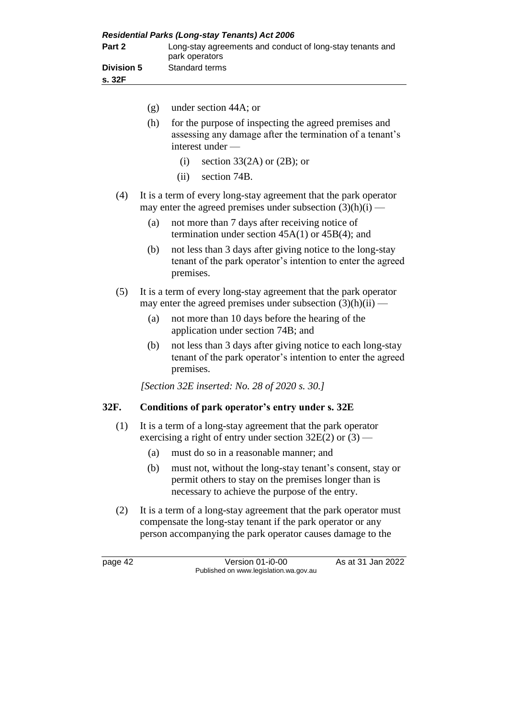| <b>Residential Parks (Long-stay Tenants) Act 2006</b> |                                                                             |  |  |
|-------------------------------------------------------|-----------------------------------------------------------------------------|--|--|
| Part 2                                                | Long-stay agreements and conduct of long-stay tenants and<br>park operators |  |  |
| <b>Division 5</b><br>s. 32F                           | Standard terms                                                              |  |  |

- (g) under section 44A; or (h) for the purpose of inspecting the agreed premises and assessing any damage after the termination of a tenant's interest under — (i) section 33(2A) or  $(2B)$ ; or (ii) section 74B. (4) It is a term of every long-stay agreement that the park operator may enter the agreed premises under subsection  $(3)(h)(i)$  — (a) not more than 7 days after receiving notice of termination under section 45A(1) or 45B(4); and (b) not less than 3 days after giving notice to the long-stay tenant of the park operator's intention to enter the agreed premises. (5) It is a term of every long-stay agreement that the park operator may enter the agreed premises under subsection  $(3)(h)(ii)$  — (a) not more than 10 days before the hearing of the application under section 74B; and (b) not less than 3 days after giving notice to each long-stay tenant of the park operator's intention to enter the agreed premises. *[Section 32E inserted: No. 28 of 2020 s. 30.]* **32F. Conditions of park operator's entry under s. 32E** (1) It is a term of a long-stay agreement that the park operator exercising a right of entry under section  $32E(2)$  or  $(3)$  — (a) must do so in a reasonable manner; and (b) must not, without the long-stay tenant's consent, stay or
	- permit others to stay on the premises longer than is necessary to achieve the purpose of the entry.
	- (2) It is a term of a long-stay agreement that the park operator must compensate the long-stay tenant if the park operator or any person accompanying the park operator causes damage to the

page 42 Version 01-i0-00 As at 31 Jan 2022 Published on www.legislation.wa.gov.au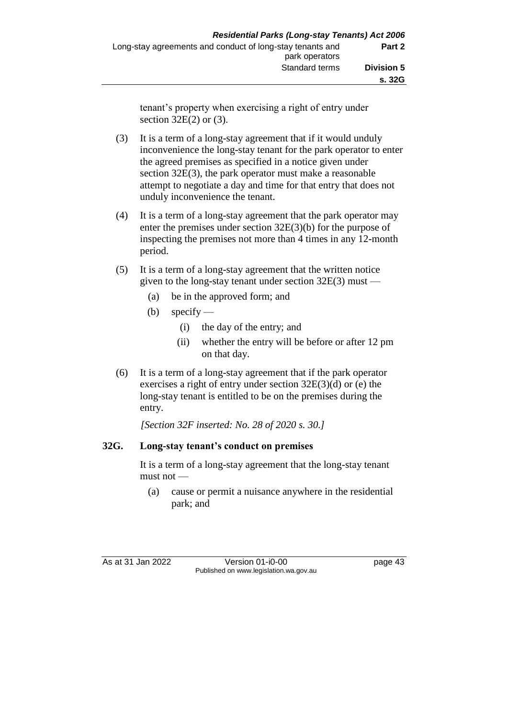tenant's property when exercising a right of entry under section 32E(2) or (3).

- (3) It is a term of a long-stay agreement that if it would unduly inconvenience the long-stay tenant for the park operator to enter the agreed premises as specified in a notice given under section 32E(3), the park operator must make a reasonable attempt to negotiate a day and time for that entry that does not unduly inconvenience the tenant.
- (4) It is a term of a long-stay agreement that the park operator may enter the premises under section 32E(3)(b) for the purpose of inspecting the premises not more than 4 times in any 12-month period.
- (5) It is a term of a long-stay agreement that the written notice given to the long-stay tenant under section 32E(3) must —
	- (a) be in the approved form; and
	- (b) specify
		- (i) the day of the entry; and
		- (ii) whether the entry will be before or after 12 pm on that day.
- (6) It is a term of a long-stay agreement that if the park operator exercises a right of entry under section 32E(3)(d) or (e) the long-stay tenant is entitled to be on the premises during the entry.

*[Section 32F inserted: No. 28 of 2020 s. 30.]*

## **32G. Long-stay tenant's conduct on premises**

It is a term of a long-stay agreement that the long-stay tenant must not —

(a) cause or permit a nuisance anywhere in the residential park; and

As at 31 Jan 2022 Version 01-i0-00 page 43 Published on www.legislation.wa.gov.au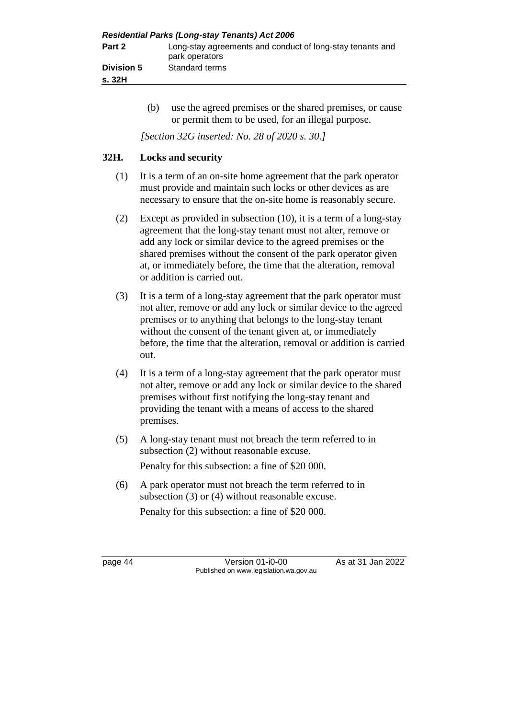| <b>Residential Parks (Long-stay Tenants) Act 2006</b> |                                                                             |  |  |
|-------------------------------------------------------|-----------------------------------------------------------------------------|--|--|
| Part 2                                                | Long-stay agreements and conduct of long-stay tenants and<br>park operators |  |  |
| <b>Division 5</b>                                     | Standard terms                                                              |  |  |
| s. 32H                                                |                                                                             |  |  |

(b) use the agreed premises or the shared premises, or cause or permit them to be used, for an illegal purpose.

*[Section 32G inserted: No. 28 of 2020 s. 30.]*

# **32H. Locks and security**

- (1) It is a term of an on-site home agreement that the park operator must provide and maintain such locks or other devices as are necessary to ensure that the on-site home is reasonably secure.
- (2) Except as provided in subsection (10), it is a term of a long-stay agreement that the long-stay tenant must not alter, remove or add any lock or similar device to the agreed premises or the shared premises without the consent of the park operator given at, or immediately before, the time that the alteration, removal or addition is carried out.
- (3) It is a term of a long-stay agreement that the park operator must not alter, remove or add any lock or similar device to the agreed premises or to anything that belongs to the long-stay tenant without the consent of the tenant given at, or immediately before, the time that the alteration, removal or addition is carried out.
- (4) It is a term of a long-stay agreement that the park operator must not alter, remove or add any lock or similar device to the shared premises without first notifying the long-stay tenant and providing the tenant with a means of access to the shared premises.
- (5) A long-stay tenant must not breach the term referred to in subsection (2) without reasonable excuse. Penalty for this subsection: a fine of \$20 000.
- (6) A park operator must not breach the term referred to in subsection (3) or (4) without reasonable excuse. Penalty for this subsection: a fine of \$20 000.

page 44 Version 01-i0-00 As at 31 Jan 2022 Published on www.legislation.wa.gov.au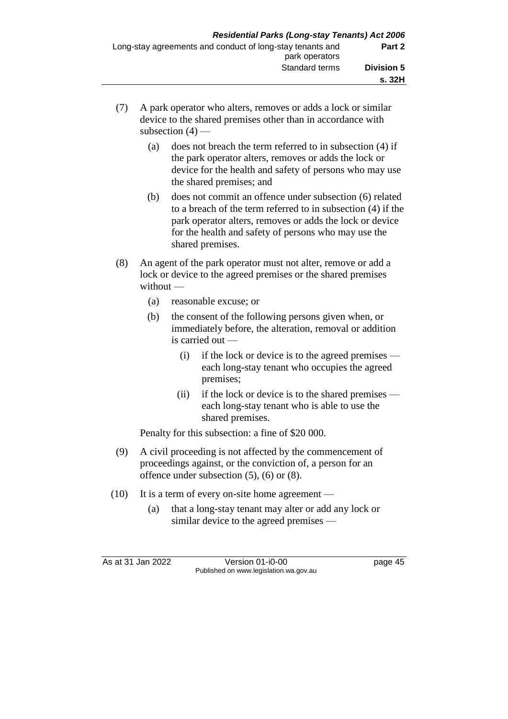- (7) A park operator who alters, removes or adds a lock or similar device to the shared premises other than in accordance with subsection  $(4)$  —
	- (a) does not breach the term referred to in subsection (4) if the park operator alters, removes or adds the lock or device for the health and safety of persons who may use the shared premises; and
	- (b) does not commit an offence under subsection (6) related to a breach of the term referred to in subsection (4) if the park operator alters, removes or adds the lock or device for the health and safety of persons who may use the shared premises.
- (8) An agent of the park operator must not alter, remove or add a lock or device to the agreed premises or the shared premises without —
	- (a) reasonable excuse; or
	- (b) the consent of the following persons given when, or immediately before, the alteration, removal or addition is carried out —
		- (i) if the lock or device is to the agreed premises each long-stay tenant who occupies the agreed premises;
		- (ii) if the lock or device is to the shared premises each long-stay tenant who is able to use the shared premises.

Penalty for this subsection: a fine of \$20 000.

- (9) A civil proceeding is not affected by the commencement of proceedings against, or the conviction of, a person for an offence under subsection (5), (6) or (8).
- (10) It is a term of every on-site home agreement
	- (a) that a long-stay tenant may alter or add any lock or similar device to the agreed premises —

As at 31 Jan 2022 Version 01-i0-00 page 45 Published on www.legislation.wa.gov.au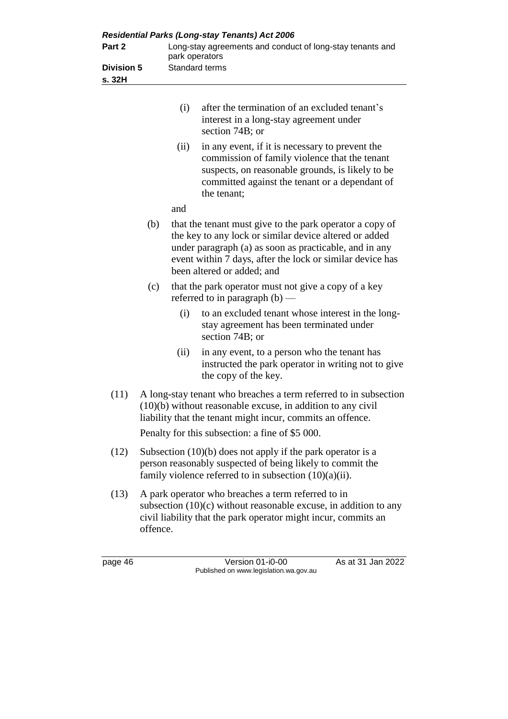|                             |                                                                                                                                                                                                        |                                                                             | <b>Residential Parks (Long-stay Tenants) Act 2006</b>                                                                                                                                                                                                                   |
|-----------------------------|--------------------------------------------------------------------------------------------------------------------------------------------------------------------------------------------------------|-----------------------------------------------------------------------------|-------------------------------------------------------------------------------------------------------------------------------------------------------------------------------------------------------------------------------------------------------------------------|
| Part 2<br><b>Division 5</b> |                                                                                                                                                                                                        | Long-stay agreements and conduct of long-stay tenants and<br>park operators |                                                                                                                                                                                                                                                                         |
|                             |                                                                                                                                                                                                        |                                                                             | Standard terms                                                                                                                                                                                                                                                          |
| s. 32H                      |                                                                                                                                                                                                        |                                                                             |                                                                                                                                                                                                                                                                         |
|                             |                                                                                                                                                                                                        | (i)                                                                         | after the termination of an excluded tenant's<br>interest in a long-stay agreement under<br>section 74B; or                                                                                                                                                             |
|                             |                                                                                                                                                                                                        | (ii)                                                                        | in any event, if it is necessary to prevent the<br>commission of family violence that the tenant<br>suspects, on reasonable grounds, is likely to be<br>committed against the tenant or a dependant of<br>the tenant;                                                   |
|                             |                                                                                                                                                                                                        | and                                                                         |                                                                                                                                                                                                                                                                         |
|                             | (b)                                                                                                                                                                                                    |                                                                             | that the tenant must give to the park operator a copy of<br>the key to any lock or similar device altered or added<br>under paragraph (a) as soon as practicable, and in any<br>event within 7 days, after the lock or similar device has<br>been altered or added; and |
|                             | (c)                                                                                                                                                                                                    |                                                                             | that the park operator must not give a copy of a key<br>referred to in paragraph $(b)$ —                                                                                                                                                                                |
|                             |                                                                                                                                                                                                        | (i)                                                                         | to an excluded tenant whose interest in the long-<br>stay agreement has been terminated under<br>section 74B; or                                                                                                                                                        |
|                             |                                                                                                                                                                                                        | (ii)                                                                        | in any event, to a person who the tenant has<br>instructed the park operator in writing not to give<br>the copy of the key.                                                                                                                                             |
| (11)                        | A long-stay tenant who breaches a term referred to in subsection<br>(10)(b) without reasonable excuse, in addition to any civil<br>liability that the tenant might incur, commits an offence.          |                                                                             |                                                                                                                                                                                                                                                                         |
|                             |                                                                                                                                                                                                        |                                                                             | Penalty for this subsection: a fine of \$5 000.                                                                                                                                                                                                                         |
| (12)                        | Subsection $(10)(b)$ does not apply if the park operator is a<br>person reasonably suspected of being likely to commit the<br>family violence referred to in subsection $(10)(a)(ii)$ .                |                                                                             |                                                                                                                                                                                                                                                                         |
| (13)                        | A park operator who breaches a term referred to in<br>subsection $(10)(c)$ without reasonable excuse, in addition to any<br>civil liability that the park operator might incur, commits an<br>offence. |                                                                             |                                                                                                                                                                                                                                                                         |

page 46 Version 01-i0-00 As at 31 Jan 2022 Published on www.legislation.wa.gov.au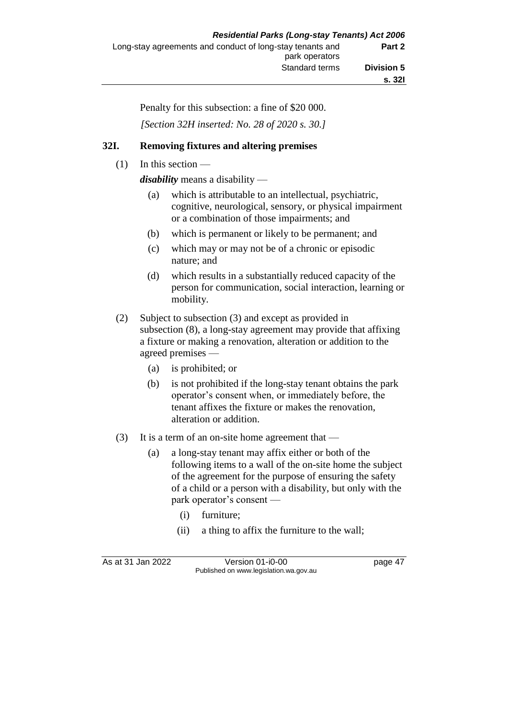Penalty for this subsection: a fine of \$20 000.

*[Section 32H inserted: No. 28 of 2020 s. 30.]*

# **32I. Removing fixtures and altering premises**

 $(1)$  In this section —

*disability* means a disability —

- (a) which is attributable to an intellectual, psychiatric, cognitive, neurological, sensory, or physical impairment or a combination of those impairments; and
- (b) which is permanent or likely to be permanent; and
- (c) which may or may not be of a chronic or episodic nature; and
- (d) which results in a substantially reduced capacity of the person for communication, social interaction, learning or mobility.
- (2) Subject to subsection (3) and except as provided in subsection (8), a long-stay agreement may provide that affixing a fixture or making a renovation, alteration or addition to the agreed premises —
	- (a) is prohibited; or
	- (b) is not prohibited if the long-stay tenant obtains the park operator's consent when, or immediately before, the tenant affixes the fixture or makes the renovation, alteration or addition.
- (3) It is a term of an on-site home agreement that
	- (a) a long-stay tenant may affix either or both of the following items to a wall of the on-site home the subject of the agreement for the purpose of ensuring the safety of a child or a person with a disability, but only with the park operator's consent —
		- (i) furniture;
		- (ii) a thing to affix the furniture to the wall;

As at 31 Jan 2022 Version 01-i0-00 page 47 Published on www.legislation.wa.gov.au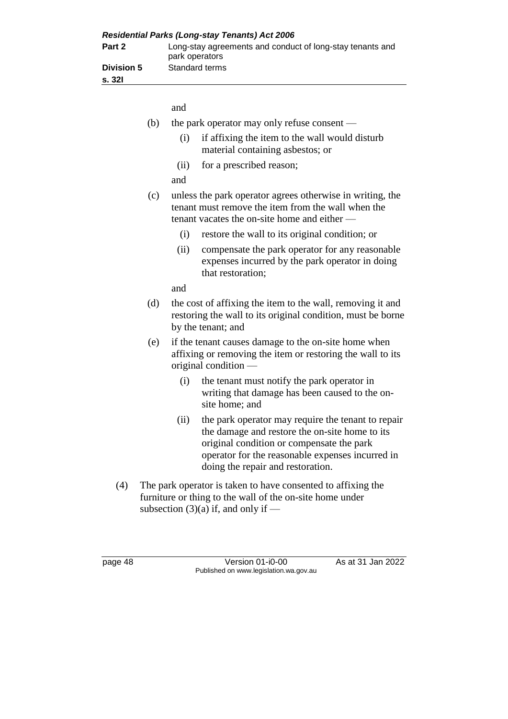| <b>Residential Parks (Long-stay Tenants) Act 2006</b> |                                                                             |  |
|-------------------------------------------------------|-----------------------------------------------------------------------------|--|
| Part 2                                                | Long-stay agreements and conduct of long-stay tenants and<br>park operators |  |
| <b>Division 5</b><br>s. 32I                           | Standard terms                                                              |  |

|     | and                                                                                                                                                                                                                                                |
|-----|----------------------------------------------------------------------------------------------------------------------------------------------------------------------------------------------------------------------------------------------------|
| (b) | the park operator may only refuse consent —                                                                                                                                                                                                        |
|     | if affixing the item to the wall would disturb<br>(i)<br>material containing asbestos; or                                                                                                                                                          |
|     | for a prescribed reason;<br>(ii)                                                                                                                                                                                                                   |
|     | and                                                                                                                                                                                                                                                |
| (c) | unless the park operator agrees otherwise in writing, the<br>tenant must remove the item from the wall when the<br>tenant vacates the on-site home and either —                                                                                    |
|     | (i)<br>restore the wall to its original condition; or                                                                                                                                                                                              |
|     | (ii)<br>compensate the park operator for any reasonable<br>expenses incurred by the park operator in doing<br>that restoration;                                                                                                                    |
|     | and                                                                                                                                                                                                                                                |
| (d) | the cost of affixing the item to the wall, removing it and<br>restoring the wall to its original condition, must be borne<br>by the tenant; and                                                                                                    |
| (e) | if the tenant causes damage to the on-site home when<br>affixing or removing the item or restoring the wall to its<br>original condition —                                                                                                         |
|     | the tenant must notify the park operator in<br>(i)<br>writing that damage has been caused to the on-<br>site home; and                                                                                                                             |
|     | (ii)<br>the park operator may require the tenant to repair<br>the damage and restore the on-site home to its<br>original condition or compensate the park<br>operator for the reasonable expenses incurred in<br>doing the repair and restoration. |

(4) The park operator is taken to have consented to affixing the furniture or thing to the wall of the on-site home under subsection  $(3)(a)$  if, and only if —

page 48 Version 01-i0-00 As at 31 Jan 2022 Published on www.legislation.wa.gov.au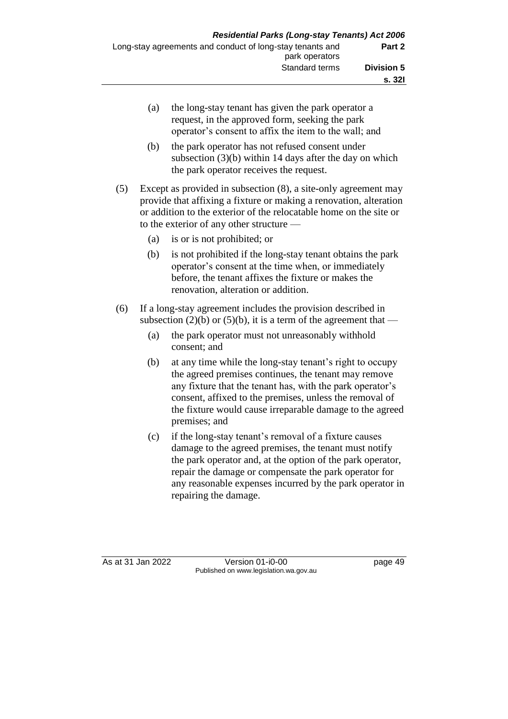(a) the long-stay tenant has given the park operator a request, in the approved form, seeking the park operator's consent to affix the item to the wall; and (b) the park operator has not refused consent under subsection (3)(b) within 14 days after the day on which the park operator receives the request. (5) Except as provided in subsection (8), a site-only agreement may provide that affixing a fixture or making a renovation, alteration or addition to the exterior of the relocatable home on the site or to the exterior of any other structure — (a) is or is not prohibited; or (b) is not prohibited if the long-stay tenant obtains the park operator's consent at the time when, or immediately before, the tenant affixes the fixture or makes the renovation, alteration or addition. (6) If a long-stay agreement includes the provision described in subsection (2)(b) or (5)(b), it is a term of the agreement that — (a) the park operator must not unreasonably withhold consent; and (b) at any time while the long-stay tenant's right to occupy the agreed premises continues, the tenant may remove any fixture that the tenant has, with the park operator's consent, affixed to the premises, unless the removal of the fixture would cause irreparable damage to the agreed premises; and (c) if the long-stay tenant's removal of a fixture causes damage to the agreed premises, the tenant must notify the park operator and, at the option of the park operator, repair the damage or compensate the park operator for any reasonable expenses incurred by the park operator in

As at 31 Jan 2022 Version 01-i0-00 page 49 Published on www.legislation.wa.gov.au

repairing the damage.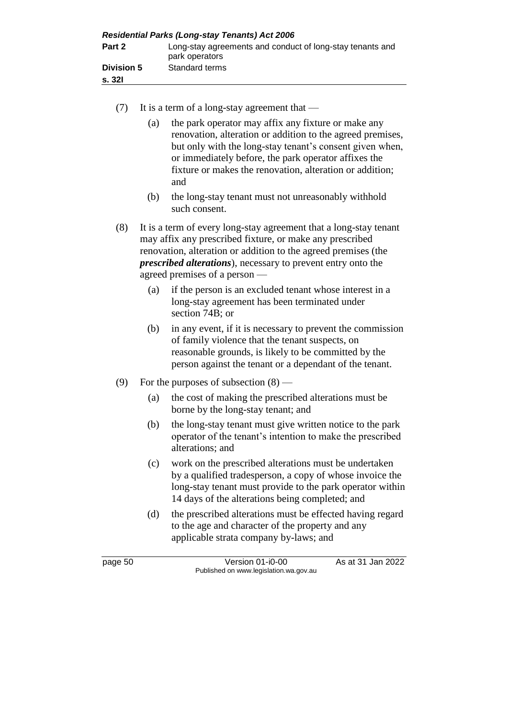| <b>Residential Parks (Long-stay Tenants) Act 2006</b> |                                                                             |
|-------------------------------------------------------|-----------------------------------------------------------------------------|
| Part 2                                                | Long-stay agreements and conduct of long-stay tenants and<br>park operators |
| <b>Division 5</b>                                     | Standard terms                                                              |
| s. 32I                                                |                                                                             |

- (7) It is a term of a long-stay agreement that
	- (a) the park operator may affix any fixture or make any renovation, alteration or addition to the agreed premises, but only with the long-stay tenant's consent given when, or immediately before, the park operator affixes the fixture or makes the renovation, alteration or addition; and
	- (b) the long-stay tenant must not unreasonably withhold such consent.
- (8) It is a term of every long-stay agreement that a long-stay tenant may affix any prescribed fixture, or make any prescribed renovation, alteration or addition to the agreed premises (the *prescribed alterations*), necessary to prevent entry onto the agreed premises of a person —
	- (a) if the person is an excluded tenant whose interest in a long-stay agreement has been terminated under section 74B; or
	- (b) in any event, if it is necessary to prevent the commission of family violence that the tenant suspects, on reasonable grounds, is likely to be committed by the person against the tenant or a dependant of the tenant.
- (9) For the purposes of subsection (8)
	- (a) the cost of making the prescribed alterations must be borne by the long-stay tenant; and
	- (b) the long-stay tenant must give written notice to the park operator of the tenant's intention to make the prescribed alterations; and
	- (c) work on the prescribed alterations must be undertaken by a qualified tradesperson, a copy of whose invoice the long-stay tenant must provide to the park operator within 14 days of the alterations being completed; and
	- (d) the prescribed alterations must be effected having regard to the age and character of the property and any applicable strata company by-laws; and

page 50 Version 01-i0-00 As at 31 Jan 2022 Published on www.legislation.wa.gov.au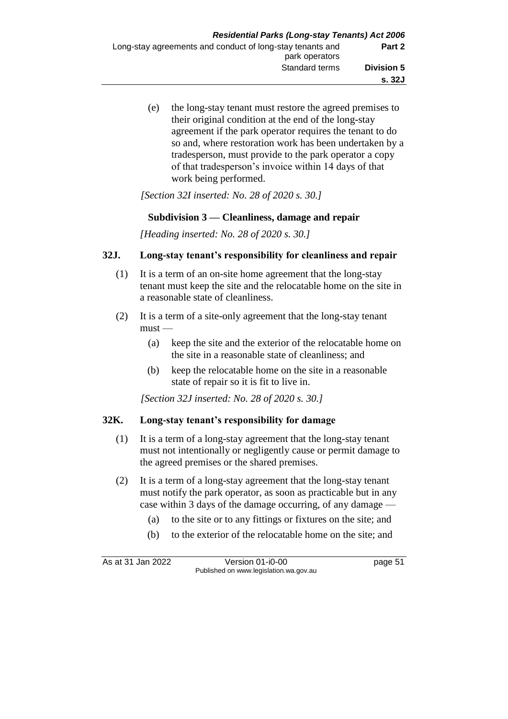(e) the long-stay tenant must restore the agreed premises to their original condition at the end of the long-stay agreement if the park operator requires the tenant to do so and, where restoration work has been undertaken by a tradesperson, must provide to the park operator a copy of that tradesperson's invoice within 14 days of that work being performed.

*[Section 32I inserted: No. 28 of 2020 s. 30.]*

## **Subdivision 3 — Cleanliness, damage and repair**

*[Heading inserted: No. 28 of 2020 s. 30.]*

## **32J. Long-stay tenant's responsibility for cleanliness and repair**

- (1) It is a term of an on-site home agreement that the long-stay tenant must keep the site and the relocatable home on the site in a reasonable state of cleanliness.
- (2) It is a term of a site-only agreement that the long-stay tenant  $must -$ 
	- (a) keep the site and the exterior of the relocatable home on the site in a reasonable state of cleanliness; and
	- (b) keep the relocatable home on the site in a reasonable state of repair so it is fit to live in.

*[Section 32J inserted: No. 28 of 2020 s. 30.]*

## **32K. Long-stay tenant's responsibility for damage**

- (1) It is a term of a long-stay agreement that the long-stay tenant must not intentionally or negligently cause or permit damage to the agreed premises or the shared premises.
- (2) It is a term of a long-stay agreement that the long-stay tenant must notify the park operator, as soon as practicable but in any case within 3 days of the damage occurring, of any damage —
	- (a) to the site or to any fittings or fixtures on the site; and
	- (b) to the exterior of the relocatable home on the site; and

As at 31 Jan 2022 Version 01-i0-00 page 51 Published on www.legislation.wa.gov.au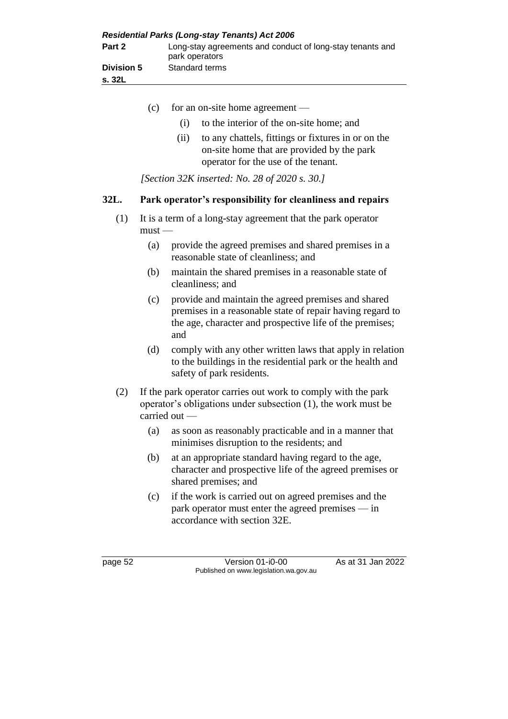| <b>Residential Parks (Long-stay Tenants) Act 2006</b> |                                                                             |
|-------------------------------------------------------|-----------------------------------------------------------------------------|
| Part 2                                                | Long-stay agreements and conduct of long-stay tenants and<br>park operators |
| <b>Division 5</b><br>s. 32L                           | Standard terms                                                              |

- (c) for an on-site home agreement (i) to the interior of the on-site home; and (ii) to any chattels, fittings or fixtures in or on the on-site home that are provided by the park operator for the use of the tenant. *[Section 32K inserted: No. 28 of 2020 s. 30.]* **32L. Park operator's responsibility for cleanliness and repairs** (1) It is a term of a long-stay agreement that the park operator  $must -$ (a) provide the agreed premises and shared premises in a reasonable state of cleanliness; and (b) maintain the shared premises in a reasonable state of cleanliness; and (c) provide and maintain the agreed premises and shared premises in a reasonable state of repair having regard to the age, character and prospective life of the premises; and (d) comply with any other written laws that apply in relation to the buildings in the residential park or the health and safety of park residents. (2) If the park operator carries out work to comply with the park operator's obligations under subsection (1), the work must be
	- minimises disruption to the residents; and (b) at an appropriate standard having regard to the age, character and prospective life of the agreed premises or

(a) as soon as reasonably practicable and in a manner that

(c) if the work is carried out on agreed premises and the park operator must enter the agreed premises — in accordance with section 32E.

shared premises; and

carried out —

page 52 Version 01-i0-00 As at 31 Jan 2022 Published on www.legislation.wa.gov.au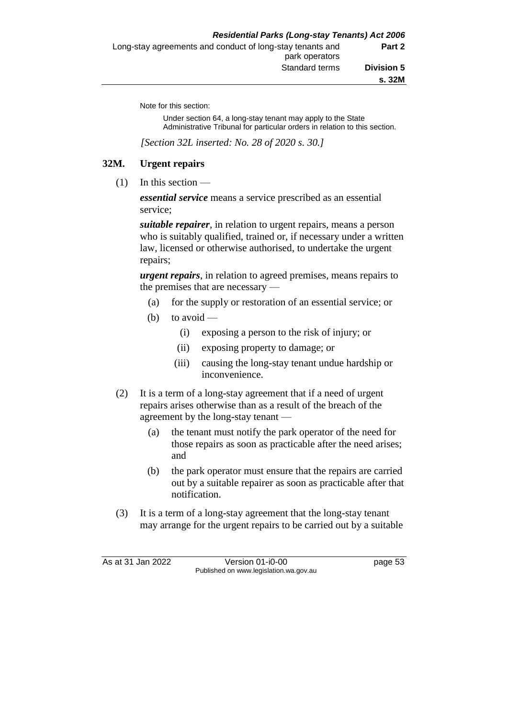Note for this section:

Under section 64, a long-stay tenant may apply to the State Administrative Tribunal for particular orders in relation to this section.

*[Section 32L inserted: No. 28 of 2020 s. 30.]*

## **32M. Urgent repairs**

 $(1)$  In this section —

*essential service* means a service prescribed as an essential service;

*suitable repairer*, in relation to urgent repairs, means a person who is suitably qualified, trained or, if necessary under a written law, licensed or otherwise authorised, to undertake the urgent repairs;

*urgent repairs*, in relation to agreed premises, means repairs to the premises that are necessary —

- (a) for the supply or restoration of an essential service; or
- (b) to avoid  $-$ 
	- (i) exposing a person to the risk of injury; or
	- (ii) exposing property to damage; or
	- (iii) causing the long-stay tenant undue hardship or inconvenience.
- (2) It is a term of a long-stay agreement that if a need of urgent repairs arises otherwise than as a result of the breach of the agreement by the long-stay tenant —
	- (a) the tenant must notify the park operator of the need for those repairs as soon as practicable after the need arises; and
	- (b) the park operator must ensure that the repairs are carried out by a suitable repairer as soon as practicable after that notification.
- (3) It is a term of a long-stay agreement that the long-stay tenant may arrange for the urgent repairs to be carried out by a suitable

As at 31 Jan 2022 Version 01-i0-00 page 53 Published on www.legislation.wa.gov.au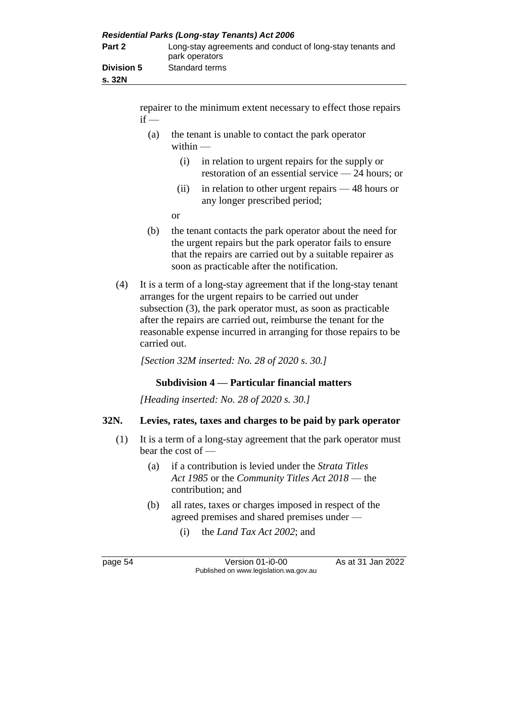| <b>Residential Parks (Long-stay Tenants) Act 2006</b> |                                                                             |  |
|-------------------------------------------------------|-----------------------------------------------------------------------------|--|
| Part 2                                                | Long-stay agreements and conduct of long-stay tenants and<br>park operators |  |
| <b>Division 5</b><br>s. 32N                           | Standard terms                                                              |  |

repairer to the minimum extent necessary to effect those repairs  $if -$ 

- (a) the tenant is unable to contact the park operator within -
	- (i) in relation to urgent repairs for the supply or restoration of an essential service — 24 hours; or
	- (ii) in relation to other urgent repairs 48 hours or any longer prescribed period;
	- or
- (b) the tenant contacts the park operator about the need for the urgent repairs but the park operator fails to ensure that the repairs are carried out by a suitable repairer as soon as practicable after the notification.
- (4) It is a term of a long-stay agreement that if the long-stay tenant arranges for the urgent repairs to be carried out under subsection (3), the park operator must, as soon as practicable after the repairs are carried out, reimburse the tenant for the reasonable expense incurred in arranging for those repairs to be carried out.

*[Section 32M inserted: No. 28 of 2020 s. 30.]*

# **Subdivision 4 — Particular financial matters**

*[Heading inserted: No. 28 of 2020 s. 30.]*

## **32N. Levies, rates, taxes and charges to be paid by park operator**

- (1) It is a term of a long-stay agreement that the park operator must bear the cost of —
	- (a) if a contribution is levied under the *Strata Titles Act 1985* or the *Community Titles Act 2018* — the contribution; and
	- (b) all rates, taxes or charges imposed in respect of the agreed premises and shared premises under —
		- (i) the *Land Tax Act 2002*; and

page 54 Version 01-i0-00 As at 31 Jan 2022 Published on www.legislation.wa.gov.au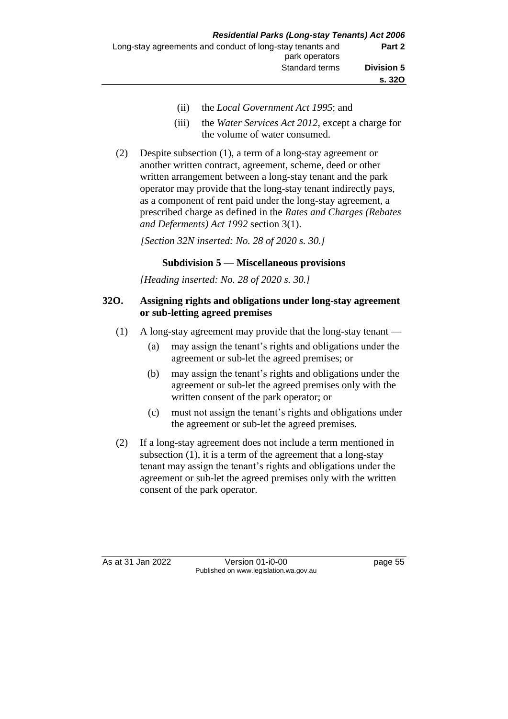- (ii) the *Local Government Act 1995*; and
- (iii) the *Water Services Act 2012*, except a charge for the volume of water consumed.
- (2) Despite subsection (1), a term of a long-stay agreement or another written contract, agreement, scheme, deed or other written arrangement between a long-stay tenant and the park operator may provide that the long-stay tenant indirectly pays, as a component of rent paid under the long-stay agreement, a prescribed charge as defined in the *Rates and Charges (Rebates and Deferments) Act 1992* section 3(1).

*[Section 32N inserted: No. 28 of 2020 s. 30.]*

# **Subdivision 5 — Miscellaneous provisions**

*[Heading inserted: No. 28 of 2020 s. 30.]*

#### **32O. Assigning rights and obligations under long-stay agreement or sub-letting agreed premises**

- (1) A long-stay agreement may provide that the long-stay tenant
	- (a) may assign the tenant's rights and obligations under the agreement or sub-let the agreed premises; or
	- (b) may assign the tenant's rights and obligations under the agreement or sub-let the agreed premises only with the written consent of the park operator; or
	- (c) must not assign the tenant's rights and obligations under the agreement or sub-let the agreed premises.
- (2) If a long-stay agreement does not include a term mentioned in subsection (1), it is a term of the agreement that a long-stay tenant may assign the tenant's rights and obligations under the agreement or sub-let the agreed premises only with the written consent of the park operator.

As at 31 Jan 2022 Version 01-i0-00 page 55 Published on www.legislation.wa.gov.au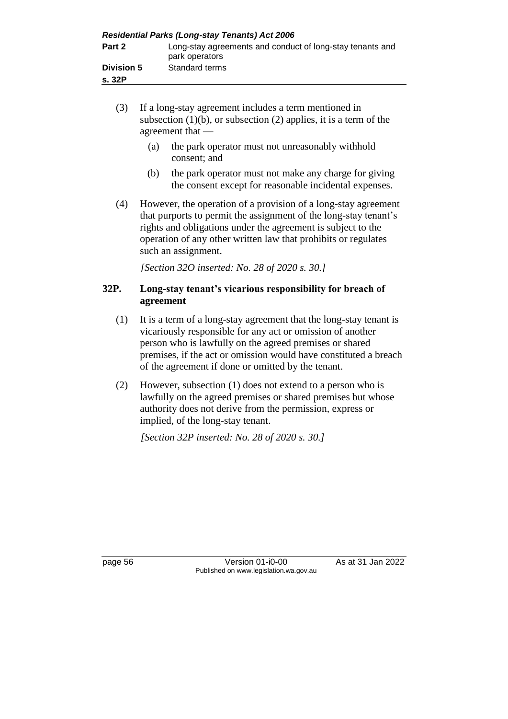| <b>Residential Parks (Long-stay Tenants) Act 2006</b> |                                                                             |
|-------------------------------------------------------|-----------------------------------------------------------------------------|
| Part 2                                                | Long-stay agreements and conduct of long-stay tenants and<br>park operators |
| <b>Division 5</b>                                     | Standard terms                                                              |
| s.32P                                                 |                                                                             |

- (3) If a long-stay agreement includes a term mentioned in subsection  $(1)(b)$ , or subsection  $(2)$  applies, it is a term of the agreement that —
	- (a) the park operator must not unreasonably withhold consent; and
	- (b) the park operator must not make any charge for giving the consent except for reasonable incidental expenses.
- (4) However, the operation of a provision of a long-stay agreement that purports to permit the assignment of the long-stay tenant's rights and obligations under the agreement is subject to the operation of any other written law that prohibits or regulates such an assignment.

*[Section 32O inserted: No. 28 of 2020 s. 30.]*

## **32P. Long-stay tenant's vicarious responsibility for breach of agreement**

- (1) It is a term of a long-stay agreement that the long-stay tenant is vicariously responsible for any act or omission of another person who is lawfully on the agreed premises or shared premises, if the act or omission would have constituted a breach of the agreement if done or omitted by the tenant.
- (2) However, subsection (1) does not extend to a person who is lawfully on the agreed premises or shared premises but whose authority does not derive from the permission, express or implied, of the long-stay tenant.

*[Section 32P inserted: No. 28 of 2020 s. 30.]*

page 56 Version 01-i0-00 As at 31 Jan 2022 Published on www.legislation.wa.gov.au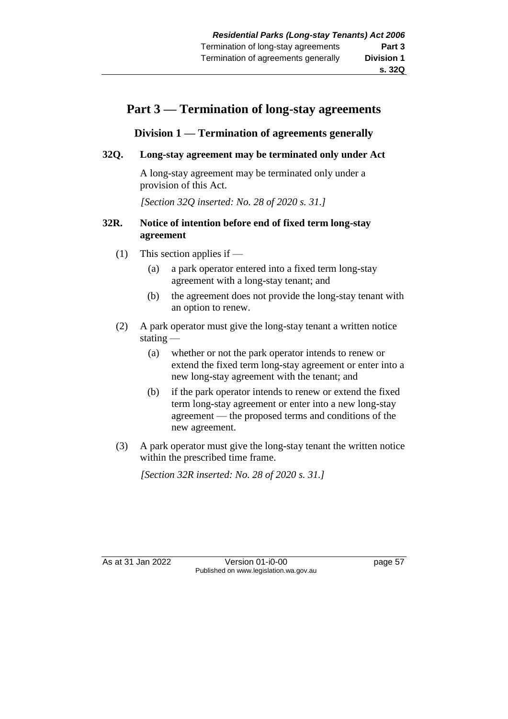# **Part 3 — Termination of long-stay agreements**

# **Division 1 — Termination of agreements generally**

## **32Q. Long-stay agreement may be terminated only under Act**

A long-stay agreement may be terminated only under a provision of this Act.

*[Section 32Q inserted: No. 28 of 2020 s. 31.]*

#### **32R. Notice of intention before end of fixed term long-stay agreement**

- (1) This section applies if
	- (a) a park operator entered into a fixed term long-stay agreement with a long-stay tenant; and
	- (b) the agreement does not provide the long-stay tenant with an option to renew.
- (2) A park operator must give the long-stay tenant a written notice stating —
	- (a) whether or not the park operator intends to renew or extend the fixed term long-stay agreement or enter into a new long-stay agreement with the tenant; and
	- (b) if the park operator intends to renew or extend the fixed term long-stay agreement or enter into a new long-stay agreement — the proposed terms and conditions of the new agreement.
- (3) A park operator must give the long-stay tenant the written notice within the prescribed time frame.

*[Section 32R inserted: No. 28 of 2020 s. 31.]*

As at 31 Jan 2022 Version 01-i0-00 page 57 Published on www.legislation.wa.gov.au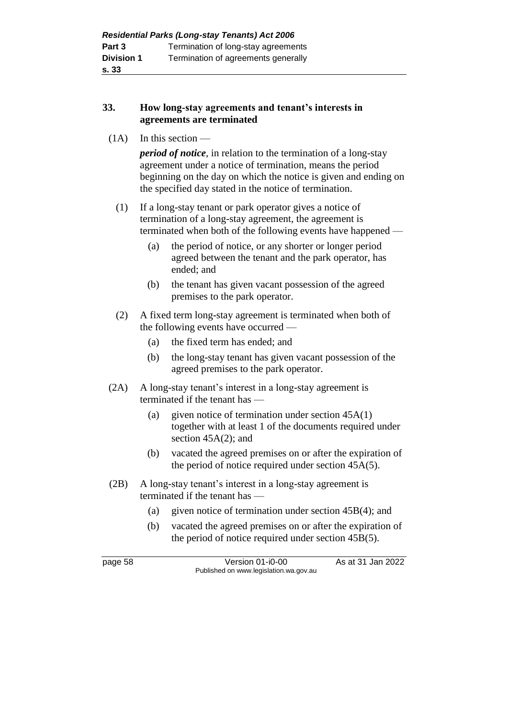## **33. How long-stay agreements and tenant's interests in agreements are terminated**

 $(1A)$  In this section —

*period of notice*, in relation to the termination of a long-stay agreement under a notice of termination, means the period beginning on the day on which the notice is given and ending on the specified day stated in the notice of termination.

- (1) If a long-stay tenant or park operator gives a notice of termination of a long-stay agreement, the agreement is terminated when both of the following events have happened —
	- (a) the period of notice, or any shorter or longer period agreed between the tenant and the park operator, has ended; and
	- (b) the tenant has given vacant possession of the agreed premises to the park operator.
- (2) A fixed term long-stay agreement is terminated when both of the following events have occurred —
	- (a) the fixed term has ended; and
	- (b) the long-stay tenant has given vacant possession of the agreed premises to the park operator.
- (2A) A long-stay tenant's interest in a long-stay agreement is terminated if the tenant has —
	- (a) given notice of termination under section  $45A(1)$ together with at least 1 of the documents required under section 45A(2); and
	- (b) vacated the agreed premises on or after the expiration of the period of notice required under section 45A(5).
- (2B) A long-stay tenant's interest in a long-stay agreement is terminated if the tenant has —
	- (a) given notice of termination under section 45B(4); and
	- (b) vacated the agreed premises on or after the expiration of the period of notice required under section 45B(5).

page 58 Version 01-i0-00 As at 31 Jan 2022 Published on www.legislation.wa.gov.au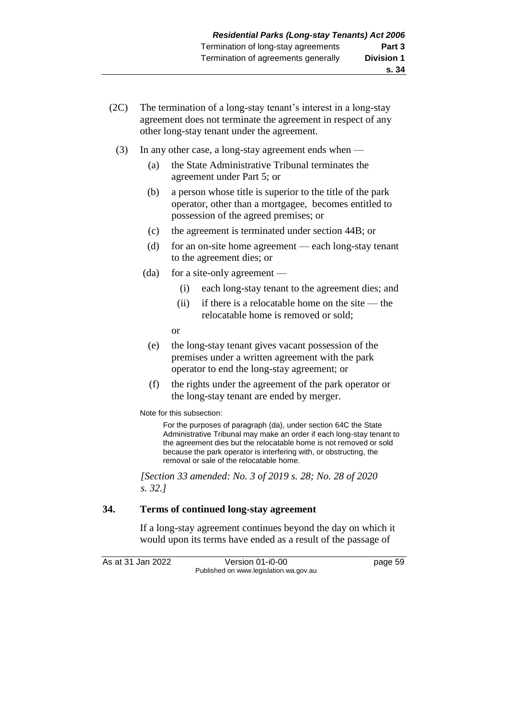- (2C) The termination of a long-stay tenant's interest in a long-stay agreement does not terminate the agreement in respect of any other long-stay tenant under the agreement.
	- (3) In any other case, a long-stay agreement ends when
		- (a) the State Administrative Tribunal terminates the agreement under Part 5; or
		- (b) a person whose title is superior to the title of the park operator, other than a mortgagee, becomes entitled to possession of the agreed premises; or
		- (c) the agreement is terminated under section 44B; or
		- (d) for an on-site home agreement each long-stay tenant to the agreement dies; or
		- (da) for a site-only agreement
			- (i) each long-stay tenant to the agreement dies; and
			- (ii) if there is a relocatable home on the site the relocatable home is removed or sold;
			- or
		- (e) the long-stay tenant gives vacant possession of the premises under a written agreement with the park operator to end the long-stay agreement; or
		- (f) the rights under the agreement of the park operator or the long-stay tenant are ended by merger.

Note for this subsection:

For the purposes of paragraph (da), under section 64C the State Administrative Tribunal may make an order if each long-stay tenant to the agreement dies but the relocatable home is not removed or sold because the park operator is interfering with, or obstructing, the removal or sale of the relocatable home.

*[Section 33 amended: No. 3 of 2019 s. 28; No. 28 of 2020 s. 32.]*

#### **34. Terms of continued long-stay agreement**

If a long-stay agreement continues beyond the day on which it would upon its terms have ended as a result of the passage of

As at 31 Jan 2022 Version 01-i0-00 page 59 Published on www.legislation.wa.gov.au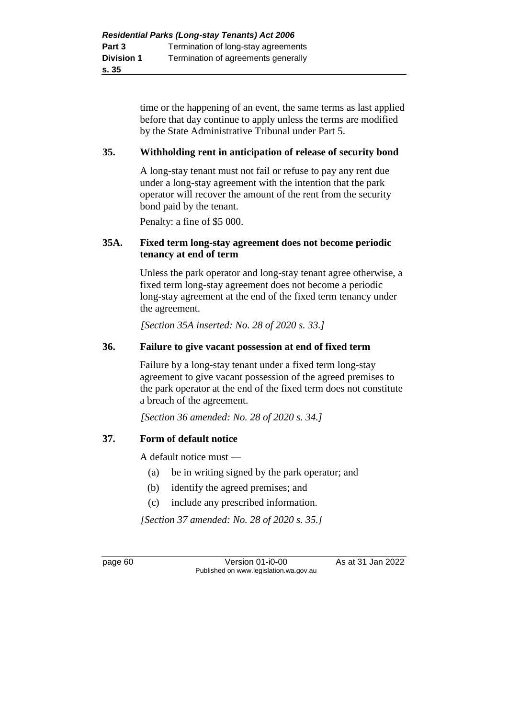time or the happening of an event, the same terms as last applied before that day continue to apply unless the terms are modified by the State Administrative Tribunal under Part 5.

#### **35. Withholding rent in anticipation of release of security bond**

A long-stay tenant must not fail or refuse to pay any rent due under a long-stay agreement with the intention that the park operator will recover the amount of the rent from the security bond paid by the tenant.

Penalty: a fine of \$5 000.

#### **35A. Fixed term long-stay agreement does not become periodic tenancy at end of term**

Unless the park operator and long-stay tenant agree otherwise, a fixed term long-stay agreement does not become a periodic long-stay agreement at the end of the fixed term tenancy under the agreement.

*[Section 35A inserted: No. 28 of 2020 s. 33.]*

#### **36. Failure to give vacant possession at end of fixed term**

Failure by a long-stay tenant under a fixed term long-stay agreement to give vacant possession of the agreed premises to the park operator at the end of the fixed term does not constitute a breach of the agreement.

*[Section 36 amended: No. 28 of 2020 s. 34.]*

#### **37. Form of default notice**

A default notice must —

- (a) be in writing signed by the park operator; and
- (b) identify the agreed premises; and
- (c) include any prescribed information.

*[Section 37 amended: No. 28 of 2020 s. 35.]*

page 60 Version 01-i0-00 As at 31 Jan 2022 Published on www.legislation.wa.gov.au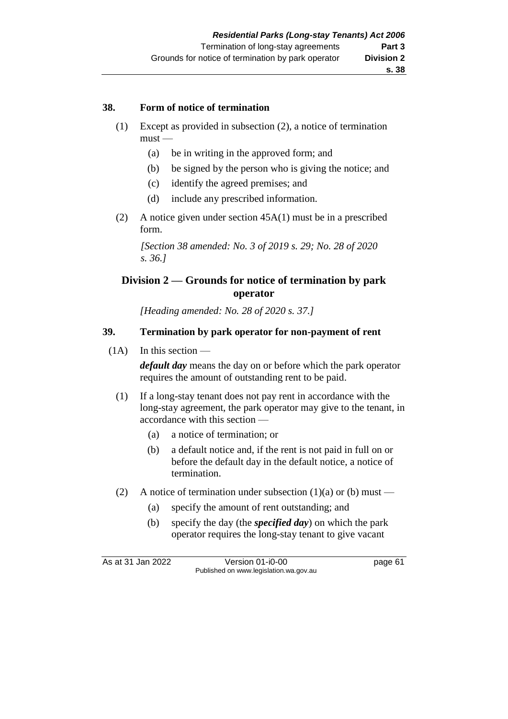### **s. 38**

### **38. Form of notice of termination**

- (1) Except as provided in subsection (2), a notice of termination  $must -$ 
	- (a) be in writing in the approved form; and
	- (b) be signed by the person who is giving the notice; and
	- (c) identify the agreed premises; and
	- (d) include any prescribed information.
- (2) A notice given under section 45A(1) must be in a prescribed form.

*[Section 38 amended: No. 3 of 2019 s. 29; No. 28 of 2020 s. 36.]*

# **Division 2 — Grounds for notice of termination by park operator**

*[Heading amended: No. 28 of 2020 s. 37.]*

# **39. Termination by park operator for non-payment of rent**

 $(1A)$  In this section —

*default day* means the day on or before which the park operator requires the amount of outstanding rent to be paid.

- (1) If a long-stay tenant does not pay rent in accordance with the long-stay agreement, the park operator may give to the tenant, in accordance with this section —
	- (a) a notice of termination; or
	- (b) a default notice and, if the rent is not paid in full on or before the default day in the default notice, a notice of termination.
- (2) A notice of termination under subsection  $(1)(a)$  or  $(b)$  must
	- (a) specify the amount of rent outstanding; and
	- (b) specify the day (the *specified day*) on which the park operator requires the long-stay tenant to give vacant

As at 31 Jan 2022 Version 01-i0-00 page 61 Published on www.legislation.wa.gov.au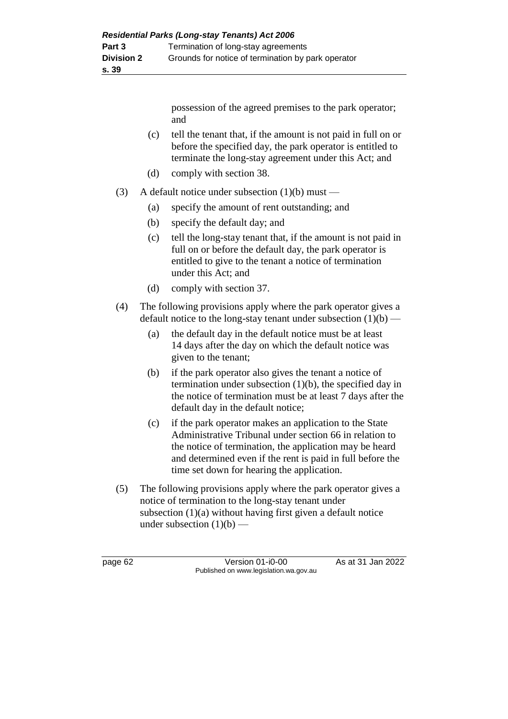- (c) tell the tenant that, if the amount is not paid in full on or before the specified day, the park operator is entitled to terminate the long-stay agreement under this Act; and
- (d) comply with section 38.
- (3) A default notice under subsection  $(1)(b)$  must
	- (a) specify the amount of rent outstanding; and
	- (b) specify the default day; and
	- (c) tell the long-stay tenant that, if the amount is not paid in full on or before the default day, the park operator is entitled to give to the tenant a notice of termination under this Act; and
	- (d) comply with section 37.
- (4) The following provisions apply where the park operator gives a default notice to the long-stay tenant under subsection  $(1)(b)$  —
	- (a) the default day in the default notice must be at least 14 days after the day on which the default notice was given to the tenant;
	- (b) if the park operator also gives the tenant a notice of termination under subsection  $(1)(b)$ , the specified day in the notice of termination must be at least 7 days after the default day in the default notice;
	- (c) if the park operator makes an application to the State Administrative Tribunal under section 66 in relation to the notice of termination, the application may be heard and determined even if the rent is paid in full before the time set down for hearing the application.
- (5) The following provisions apply where the park operator gives a notice of termination to the long-stay tenant under subsection (1)(a) without having first given a default notice under subsection  $(1)(b)$  —

page 62 Version 01-i0-00 As at 31 Jan 2022 Published on www.legislation.wa.gov.au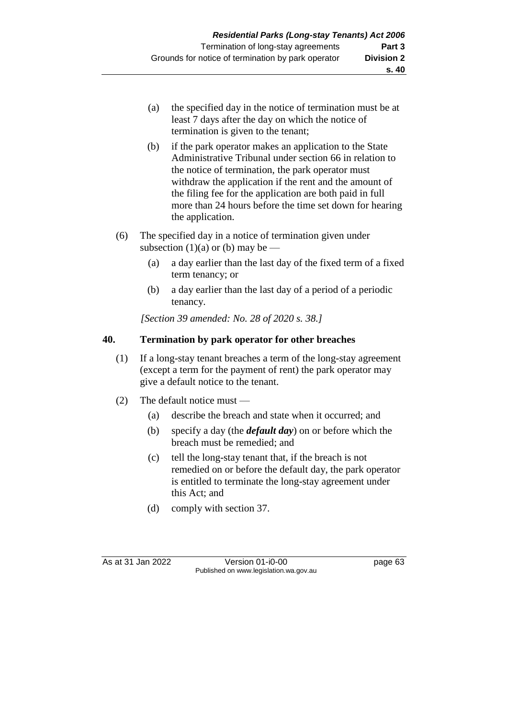- (a) the specified day in the notice of termination must be at least 7 days after the day on which the notice of termination is given to the tenant;
- (b) if the park operator makes an application to the State Administrative Tribunal under section 66 in relation to the notice of termination, the park operator must withdraw the application if the rent and the amount of the filing fee for the application are both paid in full more than 24 hours before the time set down for hearing the application.
- (6) The specified day in a notice of termination given under subsection  $(1)(a)$  or  $(b)$  may be —
	- (a) a day earlier than the last day of the fixed term of a fixed term tenancy; or
	- (b) a day earlier than the last day of a period of a periodic tenancy.

*[Section 39 amended: No. 28 of 2020 s. 38.]*

# **40. Termination by park operator for other breaches**

- (1) If a long-stay tenant breaches a term of the long-stay agreement (except a term for the payment of rent) the park operator may give a default notice to the tenant.
- (2) The default notice must
	- (a) describe the breach and state when it occurred; and
	- (b) specify a day (the *default day*) on or before which the breach must be remedied; and
	- (c) tell the long-stay tenant that, if the breach is not remedied on or before the default day, the park operator is entitled to terminate the long-stay agreement under this Act; and
	- (d) comply with section 37.

As at 31 Jan 2022 Version 01-i0-00 page 63 Published on www.legislation.wa.gov.au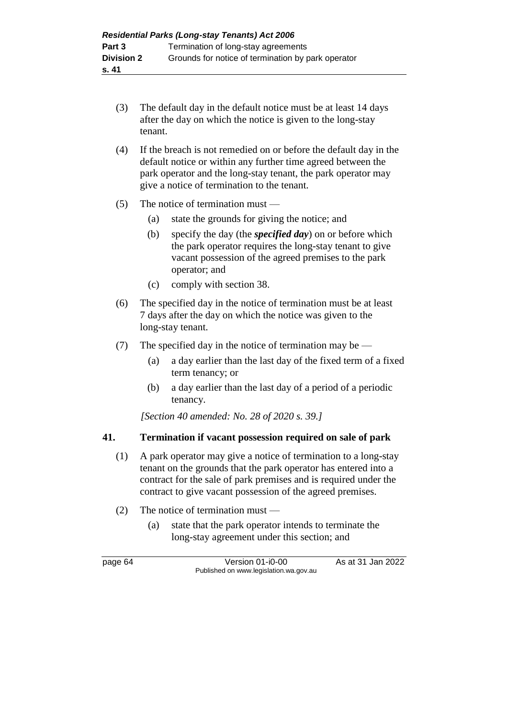- (3) The default day in the default notice must be at least 14 days after the day on which the notice is given to the long-stay tenant.
- (4) If the breach is not remedied on or before the default day in the default notice or within any further time agreed between the park operator and the long-stay tenant, the park operator may give a notice of termination to the tenant.
- (5) The notice of termination must
	- (a) state the grounds for giving the notice; and
	- (b) specify the day (the *specified day*) on or before which the park operator requires the long-stay tenant to give vacant possession of the agreed premises to the park operator; and
	- (c) comply with section 38.
- (6) The specified day in the notice of termination must be at least 7 days after the day on which the notice was given to the long-stay tenant.
- (7) The specified day in the notice of termination may be
	- (a) a day earlier than the last day of the fixed term of a fixed term tenancy; or
	- (b) a day earlier than the last day of a period of a periodic tenancy.

*[Section 40 amended: No. 28 of 2020 s. 39.]*

#### **41. Termination if vacant possession required on sale of park**

- (1) A park operator may give a notice of termination to a long-stay tenant on the grounds that the park operator has entered into a contract for the sale of park premises and is required under the contract to give vacant possession of the agreed premises.
- (2) The notice of termination must
	- (a) state that the park operator intends to terminate the long-stay agreement under this section; and

page 64 Version 01-i0-00 As at 31 Jan 2022 Published on www.legislation.wa.gov.au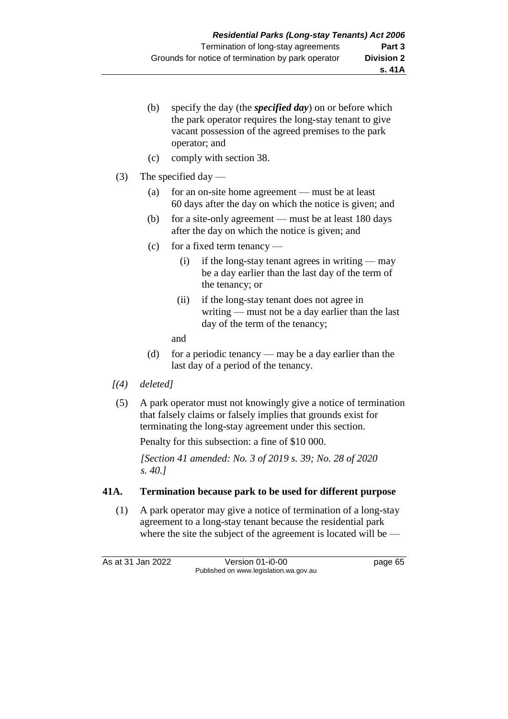- (b) specify the day (the *specified day*) on or before which the park operator requires the long-stay tenant to give vacant possession of the agreed premises to the park operator; and
- (c) comply with section 38.
- (3) The specified day
	- (a) for an on-site home agreement must be at least 60 days after the day on which the notice is given; and
	- (b) for a site-only agreement must be at least 180 days after the day on which the notice is given; and
	- (c) for a fixed term tenancy
		- (i) if the long-stay tenant agrees in writing may be a day earlier than the last day of the term of the tenancy; or
		- (ii) if the long-stay tenant does not agree in writing — must not be a day earlier than the last day of the term of the tenancy;

and

- (d) for a periodic tenancy may be a day earlier than the last day of a period of the tenancy.
- *[(4) deleted]*
- (5) A park operator must not knowingly give a notice of termination that falsely claims or falsely implies that grounds exist for terminating the long-stay agreement under this section.

Penalty for this subsection: a fine of \$10 000.

*[Section 41 amended: No. 3 of 2019 s. 39; No. 28 of 2020 s. 40.]*

# **41A. Termination because park to be used for different purpose**

(1) A park operator may give a notice of termination of a long-stay agreement to a long-stay tenant because the residential park where the site the subject of the agreement is located will be —

As at 31 Jan 2022 Version 01-i0-00 page 65 Published on www.legislation.wa.gov.au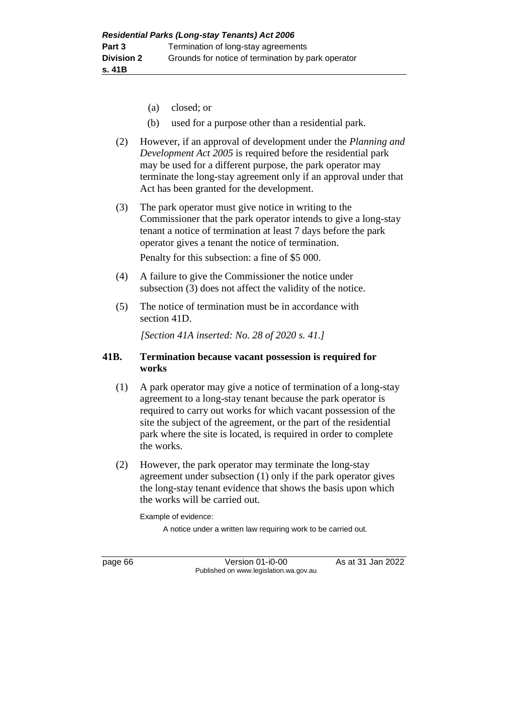- (a) closed; or
- (b) used for a purpose other than a residential park.
- (2) However, if an approval of development under the *Planning and Development Act 2005* is required before the residential park may be used for a different purpose, the park operator may terminate the long-stay agreement only if an approval under that Act has been granted for the development.
- (3) The park operator must give notice in writing to the Commissioner that the park operator intends to give a long-stay tenant a notice of termination at least 7 days before the park operator gives a tenant the notice of termination.

Penalty for this subsection: a fine of \$5 000.

- (4) A failure to give the Commissioner the notice under subsection (3) does not affect the validity of the notice.
- (5) The notice of termination must be in accordance with section 41D.

*[Section 41A inserted: No. 28 of 2020 s. 41.]*

### **41B. Termination because vacant possession is required for works**

- (1) A park operator may give a notice of termination of a long-stay agreement to a long-stay tenant because the park operator is required to carry out works for which vacant possession of the site the subject of the agreement, or the part of the residential park where the site is located, is required in order to complete the works.
- (2) However, the park operator may terminate the long-stay agreement under subsection (1) only if the park operator gives the long-stay tenant evidence that shows the basis upon which the works will be carried out.

Example of evidence:

A notice under a written law requiring work to be carried out.

page 66 **Version 01-i0-00** As at 31 Jan 2022 Published on www.legislation.wa.gov.au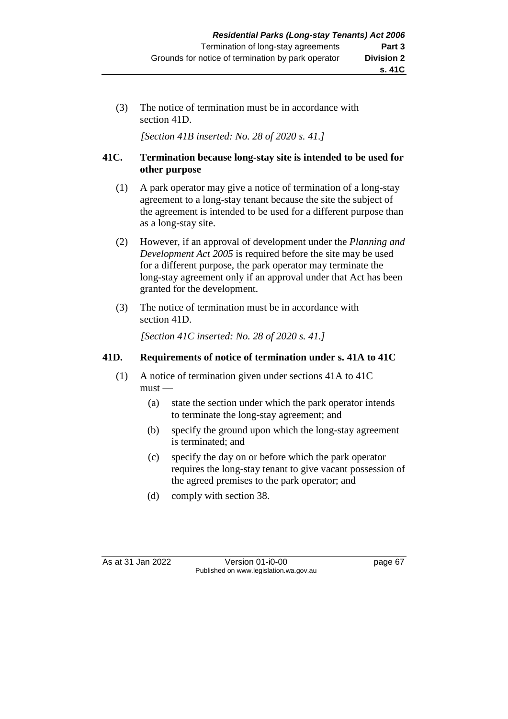(3) The notice of termination must be in accordance with section 41D.

*[Section 41B inserted: No. 28 of 2020 s. 41.]*

# **41C. Termination because long-stay site is intended to be used for other purpose**

- (1) A park operator may give a notice of termination of a long-stay agreement to a long-stay tenant because the site the subject of the agreement is intended to be used for a different purpose than as a long-stay site.
- (2) However, if an approval of development under the *Planning and Development Act 2005* is required before the site may be used for a different purpose, the park operator may terminate the long-stay agreement only if an approval under that Act has been granted for the development.
- (3) The notice of termination must be in accordance with section 41D.

*[Section 41C inserted: No. 28 of 2020 s. 41.]*

# **41D. Requirements of notice of termination under s. 41A to 41C**

- (1) A notice of termination given under sections 41A to 41C  $must -$ 
	- (a) state the section under which the park operator intends to terminate the long-stay agreement; and
	- (b) specify the ground upon which the long-stay agreement is terminated; and
	- (c) specify the day on or before which the park operator requires the long-stay tenant to give vacant possession of the agreed premises to the park operator; and
	- (d) comply with section 38.

As at 31 Jan 2022 Version 01-i0-00 page 67 Published on www.legislation.wa.gov.au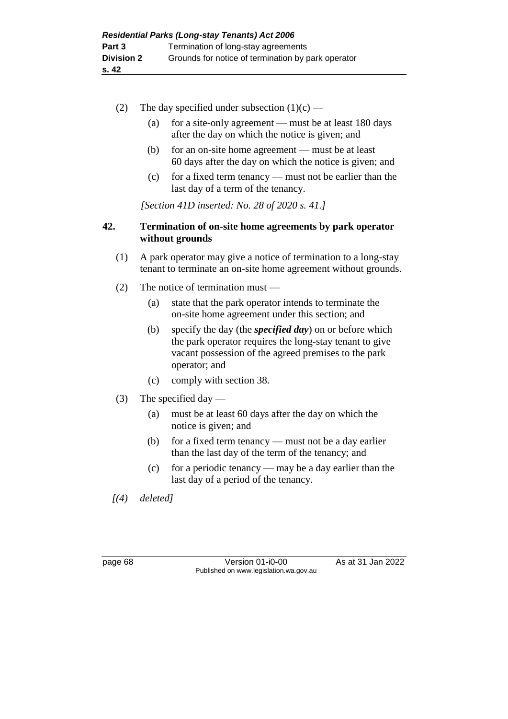- (2) The day specified under subsection  $(1)(c)$ 
	- (a) for a site-only agreement must be at least 180 days after the day on which the notice is given; and
	- (b) for an on-site home agreement must be at least 60 days after the day on which the notice is given; and
	- (c) for a fixed term tenancy must not be earlier than the last day of a term of the tenancy.

*[Section 41D inserted: No. 28 of 2020 s. 41.]*

# **42. Termination of on-site home agreements by park operator without grounds**

- (1) A park operator may give a notice of termination to a long-stay tenant to terminate an on-site home agreement without grounds.
- (2) The notice of termination must
	- (a) state that the park operator intends to terminate the on-site home agreement under this section; and
	- (b) specify the day (the *specified day*) on or before which the park operator requires the long-stay tenant to give vacant possession of the agreed premises to the park operator; and
	- (c) comply with section 38.
- (3) The specified day
	- (a) must be at least 60 days after the day on which the notice is given; and
	- (b) for a fixed term tenancy must not be a day earlier than the last day of the term of the tenancy; and
	- (c) for a periodic tenancy may be a day earlier than the last day of a period of the tenancy.

*[(4) deleted]*

page 68 Version 01-i0-00 As at 31 Jan 2022 Published on www.legislation.wa.gov.au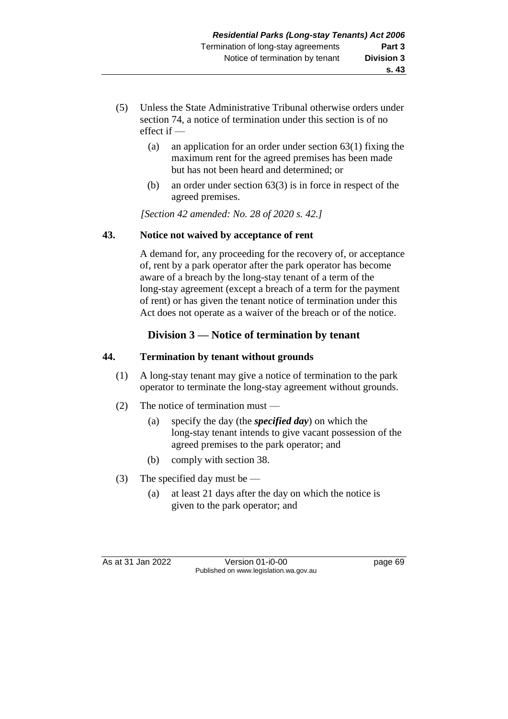- (5) Unless the State Administrative Tribunal otherwise orders under section 74, a notice of termination under this section is of no effect if —
	- (a) an application for an order under section 63(1) fixing the maximum rent for the agreed premises has been made but has not been heard and determined; or
	- (b) an order under section 63(3) is in force in respect of the agreed premises.

*[Section 42 amended: No. 28 of 2020 s. 42.]*

# **43. Notice not waived by acceptance of rent**

A demand for, any proceeding for the recovery of, or acceptance of, rent by a park operator after the park operator has become aware of a breach by the long-stay tenant of a term of the long-stay agreement (except a breach of a term for the payment of rent) or has given the tenant notice of termination under this Act does not operate as a waiver of the breach or of the notice.

# **Division 3 — Notice of termination by tenant**

# **44. Termination by tenant without grounds**

- (1) A long-stay tenant may give a notice of termination to the park operator to terminate the long-stay agreement without grounds.
- (2) The notice of termination must
	- (a) specify the day (the *specified day*) on which the long-stay tenant intends to give vacant possession of the agreed premises to the park operator; and
	- (b) comply with section 38.
- (3) The specified day must be
	- (a) at least 21 days after the day on which the notice is given to the park operator; and

As at 31 Jan 2022 Version 01-i0-00 page 69 Published on www.legislation.wa.gov.au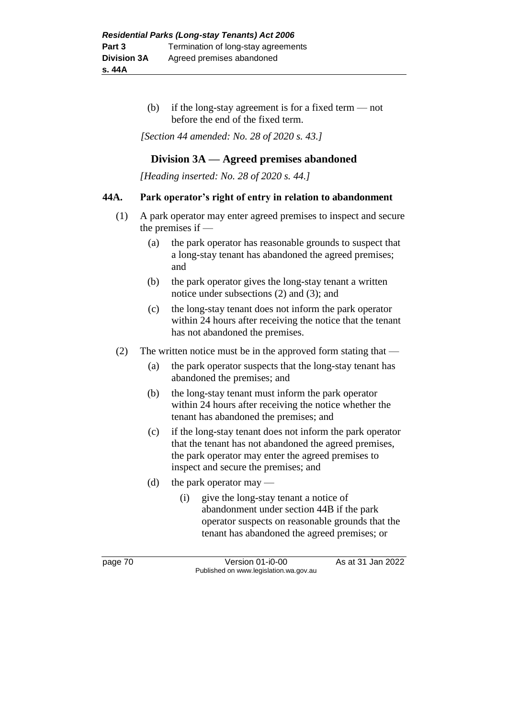(b) if the long-stay agreement is for a fixed term — not before the end of the fixed term.

*[Section 44 amended: No. 28 of 2020 s. 43.]*

# **Division 3A — Agreed premises abandoned**

*[Heading inserted: No. 28 of 2020 s. 44.]*

#### **44A. Park operator's right of entry in relation to abandonment**

- (1) A park operator may enter agreed premises to inspect and secure the premises if —
	- (a) the park operator has reasonable grounds to suspect that a long-stay tenant has abandoned the agreed premises; and
	- (b) the park operator gives the long-stay tenant a written notice under subsections (2) and (3); and
	- (c) the long-stay tenant does not inform the park operator within 24 hours after receiving the notice that the tenant has not abandoned the premises.
- (2) The written notice must be in the approved form stating that
	- (a) the park operator suspects that the long-stay tenant has abandoned the premises; and
	- (b) the long-stay tenant must inform the park operator within 24 hours after receiving the notice whether the tenant has abandoned the premises; and
	- (c) if the long-stay tenant does not inform the park operator that the tenant has not abandoned the agreed premises, the park operator may enter the agreed premises to inspect and secure the premises; and
	- (d) the park operator may
		- (i) give the long-stay tenant a notice of abandonment under section 44B if the park operator suspects on reasonable grounds that the tenant has abandoned the agreed premises; or

page 70 **Version 01-i0-00** As at 31 Jan 2022 Published on www.legislation.wa.gov.au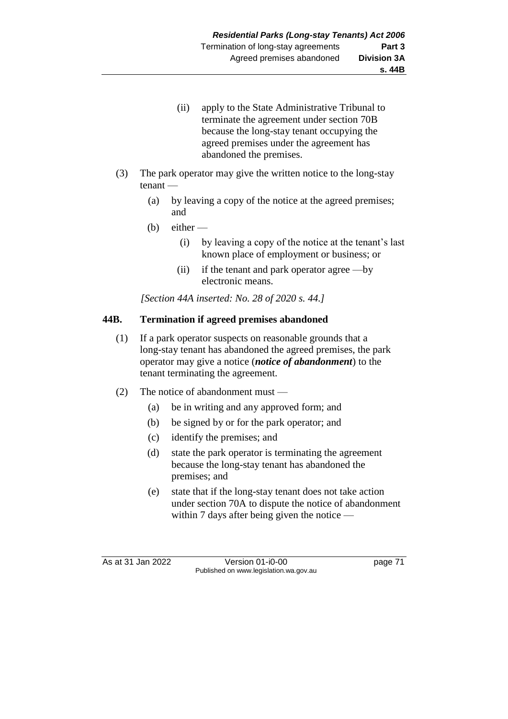- (ii) apply to the State Administrative Tribunal to terminate the agreement under section 70B because the long-stay tenant occupying the agreed premises under the agreement has abandoned the premises.
- (3) The park operator may give the written notice to the long-stay tenant —
	- (a) by leaving a copy of the notice at the agreed premises; and
	- $(b)$  either
		- (i) by leaving a copy of the notice at the tenant's last known place of employment or business; or
		- (ii) if the tenant and park operator agree —by electronic means.

*[Section 44A inserted: No. 28 of 2020 s. 44.]*

# **44B. Termination if agreed premises abandoned**

- (1) If a park operator suspects on reasonable grounds that a long-stay tenant has abandoned the agreed premises, the park operator may give a notice (*notice of abandonment*) to the tenant terminating the agreement.
- (2) The notice of abandonment must
	- (a) be in writing and any approved form; and
	- (b) be signed by or for the park operator; and
	- (c) identify the premises; and
	- (d) state the park operator is terminating the agreement because the long-stay tenant has abandoned the premises; and
	- (e) state that if the long-stay tenant does not take action under section 70A to dispute the notice of abandonment within 7 days after being given the notice —

As at 31 Jan 2022 Version 01-i0-00 page 71 Published on www.legislation.wa.gov.au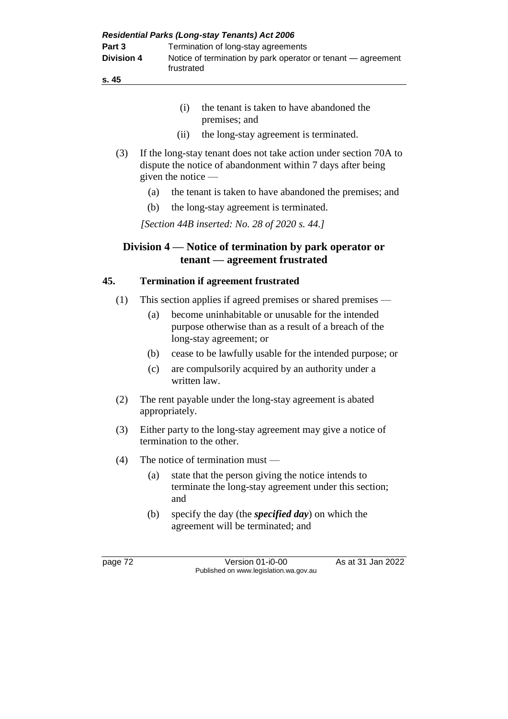| <b>Residential Parks (Long-stay Tenants) Act 2006</b> |                                                                            |  |  |  |
|-------------------------------------------------------|----------------------------------------------------------------------------|--|--|--|
| Part 3                                                | Termination of long-stay agreements                                        |  |  |  |
| <b>Division 4</b>                                     | Notice of termination by park operator or tenant – agreement<br>frustrated |  |  |  |
| s. 45                                                 |                                                                            |  |  |  |

- (i) the tenant is taken to have abandoned the premises; and
- (ii) the long-stay agreement is terminated.
- (3) If the long-stay tenant does not take action under section 70A to dispute the notice of abandonment within 7 days after being given the notice —
	- (a) the tenant is taken to have abandoned the premises; and
	- (b) the long-stay agreement is terminated.

*[Section 44B inserted: No. 28 of 2020 s. 44.]*

# **Division 4 — Notice of termination by park operator or tenant — agreement frustrated**

### **45. Termination if agreement frustrated**

- (1) This section applies if agreed premises or shared premises
	- (a) become uninhabitable or unusable for the intended purpose otherwise than as a result of a breach of the long-stay agreement; or
	- (b) cease to be lawfully usable for the intended purpose; or
	- (c) are compulsorily acquired by an authority under a written law.
- (2) The rent payable under the long-stay agreement is abated appropriately.
- (3) Either party to the long-stay agreement may give a notice of termination to the other.
- (4) The notice of termination must
	- (a) state that the person giving the notice intends to terminate the long-stay agreement under this section; and
	- (b) specify the day (the *specified day*) on which the agreement will be terminated; and

page 72 Version 01-i0-00 As at 31 Jan 2022 Published on www.legislation.wa.gov.au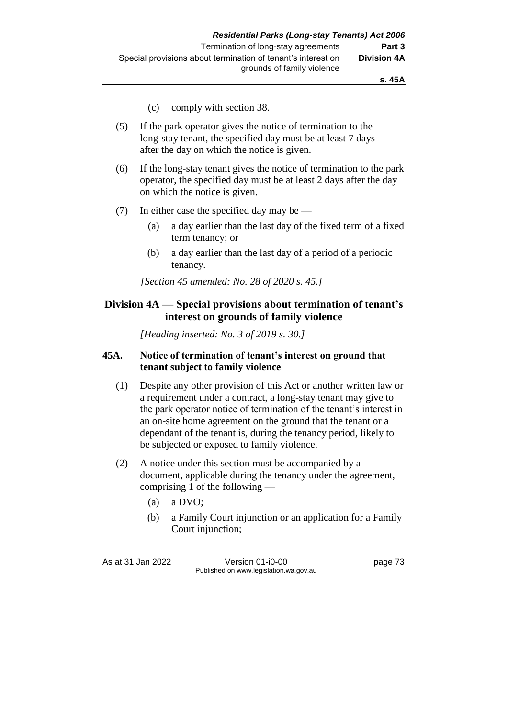- (c) comply with section 38.
- (5) If the park operator gives the notice of termination to the long-stay tenant, the specified day must be at least 7 days after the day on which the notice is given.
- (6) If the long-stay tenant gives the notice of termination to the park operator, the specified day must be at least 2 days after the day on which the notice is given.
- (7) In either case the specified day may be
	- (a) a day earlier than the last day of the fixed term of a fixed term tenancy; or
	- (b) a day earlier than the last day of a period of a periodic tenancy.

*[Section 45 amended: No. 28 of 2020 s. 45.]*

# **Division 4A — Special provisions about termination of tenant's interest on grounds of family violence**

*[Heading inserted: No. 3 of 2019 s. 30.]*

### **45A. Notice of termination of tenant's interest on ground that tenant subject to family violence**

- (1) Despite any other provision of this Act or another written law or a requirement under a contract, a long-stay tenant may give to the park operator notice of termination of the tenant's interest in an on-site home agreement on the ground that the tenant or a dependant of the tenant is, during the tenancy period, likely to be subjected or exposed to family violence.
- (2) A notice under this section must be accompanied by a document, applicable during the tenancy under the agreement, comprising 1 of the following —
	- (a) a DVO;
	- (b) a Family Court injunction or an application for a Family Court injunction;

As at 31 Jan 2022 Version 01-i0-00 page 73 Published on www.legislation.wa.gov.au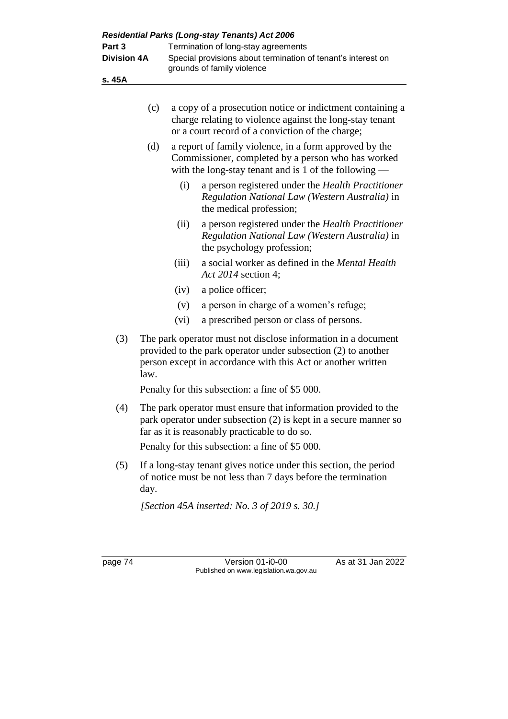| Residential Parks (Long-stay Tenants) Act 2006 |      |                                     |                                                                                                                                                                                                |  |  |
|------------------------------------------------|------|-------------------------------------|------------------------------------------------------------------------------------------------------------------------------------------------------------------------------------------------|--|--|
| Part 3                                         |      | Termination of long-stay agreements |                                                                                                                                                                                                |  |  |
| <b>Division 4A</b>                             |      |                                     | Special provisions about termination of tenant's interest on<br>grounds of family violence                                                                                                     |  |  |
| s. 45A                                         |      |                                     |                                                                                                                                                                                                |  |  |
|                                                |      |                                     |                                                                                                                                                                                                |  |  |
|                                                | (c)  |                                     | a copy of a prosecution notice or indictment containing a<br>charge relating to violence against the long-stay tenant<br>or a court record of a conviction of the charge;                      |  |  |
|                                                | (d)  |                                     | a report of family violence, in a form approved by the<br>Commissioner, completed by a person who has worked<br>with the long-stay tenant and is 1 of the following $-$                        |  |  |
|                                                |      | (i)                                 | a person registered under the <i>Health Practitioner</i><br>Regulation National Law (Western Australia) in<br>the medical profession;                                                          |  |  |
|                                                |      | (ii)                                | a person registered under the Health Practitioner<br>Regulation National Law (Western Australia) in<br>the psychology profession;                                                              |  |  |
|                                                |      | (iii)                               | a social worker as defined in the <i>Mental Health</i><br>Act 2014 section 4;                                                                                                                  |  |  |
|                                                |      | (iv)                                | a police officer;                                                                                                                                                                              |  |  |
|                                                |      | (v)                                 | a person in charge of a women's refuge;                                                                                                                                                        |  |  |
|                                                |      | (vi)                                | a prescribed person or class of persons.                                                                                                                                                       |  |  |
| (3)                                            | law. |                                     | The park operator must not disclose information in a document<br>provided to the park operator under subsection (2) to another<br>person except in accordance with this Act or another written |  |  |
|                                                |      |                                     | Penalty for this subsection: a fine of \$5 000.                                                                                                                                                |  |  |
| (4)                                            |      |                                     | The park operator must ensure that information provided to the<br>park operator under subsection (2) is kept in a secure manner so<br>far as it is reasonably practicable to do so.            |  |  |
|                                                |      |                                     | Penalty for this subsection: a fine of \$5 000.                                                                                                                                                |  |  |
| (5)                                            | day. |                                     | If a long-stay tenant gives notice under this section, the period<br>of notice must be not less than 7 days before the termination                                                             |  |  |
|                                                |      |                                     | [Section 45A inserted: No. 3 of 2019 s. 30.]                                                                                                                                                   |  |  |
|                                                |      |                                     |                                                                                                                                                                                                |  |  |
| page 74                                        |      |                                     | As at 31 Jan 2022<br>Version 01-i0-00<br>Published on www.legislation.wa.gov.au                                                                                                                |  |  |
|                                                |      |                                     |                                                                                                                                                                                                |  |  |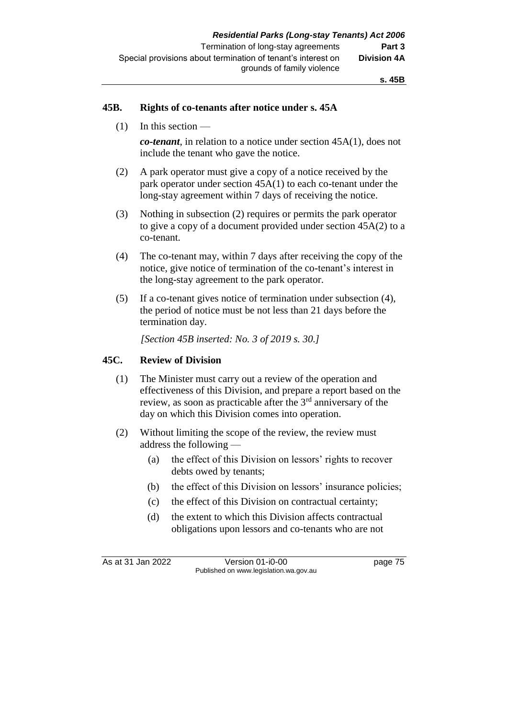#### **45B. Rights of co-tenants after notice under s. 45A**

(1) In this section —

*co-tenant*, in relation to a notice under section 45A(1), does not include the tenant who gave the notice.

- (2) A park operator must give a copy of a notice received by the park operator under section 45A(1) to each co-tenant under the long-stay agreement within 7 days of receiving the notice.
- (3) Nothing in subsection (2) requires or permits the park operator to give a copy of a document provided under section 45A(2) to a co-tenant.
- (4) The co-tenant may, within 7 days after receiving the copy of the notice, give notice of termination of the co-tenant's interest in the long-stay agreement to the park operator.
- (5) If a co-tenant gives notice of termination under subsection (4), the period of notice must be not less than 21 days before the termination day.

*[Section 45B inserted: No. 3 of 2019 s. 30.]*

#### **45C. Review of Division**

- (1) The Minister must carry out a review of the operation and effectiveness of this Division, and prepare a report based on the review, as soon as practicable after the 3rd anniversary of the day on which this Division comes into operation.
- (2) Without limiting the scope of the review, the review must address the following —
	- (a) the effect of this Division on lessors' rights to recover debts owed by tenants;
	- (b) the effect of this Division on lessors' insurance policies;
	- (c) the effect of this Division on contractual certainty;
	- (d) the extent to which this Division affects contractual obligations upon lessors and co-tenants who are not

As at 31 Jan 2022 Version 01-i0-00 page 75 Published on www.legislation.wa.gov.au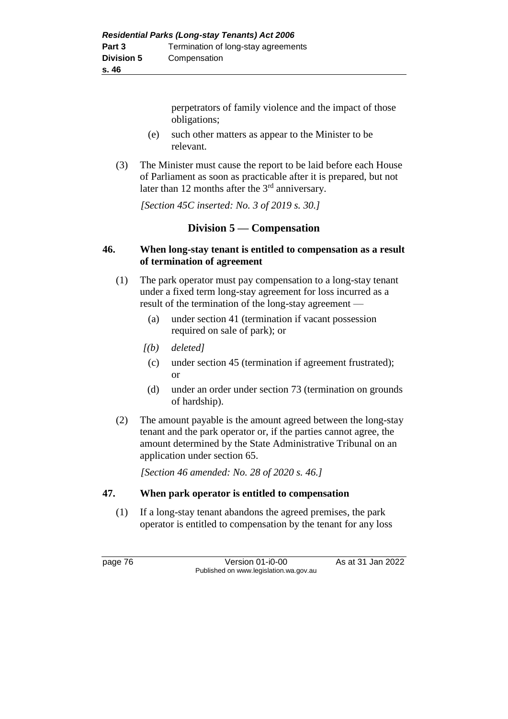perpetrators of family violence and the impact of those obligations;

- (e) such other matters as appear to the Minister to be relevant.
- (3) The Minister must cause the report to be laid before each House of Parliament as soon as practicable after it is prepared, but not later than 12 months after the  $3<sup>rd</sup>$  anniversary.

*[Section 45C inserted: No. 3 of 2019 s. 30.]*

# **Division 5 — Compensation**

# **46. When long-stay tenant is entitled to compensation as a result of termination of agreement**

- (1) The park operator must pay compensation to a long-stay tenant under a fixed term long-stay agreement for loss incurred as a result of the termination of the long-stay agreement —
	- (a) under section 41 (termination if vacant possession required on sale of park); or
	- *[(b) deleted]*
		- (c) under section 45 (termination if agreement frustrated); or
	- (d) under an order under section 73 (termination on grounds of hardship).
- (2) The amount payable is the amount agreed between the long-stay tenant and the park operator or, if the parties cannot agree, the amount determined by the State Administrative Tribunal on an application under section 65.

*[Section 46 amended: No. 28 of 2020 s. 46.]*

# **47. When park operator is entitled to compensation**

(1) If a long-stay tenant abandons the agreed premises, the park operator is entitled to compensation by the tenant for any loss

page 76 Version 01-i0-00 As at 31 Jan 2022 Published on www.legislation.wa.gov.au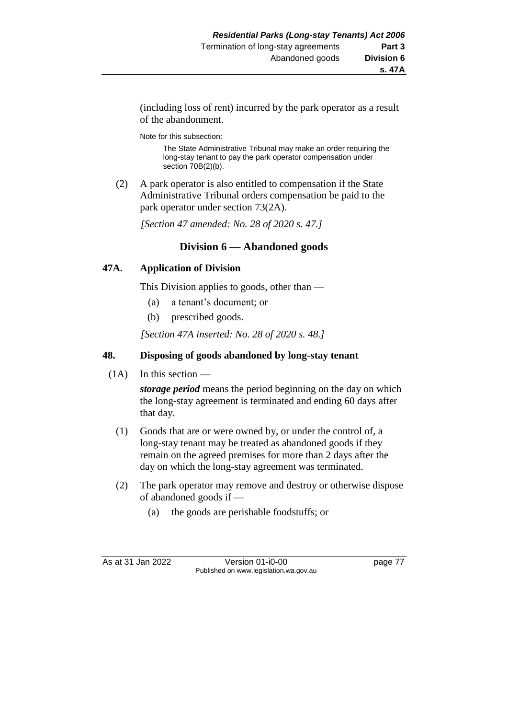(including loss of rent) incurred by the park operator as a result of the abandonment.

Note for this subsection:

The State Administrative Tribunal may make an order requiring the long-stay tenant to pay the park operator compensation under section 70B(2)(b).

(2) A park operator is also entitled to compensation if the State Administrative Tribunal orders compensation be paid to the park operator under section 73(2A).

*[Section 47 amended: No. 28 of 2020 s. 47.]*

# **Division 6 — Abandoned goods**

### **47A. Application of Division**

This Division applies to goods, other than —

- (a) a tenant's document; or
- (b) prescribed goods.

*[Section 47A inserted: No. 28 of 2020 s. 48.]*

# **48. Disposing of goods abandoned by long-stay tenant**

 $(1A)$  In this section —

*storage period* means the period beginning on the day on which the long-stay agreement is terminated and ending 60 days after that day.

- (1) Goods that are or were owned by, or under the control of, a long-stay tenant may be treated as abandoned goods if they remain on the agreed premises for more than 2 days after the day on which the long-stay agreement was terminated.
- (2) The park operator may remove and destroy or otherwise dispose of abandoned goods if —
	- (a) the goods are perishable foodstuffs; or

As at 31 Jan 2022 Version 01-i0-00 page 77 Published on www.legislation.wa.gov.au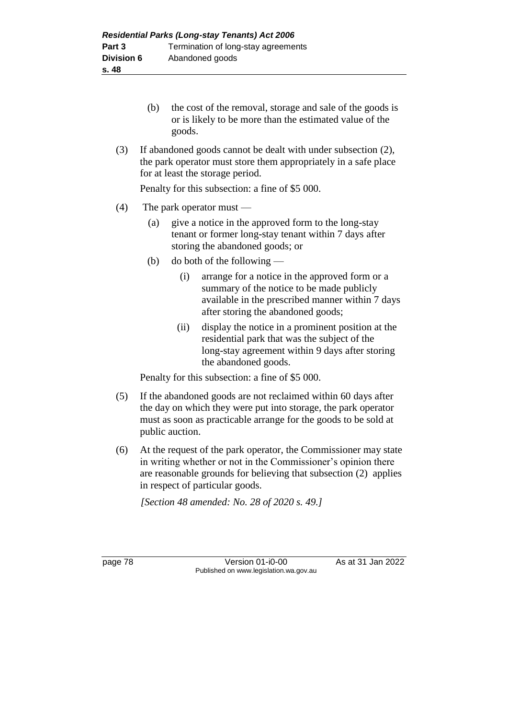- (b) the cost of the removal, storage and sale of the goods is or is likely to be more than the estimated value of the goods.
- (3) If abandoned goods cannot be dealt with under subsection (2), the park operator must store them appropriately in a safe place for at least the storage period.

Penalty for this subsection: a fine of \$5 000.

- (4) The park operator must
	- (a) give a notice in the approved form to the long-stay tenant or former long-stay tenant within 7 days after storing the abandoned goods; or
	- (b) do both of the following
		- (i) arrange for a notice in the approved form or a summary of the notice to be made publicly available in the prescribed manner within 7 days after storing the abandoned goods;
		- (ii) display the notice in a prominent position at the residential park that was the subject of the long-stay agreement within 9 days after storing the abandoned goods.

Penalty for this subsection: a fine of \$5 000.

- (5) If the abandoned goods are not reclaimed within 60 days after the day on which they were put into storage, the park operator must as soon as practicable arrange for the goods to be sold at public auction.
- (6) At the request of the park operator, the Commissioner may state in writing whether or not in the Commissioner's opinion there are reasonable grounds for believing that subsection (2) applies in respect of particular goods.

*[Section 48 amended: No. 28 of 2020 s. 49.]*

page 78 **Version 01-i0-00** As at 31 Jan 2022 Published on www.legislation.wa.gov.au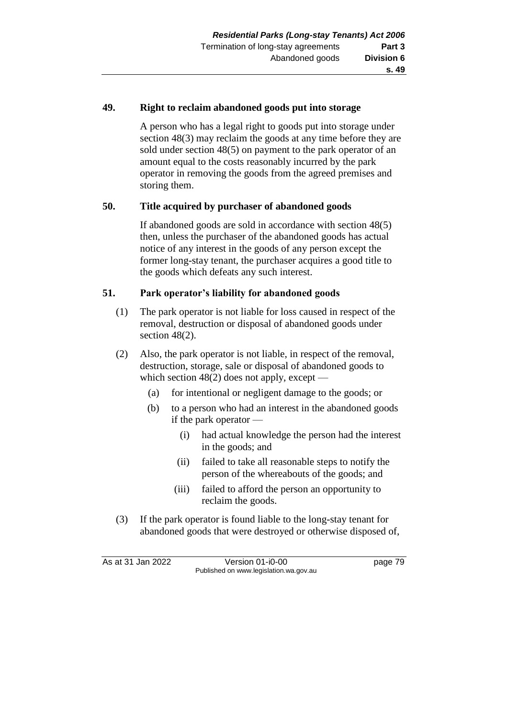#### **49. Right to reclaim abandoned goods put into storage**

A person who has a legal right to goods put into storage under section 48(3) may reclaim the goods at any time before they are sold under section 48(5) on payment to the park operator of an amount equal to the costs reasonably incurred by the park operator in removing the goods from the agreed premises and storing them.

### **50. Title acquired by purchaser of abandoned goods**

If abandoned goods are sold in accordance with section 48(5) then, unless the purchaser of the abandoned goods has actual notice of any interest in the goods of any person except the former long-stay tenant, the purchaser acquires a good title to the goods which defeats any such interest.

#### **51. Park operator's liability for abandoned goods**

- (1) The park operator is not liable for loss caused in respect of the removal, destruction or disposal of abandoned goods under section 48(2).
- (2) Also, the park operator is not liable, in respect of the removal, destruction, storage, sale or disposal of abandoned goods to which section  $48(2)$  does not apply, except —
	- (a) for intentional or negligent damage to the goods; or
	- (b) to a person who had an interest in the abandoned goods if the park operator —
		- (i) had actual knowledge the person had the interest in the goods; and
		- (ii) failed to take all reasonable steps to notify the person of the whereabouts of the goods; and
		- (iii) failed to afford the person an opportunity to reclaim the goods.
- (3) If the park operator is found liable to the long-stay tenant for abandoned goods that were destroyed or otherwise disposed of,

As at 31 Jan 2022 Version 01-i0-00 page 79 Published on www.legislation.wa.gov.au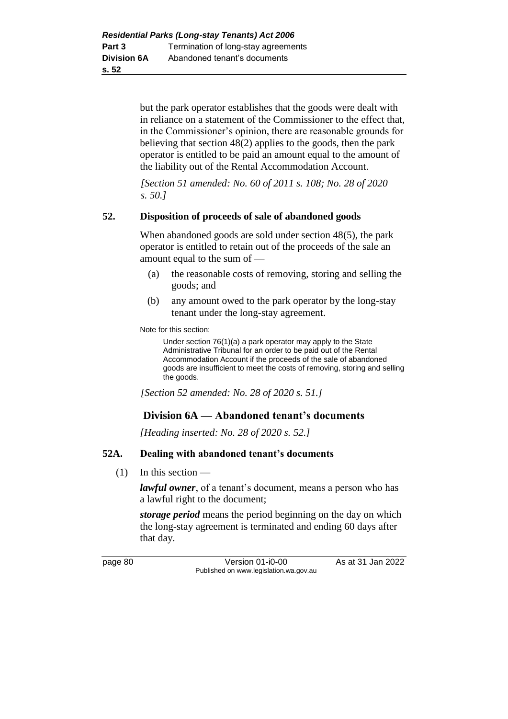but the park operator establishes that the goods were dealt with in reliance on a statement of the Commissioner to the effect that, in the Commissioner's opinion, there are reasonable grounds for believing that section 48(2) applies to the goods, then the park operator is entitled to be paid an amount equal to the amount of the liability out of the Rental Accommodation Account.

*[Section 51 amended: No. 60 of 2011 s. 108; No. 28 of 2020 s. 50.]*

### **52. Disposition of proceeds of sale of abandoned goods**

When abandoned goods are sold under section 48(5), the park operator is entitled to retain out of the proceeds of the sale an amount equal to the sum of —

- (a) the reasonable costs of removing, storing and selling the goods; and
- (b) any amount owed to the park operator by the long-stay tenant under the long-stay agreement.

Note for this section:

Under section 76(1)(a) a park operator may apply to the State Administrative Tribunal for an order to be paid out of the Rental Accommodation Account if the proceeds of the sale of abandoned goods are insufficient to meet the costs of removing, storing and selling the goods.

*[Section 52 amended: No. 28 of 2020 s. 51.]*

# **Division 6A — Abandoned tenant's documents**

*[Heading inserted: No. 28 of 2020 s. 52.]*

# **52A. Dealing with abandoned tenant's documents**

 $(1)$  In this section —

*lawful owner*, of a tenant's document, means a person who has a lawful right to the document;

*storage period* means the period beginning on the day on which the long-stay agreement is terminated and ending 60 days after that day.

page 80 Version 01-i0-00 As at 31 Jan 2022 Published on www.legislation.wa.gov.au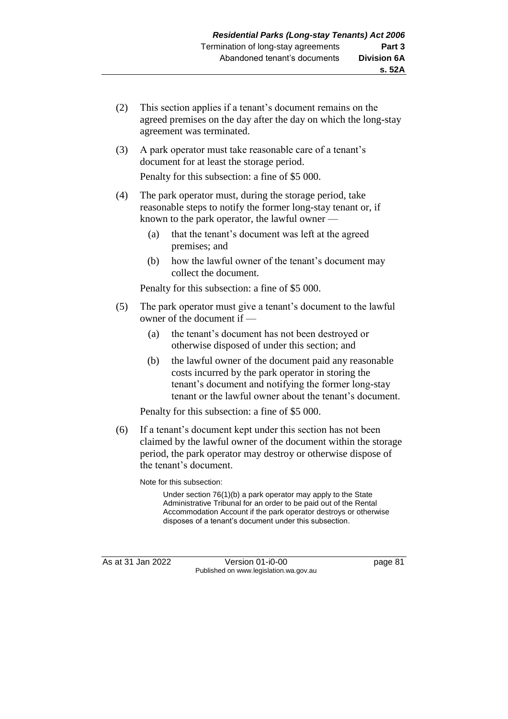- (2) This section applies if a tenant's document remains on the agreed premises on the day after the day on which the long-stay agreement was terminated.
- (3) A park operator must take reasonable care of a tenant's document for at least the storage period.

Penalty for this subsection: a fine of \$5 000.

- (4) The park operator must, during the storage period, take reasonable steps to notify the former long-stay tenant or, if known to the park operator, the lawful owner —
	- (a) that the tenant's document was left at the agreed premises; and
	- (b) how the lawful owner of the tenant's document may collect the document.

Penalty for this subsection: a fine of \$5 000.

- (5) The park operator must give a tenant's document to the lawful owner of the document if —
	- (a) the tenant's document has not been destroyed or otherwise disposed of under this section; and
	- (b) the lawful owner of the document paid any reasonable costs incurred by the park operator in storing the tenant's document and notifying the former long-stay tenant or the lawful owner about the tenant's document.

Penalty for this subsection: a fine of \$5 000.

(6) If a tenant's document kept under this section has not been claimed by the lawful owner of the document within the storage period, the park operator may destroy or otherwise dispose of the tenant's document.

Note for this subsection:

Under section 76(1)(b) a park operator may apply to the State Administrative Tribunal for an order to be paid out of the Rental Accommodation Account if the park operator destroys or otherwise disposes of a tenant's document under this subsection.

As at 31 Jan 2022 Version 01-i0-00 page 81 Published on www.legislation.wa.gov.au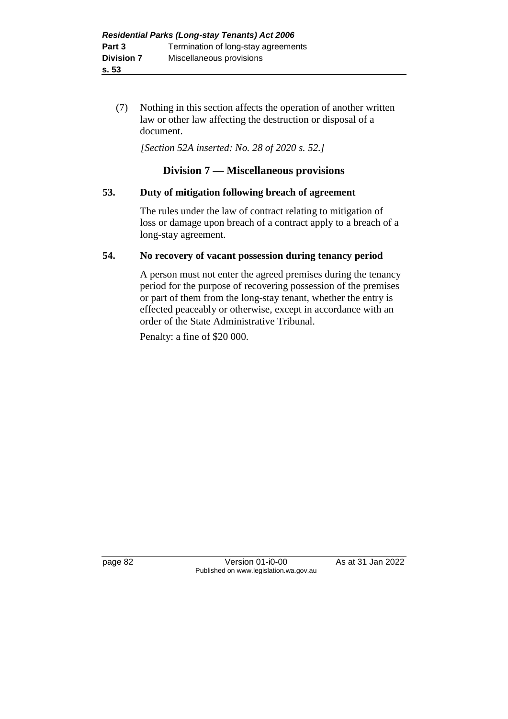(7) Nothing in this section affects the operation of another written law or other law affecting the destruction or disposal of a document.

*[Section 52A inserted: No. 28 of 2020 s. 52.]*

# **Division 7 — Miscellaneous provisions**

### **53. Duty of mitigation following breach of agreement**

The rules under the law of contract relating to mitigation of loss or damage upon breach of a contract apply to a breach of a long-stay agreement.

### **54. No recovery of vacant possession during tenancy period**

A person must not enter the agreed premises during the tenancy period for the purpose of recovering possession of the premises or part of them from the long-stay tenant, whether the entry is effected peaceably or otherwise, except in accordance with an order of the State Administrative Tribunal.

Penalty: a fine of \$20 000.

page 82 Version 01-i0-00 As at 31 Jan 2022 Published on www.legislation.wa.gov.au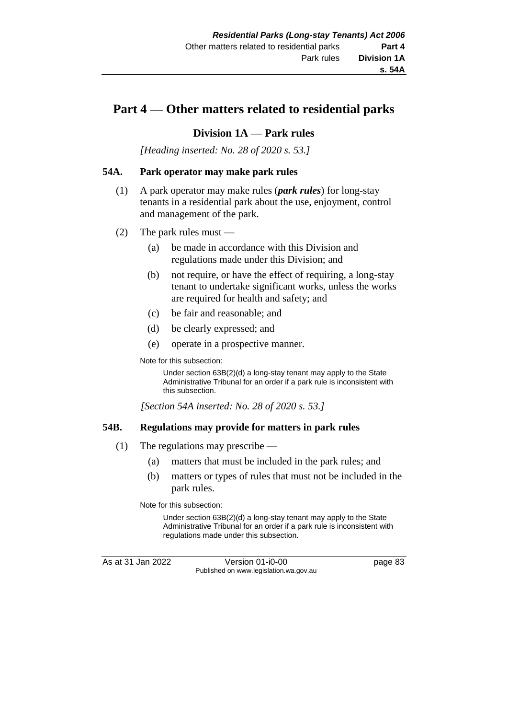# **Part 4 — Other matters related to residential parks**

### **Division 1A — Park rules**

*[Heading inserted: No. 28 of 2020 s. 53.]*

#### **54A. Park operator may make park rules**

- (1) A park operator may make rules (*park rules*) for long-stay tenants in a residential park about the use, enjoyment, control and management of the park.
- (2) The park rules must
	- (a) be made in accordance with this Division and regulations made under this Division; and
	- (b) not require, or have the effect of requiring, a long-stay tenant to undertake significant works, unless the works are required for health and safety; and
	- (c) be fair and reasonable; and
	- (d) be clearly expressed; and
	- (e) operate in a prospective manner.

Note for this subsection:

Under section 63B(2)(d) a long-stay tenant may apply to the State Administrative Tribunal for an order if a park rule is inconsistent with this subsection.

*[Section 54A inserted: No. 28 of 2020 s. 53.]*

#### **54B. Regulations may provide for matters in park rules**

- (1) The regulations may prescribe
	- (a) matters that must be included in the park rules; and
	- (b) matters or types of rules that must not be included in the park rules.

Note for this subsection:

Under section 63B(2)(d) a long-stay tenant may apply to the State Administrative Tribunal for an order if a park rule is inconsistent with regulations made under this subsection.

As at 31 Jan 2022 Version 01-i0-00 page 83 Published on www.legislation.wa.gov.au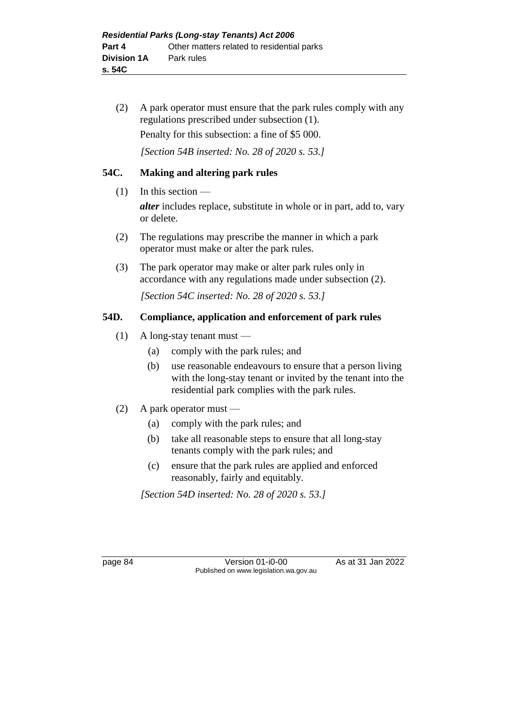(2) A park operator must ensure that the park rules comply with any regulations prescribed under subsection (1). Penalty for this subsection: a fine of \$5 000.

*[Section 54B inserted: No. 28 of 2020 s. 53.]*

# **54C. Making and altering park rules**

 $(1)$  In this section —

*alter* includes replace, substitute in whole or in part, add to, vary or delete.

- (2) The regulations may prescribe the manner in which a park operator must make or alter the park rules.
- (3) The park operator may make or alter park rules only in accordance with any regulations made under subsection (2).

*[Section 54C inserted: No. 28 of 2020 s. 53.]*

### **54D. Compliance, application and enforcement of park rules**

- (1) A long-stay tenant must
	- (a) comply with the park rules; and
	- (b) use reasonable endeavours to ensure that a person living with the long-stay tenant or invited by the tenant into the residential park complies with the park rules.
- (2) A park operator must
	- (a) comply with the park rules; and
	- (b) take all reasonable steps to ensure that all long-stay tenants comply with the park rules; and
	- (c) ensure that the park rules are applied and enforced reasonably, fairly and equitably.

*[Section 54D inserted: No. 28 of 2020 s. 53.]*

page 84 Version 01-i0-00 As at 31 Jan 2022 Published on www.legislation.wa.gov.au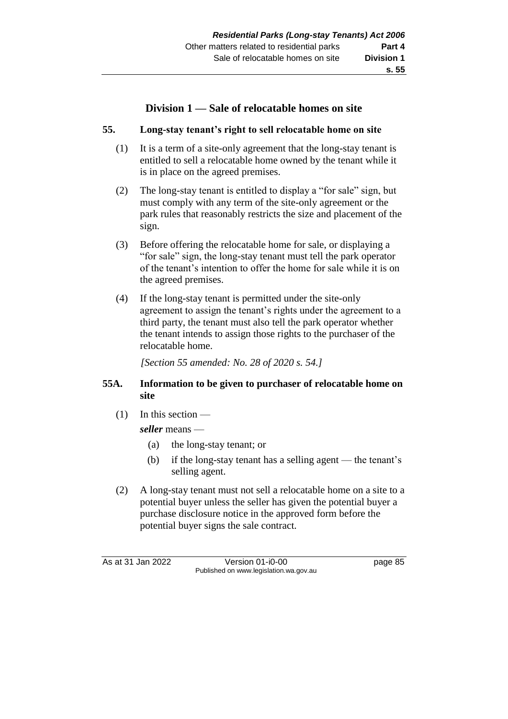# **Division 1 — Sale of relocatable homes on site**

### **55. Long-stay tenant's right to sell relocatable home on site**

- (1) It is a term of a site-only agreement that the long-stay tenant is entitled to sell a relocatable home owned by the tenant while it is in place on the agreed premises.
- (2) The long-stay tenant is entitled to display a "for sale" sign, but must comply with any term of the site-only agreement or the park rules that reasonably restricts the size and placement of the sign.
- (3) Before offering the relocatable home for sale, or displaying a "for sale" sign, the long-stay tenant must tell the park operator of the tenant's intention to offer the home for sale while it is on the agreed premises.
- (4) If the long-stay tenant is permitted under the site-only agreement to assign the tenant's rights under the agreement to a third party, the tenant must also tell the park operator whether the tenant intends to assign those rights to the purchaser of the relocatable home.

*[Section 55 amended: No. 28 of 2020 s. 54.]*

### **55A. Information to be given to purchaser of relocatable home on site**

 $(1)$  In this section —

*seller* means —

- (a) the long-stay tenant; or
- (b) if the long-stay tenant has a selling agent the tenant's selling agent.
- (2) A long-stay tenant must not sell a relocatable home on a site to a potential buyer unless the seller has given the potential buyer a purchase disclosure notice in the approved form before the potential buyer signs the sale contract.

As at 31 Jan 2022 Version 01-i0-00 page 85 Published on www.legislation.wa.gov.au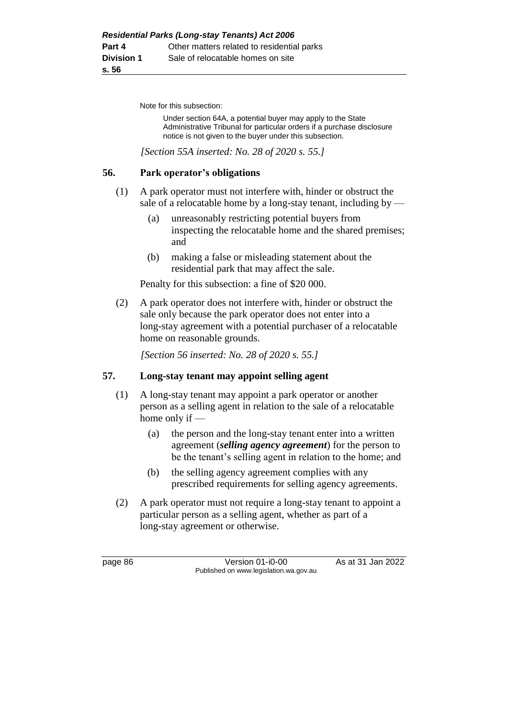Note for this subsection:

Under section 64A, a potential buyer may apply to the State Administrative Tribunal for particular orders if a purchase disclosure notice is not given to the buyer under this subsection.

*[Section 55A inserted: No. 28 of 2020 s. 55.]*

### **56. Park operator's obligations**

- (1) A park operator must not interfere with, hinder or obstruct the sale of a relocatable home by a long-stay tenant, including by  $-$ 
	- (a) unreasonably restricting potential buyers from inspecting the relocatable home and the shared premises; and
	- (b) making a false or misleading statement about the residential park that may affect the sale.

Penalty for this subsection: a fine of \$20 000.

(2) A park operator does not interfere with, hinder or obstruct the sale only because the park operator does not enter into a long-stay agreement with a potential purchaser of a relocatable home on reasonable grounds.

*[Section 56 inserted: No. 28 of 2020 s. 55.]*

# **57. Long-stay tenant may appoint selling agent**

- (1) A long-stay tenant may appoint a park operator or another person as a selling agent in relation to the sale of a relocatable home only if —
	- (a) the person and the long-stay tenant enter into a written agreement (*selling agency agreement*) for the person to be the tenant's selling agent in relation to the home; and
	- (b) the selling agency agreement complies with any prescribed requirements for selling agency agreements.
- (2) A park operator must not require a long-stay tenant to appoint a particular person as a selling agent, whether as part of a long-stay agreement or otherwise.

page 86 **Version 01-i0-00** As at 31 Jan 2022 Published on www.legislation.wa.gov.au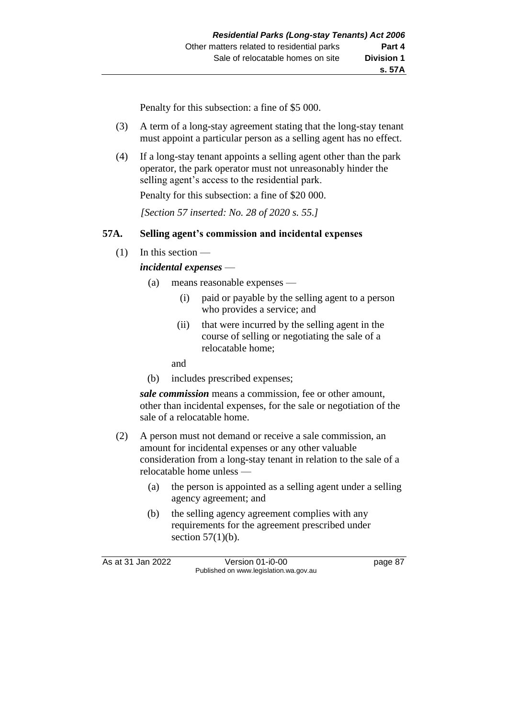Penalty for this subsection: a fine of \$5 000.

- (3) A term of a long-stay agreement stating that the long-stay tenant must appoint a particular person as a selling agent has no effect.
- (4) If a long-stay tenant appoints a selling agent other than the park operator, the park operator must not unreasonably hinder the selling agent's access to the residential park.

Penalty for this subsection: a fine of \$20 000.

*[Section 57 inserted: No. 28 of 2020 s. 55.]*

## **57A. Selling agent's commission and incidental expenses**

(1) In this section —

#### *incidental expenses* —

- (a) means reasonable expenses
	- (i) paid or payable by the selling agent to a person who provides a service; and
	- (ii) that were incurred by the selling agent in the course of selling or negotiating the sale of a relocatable home;

and

(b) includes prescribed expenses;

*sale commission* means a commission, fee or other amount, other than incidental expenses, for the sale or negotiation of the sale of a relocatable home.

- (2) A person must not demand or receive a sale commission, an amount for incidental expenses or any other valuable consideration from a long-stay tenant in relation to the sale of a relocatable home unless —
	- (a) the person is appointed as a selling agent under a selling agency agreement; and
	- (b) the selling agency agreement complies with any requirements for the agreement prescribed under section  $57(1)(b)$ .

As at 31 Jan 2022 Version 01-i0-00 page 87 Published on www.legislation.wa.gov.au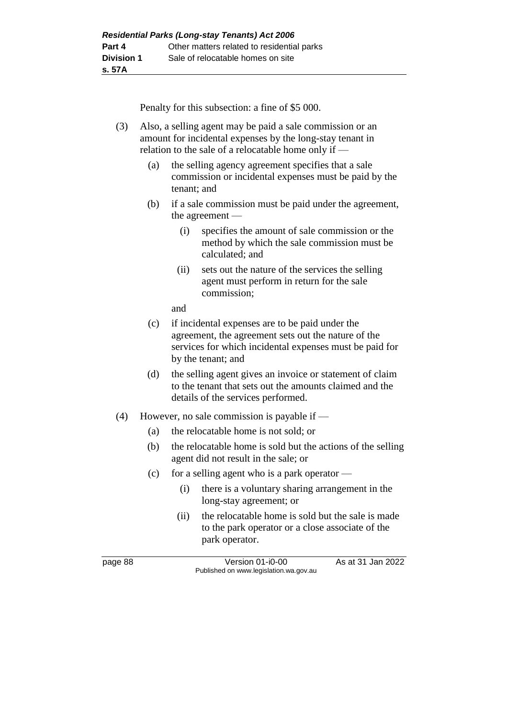Penalty for this subsection: a fine of \$5 000.

| (3) | Also, a selling agent may be paid a sale commission or an |
|-----|-----------------------------------------------------------|
|     | amount for incidental expenses by the long-stay tenant in |
|     | relation to the sale of a relocatable home only if $-$    |

- (a) the selling agency agreement specifies that a sale commission or incidental expenses must be paid by the tenant; and
- (b) if a sale commission must be paid under the agreement, the agreement —
	- (i) specifies the amount of sale commission or the method by which the sale commission must be calculated; and
	- (ii) sets out the nature of the services the selling agent must perform in return for the sale commission;

and

- (c) if incidental expenses are to be paid under the agreement, the agreement sets out the nature of the services for which incidental expenses must be paid for by the tenant; and
- (d) the selling agent gives an invoice or statement of claim to the tenant that sets out the amounts claimed and the details of the services performed.
- (4) However, no sale commission is payable if
	- (a) the relocatable home is not sold; or
	- (b) the relocatable home is sold but the actions of the selling agent did not result in the sale; or
	- (c) for a selling agent who is a park operator  $\overline{\phantom{a}}$ 
		- (i) there is a voluntary sharing arrangement in the long-stay agreement; or
		- (ii) the relocatable home is sold but the sale is made to the park operator or a close associate of the park operator.

page 88 Version 01-i0-00 As at 31 Jan 2022 Published on www.legislation.wa.gov.au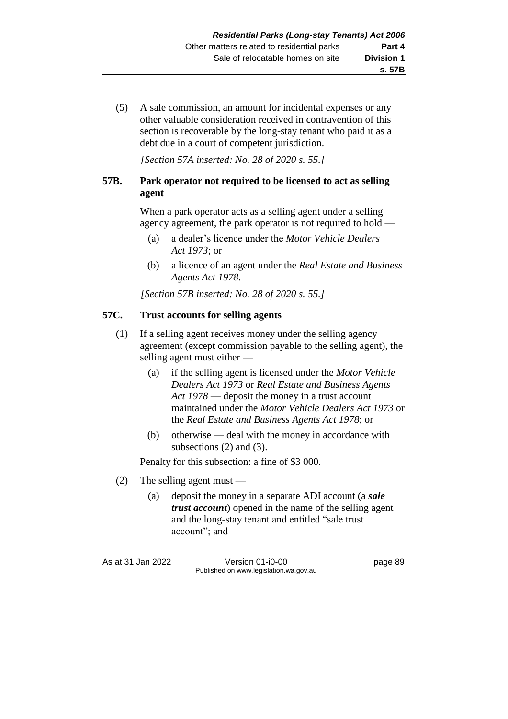(5) A sale commission, an amount for incidental expenses or any other valuable consideration received in contravention of this section is recoverable by the long-stay tenant who paid it as a debt due in a court of competent jurisdiction.

*[Section 57A inserted: No. 28 of 2020 s. 55.]*

# **57B. Park operator not required to be licensed to act as selling agent**

When a park operator acts as a selling agent under a selling agency agreement, the park operator is not required to hold —

- (a) a dealer's licence under the *Motor Vehicle Dealers Act 1973*; or
- (b) a licence of an agent under the *Real Estate and Business Agents Act 1978*.

*[Section 57B inserted: No. 28 of 2020 s. 55.]*

### **57C. Trust accounts for selling agents**

- (1) If a selling agent receives money under the selling agency agreement (except commission payable to the selling agent), the selling agent must either —
	- (a) if the selling agent is licensed under the *Motor Vehicle Dealers Act 1973* or *Real Estate and Business Agents Act 1978* — deposit the money in a trust account maintained under the *Motor Vehicle Dealers Act 1973* or the *Real Estate and Business Agents Act 1978*; or
	- (b) otherwise deal with the money in accordance with subsections (2) and (3).

Penalty for this subsection: a fine of \$3 000.

- (2) The selling agent must
	- (a) deposit the money in a separate ADI account (a *sale trust account*) opened in the name of the selling agent and the long-stay tenant and entitled "sale trust account"; and

As at 31 Jan 2022 Version 01-i0-00 page 89 Published on www.legislation.wa.gov.au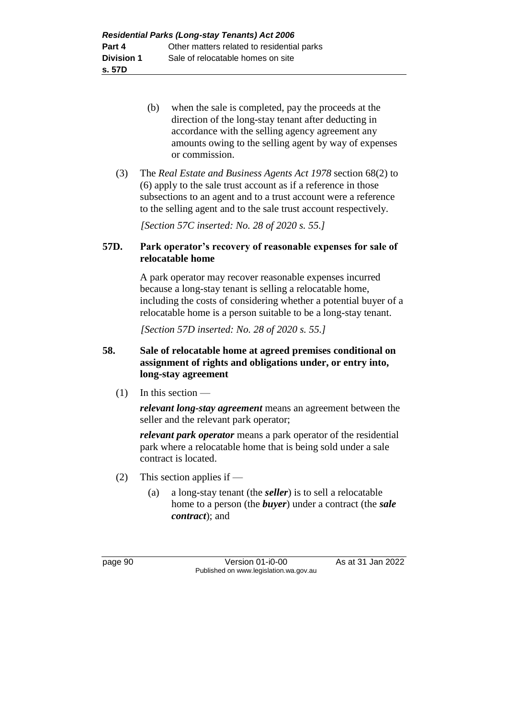- (b) when the sale is completed, pay the proceeds at the direction of the long-stay tenant after deducting in accordance with the selling agency agreement any amounts owing to the selling agent by way of expenses or commission.
- (3) The *Real Estate and Business Agents Act 1978* section 68(2) to (6) apply to the sale trust account as if a reference in those subsections to an agent and to a trust account were a reference to the selling agent and to the sale trust account respectively.

*[Section 57C inserted: No. 28 of 2020 s. 55.]*

# **57D. Park operator's recovery of reasonable expenses for sale of relocatable home**

A park operator may recover reasonable expenses incurred because a long-stay tenant is selling a relocatable home, including the costs of considering whether a potential buyer of a relocatable home is a person suitable to be a long-stay tenant.

*[Section 57D inserted: No. 28 of 2020 s. 55.]*

# **58. Sale of relocatable home at agreed premises conditional on assignment of rights and obligations under, or entry into, long-stay agreement**

 $(1)$  In this section —

*relevant long-stay agreement* means an agreement between the seller and the relevant park operator;

*relevant park operator* means a park operator of the residential park where a relocatable home that is being sold under a sale contract is located.

- (2) This section applies if
	- (a) a long-stay tenant (the *seller*) is to sell a relocatable home to a person (the *buyer*) under a contract (the *sale contract*); and

page 90 Version 01-i0-00 As at 31 Jan 2022 Published on www.legislation.wa.gov.au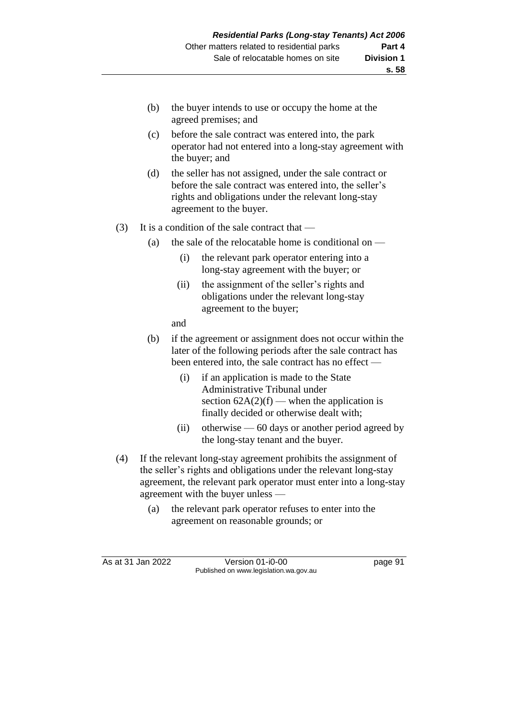- (b) the buyer intends to use or occupy the home at the agreed premises; and
- (c) before the sale contract was entered into, the park operator had not entered into a long-stay agreement with the buyer; and
- (d) the seller has not assigned, under the sale contract or before the sale contract was entered into, the seller's rights and obligations under the relevant long-stay agreement to the buyer.
- (3) It is a condition of the sale contract that  $-$ 
	- (a) the sale of the relocatable home is conditional on  $-$ 
		- (i) the relevant park operator entering into a long-stay agreement with the buyer; or
		- (ii) the assignment of the seller's rights and obligations under the relevant long-stay agreement to the buyer;
		- and
	- (b) if the agreement or assignment does not occur within the later of the following periods after the sale contract has been entered into, the sale contract has no effect —
		- (i) if an application is made to the State Administrative Tribunal under section  $62A(2)(f)$  — when the application is finally decided or otherwise dealt with;
		- (ii) otherwise 60 days or another period agreed by the long-stay tenant and the buyer.
- (4) If the relevant long-stay agreement prohibits the assignment of the seller's rights and obligations under the relevant long-stay agreement, the relevant park operator must enter into a long-stay agreement with the buyer unless —
	- (a) the relevant park operator refuses to enter into the agreement on reasonable grounds; or

As at 31 Jan 2022 Version 01-i0-00 page 91 Published on www.legislation.wa.gov.au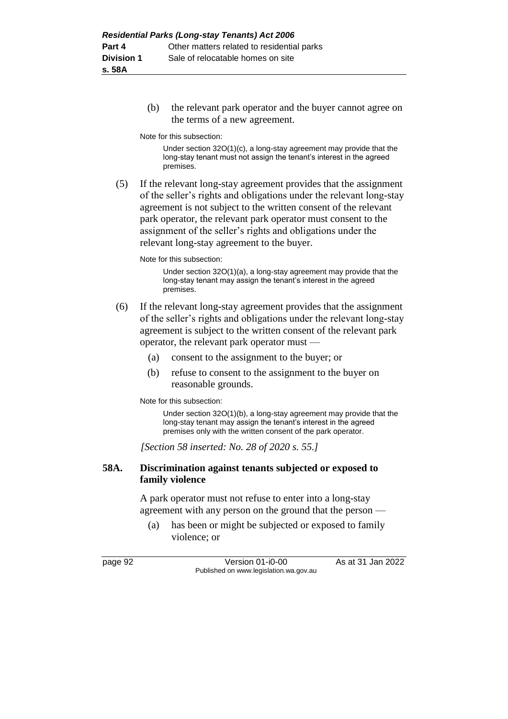(b) the relevant park operator and the buyer cannot agree on the terms of a new agreement.

Note for this subsection:

Under section 32O(1)(c), a long-stay agreement may provide that the long-stay tenant must not assign the tenant's interest in the agreed premises.

(5) If the relevant long-stay agreement provides that the assignment of the seller's rights and obligations under the relevant long-stay agreement is not subject to the written consent of the relevant park operator, the relevant park operator must consent to the assignment of the seller's rights and obligations under the relevant long-stay agreement to the buyer.

Note for this subsection:

Under section 32O(1)(a), a long-stay agreement may provide that the long-stay tenant may assign the tenant's interest in the agreed premises.

- (6) If the relevant long-stay agreement provides that the assignment of the seller's rights and obligations under the relevant long-stay agreement is subject to the written consent of the relevant park operator, the relevant park operator must —
	- (a) consent to the assignment to the buyer; or
	- (b) refuse to consent to the assignment to the buyer on reasonable grounds.

Note for this subsection:

Under section 32O(1)(b), a long-stay agreement may provide that the long-stay tenant may assign the tenant's interest in the agreed premises only with the written consent of the park operator.

*[Section 58 inserted: No. 28 of 2020 s. 55.]*

### **58A. Discrimination against tenants subjected or exposed to family violence**

A park operator must not refuse to enter into a long-stay agreement with any person on the ground that the person —

(a) has been or might be subjected or exposed to family violence; or

page 92 Version 01-i0-00 As at 31 Jan 2022 Published on www.legislation.wa.gov.au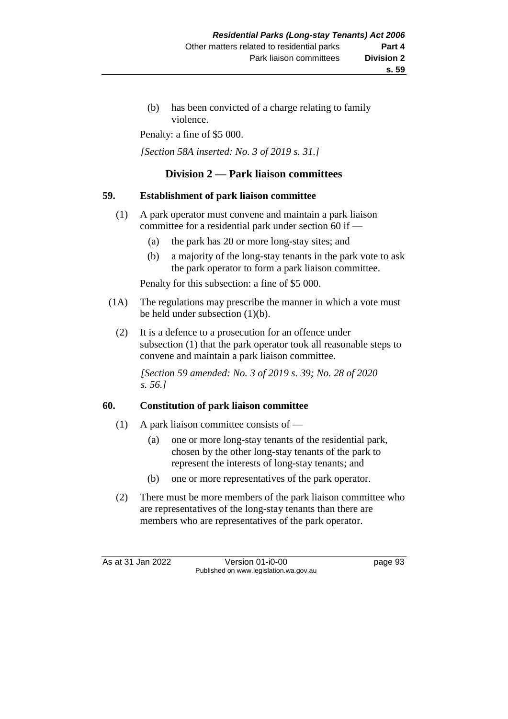(b) has been convicted of a charge relating to family violence.

Penalty: a fine of \$5 000.

*[Section 58A inserted: No. 3 of 2019 s. 31.]*

## **Division 2 — Park liaison committees**

#### **59. Establishment of park liaison committee**

- (1) A park operator must convene and maintain a park liaison committee for a residential park under section 60 if —
	- (a) the park has 20 or more long-stay sites; and
	- (b) a majority of the long-stay tenants in the park vote to ask the park operator to form a park liaison committee.

Penalty for this subsection: a fine of \$5 000.

- (1A) The regulations may prescribe the manner in which a vote must be held under subsection (1)(b).
	- (2) It is a defence to a prosecution for an offence under subsection (1) that the park operator took all reasonable steps to convene and maintain a park liaison committee.

*[Section 59 amended: No. 3 of 2019 s. 39; No. 28 of 2020 s. 56.]*

#### **60. Constitution of park liaison committee**

- (1) A park liaison committee consists of  $-$ 
	- (a) one or more long-stay tenants of the residential park, chosen by the other long-stay tenants of the park to represent the interests of long-stay tenants; and
	- (b) one or more representatives of the park operator.
- (2) There must be more members of the park liaison committee who are representatives of the long-stay tenants than there are members who are representatives of the park operator.

As at 31 Jan 2022 Version 01-i0-00 page 93 Published on www.legislation.wa.gov.au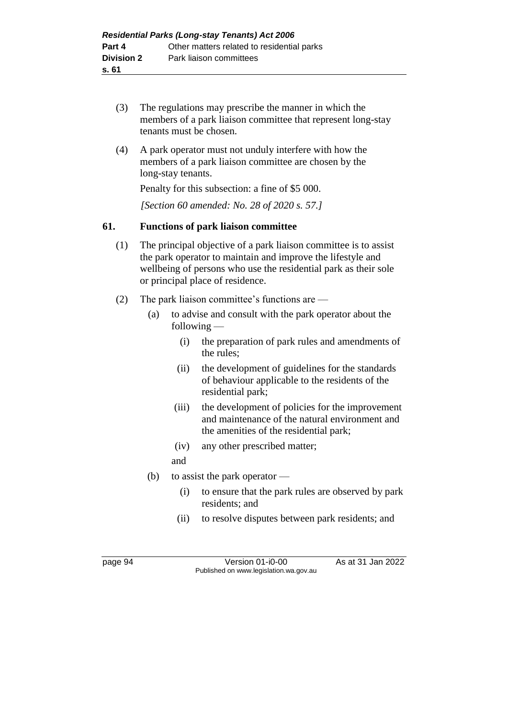- (3) The regulations may prescribe the manner in which the members of a park liaison committee that represent long-stay tenants must be chosen.
- (4) A park operator must not unduly interfere with how the members of a park liaison committee are chosen by the long-stay tenants.

Penalty for this subsection: a fine of \$5 000.

*[Section 60 amended: No. 28 of 2020 s. 57.]*

# **61. Functions of park liaison committee**

- (1) The principal objective of a park liaison committee is to assist the park operator to maintain and improve the lifestyle and wellbeing of persons who use the residential park as their sole or principal place of residence.
- (2) The park liaison committee's functions are
	- (a) to advise and consult with the park operator about the following —
		- (i) the preparation of park rules and amendments of the rules;
		- (ii) the development of guidelines for the standards of behaviour applicable to the residents of the residential park;
		- (iii) the development of policies for the improvement and maintenance of the natural environment and the amenities of the residential park;
		- (iv) any other prescribed matter;
		- and
	- (b) to assist the park operator
		- (i) to ensure that the park rules are observed by park residents; and
		- (ii) to resolve disputes between park residents; and

page 94 Version 01-i0-00 As at 31 Jan 2022 Published on www.legislation.wa.gov.au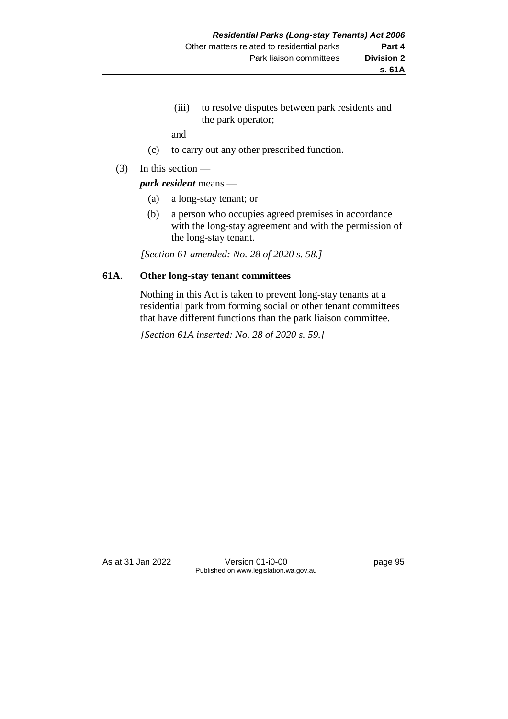(iii) to resolve disputes between park residents and the park operator;

and

- (c) to carry out any other prescribed function.
- (3) In this section —

*park resident* means —

- (a) a long-stay tenant; or
- (b) a person who occupies agreed premises in accordance with the long-stay agreement and with the permission of the long-stay tenant.

*[Section 61 amended: No. 28 of 2020 s. 58.]*

### **61A. Other long-stay tenant committees**

Nothing in this Act is taken to prevent long-stay tenants at a residential park from forming social or other tenant committees that have different functions than the park liaison committee.

*[Section 61A inserted: No. 28 of 2020 s. 59.]*

As at 31 Jan 2022 Version 01-i0-00 page 95 Published on www.legislation.wa.gov.au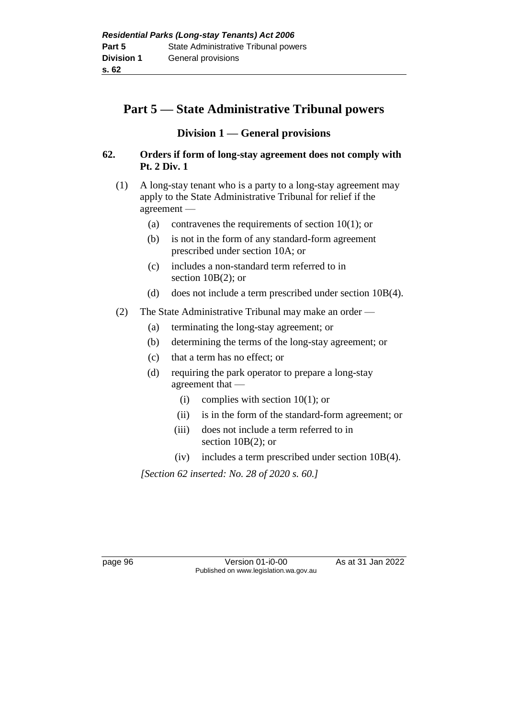# **Part 5 — State Administrative Tribunal powers**

# **Division 1 — General provisions**

### **62. Orders if form of long-stay agreement does not comply with Pt. 2 Div. 1**

- (1) A long-stay tenant who is a party to a long-stay agreement may apply to the State Administrative Tribunal for relief if the agreement —
	- (a) contravenes the requirements of section  $10(1)$ ; or
	- (b) is not in the form of any standard-form agreement prescribed under section 10A; or
	- (c) includes a non-standard term referred to in section 10B(2); or
	- (d) does not include a term prescribed under section 10B(4).
- (2) The State Administrative Tribunal may make an order
	- (a) terminating the long-stay agreement; or
	- (b) determining the terms of the long-stay agreement; or
	- (c) that a term has no effect; or
	- (d) requiring the park operator to prepare a long-stay agreement that —
		- (i) complies with section 10(1); or
		- (ii) is in the form of the standard-form agreement; or
		- (iii) does not include a term referred to in section  $10B(2)$ ; or
		- (iv) includes a term prescribed under section 10B(4).

*[Section 62 inserted: No. 28 of 2020 s. 60.]*

page 96 Version 01-i0-00 As at 31 Jan 2022 Published on www.legislation.wa.gov.au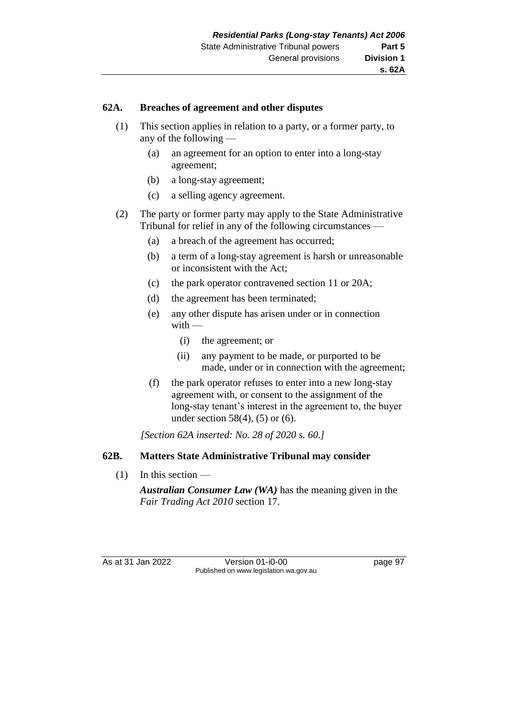#### **62A. Breaches of agreement and other disputes**

- (1) This section applies in relation to a party, or a former party, to any of the following —
	- (a) an agreement for an option to enter into a long-stay agreement;
	- (b) a long-stay agreement;
	- (c) a selling agency agreement.
- (2) The party or former party may apply to the State Administrative Tribunal for relief in any of the following circumstances —
	- (a) a breach of the agreement has occurred;
	- (b) a term of a long-stay agreement is harsh or unreasonable or inconsistent with the Act;
	- (c) the park operator contravened section 11 or 20A;
	- (d) the agreement has been terminated;
	- (e) any other dispute has arisen under or in connection with —
		- (i) the agreement; or
		- (ii) any payment to be made, or purported to be made, under or in connection with the agreement;
	- (f) the park operator refuses to enter into a new long-stay agreement with, or consent to the assignment of the long-stay tenant's interest in the agreement to, the buyer under section 58(4), (5) or (6).

*[Section 62A inserted: No. 28 of 2020 s. 60.]*

### **62B. Matters State Administrative Tribunal may consider**

(1) In this section —

*Australian Consumer Law (WA)* has the meaning given in the *Fair Trading Act 2010* section 17.

As at 31 Jan 2022 Version 01-i0-00 page 97 Published on www.legislation.wa.gov.au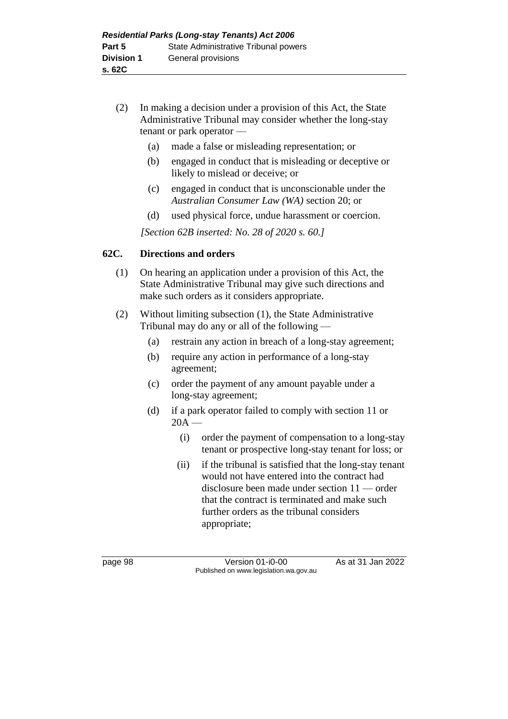- (2) In making a decision under a provision of this Act, the State Administrative Tribunal may consider whether the long-stay tenant or park operator —
	- (a) made a false or misleading representation; or
	- (b) engaged in conduct that is misleading or deceptive or likely to mislead or deceive; or
	- (c) engaged in conduct that is unconscionable under the *Australian Consumer Law (WA)* section 20; or
	- (d) used physical force, undue harassment or coercion.

*[Section 62B inserted: No. 28 of 2020 s. 60.]*

### **62C. Directions and orders**

- (1) On hearing an application under a provision of this Act, the State Administrative Tribunal may give such directions and make such orders as it considers appropriate.
- (2) Without limiting subsection (1), the State Administrative Tribunal may do any or all of the following —
	- (a) restrain any action in breach of a long-stay agreement;
	- (b) require any action in performance of a long-stay agreement;
	- (c) order the payment of any amount payable under a long-stay agreement;
	- (d) if a park operator failed to comply with section 11 or  $20A -$ 
		- (i) order the payment of compensation to a long-stay tenant or prospective long-stay tenant for loss; or
		- (ii) if the tribunal is satisfied that the long-stay tenant would not have entered into the contract had disclosure been made under section 11 — order that the contract is terminated and make such further orders as the tribunal considers appropriate;

page 98 Version 01-i0-00 As at 31 Jan 2022 Published on www.legislation.wa.gov.au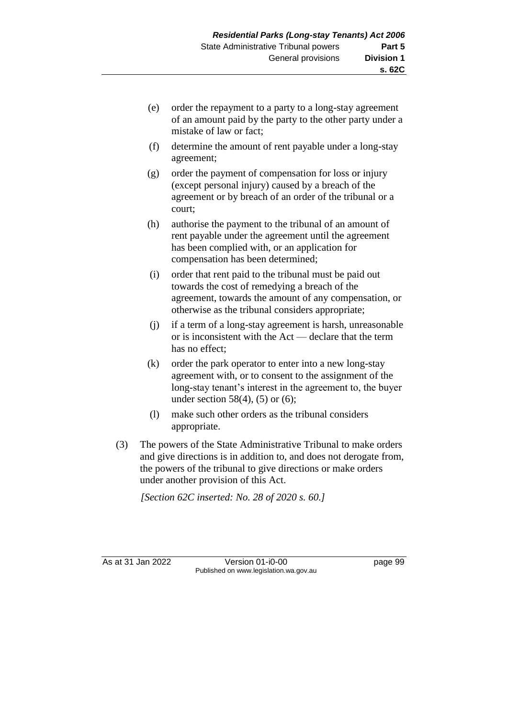- (e) order the repayment to a party to a long-stay agreement of an amount paid by the party to the other party under a mistake of law or fact;
- (f) determine the amount of rent payable under a long-stay agreement;
- (g) order the payment of compensation for loss or injury (except personal injury) caused by a breach of the agreement or by breach of an order of the tribunal or a court;
- (h) authorise the payment to the tribunal of an amount of rent payable under the agreement until the agreement has been complied with, or an application for compensation has been determined;
- (i) order that rent paid to the tribunal must be paid out towards the cost of remedying a breach of the agreement, towards the amount of any compensation, or otherwise as the tribunal considers appropriate;
- (j) if a term of a long-stay agreement is harsh, unreasonable or is inconsistent with the Act — declare that the term has no effect;
- (k) order the park operator to enter into a new long-stay agreement with, or to consent to the assignment of the long-stay tenant's interest in the agreement to, the buyer under section  $58(4)$ ,  $(5)$  or  $(6)$ ;
- (l) make such other orders as the tribunal considers appropriate.
- (3) The powers of the State Administrative Tribunal to make orders and give directions is in addition to, and does not derogate from, the powers of the tribunal to give directions or make orders under another provision of this Act.

*[Section 62C inserted: No. 28 of 2020 s. 60.]*

As at 31 Jan 2022 Version 01-i0-00 Version 01-i0-00 Page 99 Published on www.legislation.wa.gov.au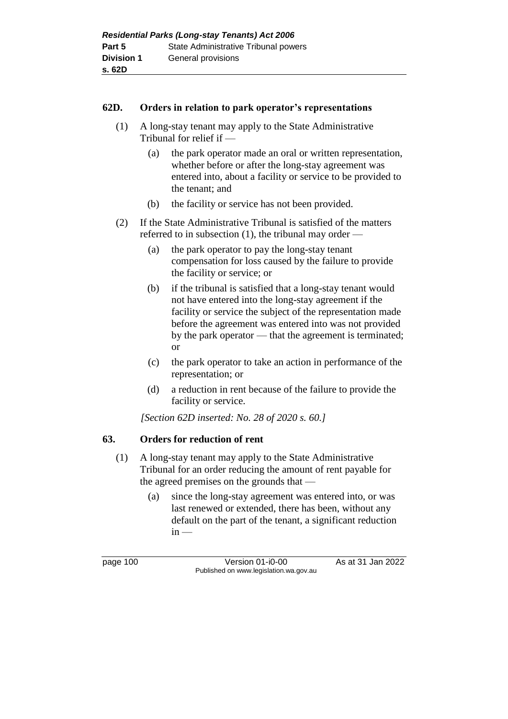#### **62D. Orders in relation to park operator's representations**

- (1) A long-stay tenant may apply to the State Administrative Tribunal for relief if —
	- (a) the park operator made an oral or written representation, whether before or after the long-stay agreement was entered into, about a facility or service to be provided to the tenant; and
	- (b) the facility or service has not been provided.
- (2) If the State Administrative Tribunal is satisfied of the matters referred to in subsection (1), the tribunal may order —
	- (a) the park operator to pay the long-stay tenant compensation for loss caused by the failure to provide the facility or service; or
	- (b) if the tribunal is satisfied that a long-stay tenant would not have entered into the long-stay agreement if the facility or service the subject of the representation made before the agreement was entered into was not provided by the park operator — that the agreement is terminated; or
	- (c) the park operator to take an action in performance of the representation; or
	- (d) a reduction in rent because of the failure to provide the facility or service.

*[Section 62D inserted: No. 28 of 2020 s. 60.]*

#### **63. Orders for reduction of rent**

- (1) A long-stay tenant may apply to the State Administrative Tribunal for an order reducing the amount of rent payable for the agreed premises on the grounds that —
	- (a) since the long-stay agreement was entered into, or was last renewed or extended, there has been, without any default on the part of the tenant, a significant reduction  $in -$

page 100 Version 01-i0-00 As at 31 Jan 2022 Published on www.legislation.wa.gov.au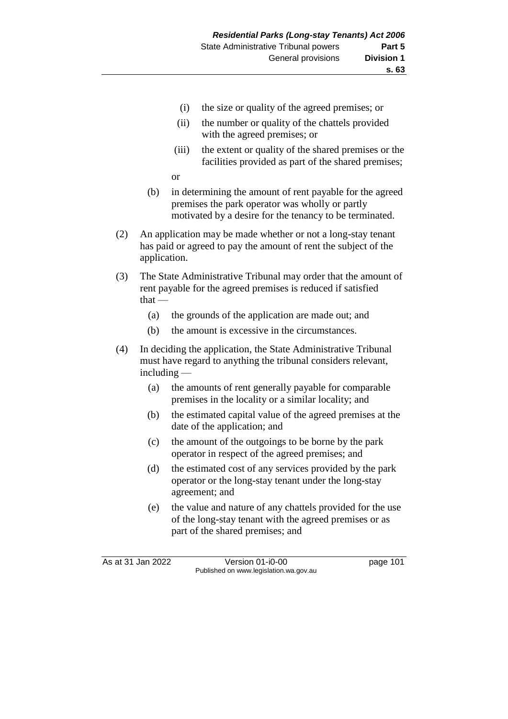- (i) the size or quality of the agreed premises; or
- (ii) the number or quality of the chattels provided with the agreed premises; or
- (iii) the extent or quality of the shared premises or the facilities provided as part of the shared premises;

or

- (b) in determining the amount of rent payable for the agreed premises the park operator was wholly or partly motivated by a desire for the tenancy to be terminated.
- (2) An application may be made whether or not a long-stay tenant has paid or agreed to pay the amount of rent the subject of the application.
- (3) The State Administrative Tribunal may order that the amount of rent payable for the agreed premises is reduced if satisfied that —
	- (a) the grounds of the application are made out; and
	- (b) the amount is excessive in the circumstances.
- (4) In deciding the application, the State Administrative Tribunal must have regard to anything the tribunal considers relevant, including —
	- (a) the amounts of rent generally payable for comparable premises in the locality or a similar locality; and
	- (b) the estimated capital value of the agreed premises at the date of the application; and
	- (c) the amount of the outgoings to be borne by the park operator in respect of the agreed premises; and
	- (d) the estimated cost of any services provided by the park operator or the long-stay tenant under the long-stay agreement; and
	- (e) the value and nature of any chattels provided for the use of the long-stay tenant with the agreed premises or as part of the shared premises; and

As at 31 Jan 2022 Version 01-i0-00 page 101 Published on www.legislation.wa.gov.au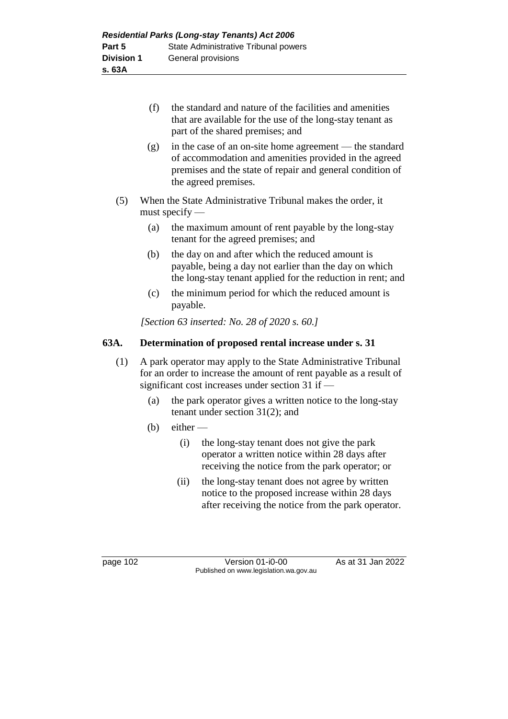- (f) the standard and nature of the facilities and amenities that are available for the use of the long-stay tenant as part of the shared premises; and
- (g) in the case of an on-site home agreement the standard of accommodation and amenities provided in the agreed premises and the state of repair and general condition of the agreed premises.
- (5) When the State Administrative Tribunal makes the order, it must specify —
	- (a) the maximum amount of rent payable by the long-stay tenant for the agreed premises; and
	- (b) the day on and after which the reduced amount is payable, being a day not earlier than the day on which the long-stay tenant applied for the reduction in rent; and
	- (c) the minimum period for which the reduced amount is payable.

*[Section 63 inserted: No. 28 of 2020 s. 60.]*

### **63A. Determination of proposed rental increase under s. 31**

- (1) A park operator may apply to the State Administrative Tribunal for an order to increase the amount of rent payable as a result of significant cost increases under section 31 if —
	- (a) the park operator gives a written notice to the long-stay tenant under section 31(2); and
	- (b) either  $-$ 
		- (i) the long-stay tenant does not give the park operator a written notice within 28 days after receiving the notice from the park operator; or
		- (ii) the long-stay tenant does not agree by written notice to the proposed increase within 28 days after receiving the notice from the park operator.

page 102 Version 01-i0-00 As at 31 Jan 2022 Published on www.legislation.wa.gov.au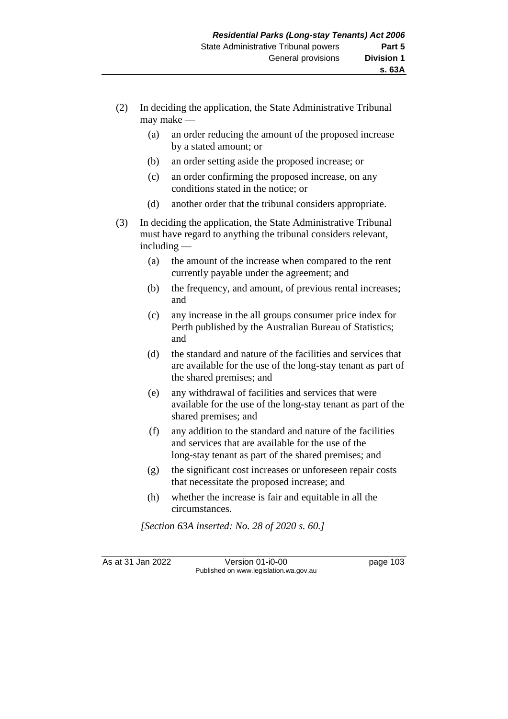- (2) In deciding the application, the State Administrative Tribunal may make —
	- (a) an order reducing the amount of the proposed increase by a stated amount; or
	- (b) an order setting aside the proposed increase; or
	- (c) an order confirming the proposed increase, on any conditions stated in the notice; or
	- (d) another order that the tribunal considers appropriate.
- (3) In deciding the application, the State Administrative Tribunal must have regard to anything the tribunal considers relevant, including —
	- (a) the amount of the increase when compared to the rent currently payable under the agreement; and
	- (b) the frequency, and amount, of previous rental increases; and
	- (c) any increase in the all groups consumer price index for Perth published by the Australian Bureau of Statistics; and
	- (d) the standard and nature of the facilities and services that are available for the use of the long-stay tenant as part of the shared premises; and
	- (e) any withdrawal of facilities and services that were available for the use of the long-stay tenant as part of the shared premises; and
	- (f) any addition to the standard and nature of the facilities and services that are available for the use of the long-stay tenant as part of the shared premises; and
	- (g) the significant cost increases or unforeseen repair costs that necessitate the proposed increase; and
	- (h) whether the increase is fair and equitable in all the circumstances.

*[Section 63A inserted: No. 28 of 2020 s. 60.]*

As at 31 Jan 2022 Version 01-i0-00 page 103 Published on www.legislation.wa.gov.au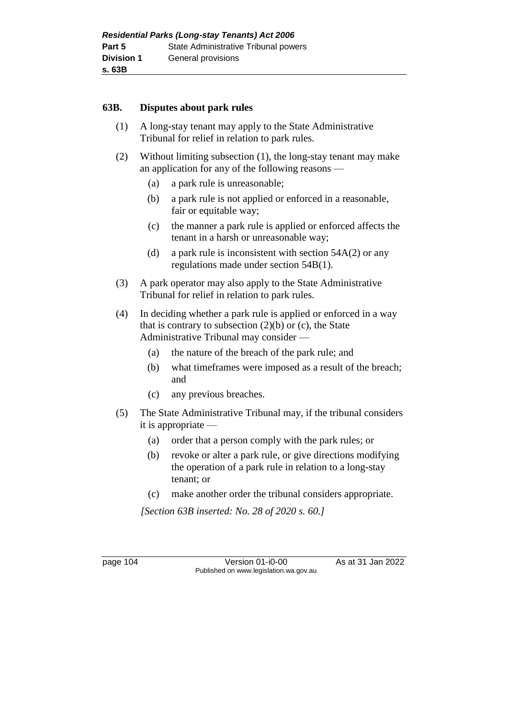#### **63B. Disputes about park rules**

- (1) A long-stay tenant may apply to the State Administrative Tribunal for relief in relation to park rules.
- (2) Without limiting subsection (1), the long-stay tenant may make an application for any of the following reasons —
	- (a) a park rule is unreasonable;
	- (b) a park rule is not applied or enforced in a reasonable, fair or equitable way;
	- (c) the manner a park rule is applied or enforced affects the tenant in a harsh or unreasonable way;
	- (d) a park rule is inconsistent with section  $54A(2)$  or any regulations made under section 54B(1).
- (3) A park operator may also apply to the State Administrative Tribunal for relief in relation to park rules.
- (4) In deciding whether a park rule is applied or enforced in a way that is contrary to subsection  $(2)(b)$  or  $(c)$ , the State Administrative Tribunal may consider —
	- (a) the nature of the breach of the park rule; and
	- (b) what timeframes were imposed as a result of the breach; and
	- (c) any previous breaches.
- (5) The State Administrative Tribunal may, if the tribunal considers it is appropriate —
	- (a) order that a person comply with the park rules; or
	- (b) revoke or alter a park rule, or give directions modifying the operation of a park rule in relation to a long-stay tenant; or
	- (c) make another order the tribunal considers appropriate.

*[Section 63B inserted: No. 28 of 2020 s. 60.]*

page 104 Version 01-i0-00 As at 31 Jan 2022 Published on www.legislation.wa.gov.au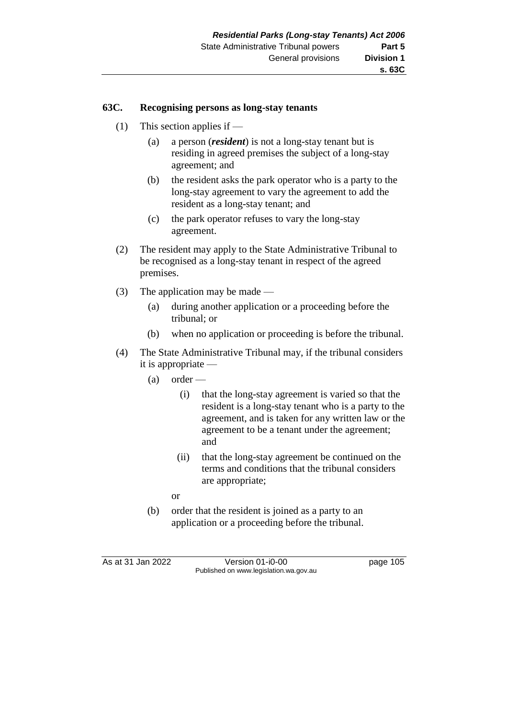#### **63C. Recognising persons as long-stay tenants**

- (1) This section applies if
	- (a) a person (*resident*) is not a long-stay tenant but is residing in agreed premises the subject of a long-stay agreement; and
	- (b) the resident asks the park operator who is a party to the long-stay agreement to vary the agreement to add the resident as a long-stay tenant; and
	- (c) the park operator refuses to vary the long-stay agreement.
- (2) The resident may apply to the State Administrative Tribunal to be recognised as a long-stay tenant in respect of the agreed premises.
- (3) The application may be made
	- (a) during another application or a proceeding before the tribunal; or
	- (b) when no application or proceeding is before the tribunal.
- (4) The State Administrative Tribunal may, if the tribunal considers it is appropriate —
	- (a) order
		- (i) that the long-stay agreement is varied so that the resident is a long-stay tenant who is a party to the agreement, and is taken for any written law or the agreement to be a tenant under the agreement; and
		- (ii) that the long-stay agreement be continued on the terms and conditions that the tribunal considers are appropriate;
		- or
	- (b) order that the resident is joined as a party to an application or a proceeding before the tribunal.

As at 31 Jan 2022 Version 01-i0-00 page 105 Published on www.legislation.wa.gov.au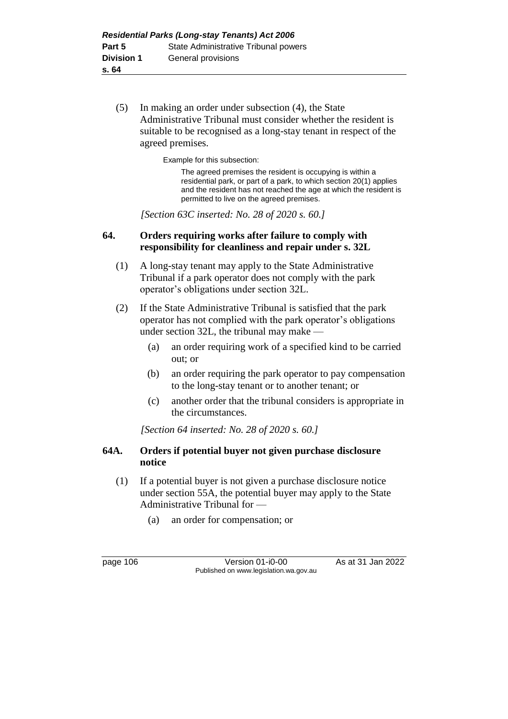(5) In making an order under subsection (4), the State Administrative Tribunal must consider whether the resident is suitable to be recognised as a long-stay tenant in respect of the agreed premises.

Example for this subsection:

The agreed premises the resident is occupying is within a residential park, or part of a park, to which section 20(1) applies and the resident has not reached the age at which the resident is permitted to live on the agreed premises.

*[Section 63C inserted: No. 28 of 2020 s. 60.]*

### **64. Orders requiring works after failure to comply with responsibility for cleanliness and repair under s. 32L**

- (1) A long-stay tenant may apply to the State Administrative Tribunal if a park operator does not comply with the park operator's obligations under section 32L.
- (2) If the State Administrative Tribunal is satisfied that the park operator has not complied with the park operator's obligations under section 32L, the tribunal may make —
	- (a) an order requiring work of a specified kind to be carried out; or
	- (b) an order requiring the park operator to pay compensation to the long-stay tenant or to another tenant; or
	- (c) another order that the tribunal considers is appropriate in the circumstances.

*[Section 64 inserted: No. 28 of 2020 s. 60.]*

### **64A. Orders if potential buyer not given purchase disclosure notice**

- (1) If a potential buyer is not given a purchase disclosure notice under section 55A, the potential buyer may apply to the State Administrative Tribunal for —
	- (a) an order for compensation; or

page 106 **Version 01-i0-00** As at 31 Jan 2022 Published on www.legislation.wa.gov.au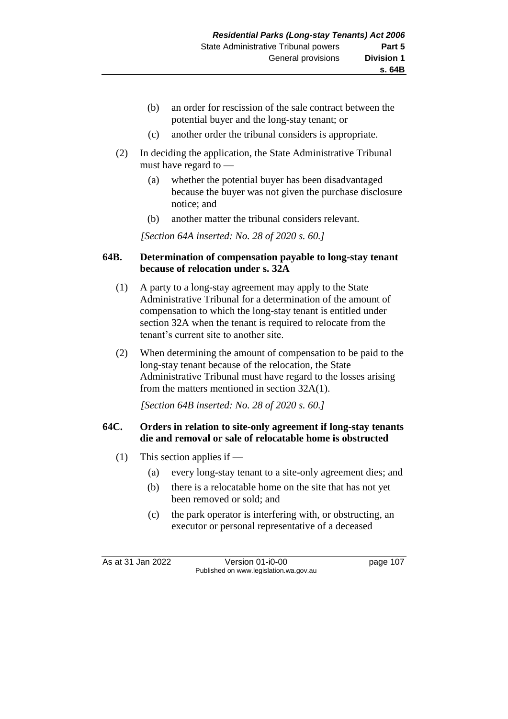- (b) an order for rescission of the sale contract between the potential buyer and the long-stay tenant; or
- (c) another order the tribunal considers is appropriate.
- (2) In deciding the application, the State Administrative Tribunal must have regard to —
	- (a) whether the potential buyer has been disadvantaged because the buyer was not given the purchase disclosure notice; and
	- (b) another matter the tribunal considers relevant.

*[Section 64A inserted: No. 28 of 2020 s. 60.]*

#### **64B. Determination of compensation payable to long-stay tenant because of relocation under s. 32A**

- (1) A party to a long-stay agreement may apply to the State Administrative Tribunal for a determination of the amount of compensation to which the long-stay tenant is entitled under section 32A when the tenant is required to relocate from the tenant's current site to another site.
- (2) When determining the amount of compensation to be paid to the long-stay tenant because of the relocation, the State Administrative Tribunal must have regard to the losses arising from the matters mentioned in section 32A(1).

*[Section 64B inserted: No. 28 of 2020 s. 60.]*

#### **64C. Orders in relation to site-only agreement if long-stay tenants die and removal or sale of relocatable home is obstructed**

- (1) This section applies if
	- (a) every long-stay tenant to a site-only agreement dies; and
	- (b) there is a relocatable home on the site that has not yet been removed or sold; and
	- (c) the park operator is interfering with, or obstructing, an executor or personal representative of a deceased

As at 31 Jan 2022 Version 01-i0-00 page 107 Published on www.legislation.wa.gov.au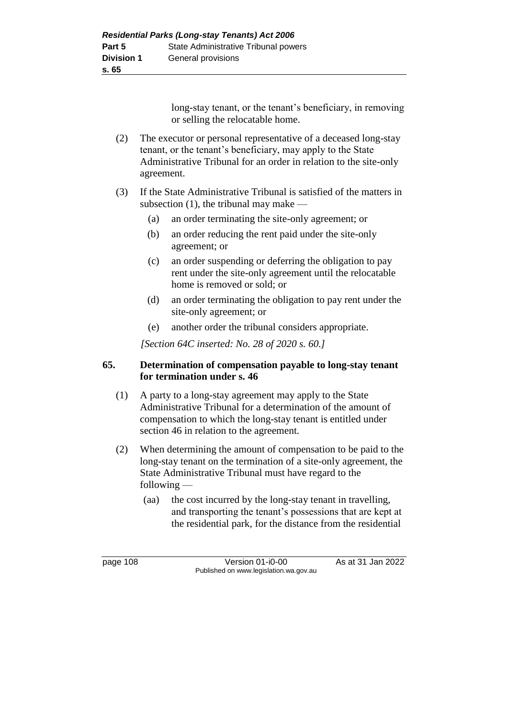long-stay tenant, or the tenant's beneficiary, in removing or selling the relocatable home.

- (2) The executor or personal representative of a deceased long-stay tenant, or the tenant's beneficiary, may apply to the State Administrative Tribunal for an order in relation to the site-only agreement.
- (3) If the State Administrative Tribunal is satisfied of the matters in subsection (1), the tribunal may make —
	- (a) an order terminating the site-only agreement; or
	- (b) an order reducing the rent paid under the site-only agreement; or
	- (c) an order suspending or deferring the obligation to pay rent under the site-only agreement until the relocatable home is removed or sold; or
	- (d) an order terminating the obligation to pay rent under the site-only agreement; or
	- (e) another order the tribunal considers appropriate.

*[Section 64C inserted: No. 28 of 2020 s. 60.]*

### **65. Determination of compensation payable to long-stay tenant for termination under s. 46**

- (1) A party to a long-stay agreement may apply to the State Administrative Tribunal for a determination of the amount of compensation to which the long-stay tenant is entitled under section 46 in relation to the agreement.
- (2) When determining the amount of compensation to be paid to the long-stay tenant on the termination of a site-only agreement, the State Administrative Tribunal must have regard to the following —
	- (aa) the cost incurred by the long-stay tenant in travelling, and transporting the tenant's possessions that are kept at the residential park, for the distance from the residential

page 108 Version 01-i0-00 As at 31 Jan 2022 Published on www.legislation.wa.gov.au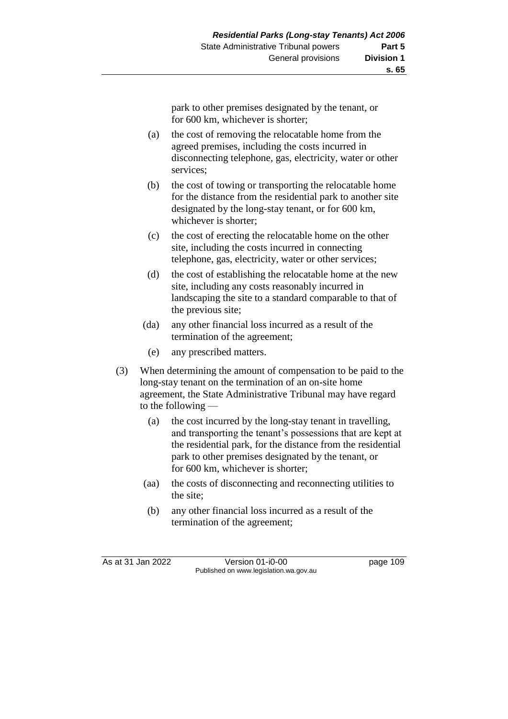**s. 65**

park to other premises designated by the tenant, or for 600 km, whichever is shorter;

- (a) the cost of removing the relocatable home from the agreed premises, including the costs incurred in disconnecting telephone, gas, electricity, water or other services;
- (b) the cost of towing or transporting the relocatable home for the distance from the residential park to another site designated by the long-stay tenant, or for 600 km, whichever is shorter;
- (c) the cost of erecting the relocatable home on the other site, including the costs incurred in connecting telephone, gas, electricity, water or other services;
- (d) the cost of establishing the relocatable home at the new site, including any costs reasonably incurred in landscaping the site to a standard comparable to that of the previous site;
- (da) any other financial loss incurred as a result of the termination of the agreement;
- (e) any prescribed matters.
- (3) When determining the amount of compensation to be paid to the long-stay tenant on the termination of an on-site home agreement, the State Administrative Tribunal may have regard to the following —
	- (a) the cost incurred by the long-stay tenant in travelling, and transporting the tenant's possessions that are kept at the residential park, for the distance from the residential park to other premises designated by the tenant, or for 600 km, whichever is shorter;
	- (aa) the costs of disconnecting and reconnecting utilities to the site;
	- (b) any other financial loss incurred as a result of the termination of the agreement;

As at 31 Jan 2022 Version 01-i0-00 page 109 Published on www.legislation.wa.gov.au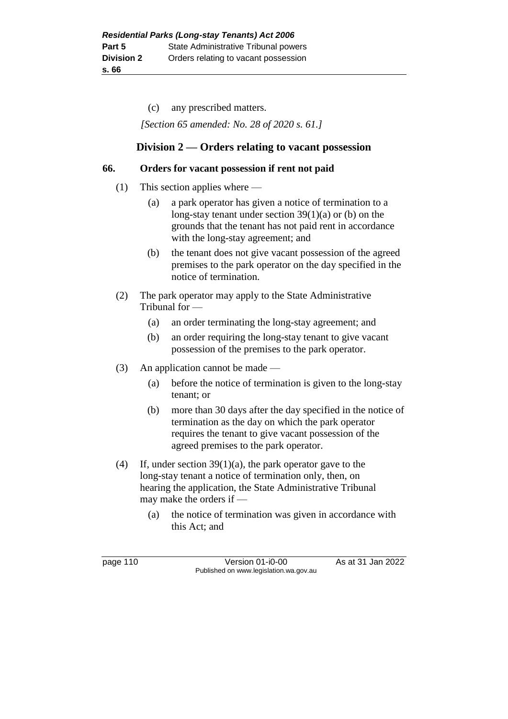(c) any prescribed matters.

*[Section 65 amended: No. 28 of 2020 s. 61.]*

### **Division 2 — Orders relating to vacant possession**

#### **66. Orders for vacant possession if rent not paid**

- (1) This section applies where
	- (a) a park operator has given a notice of termination to a long-stay tenant under section 39(1)(a) or (b) on the grounds that the tenant has not paid rent in accordance with the long-stay agreement; and
	- (b) the tenant does not give vacant possession of the agreed premises to the park operator on the day specified in the notice of termination.
- (2) The park operator may apply to the State Administrative Tribunal for —
	- (a) an order terminating the long-stay agreement; and
	- (b) an order requiring the long-stay tenant to give vacant possession of the premises to the park operator.
- (3) An application cannot be made
	- (a) before the notice of termination is given to the long-stay tenant; or
	- (b) more than 30 days after the day specified in the notice of termination as the day on which the park operator requires the tenant to give vacant possession of the agreed premises to the park operator.
- (4) If, under section 39(1)(a), the park operator gave to the long-stay tenant a notice of termination only, then, on hearing the application, the State Administrative Tribunal may make the orders if —
	- (a) the notice of termination was given in accordance with this Act; and

page 110 Version 01-i0-00 As at 31 Jan 2022 Published on www.legislation.wa.gov.au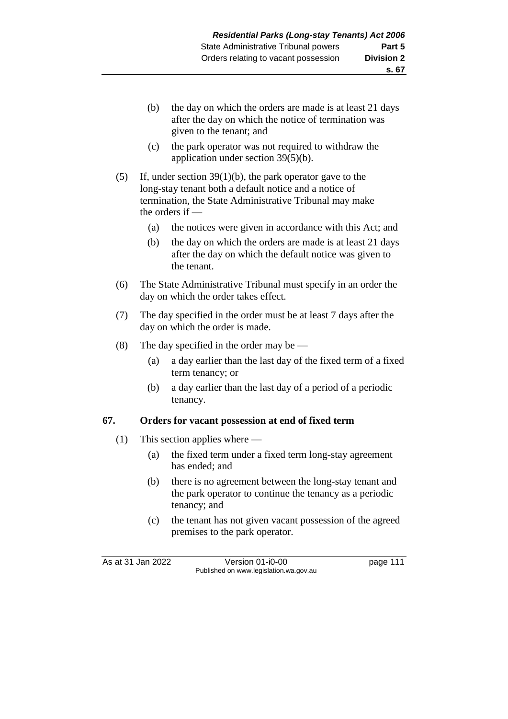- (b) the day on which the orders are made is at least 21 days after the day on which the notice of termination was given to the tenant; and
- (c) the park operator was not required to withdraw the application under section 39(5)(b).
- (5) If, under section 39(1)(b), the park operator gave to the long-stay tenant both a default notice and a notice of termination, the State Administrative Tribunal may make the orders if —
	- (a) the notices were given in accordance with this Act; and
	- (b) the day on which the orders are made is at least 21 days after the day on which the default notice was given to the tenant.
- (6) The State Administrative Tribunal must specify in an order the day on which the order takes effect.
- (7) The day specified in the order must be at least 7 days after the day on which the order is made.
- (8) The day specified in the order may be
	- (a) a day earlier than the last day of the fixed term of a fixed term tenancy; or
	- (b) a day earlier than the last day of a period of a periodic tenancy.

### **67. Orders for vacant possession at end of fixed term**

- (1) This section applies where
	- (a) the fixed term under a fixed term long-stay agreement has ended; and
	- (b) there is no agreement between the long-stay tenant and the park operator to continue the tenancy as a periodic tenancy; and
	- (c) the tenant has not given vacant possession of the agreed premises to the park operator.

As at 31 Jan 2022 Version 01-i0-00 page 111 Published on www.legislation.wa.gov.au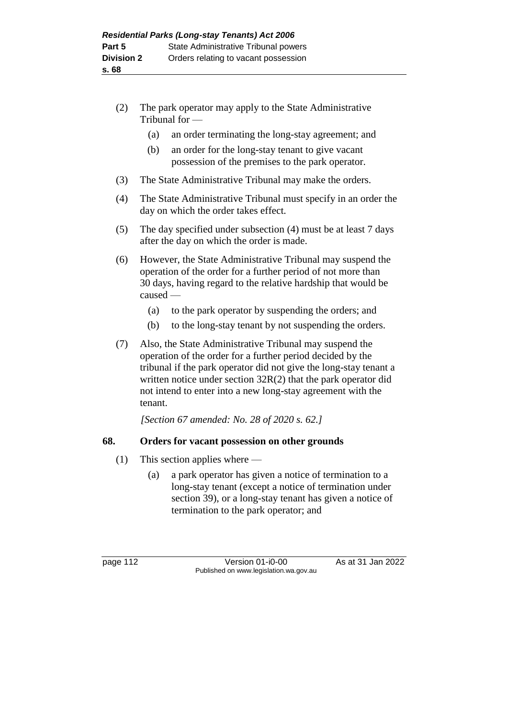- (2) The park operator may apply to the State Administrative Tribunal for —
	- (a) an order terminating the long-stay agreement; and
	- (b) an order for the long-stay tenant to give vacant possession of the premises to the park operator.
- (3) The State Administrative Tribunal may make the orders.
- (4) The State Administrative Tribunal must specify in an order the day on which the order takes effect.
- (5) The day specified under subsection (4) must be at least 7 days after the day on which the order is made.
- (6) However, the State Administrative Tribunal may suspend the operation of the order for a further period of not more than 30 days, having regard to the relative hardship that would be caused —
	- (a) to the park operator by suspending the orders; and
	- (b) to the long-stay tenant by not suspending the orders.
- (7) Also, the State Administrative Tribunal may suspend the operation of the order for a further period decided by the tribunal if the park operator did not give the long-stay tenant a written notice under section  $32R(2)$  that the park operator did not intend to enter into a new long-stay agreement with the tenant.

*[Section 67 amended: No. 28 of 2020 s. 62.]*

### **68. Orders for vacant possession on other grounds**

- (1) This section applies where
	- (a) a park operator has given a notice of termination to a long-stay tenant (except a notice of termination under section 39), or a long-stay tenant has given a notice of termination to the park operator; and

page 112 **Version 01-i0-00** As at 31 Jan 2022 Published on www.legislation.wa.gov.au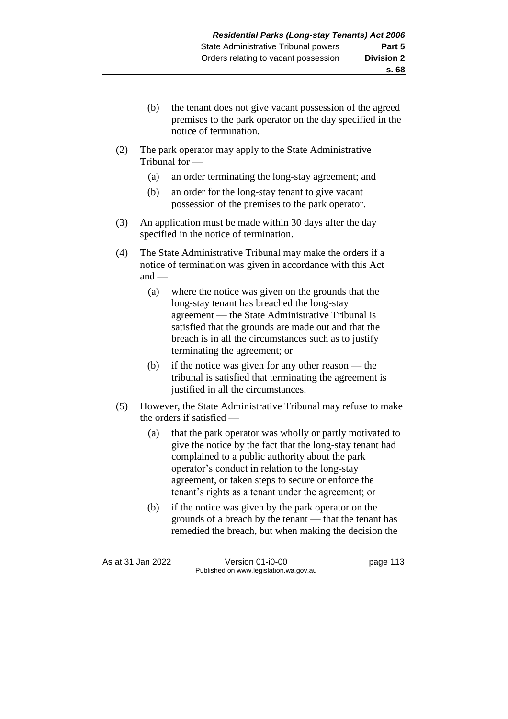- (b) the tenant does not give vacant possession of the agreed premises to the park operator on the day specified in the notice of termination.
- (2) The park operator may apply to the State Administrative Tribunal for —
	- (a) an order terminating the long-stay agreement; and
	- (b) an order for the long-stay tenant to give vacant possession of the premises to the park operator.
- (3) An application must be made within 30 days after the day specified in the notice of termination.
- (4) The State Administrative Tribunal may make the orders if a notice of termination was given in accordance with this Act and —
	- (a) where the notice was given on the grounds that the long-stay tenant has breached the long-stay agreement — the State Administrative Tribunal is satisfied that the grounds are made out and that the breach is in all the circumstances such as to justify terminating the agreement; or
	- (b) if the notice was given for any other reason the tribunal is satisfied that terminating the agreement is justified in all the circumstances.
- (5) However, the State Administrative Tribunal may refuse to make the orders if satisfied —
	- (a) that the park operator was wholly or partly motivated to give the notice by the fact that the long-stay tenant had complained to a public authority about the park operator's conduct in relation to the long-stay agreement, or taken steps to secure or enforce the tenant's rights as a tenant under the agreement; or
	- (b) if the notice was given by the park operator on the grounds of a breach by the tenant — that the tenant has remedied the breach, but when making the decision the

As at 31 Jan 2022 Version 01-i0-00 Page 113 Published on www.legislation.wa.gov.au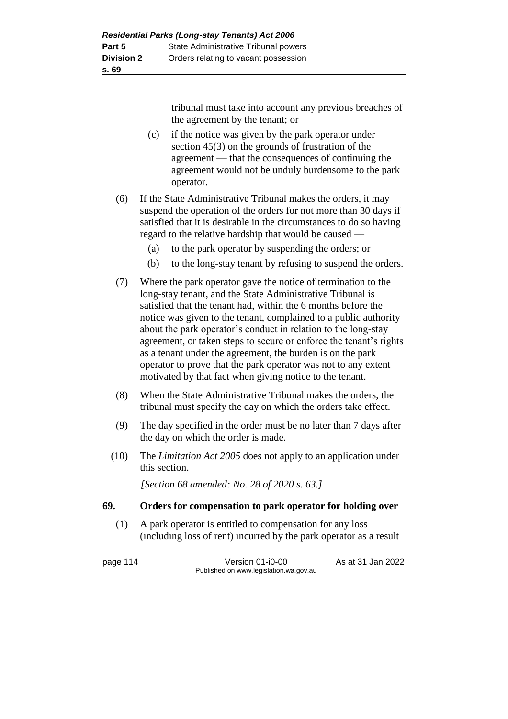tribunal must take into account any previous breaches of the agreement by the tenant; or

- (c) if the notice was given by the park operator under section 45(3) on the grounds of frustration of the agreement — that the consequences of continuing the agreement would not be unduly burdensome to the park operator.
- (6) If the State Administrative Tribunal makes the orders, it may suspend the operation of the orders for not more than 30 days if satisfied that it is desirable in the circumstances to do so having regard to the relative hardship that would be caused —
	- (a) to the park operator by suspending the orders; or
	- (b) to the long-stay tenant by refusing to suspend the orders.
- (7) Where the park operator gave the notice of termination to the long-stay tenant, and the State Administrative Tribunal is satisfied that the tenant had, within the 6 months before the notice was given to the tenant, complained to a public authority about the park operator's conduct in relation to the long-stay agreement, or taken steps to secure or enforce the tenant's rights as a tenant under the agreement, the burden is on the park operator to prove that the park operator was not to any extent motivated by that fact when giving notice to the tenant.
- (8) When the State Administrative Tribunal makes the orders, the tribunal must specify the day on which the orders take effect.
- (9) The day specified in the order must be no later than 7 days after the day on which the order is made.
- (10) The *Limitation Act 2005* does not apply to an application under this section.

*[Section 68 amended: No. 28 of 2020 s. 63.]*

#### **69. Orders for compensation to park operator for holding over**

(1) A park operator is entitled to compensation for any loss (including loss of rent) incurred by the park operator as a result

page 114 Version 01-i0-00 As at 31 Jan 2022 Published on www.legislation.wa.gov.au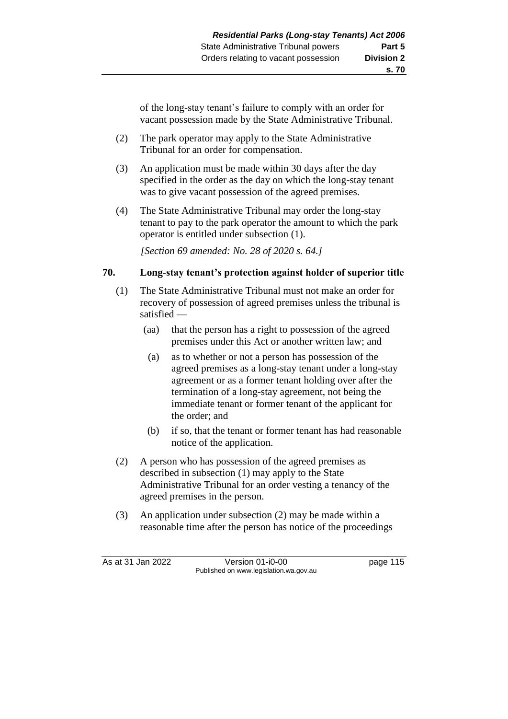of the long-stay tenant's failure to comply with an order for vacant possession made by the State Administrative Tribunal.

- (2) The park operator may apply to the State Administrative Tribunal for an order for compensation.
- (3) An application must be made within 30 days after the day specified in the order as the day on which the long-stay tenant was to give vacant possession of the agreed premises.
- (4) The State Administrative Tribunal may order the long-stay tenant to pay to the park operator the amount to which the park operator is entitled under subsection (1).

*[Section 69 amended: No. 28 of 2020 s. 64.]*

### **70. Long-stay tenant's protection against holder of superior title**

- (1) The State Administrative Tribunal must not make an order for recovery of possession of agreed premises unless the tribunal is satisfied —
	- (aa) that the person has a right to possession of the agreed premises under this Act or another written law; and
	- (a) as to whether or not a person has possession of the agreed premises as a long-stay tenant under a long-stay agreement or as a former tenant holding over after the termination of a long-stay agreement, not being the immediate tenant or former tenant of the applicant for the order; and
	- (b) if so, that the tenant or former tenant has had reasonable notice of the application.
- (2) A person who has possession of the agreed premises as described in subsection (1) may apply to the State Administrative Tribunal for an order vesting a tenancy of the agreed premises in the person.
- (3) An application under subsection (2) may be made within a reasonable time after the person has notice of the proceedings

As at 31 Jan 2022 Version 01-i0-00 page 115 Published on www.legislation.wa.gov.au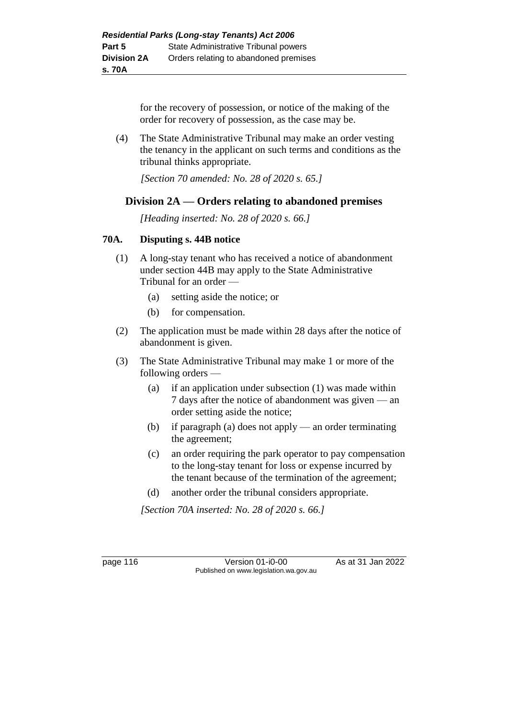for the recovery of possession, or notice of the making of the order for recovery of possession, as the case may be.

(4) The State Administrative Tribunal may make an order vesting the tenancy in the applicant on such terms and conditions as the tribunal thinks appropriate.

*[Section 70 amended: No. 28 of 2020 s. 65.]*

# **Division 2A — Orders relating to abandoned premises**

*[Heading inserted: No. 28 of 2020 s. 66.]*

### **70A. Disputing s. 44B notice**

- (1) A long-stay tenant who has received a notice of abandonment under section 44B may apply to the State Administrative Tribunal for an order —
	- (a) setting aside the notice; or
	- (b) for compensation.
- (2) The application must be made within 28 days after the notice of abandonment is given.
- (3) The State Administrative Tribunal may make 1 or more of the following orders —
	- (a) if an application under subsection (1) was made within 7 days after the notice of abandonment was given — an order setting aside the notice;
	- (b) if paragraph (a) does not apply an order terminating the agreement;
	- (c) an order requiring the park operator to pay compensation to the long-stay tenant for loss or expense incurred by the tenant because of the termination of the agreement;
	- (d) another order the tribunal considers appropriate.

*[Section 70A inserted: No. 28 of 2020 s. 66.]*

page 116 **Version 01-i0-00** As at 31 Jan 2022 Published on www.legislation.wa.gov.au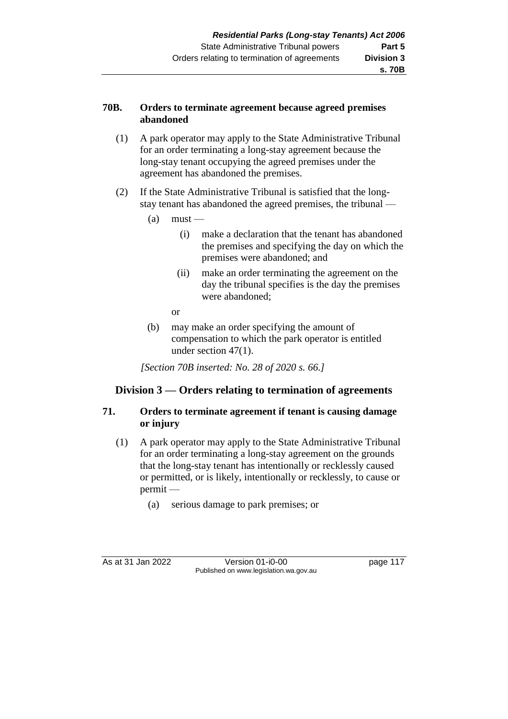### **70B. Orders to terminate agreement because agreed premises abandoned**

- (1) A park operator may apply to the State Administrative Tribunal for an order terminating a long-stay agreement because the long-stay tenant occupying the agreed premises under the agreement has abandoned the premises.
- (2) If the State Administrative Tribunal is satisfied that the longstay tenant has abandoned the agreed premises, the tribunal —
	- $(a)$  must
		- (i) make a declaration that the tenant has abandoned the premises and specifying the day on which the premises were abandoned; and
		- (ii) make an order terminating the agreement on the day the tribunal specifies is the day the premises were abandoned;
		- or
	- (b) may make an order specifying the amount of compensation to which the park operator is entitled under section 47(1).

*[Section 70B inserted: No. 28 of 2020 s. 66.]*

# **Division 3 — Orders relating to termination of agreements**

### **71. Orders to terminate agreement if tenant is causing damage or injury**

- (1) A park operator may apply to the State Administrative Tribunal for an order terminating a long-stay agreement on the grounds that the long-stay tenant has intentionally or recklessly caused or permitted, or is likely, intentionally or recklessly, to cause or permit —
	- (a) serious damage to park premises; or

As at 31 Jan 2022 Version 01-i0-00 page 117 Published on www.legislation.wa.gov.au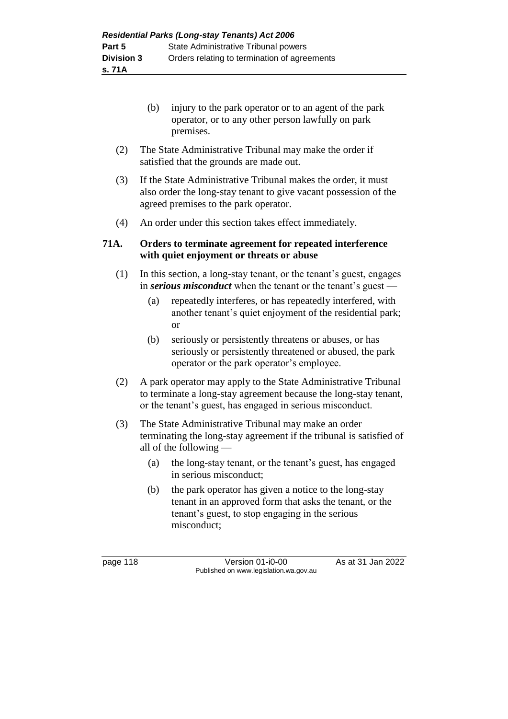- (b) injury to the park operator or to an agent of the park operator, or to any other person lawfully on park premises.
- (2) The State Administrative Tribunal may make the order if satisfied that the grounds are made out.
- (3) If the State Administrative Tribunal makes the order, it must also order the long-stay tenant to give vacant possession of the agreed premises to the park operator.
- (4) An order under this section takes effect immediately.

### **71A. Orders to terminate agreement for repeated interference with quiet enjoyment or threats or abuse**

- (1) In this section, a long-stay tenant, or the tenant's guest, engages in *serious misconduct* when the tenant or the tenant's guest —
	- (a) repeatedly interferes, or has repeatedly interfered, with another tenant's quiet enjoyment of the residential park; or
	- (b) seriously or persistently threatens or abuses, or has seriously or persistently threatened or abused, the park operator or the park operator's employee.
- (2) A park operator may apply to the State Administrative Tribunal to terminate a long-stay agreement because the long-stay tenant, or the tenant's guest, has engaged in serious misconduct.
- (3) The State Administrative Tribunal may make an order terminating the long-stay agreement if the tribunal is satisfied of all of the following —
	- (a) the long-stay tenant, or the tenant's guest, has engaged in serious misconduct;
	- (b) the park operator has given a notice to the long-stay tenant in an approved form that asks the tenant, or the tenant's guest, to stop engaging in the serious misconduct;

page 118 **Version 01-i0-00** As at 31 Jan 2022 Published on www.legislation.wa.gov.au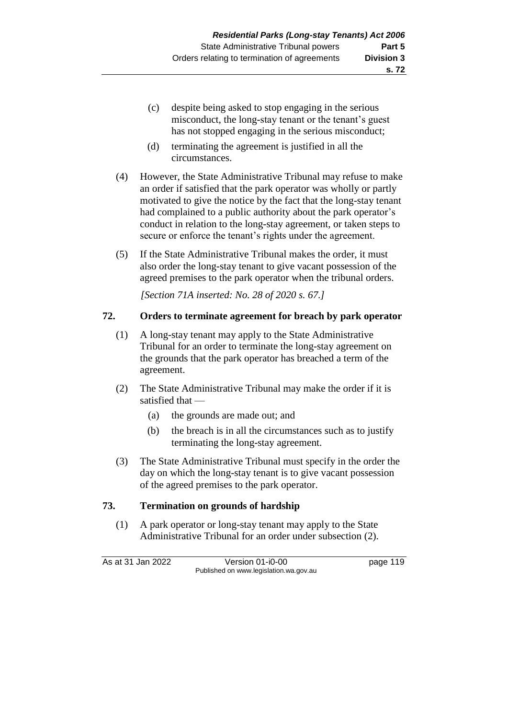- (c) despite being asked to stop engaging in the serious misconduct, the long-stay tenant or the tenant's guest has not stopped engaging in the serious misconduct;
- (d) terminating the agreement is justified in all the circumstances.
- (4) However, the State Administrative Tribunal may refuse to make an order if satisfied that the park operator was wholly or partly motivated to give the notice by the fact that the long-stay tenant had complained to a public authority about the park operator's conduct in relation to the long-stay agreement, or taken steps to secure or enforce the tenant's rights under the agreement.
- (5) If the State Administrative Tribunal makes the order, it must also order the long-stay tenant to give vacant possession of the agreed premises to the park operator when the tribunal orders.

*[Section 71A inserted: No. 28 of 2020 s. 67.]*

### **72. Orders to terminate agreement for breach by park operator**

- (1) A long-stay tenant may apply to the State Administrative Tribunal for an order to terminate the long-stay agreement on the grounds that the park operator has breached a term of the agreement.
- (2) The State Administrative Tribunal may make the order if it is satisfied that —
	- (a) the grounds are made out; and
	- (b) the breach is in all the circumstances such as to justify terminating the long-stay agreement.
- (3) The State Administrative Tribunal must specify in the order the day on which the long-stay tenant is to give vacant possession of the agreed premises to the park operator.

### **73. Termination on grounds of hardship**

(1) A park operator or long-stay tenant may apply to the State Administrative Tribunal for an order under subsection (2).

As at 31 Jan 2022 Version 01-i0-00 page 119 Published on www.legislation.wa.gov.au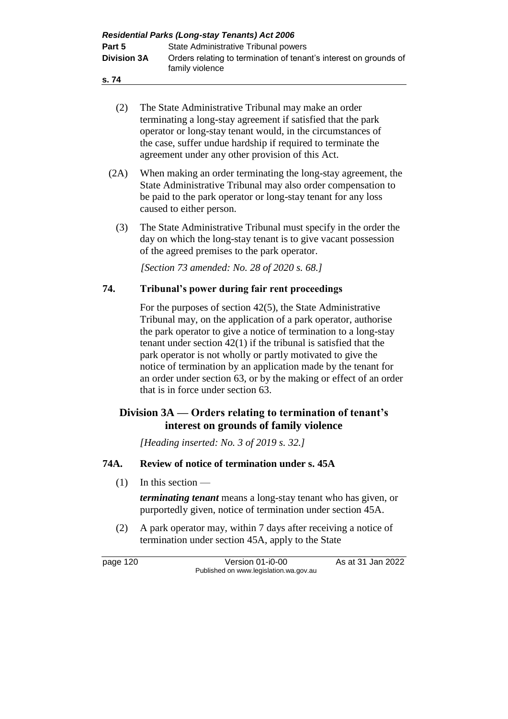| <b>Residential Parks (Long-stay Tenants) Act 2006</b> |                                                                                      |  |  |
|-------------------------------------------------------|--------------------------------------------------------------------------------------|--|--|
| Part 5                                                | State Administrative Tribunal powers                                                 |  |  |
| <b>Division 3A</b>                                    | Orders relating to termination of tenant's interest on grounds of<br>family violence |  |  |
| s. 74                                                 |                                                                                      |  |  |

- (2) The State Administrative Tribunal may make an order terminating a long-stay agreement if satisfied that the park operator or long-stay tenant would, in the circumstances of the case, suffer undue hardship if required to terminate the agreement under any other provision of this Act.
- (2A) When making an order terminating the long-stay agreement, the State Administrative Tribunal may also order compensation to be paid to the park operator or long-stay tenant for any loss caused to either person.
	- (3) The State Administrative Tribunal must specify in the order the day on which the long-stay tenant is to give vacant possession of the agreed premises to the park operator.

*[Section 73 amended: No. 28 of 2020 s. 68.]*

# **74. Tribunal's power during fair rent proceedings**

For the purposes of section 42(5), the State Administrative Tribunal may, on the application of a park operator, authorise the park operator to give a notice of termination to a long-stay tenant under section 42(1) if the tribunal is satisfied that the park operator is not wholly or partly motivated to give the notice of termination by an application made by the tenant for an order under section 63, or by the making or effect of an order that is in force under section 63.

# **Division 3A — Orders relating to termination of tenant's interest on grounds of family violence**

*[Heading inserted: No. 3 of 2019 s. 32.]*

### **74A. Review of notice of termination under s. 45A**

(1) In this section —

*terminating tenant* means a long-stay tenant who has given, or purportedly given, notice of termination under section 45A.

(2) A park operator may, within 7 days after receiving a notice of termination under section 45A, apply to the State

page 120 Version 01-i0-00 As at 31 Jan 2022 Published on www.legislation.wa.gov.au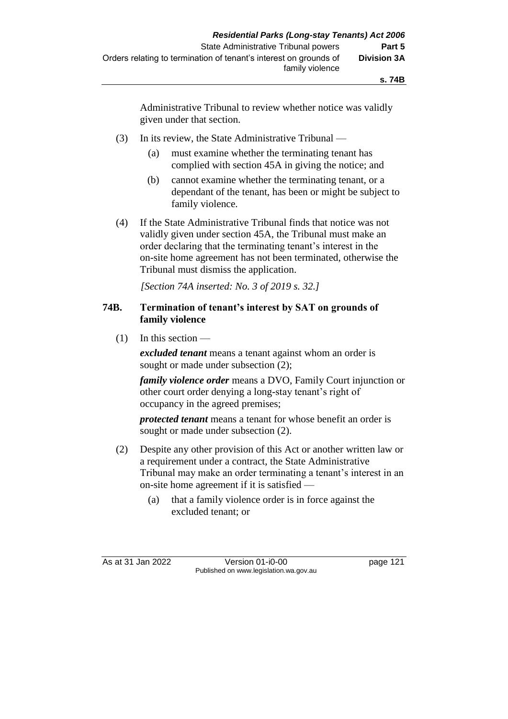Administrative Tribunal to review whether notice was validly given under that section.

- (3) In its review, the State Administrative Tribunal
	- (a) must examine whether the terminating tenant has complied with section 45A in giving the notice; and
	- (b) cannot examine whether the terminating tenant, or a dependant of the tenant, has been or might be subject to family violence.
- (4) If the State Administrative Tribunal finds that notice was not validly given under section 45A, the Tribunal must make an order declaring that the terminating tenant's interest in the on-site home agreement has not been terminated, otherwise the Tribunal must dismiss the application.

*[Section 74A inserted: No. 3 of 2019 s. 32.]*

#### **74B. Termination of tenant's interest by SAT on grounds of family violence**

 $(1)$  In this section —

*excluded tenant* means a tenant against whom an order is sought or made under subsection  $(2)$ ;

*family violence order* means a DVO, Family Court injunction or other court order denying a long-stay tenant's right of occupancy in the agreed premises;

*protected tenant* means a tenant for whose benefit an order is sought or made under subsection (2).

- (2) Despite any other provision of this Act or another written law or a requirement under a contract, the State Administrative Tribunal may make an order terminating a tenant's interest in an on-site home agreement if it is satisfied —
	- (a) that a family violence order is in force against the excluded tenant; or

As at 31 Jan 2022 Version 01-i0-00 page 121 Published on www.legislation.wa.gov.au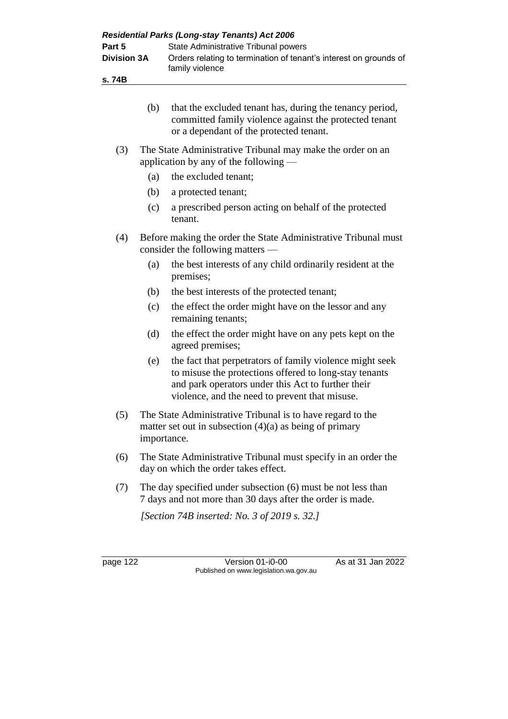| Part 5<br><b>Division 3A</b><br>s. 74B |                                                                                                                           | State Administrative Tribunal powers<br>Orders relating to termination of tenant's interest on grounds of<br>family violence                                                                                               |  |  |
|----------------------------------------|---------------------------------------------------------------------------------------------------------------------------|----------------------------------------------------------------------------------------------------------------------------------------------------------------------------------------------------------------------------|--|--|
|                                        | (b)                                                                                                                       | that the excluded tenant has, during the tenancy period,<br>committed family violence against the protected tenant<br>or a dependant of the protected tenant.                                                              |  |  |
| (3)                                    | The State Administrative Tribunal may make the order on an<br>application by any of the following $-$                     |                                                                                                                                                                                                                            |  |  |
|                                        | (a)                                                                                                                       | the excluded tenant;                                                                                                                                                                                                       |  |  |
|                                        | (b)                                                                                                                       | a protected tenant;                                                                                                                                                                                                        |  |  |
|                                        | (c)                                                                                                                       | a prescribed person acting on behalf of the protected<br>tenant.                                                                                                                                                           |  |  |
| (4)                                    | Before making the order the State Administrative Tribunal must<br>consider the following matters                          |                                                                                                                                                                                                                            |  |  |
|                                        | (a)                                                                                                                       | the best interests of any child ordinarily resident at the<br>premises;                                                                                                                                                    |  |  |
|                                        | (b)                                                                                                                       | the best interests of the protected tenant;                                                                                                                                                                                |  |  |
|                                        | (c)                                                                                                                       | the effect the order might have on the lessor and any<br>remaining tenants;                                                                                                                                                |  |  |
|                                        | (d)                                                                                                                       | the effect the order might have on any pets kept on the<br>agreed premises;                                                                                                                                                |  |  |
|                                        | (e)                                                                                                                       | the fact that perpetrators of family violence might seek<br>to misuse the protections offered to long-stay tenants<br>and park operators under this Act to further their<br>violence, and the need to prevent that misuse. |  |  |
| (5)                                    |                                                                                                                           | The State Administrative Tribunal is to have regard to the<br>matter set out in subsection $(4)(a)$ as being of primary<br>importance.                                                                                     |  |  |
| (6)                                    |                                                                                                                           | The State Administrative Tribunal must specify in an order the<br>day on which the order takes effect.                                                                                                                     |  |  |
| (7)                                    | The day specified under subsection (6) must be not less than<br>7 days and not more than 30 days after the order is made. |                                                                                                                                                                                                                            |  |  |
|                                        |                                                                                                                           | [Section 74B inserted: No. 3 of 2019 s. 32.]                                                                                                                                                                               |  |  |
| page 122                               |                                                                                                                           | As at 31 Jan 2022<br>Version 01-i0-00                                                                                                                                                                                      |  |  |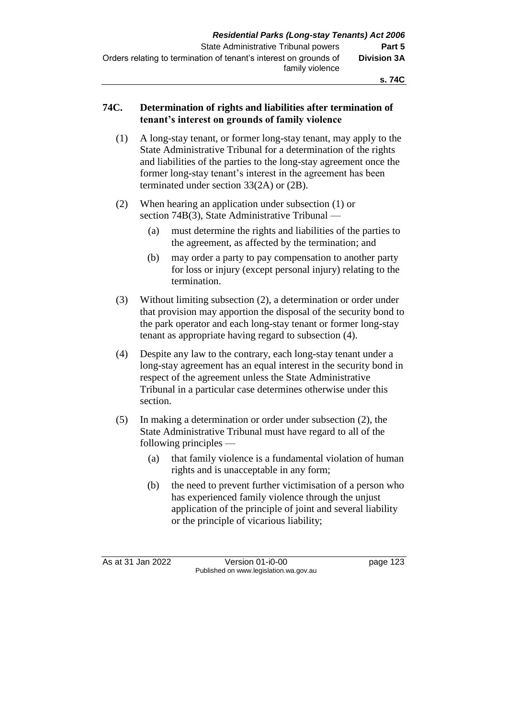### **74C. Determination of rights and liabilities after termination of tenant's interest on grounds of family violence**

- (1) A long-stay tenant, or former long-stay tenant, may apply to the State Administrative Tribunal for a determination of the rights and liabilities of the parties to the long-stay agreement once the former long-stay tenant's interest in the agreement has been terminated under section 33(2A) or (2B).
- (2) When hearing an application under subsection (1) or section 74B(3), State Administrative Tribunal —
	- (a) must determine the rights and liabilities of the parties to the agreement, as affected by the termination; and
	- (b) may order a party to pay compensation to another party for loss or injury (except personal injury) relating to the termination.
- (3) Without limiting subsection (2), a determination or order under that provision may apportion the disposal of the security bond to the park operator and each long-stay tenant or former long-stay tenant as appropriate having regard to subsection (4).
- (4) Despite any law to the contrary, each long-stay tenant under a long-stay agreement has an equal interest in the security bond in respect of the agreement unless the State Administrative Tribunal in a particular case determines otherwise under this section.
- (5) In making a determination or order under subsection (2), the State Administrative Tribunal must have regard to all of the following principles —
	- (a) that family violence is a fundamental violation of human rights and is unacceptable in any form;
	- (b) the need to prevent further victimisation of a person who has experienced family violence through the unjust application of the principle of joint and several liability or the principle of vicarious liability;

As at 31 Jan 2022 Version 01-i0-00 page 123 Published on www.legislation.wa.gov.au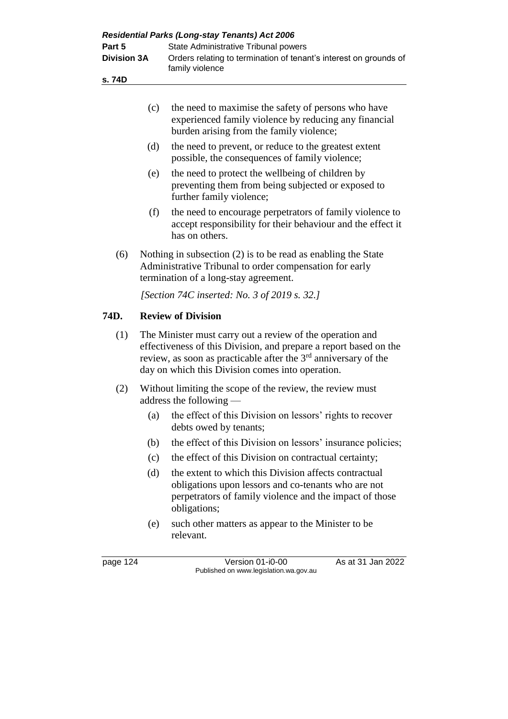| <b>Residential Parks (Long-stay Tenants) Act 2006</b> |                                                                                      |                                                                                                                                                                                                                                                                   |  |  |
|-------------------------------------------------------|--------------------------------------------------------------------------------------|-------------------------------------------------------------------------------------------------------------------------------------------------------------------------------------------------------------------------------------------------------------------|--|--|
| Part 5<br><b>Division 3A</b>                          |                                                                                      | State Administrative Tribunal powers                                                                                                                                                                                                                              |  |  |
|                                                       |                                                                                      | Orders relating to termination of tenant's interest on grounds of<br>family violence                                                                                                                                                                              |  |  |
| s.74D                                                 |                                                                                      |                                                                                                                                                                                                                                                                   |  |  |
|                                                       |                                                                                      |                                                                                                                                                                                                                                                                   |  |  |
|                                                       | (c)                                                                                  | the need to maximise the safety of persons who have<br>experienced family violence by reducing any financial<br>burden arising from the family violence;                                                                                                          |  |  |
|                                                       | (d)                                                                                  | the need to prevent, or reduce to the greatest extent<br>possible, the consequences of family violence;                                                                                                                                                           |  |  |
|                                                       | (e)                                                                                  | the need to protect the wellbeing of children by<br>preventing them from being subjected or exposed to<br>further family violence;                                                                                                                                |  |  |
|                                                       | (f)                                                                                  | the need to encourage perpetrators of family violence to<br>accept responsibility for their behaviour and the effect it<br>has on others.                                                                                                                         |  |  |
| (6)                                                   |                                                                                      | Nothing in subsection $(2)$ is to be read as enabling the State<br>Administrative Tribunal to order compensation for early<br>termination of a long-stay agreement.                                                                                               |  |  |
|                                                       |                                                                                      | [Section 74C inserted: No. 3 of 2019 s. 32.]                                                                                                                                                                                                                      |  |  |
| 74D.                                                  |                                                                                      | <b>Review of Division</b>                                                                                                                                                                                                                                         |  |  |
| (1)                                                   |                                                                                      | The Minister must carry out a review of the operation and<br>effectiveness of this Division, and prepare a report based on the<br>review, as soon as practicable after the 3 <sup>rd</sup> anniversary of the<br>day on which this Division comes into operation. |  |  |
| (2)                                                   | Without limiting the scope of the review, the review must<br>address the following - |                                                                                                                                                                                                                                                                   |  |  |
|                                                       |                                                                                      | (a) the effect of this Division on lessors' rights to recover<br>debts owed by tenants;                                                                                                                                                                           |  |  |
|                                                       | (b)                                                                                  | the effect of this Division on lessors' insurance policies;                                                                                                                                                                                                       |  |  |
|                                                       | (c)                                                                                  | the effect of this Division on contractual certainty;                                                                                                                                                                                                             |  |  |
|                                                       | (d)                                                                                  | the extent to which this Division affects contractual<br>obligations upon lessors and co-tenants who are not<br>perpetrators of family violence and the impact of those<br>obligations;                                                                           |  |  |
|                                                       | (e)                                                                                  | such other matters as appear to the Minister to be<br>relevant.                                                                                                                                                                                                   |  |  |
| page 124                                              |                                                                                      | As at 31 Jan 2022<br>Version 01-i0-00<br>Published on www.legislation.wa.gov.au                                                                                                                                                                                   |  |  |
|                                                       |                                                                                      |                                                                                                                                                                                                                                                                   |  |  |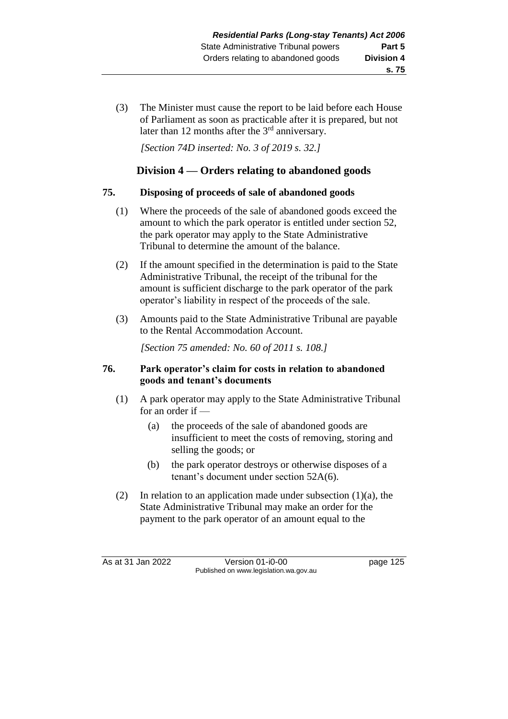(3) The Minister must cause the report to be laid before each House of Parliament as soon as practicable after it is prepared, but not later than 12 months after the 3<sup>rd</sup> anniversary.

*[Section 74D inserted: No. 3 of 2019 s. 32.]*

# **Division 4 — Orders relating to abandoned goods**

### **75. Disposing of proceeds of sale of abandoned goods**

- (1) Where the proceeds of the sale of abandoned goods exceed the amount to which the park operator is entitled under section 52, the park operator may apply to the State Administrative Tribunal to determine the amount of the balance.
- (2) If the amount specified in the determination is paid to the State Administrative Tribunal, the receipt of the tribunal for the amount is sufficient discharge to the park operator of the park operator's liability in respect of the proceeds of the sale.
- (3) Amounts paid to the State Administrative Tribunal are payable to the Rental Accommodation Account.

*[Section 75 amended: No. 60 of 2011 s. 108.]*

### **76. Park operator's claim for costs in relation to abandoned goods and tenant's documents**

- (1) A park operator may apply to the State Administrative Tribunal for an order if -
	- (a) the proceeds of the sale of abandoned goods are insufficient to meet the costs of removing, storing and selling the goods; or
	- (b) the park operator destroys or otherwise disposes of a tenant's document under section 52A(6).
- (2) In relation to an application made under subsection  $(1)(a)$ , the State Administrative Tribunal may make an order for the payment to the park operator of an amount equal to the

As at 31 Jan 2022 Version 01-i0-00 page 125 Published on www.legislation.wa.gov.au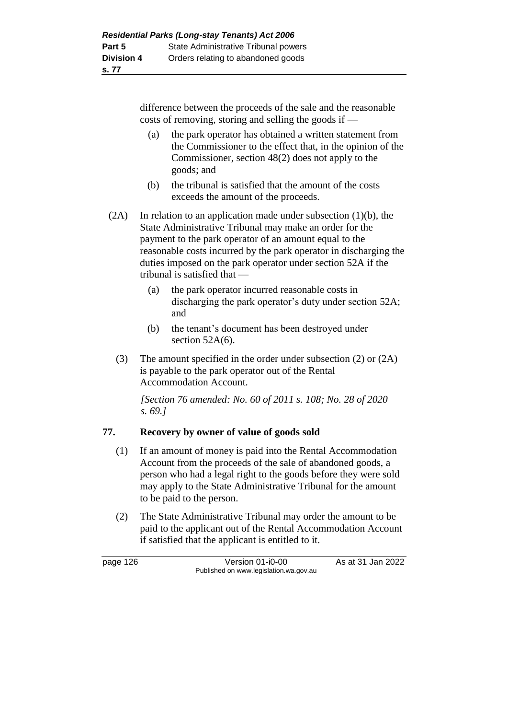difference between the proceeds of the sale and the reasonable costs of removing, storing and selling the goods if —

- (a) the park operator has obtained a written statement from the Commissioner to the effect that, in the opinion of the Commissioner, section 48(2) does not apply to the goods; and
- (b) the tribunal is satisfied that the amount of the costs exceeds the amount of the proceeds.

 $(2A)$  In relation to an application made under subsection  $(1)(b)$ , the State Administrative Tribunal may make an order for the payment to the park operator of an amount equal to the reasonable costs incurred by the park operator in discharging the duties imposed on the park operator under section 52A if the tribunal is satisfied that —

- (a) the park operator incurred reasonable costs in discharging the park operator's duty under section 52A; and
- (b) the tenant's document has been destroyed under section 52A(6).
- (3) The amount specified in the order under subsection (2) or (2A) is payable to the park operator out of the Rental Accommodation Account.

*[Section 76 amended: No. 60 of 2011 s. 108; No. 28 of 2020 s. 69.]*

# **77. Recovery by owner of value of goods sold**

- (1) If an amount of money is paid into the Rental Accommodation Account from the proceeds of the sale of abandoned goods, a person who had a legal right to the goods before they were sold may apply to the State Administrative Tribunal for the amount to be paid to the person.
- (2) The State Administrative Tribunal may order the amount to be paid to the applicant out of the Rental Accommodation Account if satisfied that the applicant is entitled to it.

page 126 Version 01-i0-00 As at 31 Jan 2022 Published on www.legislation.wa.gov.au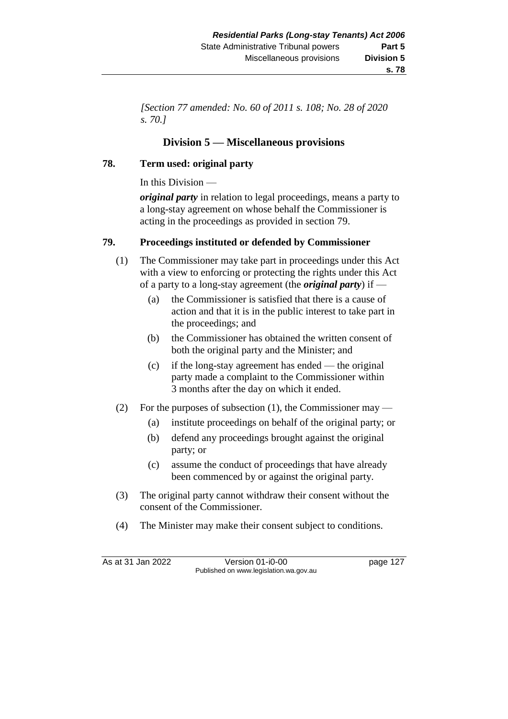*[Section 77 amended: No. 60 of 2011 s. 108; No. 28 of 2020 s. 70.]*

# **Division 5 — Miscellaneous provisions**

### **78. Term used: original party**

In this Division —

*original party* in relation to legal proceedings, means a party to a long-stay agreement on whose behalf the Commissioner is acting in the proceedings as provided in section 79.

### **79. Proceedings instituted or defended by Commissioner**

- (1) The Commissioner may take part in proceedings under this Act with a view to enforcing or protecting the rights under this Act of a party to a long-stay agreement (the *original party*) if —
	- (a) the Commissioner is satisfied that there is a cause of action and that it is in the public interest to take part in the proceedings; and
	- (b) the Commissioner has obtained the written consent of both the original party and the Minister; and
	- (c) if the long-stay agreement has ended the original party made a complaint to the Commissioner within 3 months after the day on which it ended.
- (2) For the purposes of subsection (1), the Commissioner may
	- (a) institute proceedings on behalf of the original party; or
	- (b) defend any proceedings brought against the original party; or
	- (c) assume the conduct of proceedings that have already been commenced by or against the original party.
- (3) The original party cannot withdraw their consent without the consent of the Commissioner.
- (4) The Minister may make their consent subject to conditions.

As at 31 Jan 2022 Version 01-i0-00 page 127 Published on www.legislation.wa.gov.au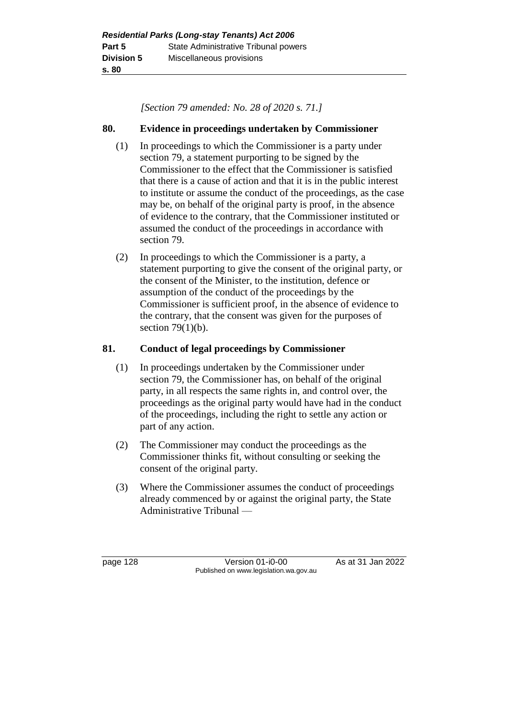*[Section 79 amended: No. 28 of 2020 s. 71.]*

### **80. Evidence in proceedings undertaken by Commissioner**

- (1) In proceedings to which the Commissioner is a party under section 79, a statement purporting to be signed by the Commissioner to the effect that the Commissioner is satisfied that there is a cause of action and that it is in the public interest to institute or assume the conduct of the proceedings, as the case may be, on behalf of the original party is proof, in the absence of evidence to the contrary, that the Commissioner instituted or assumed the conduct of the proceedings in accordance with section 79.
- (2) In proceedings to which the Commissioner is a party, a statement purporting to give the consent of the original party, or the consent of the Minister, to the institution, defence or assumption of the conduct of the proceedings by the Commissioner is sufficient proof, in the absence of evidence to the contrary, that the consent was given for the purposes of section  $79(1)(b)$ .

### **81. Conduct of legal proceedings by Commissioner**

- (1) In proceedings undertaken by the Commissioner under section 79, the Commissioner has, on behalf of the original party, in all respects the same rights in, and control over, the proceedings as the original party would have had in the conduct of the proceedings, including the right to settle any action or part of any action.
- (2) The Commissioner may conduct the proceedings as the Commissioner thinks fit, without consulting or seeking the consent of the original party.
- (3) Where the Commissioner assumes the conduct of proceedings already commenced by or against the original party, the State Administrative Tribunal —

page 128 Version 01-i0-00 As at 31 Jan 2022 Published on www.legislation.wa.gov.au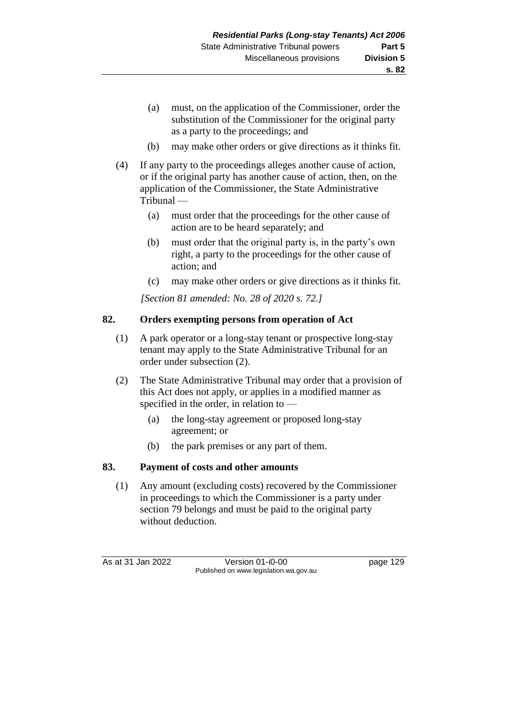- (a) must, on the application of the Commissioner, order the substitution of the Commissioner for the original party as a party to the proceedings; and
- (b) may make other orders or give directions as it thinks fit.
- (4) If any party to the proceedings alleges another cause of action, or if the original party has another cause of action, then, on the application of the Commissioner, the State Administrative Tribunal —
	- (a) must order that the proceedings for the other cause of action are to be heard separately; and
	- (b) must order that the original party is, in the party's own right, a party to the proceedings for the other cause of action; and
	- (c) may make other orders or give directions as it thinks fit.

*[Section 81 amended: No. 28 of 2020 s. 72.]*

### **82. Orders exempting persons from operation of Act**

- (1) A park operator or a long-stay tenant or prospective long-stay tenant may apply to the State Administrative Tribunal for an order under subsection (2).
- (2) The State Administrative Tribunal may order that a provision of this Act does not apply, or applies in a modified manner as specified in the order, in relation to —
	- (a) the long-stay agreement or proposed long-stay agreement; or
	- (b) the park premises or any part of them.

### **83. Payment of costs and other amounts**

(1) Any amount (excluding costs) recovered by the Commissioner in proceedings to which the Commissioner is a party under section 79 belongs and must be paid to the original party without deduction.

As at 31 Jan 2022 Version 01-i0-00 page 129 Published on www.legislation.wa.gov.au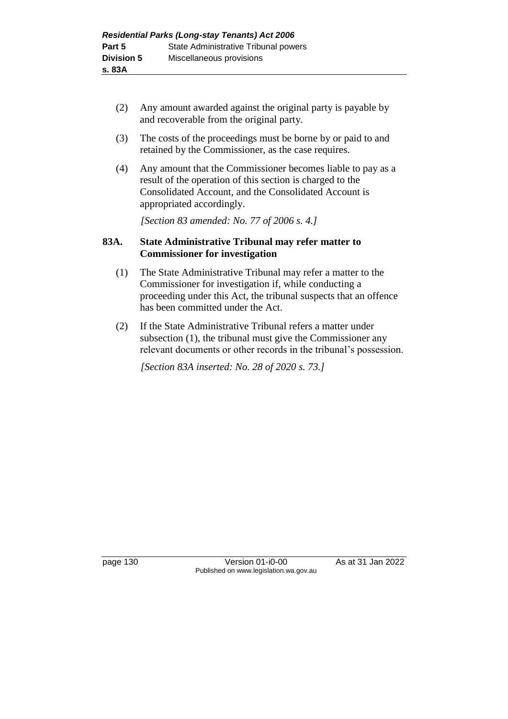- (2) Any amount awarded against the original party is payable by and recoverable from the original party.
- (3) The costs of the proceedings must be borne by or paid to and retained by the Commissioner, as the case requires.
- (4) Any amount that the Commissioner becomes liable to pay as a result of the operation of this section is charged to the Consolidated Account, and the Consolidated Account is appropriated accordingly.

*[Section 83 amended: No. 77 of 2006 s. 4.]*

#### **83A. State Administrative Tribunal may refer matter to Commissioner for investigation**

- (1) The State Administrative Tribunal may refer a matter to the Commissioner for investigation if, while conducting a proceeding under this Act, the tribunal suspects that an offence has been committed under the Act.
- (2) If the State Administrative Tribunal refers a matter under subsection (1), the tribunal must give the Commissioner any relevant documents or other records in the tribunal's possession.

*[Section 83A inserted: No. 28 of 2020 s. 73.]*

page 130 Version 01-i0-00 As at 31 Jan 2022 Published on www.legislation.wa.gov.au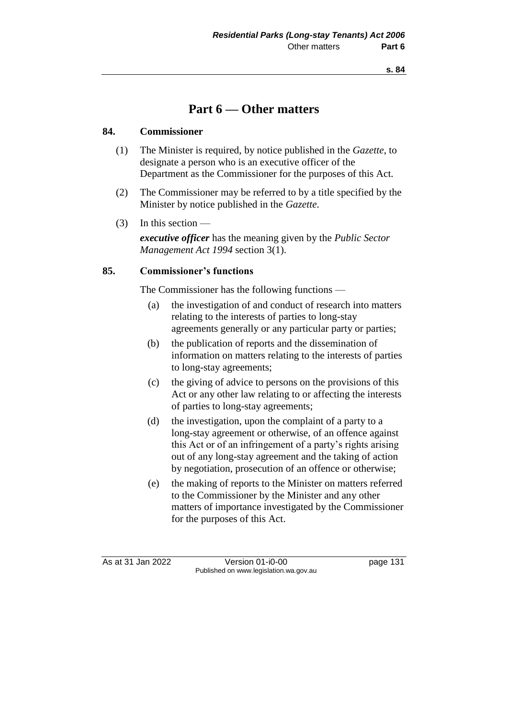# **Part 6 — Other matters**

### **84. Commissioner**

- (1) The Minister is required, by notice published in the *Gazette*, to designate a person who is an executive officer of the Department as the Commissioner for the purposes of this Act.
- (2) The Commissioner may be referred to by a title specified by the Minister by notice published in the *Gazette*.
- (3) In this section —

*executive officer* has the meaning given by the *Public Sector Management Act 1994* section 3(1).

### **85. Commissioner's functions**

The Commissioner has the following functions —

- (a) the investigation of and conduct of research into matters relating to the interests of parties to long-stay agreements generally or any particular party or parties;
- (b) the publication of reports and the dissemination of information on matters relating to the interests of parties to long-stay agreements;
- (c) the giving of advice to persons on the provisions of this Act or any other law relating to or affecting the interests of parties to long-stay agreements;
- (d) the investigation, upon the complaint of a party to a long-stay agreement or otherwise, of an offence against this Act or of an infringement of a party's rights arising out of any long-stay agreement and the taking of action by negotiation, prosecution of an offence or otherwise;
- (e) the making of reports to the Minister on matters referred to the Commissioner by the Minister and any other matters of importance investigated by the Commissioner for the purposes of this Act.

As at 31 Jan 2022 Version 01-i0-00 page 131 Published on www.legislation.wa.gov.au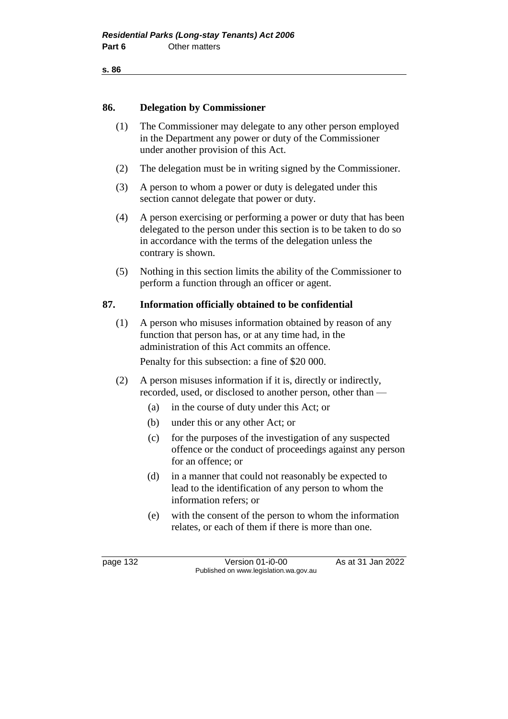```
s. 86
```
#### **86. Delegation by Commissioner**

- (1) The Commissioner may delegate to any other person employed in the Department any power or duty of the Commissioner under another provision of this Act.
- (2) The delegation must be in writing signed by the Commissioner.
- (3) A person to whom a power or duty is delegated under this section cannot delegate that power or duty.
- (4) A person exercising or performing a power or duty that has been delegated to the person under this section is to be taken to do so in accordance with the terms of the delegation unless the contrary is shown.
- (5) Nothing in this section limits the ability of the Commissioner to perform a function through an officer or agent.

### **87. Information officially obtained to be confidential**

- (1) A person who misuses information obtained by reason of any function that person has, or at any time had, in the administration of this Act commits an offence. Penalty for this subsection: a fine of \$20 000.
- (2) A person misuses information if it is, directly or indirectly, recorded, used, or disclosed to another person, other than —
	- (a) in the course of duty under this Act; or
	- (b) under this or any other Act; or
	- (c) for the purposes of the investigation of any suspected offence or the conduct of proceedings against any person for an offence; or
	- (d) in a manner that could not reasonably be expected to lead to the identification of any person to whom the information refers; or
	- (e) with the consent of the person to whom the information relates, or each of them if there is more than one.

page 132 Version 01-i0-00 As at 31 Jan 2022 Published on www.legislation.wa.gov.au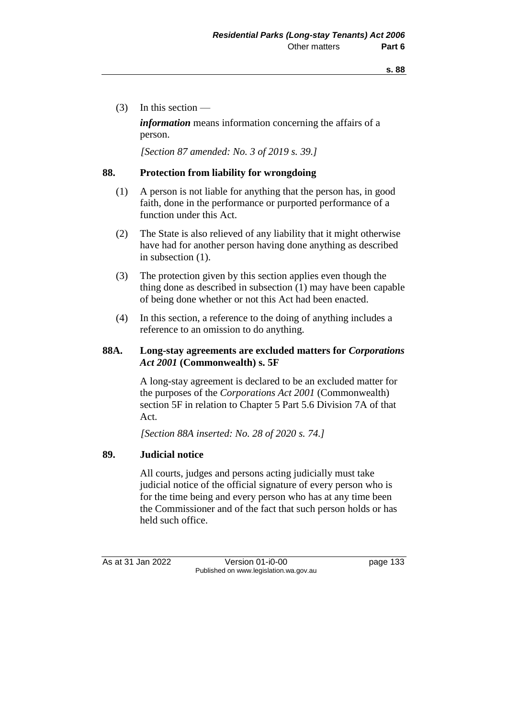(3) In this section —

*information* means information concerning the affairs of a person.

*[Section 87 amended: No. 3 of 2019 s. 39.]*

#### **88. Protection from liability for wrongdoing**

- (1) A person is not liable for anything that the person has, in good faith, done in the performance or purported performance of a function under this Act.
- (2) The State is also relieved of any liability that it might otherwise have had for another person having done anything as described in subsection (1).
- (3) The protection given by this section applies even though the thing done as described in subsection (1) may have been capable of being done whether or not this Act had been enacted.
- (4) In this section, a reference to the doing of anything includes a reference to an omission to do anything.

## **88A. Long-stay agreements are excluded matters for** *Corporations Act 2001* **(Commonwealth) s. 5F**

A long-stay agreement is declared to be an excluded matter for the purposes of the *Corporations Act 2001* (Commonwealth) section 5F in relation to Chapter 5 Part 5.6 Division 7A of that Act.

*[Section 88A inserted: No. 28 of 2020 s. 74.]*

#### **89. Judicial notice**

All courts, judges and persons acting judicially must take judicial notice of the official signature of every person who is for the time being and every person who has at any time been the Commissioner and of the fact that such person holds or has held such office.

As at 31 Jan 2022 Version 01-i0-00 page 133 Published on www.legislation.wa.gov.au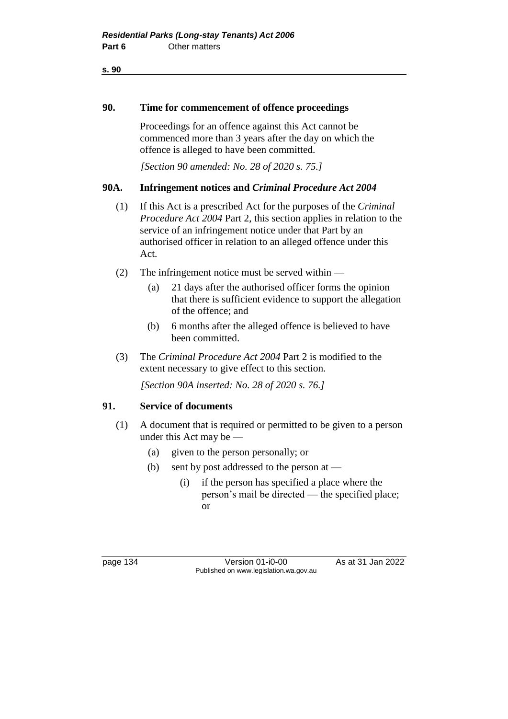**s. 90**

#### **90. Time for commencement of offence proceedings**

Proceedings for an offence against this Act cannot be commenced more than 3 years after the day on which the offence is alleged to have been committed.

*[Section 90 amended: No. 28 of 2020 s. 75.]*

#### **90A. Infringement notices and** *Criminal Procedure Act 2004*

- (1) If this Act is a prescribed Act for the purposes of the *Criminal Procedure Act 2004* Part 2, this section applies in relation to the service of an infringement notice under that Part by an authorised officer in relation to an alleged offence under this Act.
- (2) The infringement notice must be served within
	- (a) 21 days after the authorised officer forms the opinion that there is sufficient evidence to support the allegation of the offence; and
	- (b) 6 months after the alleged offence is believed to have been committed.
- (3) The *Criminal Procedure Act 2004* Part 2 is modified to the extent necessary to give effect to this section.

*[Section 90A inserted: No. 28 of 2020 s. 76.]*

#### **91. Service of documents**

- (1) A document that is required or permitted to be given to a person under this Act may be —
	- (a) given to the person personally; or
	- (b) sent by post addressed to the person at  $-$ 
		- (i) if the person has specified a place where the person's mail be directed — the specified place; or

page 134 Version 01-i0-00 As at 31 Jan 2022 Published on www.legislation.wa.gov.au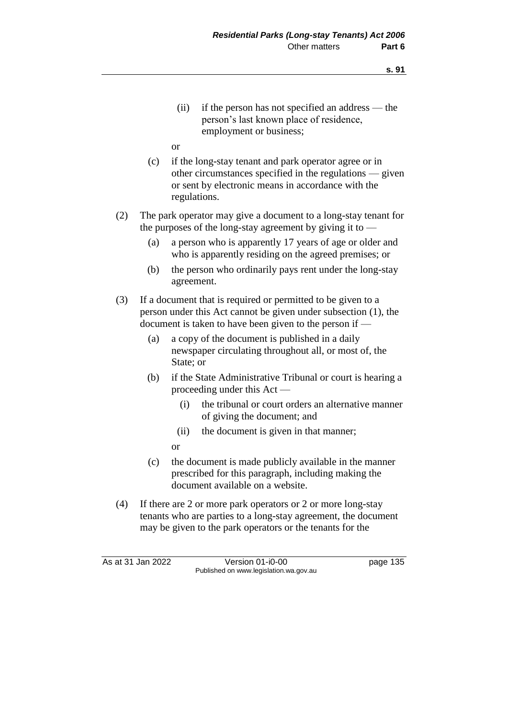- (ii) if the person has not specified an address the person's last known place of residence, employment or business;
- or
- (c) if the long-stay tenant and park operator agree or in other circumstances specified in the regulations — given or sent by electronic means in accordance with the regulations.
- (2) The park operator may give a document to a long-stay tenant for the purposes of the long-stay agreement by giving it to —
	- (a) a person who is apparently 17 years of age or older and who is apparently residing on the agreed premises; or
	- (b) the person who ordinarily pays rent under the long-stay agreement.
- (3) If a document that is required or permitted to be given to a person under this Act cannot be given under subsection (1), the document is taken to have been given to the person if -
	- (a) a copy of the document is published in a daily newspaper circulating throughout all, or most of, the State; or
	- (b) if the State Administrative Tribunal or court is hearing a proceeding under this Act —
		- (i) the tribunal or court orders an alternative manner of giving the document; and
		- (ii) the document is given in that manner;
		- or
	- (c) the document is made publicly available in the manner prescribed for this paragraph, including making the document available on a website.
- (4) If there are 2 or more park operators or 2 or more long-stay tenants who are parties to a long-stay agreement, the document may be given to the park operators or the tenants for the

As at 31 Jan 2022 Version 01-i0-00 page 135 Published on www.legislation.wa.gov.au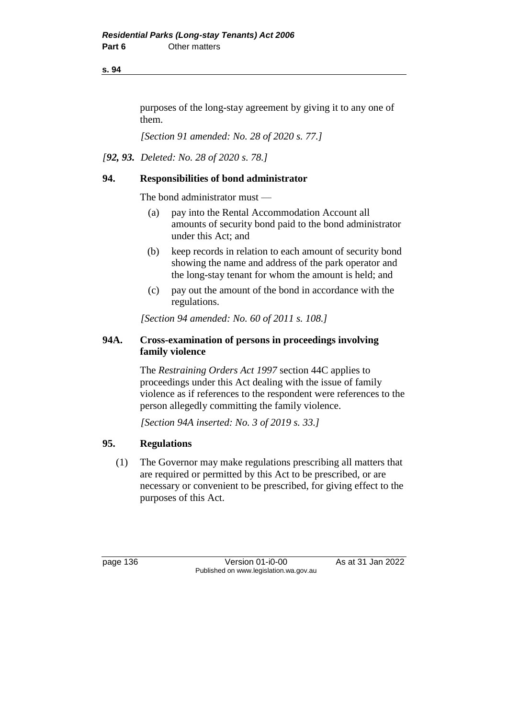**s. 94**

purposes of the long-stay agreement by giving it to any one of them.

*[Section 91 amended: No. 28 of 2020 s. 77.]*

*[92, 93. Deleted: No. 28 of 2020 s. 78.]*

## **94. Responsibilities of bond administrator**

The bond administrator must —

- (a) pay into the Rental Accommodation Account all amounts of security bond paid to the bond administrator under this Act; and
- (b) keep records in relation to each amount of security bond showing the name and address of the park operator and the long-stay tenant for whom the amount is held; and
- (c) pay out the amount of the bond in accordance with the regulations.

*[Section 94 amended: No. 60 of 2011 s. 108.]*

## **94A. Cross-examination of persons in proceedings involving family violence**

The *Restraining Orders Act 1997* section 44C applies to proceedings under this Act dealing with the issue of family violence as if references to the respondent were references to the person allegedly committing the family violence.

*[Section 94A inserted: No. 3 of 2019 s. 33.]*

## **95. Regulations**

(1) The Governor may make regulations prescribing all matters that are required or permitted by this Act to be prescribed, or are necessary or convenient to be prescribed, for giving effect to the purposes of this Act.

page 136 **Version 01-i0-00** As at 31 Jan 2022 Published on www.legislation.wa.gov.au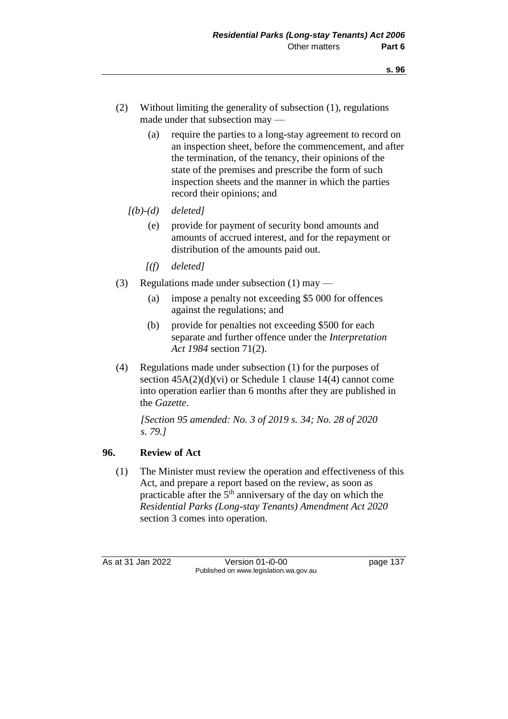- (2) Without limiting the generality of subsection (1), regulations made under that subsection may —
	- (a) require the parties to a long-stay agreement to record on an inspection sheet, before the commencement, and after the termination, of the tenancy, their opinions of the state of the premises and prescribe the form of such inspection sheets and the manner in which the parties record their opinions; and
	- *[(b)-(d) deleted]*
		- (e) provide for payment of security bond amounts and amounts of accrued interest, and for the repayment or distribution of the amounts paid out.
		- *[(f) deleted]*
- (3) Regulations made under subsection (1) may
	- (a) impose a penalty not exceeding \$5 000 for offences against the regulations; and
	- (b) provide for penalties not exceeding \$500 for each separate and further offence under the *Interpretation Act 1984* section 71(2).
- (4) Regulations made under subsection (1) for the purposes of section  $45A(2)(d)(vi)$  or Schedule 1 clause 14(4) cannot come into operation earlier than 6 months after they are published in the *Gazette*.

*[Section 95 amended: No. 3 of 2019 s. 34; No. 28 of 2020 s. 79.]*

## **96. Review of Act**

(1) The Minister must review the operation and effectiveness of this Act, and prepare a report based on the review, as soon as practicable after the  $5<sup>th</sup>$  anniversary of the day on which the *Residential Parks (Long-stay Tenants) Amendment Act 2020* section 3 comes into operation.

As at 31 Jan 2022 Version 01-i0-00 page 137 Published on www.legislation.wa.gov.au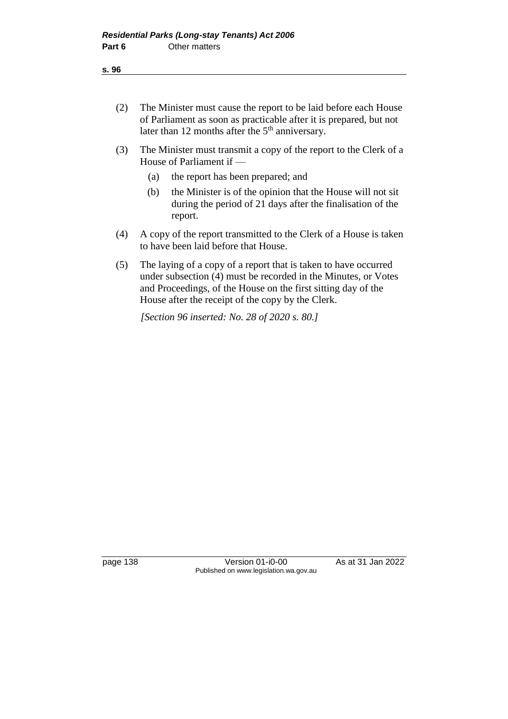- (2) The Minister must cause the report to be laid before each House of Parliament as soon as practicable after it is prepared, but not later than 12 months after the  $5<sup>th</sup>$  anniversary.
- (3) The Minister must transmit a copy of the report to the Clerk of a House of Parliament if —
	- (a) the report has been prepared; and
	- (b) the Minister is of the opinion that the House will not sit during the period of 21 days after the finalisation of the report.
- (4) A copy of the report transmitted to the Clerk of a House is taken to have been laid before that House.
- (5) The laying of a copy of a report that is taken to have occurred under subsection (4) must be recorded in the Minutes, or Votes and Proceedings, of the House on the first sitting day of the House after the receipt of the copy by the Clerk.

*[Section 96 inserted: No. 28 of 2020 s. 80.]*

page 138 Version 01-i0-00 As at 31 Jan 2022 Published on www.legislation.wa.gov.au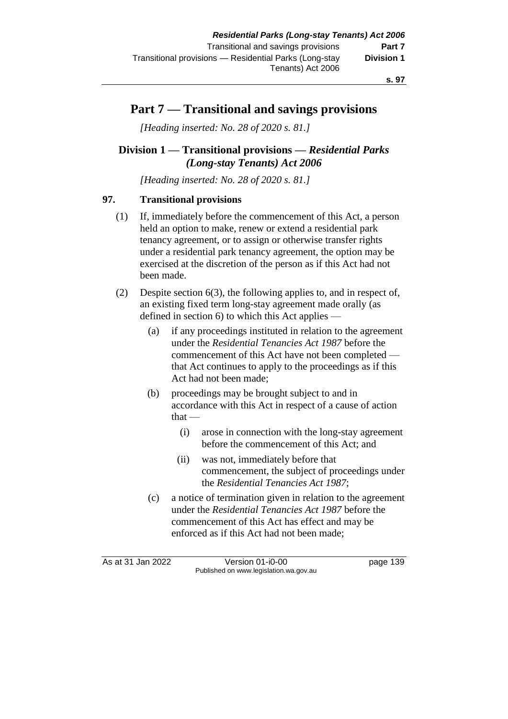# **Part 7 — Transitional and savings provisions**

*[Heading inserted: No. 28 of 2020 s. 81.]*

## **Division 1 — Transitional provisions —** *Residential Parks (Long-stay Tenants) Act 2006*

*[Heading inserted: No. 28 of 2020 s. 81.]*

## **97. Transitional provisions**

- (1) If, immediately before the commencement of this Act, a person held an option to make, renew or extend a residential park tenancy agreement, or to assign or otherwise transfer rights under a residential park tenancy agreement, the option may be exercised at the discretion of the person as if this Act had not been made.
- (2) Despite section 6(3), the following applies to, and in respect of, an existing fixed term long-stay agreement made orally (as defined in section 6) to which this Act applies —
	- (a) if any proceedings instituted in relation to the agreement under the *Residential Tenancies Act 1987* before the commencement of this Act have not been completed that Act continues to apply to the proceedings as if this Act had not been made;
	- (b) proceedings may be brought subject to and in accordance with this Act in respect of a cause of action  $that -$ 
		- (i) arose in connection with the long-stay agreement before the commencement of this Act; and
		- (ii) was not, immediately before that commencement, the subject of proceedings under the *Residential Tenancies Act 1987*;
	- (c) a notice of termination given in relation to the agreement under the *Residential Tenancies Act 1987* before the commencement of this Act has effect and may be enforced as if this Act had not been made;

As at 31 Jan 2022 Version 01-i0-00 page 139 Published on www.legislation.wa.gov.au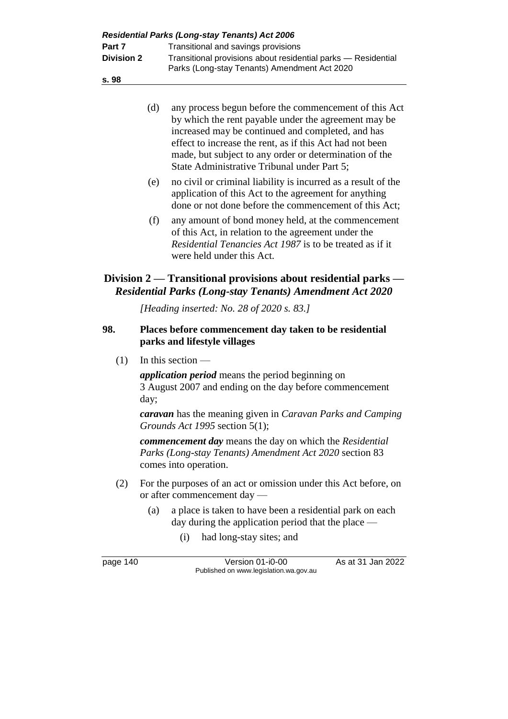| Part 7<br><b>Division 2</b><br>s. 98 |      | <b>Residential Parks (Long-stay Tenants) Act 2006</b><br>Transitional and savings provisions<br>Transitional provisions about residential parks - Residential<br>Parks (Long-stay Tenants) Amendment Act 2020                                                                                                                           |
|--------------------------------------|------|-----------------------------------------------------------------------------------------------------------------------------------------------------------------------------------------------------------------------------------------------------------------------------------------------------------------------------------------|
|                                      | (d)  | any process begun before the commencement of this Act<br>by which the rent payable under the agreement may be<br>increased may be continued and completed, and has<br>effect to increase the rent, as if this Act had not been<br>made, but subject to any order or determination of the<br>State Administrative Tribunal under Part 5; |
|                                      | (e)  | no civil or criminal liability is incurred as a result of the<br>application of this Act to the agreement for anything<br>done or not done before the commencement of this Act;                                                                                                                                                         |
|                                      | (f)  | any amount of bond money held, at the commencement<br>of this Act, in relation to the agreement under the<br><i>Residential Tenancies Act 1987</i> is to be treated as if it<br>were held under this Act.                                                                                                                               |
|                                      |      | Division 2 — Transitional provisions about residential parks -<br><b>Residential Parks (Long-stay Tenants) Amendment Act 2020</b>                                                                                                                                                                                                       |
|                                      |      | [Heading inserted: No. 28 of 2020 s. 83.]                                                                                                                                                                                                                                                                                               |
|                                      |      |                                                                                                                                                                                                                                                                                                                                         |
|                                      |      | Places before commencement day taken to be residential<br>parks and lifestyle villages                                                                                                                                                                                                                                                  |
| (1)                                  |      | In this section $-$                                                                                                                                                                                                                                                                                                                     |
|                                      | day; | <i>application period</i> means the period beginning on<br>3 August 2007 and ending on the day before commencement                                                                                                                                                                                                                      |
| 98.                                  |      | <b><i>caravan</i></b> has the meaning given in <i>Caravan Parks and Camping</i><br>Grounds Act 1995 section 5(1);                                                                                                                                                                                                                       |
|                                      |      | <b>commencement day</b> means the day on which the Residential<br>Parks (Long-stay Tenants) Amendment Act 2020 section 83<br>comes into operation.                                                                                                                                                                                      |
| (2)                                  |      | For the purposes of an act or omission under this Act before, on<br>or after commencement day —                                                                                                                                                                                                                                         |
|                                      | (a)  | a place is taken to have been a residential park on each<br>day during the application period that the place $-$                                                                                                                                                                                                                        |
|                                      |      | had long-stay sites; and<br>(i)                                                                                                                                                                                                                                                                                                         |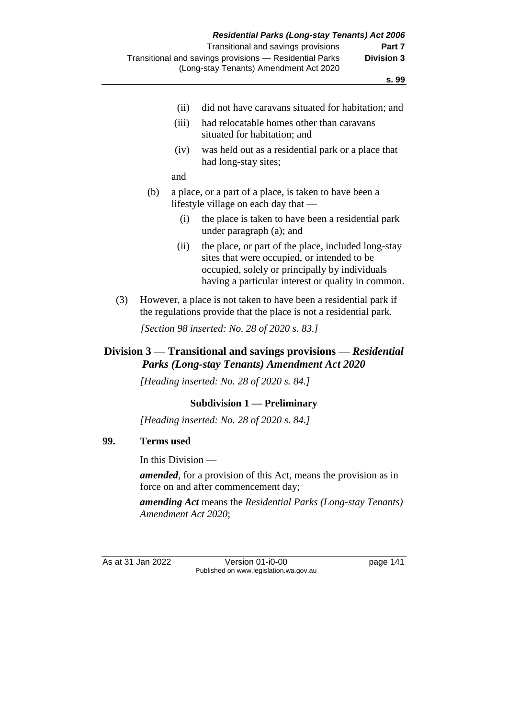- (ii) did not have caravans situated for habitation; and
- (iii) had relocatable homes other than caravans situated for habitation; and
- (iv) was held out as a residential park or a place that had long-stay sites;

and

- (b) a place, or a part of a place, is taken to have been a lifestyle village on each day that —
	- (i) the place is taken to have been a residential park under paragraph (a); and
	- (ii) the place, or part of the place, included long-stay sites that were occupied, or intended to be occupied, solely or principally by individuals having a particular interest or quality in common.
- (3) However, a place is not taken to have been a residential park if the regulations provide that the place is not a residential park.

*[Section 98 inserted: No. 28 of 2020 s. 83.]*

## **Division 3 — Transitional and savings provisions —** *Residential Parks (Long-stay Tenants) Amendment Act 2020*

*[Heading inserted: No. 28 of 2020 s. 84.]*

#### **Subdivision 1 — Preliminary**

*[Heading inserted: No. 28 of 2020 s. 84.]*

#### **99. Terms used**

In this Division —

*amended*, for a provision of this Act, means the provision as in force on and after commencement day;

*amending Act* means the *Residential Parks (Long-stay Tenants) Amendment Act 2020*;

As at 31 Jan 2022 Version 01-i0-00 page 141 Published on www.legislation.wa.gov.au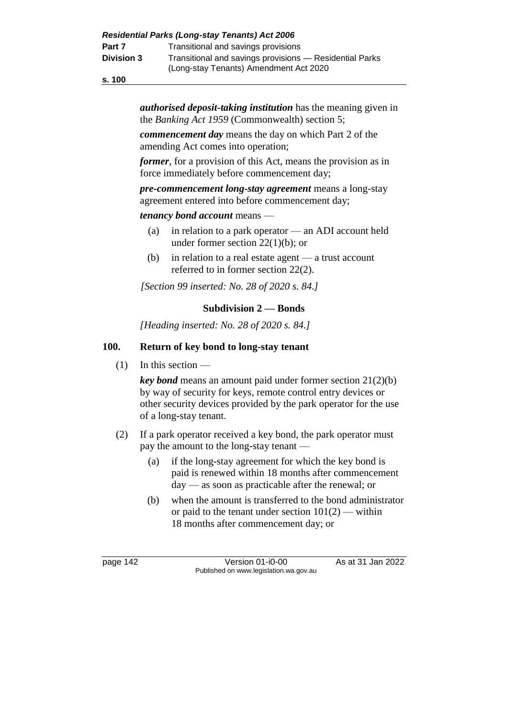**s. 100**

*authorised deposit-taking institution* has the meaning given in the *Banking Act 1959* (Commonwealth) section 5;

*commencement day* means the day on which Part 2 of the amending Act comes into operation;

*former*, for a provision of this Act, means the provision as in force immediately before commencement day;

*pre-commencement long-stay agreement* means a long-stay agreement entered into before commencement day;

#### *tenancy bond account* means —

- (a) in relation to a park operator an ADI account held under former section  $22(1)(b)$ ; or
- (b) in relation to a real estate agent a trust account referred to in former section 22(2).

*[Section 99 inserted: No. 28 of 2020 s. 84.]*

## **Subdivision 2 — Bonds**

*[Heading inserted: No. 28 of 2020 s. 84.]*

## **100. Return of key bond to long-stay tenant**

 $(1)$  In this section —

*key bond* means an amount paid under former section 21(2)(b) by way of security for keys, remote control entry devices or other security devices provided by the park operator for the use of a long-stay tenant.

- (2) If a park operator received a key bond, the park operator must pay the amount to the long-stay tenant —
	- (a) if the long-stay agreement for which the key bond is paid is renewed within 18 months after commencement day — as soon as practicable after the renewal; or
	- (b) when the amount is transferred to the bond administrator or paid to the tenant under section  $101(2)$  — within 18 months after commencement day; or

page 142 Version 01-i0-00 As at 31 Jan 2022 Published on www.legislation.wa.gov.au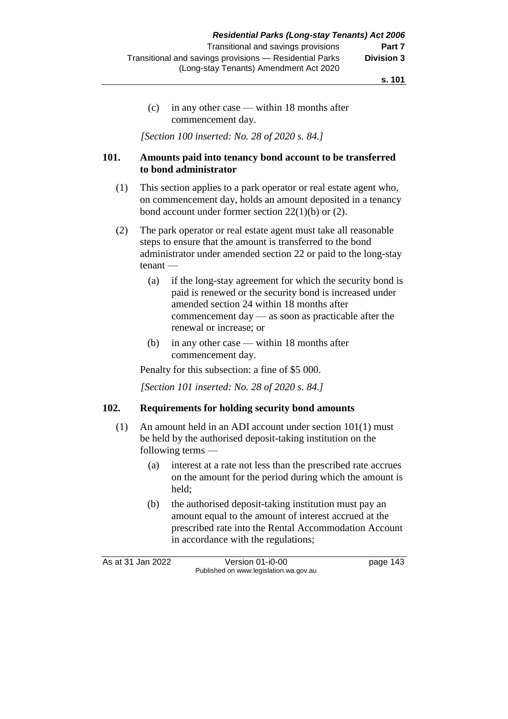(c) in any other case — within 18 months after commencement day.

*[Section 100 inserted: No. 28 of 2020 s. 84.]*

## **101. Amounts paid into tenancy bond account to be transferred to bond administrator**

- (1) This section applies to a park operator or real estate agent who, on commencement day, holds an amount deposited in a tenancy bond account under former section 22(1)(b) or (2).
- (2) The park operator or real estate agent must take all reasonable steps to ensure that the amount is transferred to the bond administrator under amended section 22 or paid to the long-stay tenant —
	- (a) if the long-stay agreement for which the security bond is paid is renewed or the security bond is increased under amended section 24 within 18 months after commencement day — as soon as practicable after the renewal or increase; or
	- (b) in any other case within 18 months after commencement day.

Penalty for this subsection: a fine of \$5 000.

*[Section 101 inserted: No. 28 of 2020 s. 84.]*

#### **102. Requirements for holding security bond amounts**

- (1) An amount held in an ADI account under section 101(1) must be held by the authorised deposit-taking institution on the following terms —
	- (a) interest at a rate not less than the prescribed rate accrues on the amount for the period during which the amount is held;
	- (b) the authorised deposit-taking institution must pay an amount equal to the amount of interest accrued at the prescribed rate into the Rental Accommodation Account in accordance with the regulations;

As at 31 Jan 2022 Version 01-i0-00 page 143 Published on www.legislation.wa.gov.au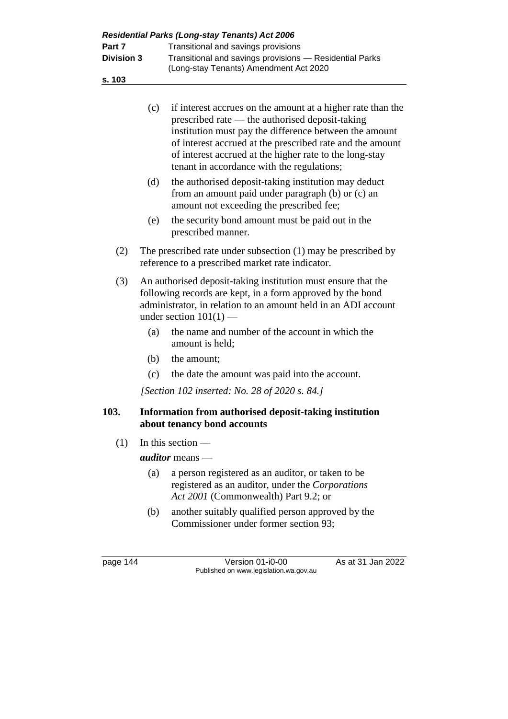|                                       |     | Residential Parks (Long-stay Tenants) Act 2006                                                                                                                                                                                                                                                                                                 |  |  |
|---------------------------------------|-----|------------------------------------------------------------------------------------------------------------------------------------------------------------------------------------------------------------------------------------------------------------------------------------------------------------------------------------------------|--|--|
| Part 7<br><b>Division 3</b><br>s. 103 |     | Transitional and savings provisions<br>Transitional and savings provisions - Residential Parks<br>(Long-stay Tenants) Amendment Act 2020                                                                                                                                                                                                       |  |  |
|                                       |     |                                                                                                                                                                                                                                                                                                                                                |  |  |
|                                       | (c) | if interest accrues on the amount at a higher rate than the<br>prescribed rate — the authorised deposit-taking<br>institution must pay the difference between the amount<br>of interest accrued at the prescribed rate and the amount<br>of interest accrued at the higher rate to the long-stay<br>tenant in accordance with the regulations; |  |  |
|                                       | (d) | the authorised deposit-taking institution may deduct<br>from an amount paid under paragraph (b) or (c) an<br>amount not exceeding the prescribed fee;                                                                                                                                                                                          |  |  |
|                                       | (e) | the security bond amount must be paid out in the<br>prescribed manner.                                                                                                                                                                                                                                                                         |  |  |
| (2)                                   |     | The prescribed rate under subsection $(1)$ may be prescribed by<br>reference to a prescribed market rate indicator.                                                                                                                                                                                                                            |  |  |
| (3)                                   |     | An authorised deposit-taking institution must ensure that the<br>following records are kept, in a form approved by the bond<br>administrator, in relation to an amount held in an ADI account<br>under section $101(1)$ —                                                                                                                      |  |  |
|                                       | (a) | the name and number of the account in which the<br>amount is held;                                                                                                                                                                                                                                                                             |  |  |
|                                       | (b) | the amount;                                                                                                                                                                                                                                                                                                                                    |  |  |
|                                       | (c) | the date the amount was paid into the account.                                                                                                                                                                                                                                                                                                 |  |  |
|                                       |     | [Section 102 inserted: No. 28 of 2020 s. 84.]                                                                                                                                                                                                                                                                                                  |  |  |
| 103.                                  |     | Information from authorised deposit-taking institution<br>about tenancy bond accounts                                                                                                                                                                                                                                                          |  |  |
| (1)                                   |     | In this section $-$                                                                                                                                                                                                                                                                                                                            |  |  |
|                                       |     | auditor means -                                                                                                                                                                                                                                                                                                                                |  |  |
|                                       | (a) | a person registered as an auditor, or taken to be<br>registered as an auditor, under the Corporations<br>Act 2001 (Commonwealth) Part 9.2; or                                                                                                                                                                                                  |  |  |
|                                       | (b) | another suitably qualified person approved by the<br>Commissioner under former section 93;                                                                                                                                                                                                                                                     |  |  |
| page $144$                            |     | As at 31 Jan 2022<br>Version 01-i0-00<br>Published on www.legislation.wa.gov.au                                                                                                                                                                                                                                                                |  |  |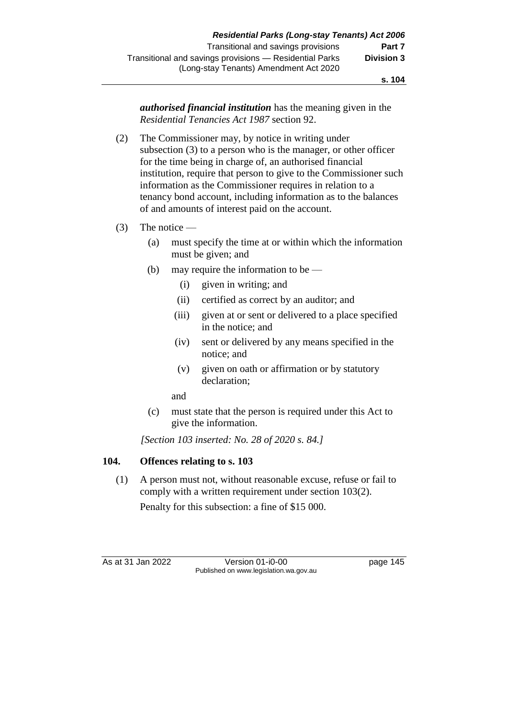*authorised financial institution* has the meaning given in the *Residential Tenancies Act 1987* section 92.

- (2) The Commissioner may, by notice in writing under subsection (3) to a person who is the manager, or other officer for the time being in charge of, an authorised financial institution, require that person to give to the Commissioner such information as the Commissioner requires in relation to a tenancy bond account, including information as to the balances of and amounts of interest paid on the account.
- (3) The notice
	- (a) must specify the time at or within which the information must be given; and
	- (b) may require the information to be
		- (i) given in writing; and
		- (ii) certified as correct by an auditor; and
		- (iii) given at or sent or delivered to a place specified in the notice; and
		- (iv) sent or delivered by any means specified in the notice; and
		- (v) given on oath or affirmation or by statutory declaration;

and

(c) must state that the person is required under this Act to give the information.

*[Section 103 inserted: No. 28 of 2020 s. 84.]*

## **104. Offences relating to s. 103**

(1) A person must not, without reasonable excuse, refuse or fail to comply with a written requirement under section 103(2).

Penalty for this subsection: a fine of \$15 000.

As at 31 Jan 2022 Version 01-i0-00 page 145 Published on www.legislation.wa.gov.au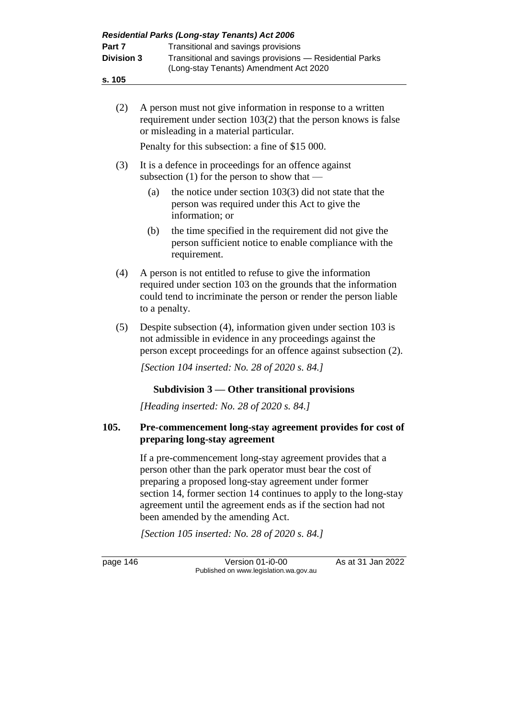| <b>Residential Parks (Long-stay Tenants) Act 2006</b> |                                                                                                   |  |  |
|-------------------------------------------------------|---------------------------------------------------------------------------------------------------|--|--|
| Part 7                                                | Transitional and savings provisions                                                               |  |  |
| <b>Division 3</b>                                     | Transitional and savings provisions - Residential Parks<br>(Long-stay Tenants) Amendment Act 2020 |  |  |

- **s. 105**
	- (2) A person must not give information in response to a written requirement under section 103(2) that the person knows is false or misleading in a material particular.

Penalty for this subsection: a fine of \$15 000.

- (3) It is a defence in proceedings for an offence against subsection (1) for the person to show that —
	- (a) the notice under section 103(3) did not state that the person was required under this Act to give the information; or
	- (b) the time specified in the requirement did not give the person sufficient notice to enable compliance with the requirement.
- (4) A person is not entitled to refuse to give the information required under section 103 on the grounds that the information could tend to incriminate the person or render the person liable to a penalty.
- (5) Despite subsection (4), information given under section 103 is not admissible in evidence in any proceedings against the person except proceedings for an offence against subsection (2).

*[Section 104 inserted: No. 28 of 2020 s. 84.]*

## **Subdivision 3 — Other transitional provisions**

*[Heading inserted: No. 28 of 2020 s. 84.]*

## **105. Pre-commencement long-stay agreement provides for cost of preparing long-stay agreement**

If a pre-commencement long-stay agreement provides that a person other than the park operator must bear the cost of preparing a proposed long-stay agreement under former section 14, former section 14 continues to apply to the long-stay agreement until the agreement ends as if the section had not been amended by the amending Act.

*[Section 105 inserted: No. 28 of 2020 s. 84.]*

page 146 Version 01-i0-00 As at 31 Jan 2022 Published on www.legislation.wa.gov.au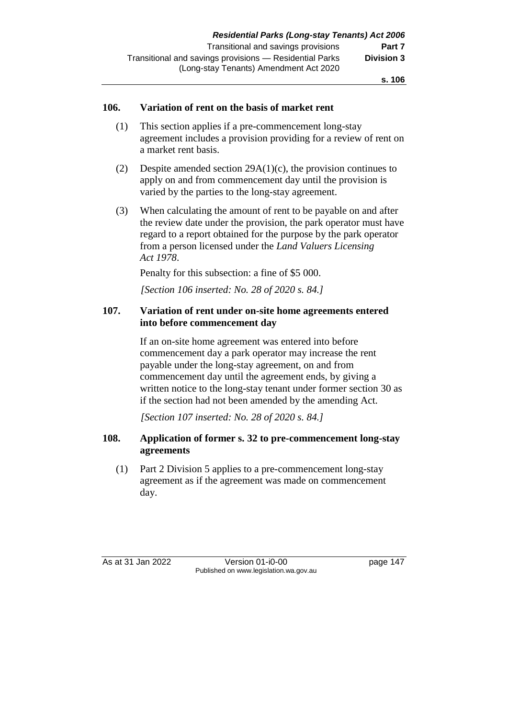#### **106. Variation of rent on the basis of market rent**

- (1) This section applies if a pre-commencement long-stay agreement includes a provision providing for a review of rent on a market rent basis.
- (2) Despite amended section 29A(1)(c), the provision continues to apply on and from commencement day until the provision is varied by the parties to the long-stay agreement.
- (3) When calculating the amount of rent to be payable on and after the review date under the provision, the park operator must have regard to a report obtained for the purpose by the park operator from a person licensed under the *Land Valuers Licensing Act 1978*.

Penalty for this subsection: a fine of \$5 000.

*[Section 106 inserted: No. 28 of 2020 s. 84.]*

#### **107. Variation of rent under on-site home agreements entered into before commencement day**

If an on-site home agreement was entered into before commencement day a park operator may increase the rent payable under the long-stay agreement, on and from commencement day until the agreement ends, by giving a written notice to the long-stay tenant under former section 30 as if the section had not been amended by the amending Act.

*[Section 107 inserted: No. 28 of 2020 s. 84.]*

#### **108. Application of former s. 32 to pre-commencement long-stay agreements**

(1) Part 2 Division 5 applies to a pre-commencement long-stay agreement as if the agreement was made on commencement day.

As at 31 Jan 2022 Version 01-i0-00 page 147 Published on www.legislation.wa.gov.au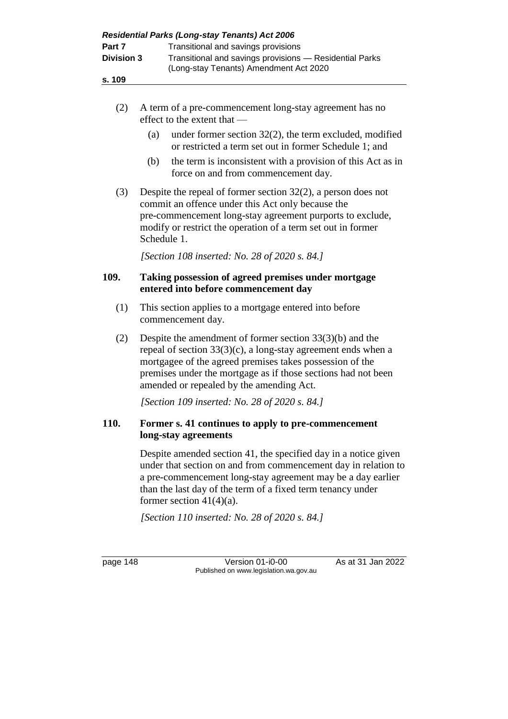|                   |                                                                             | Residential Parks (Long-stay Tenants) Act 2006                                                                                                                                                                                                                                                          |  |  |
|-------------------|-----------------------------------------------------------------------------|---------------------------------------------------------------------------------------------------------------------------------------------------------------------------------------------------------------------------------------------------------------------------------------------------------|--|--|
| Part 7            |                                                                             | Transitional and savings provisions                                                                                                                                                                                                                                                                     |  |  |
| <b>Division 3</b> |                                                                             | Transitional and savings provisions - Residential Parks<br>(Long-stay Tenants) Amendment Act 2020                                                                                                                                                                                                       |  |  |
| s. 109            |                                                                             |                                                                                                                                                                                                                                                                                                         |  |  |
| (2)               |                                                                             | A term of a pre-commencement long-stay agreement has no<br>effect to the extent that -                                                                                                                                                                                                                  |  |  |
|                   | (a)                                                                         | under former section $32(2)$ , the term excluded, modified<br>or restricted a term set out in former Schedule 1; and                                                                                                                                                                                    |  |  |
|                   | (b)                                                                         | the term is inconsistent with a provision of this Act as in<br>force on and from commencement day.                                                                                                                                                                                                      |  |  |
| (3)               | Schedule 1.                                                                 | Despite the repeal of former section $32(2)$ , a person does not<br>commit an offence under this Act only because the<br>pre-commencement long-stay agreement purports to exclude,<br>modify or restrict the operation of a term set out in former                                                      |  |  |
|                   |                                                                             | [Section 108 inserted: No. 28 of 2020 s. 84.]                                                                                                                                                                                                                                                           |  |  |
| 109.              |                                                                             | Taking possession of agreed premises under mortgage<br>entered into before commencement day                                                                                                                                                                                                             |  |  |
| (1)               |                                                                             | This section applies to a mortgage entered into before<br>commencement day.                                                                                                                                                                                                                             |  |  |
| (2)               |                                                                             | Despite the amendment of former section $33(3)(b)$ and the<br>repeal of section $33(3)(c)$ , a long-stay agreement ends when a<br>mortgagee of the agreed premises takes possession of the<br>premises under the mortgage as if those sections had not been<br>amended or repealed by the amending Act. |  |  |
|                   |                                                                             | [Section 109 inserted: No. 28 of 2020 s. 84.]                                                                                                                                                                                                                                                           |  |  |
| 110.              | Former s. 41 continues to apply to pre-commencement<br>long-stay agreements |                                                                                                                                                                                                                                                                                                         |  |  |
|                   |                                                                             | Despite amended section 41, the specified day in a notice given<br>under that section on and from commencement day in relation to<br>a pre-commencement long-stay agreement may be a day earlier<br>than the last day of the term of a fixed term tenancy under<br>former section $41(4)(a)$ .          |  |  |
|                   |                                                                             | [Section 110 inserted: No. 28 of 2020 s. 84.]                                                                                                                                                                                                                                                           |  |  |

page 148 Version 01-i0-00 As at 31 Jan 2022 Published on www.legislation.wa.gov.au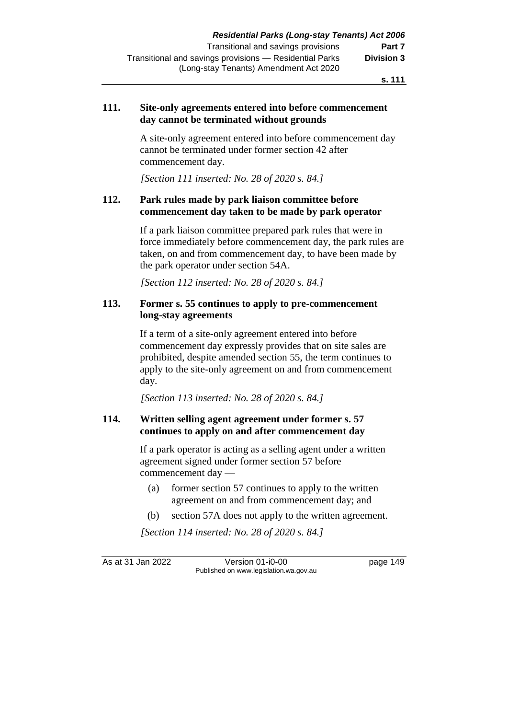#### **111. Site-only agreements entered into before commencement day cannot be terminated without grounds**

A site-only agreement entered into before commencement day cannot be terminated under former section 42 after commencement day.

*[Section 111 inserted: No. 28 of 2020 s. 84.]*

## **112. Park rules made by park liaison committee before commencement day taken to be made by park operator**

If a park liaison committee prepared park rules that were in force immediately before commencement day, the park rules are taken, on and from commencement day, to have been made by the park operator under section 54A.

*[Section 112 inserted: No. 28 of 2020 s. 84.]*

## **113. Former s. 55 continues to apply to pre-commencement long-stay agreements**

If a term of a site-only agreement entered into before commencement day expressly provides that on site sales are prohibited, despite amended section 55, the term continues to apply to the site-only agreement on and from commencement day.

*[Section 113 inserted: No. 28 of 2020 s. 84.]*

## **114. Written selling agent agreement under former s. 57 continues to apply on and after commencement day**

If a park operator is acting as a selling agent under a written agreement signed under former section 57 before commencement day —

- (a) former section 57 continues to apply to the written agreement on and from commencement day; and
- (b) section 57A does not apply to the written agreement.

*[Section 114 inserted: No. 28 of 2020 s. 84.]*

As at 31 Jan 2022 Version 01-i0-00 page 149 Published on www.legislation.wa.gov.au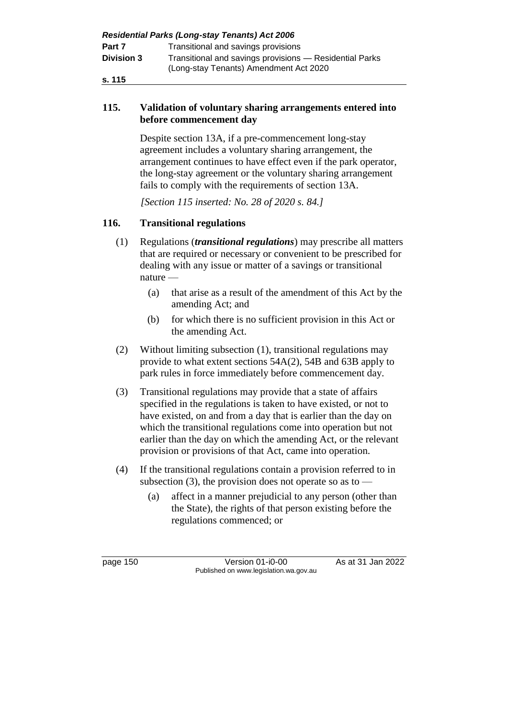| <b>Residential Parks (Long-stay Tenants) Act 2006</b> |                                                                                                   |  |  |
|-------------------------------------------------------|---------------------------------------------------------------------------------------------------|--|--|
| Part 7                                                | Transitional and savings provisions                                                               |  |  |
| <b>Division 3</b>                                     | Transitional and savings provisions — Residential Parks<br>(Long-stay Tenants) Amendment Act 2020 |  |  |
| s. 115                                                |                                                                                                   |  |  |

#### **115. Validation of voluntary sharing arrangements entered into before commencement day**

Despite section 13A, if a pre-commencement long-stay agreement includes a voluntary sharing arrangement, the arrangement continues to have effect even if the park operator, the long-stay agreement or the voluntary sharing arrangement fails to comply with the requirements of section 13A.

*[Section 115 inserted: No. 28 of 2020 s. 84.]*

## **116. Transitional regulations**

- (1) Regulations (*transitional regulations*) may prescribe all matters that are required or necessary or convenient to be prescribed for dealing with any issue or matter of a savings or transitional nature —
	- (a) that arise as a result of the amendment of this Act by the amending Act; and
	- (b) for which there is no sufficient provision in this Act or the amending Act.
- (2) Without limiting subsection (1), transitional regulations may provide to what extent sections 54A(2), 54B and 63B apply to park rules in force immediately before commencement day.
- (3) Transitional regulations may provide that a state of affairs specified in the regulations is taken to have existed, or not to have existed, on and from a day that is earlier than the day on which the transitional regulations come into operation but not earlier than the day on which the amending Act, or the relevant provision or provisions of that Act, came into operation.
- (4) If the transitional regulations contain a provision referred to in subsection (3), the provision does not operate so as to  $-$ 
	- (a) affect in a manner prejudicial to any person (other than the State), the rights of that person existing before the regulations commenced; or

page 150 Version 01-i0-00 As at 31 Jan 2022 Published on www.legislation.wa.gov.au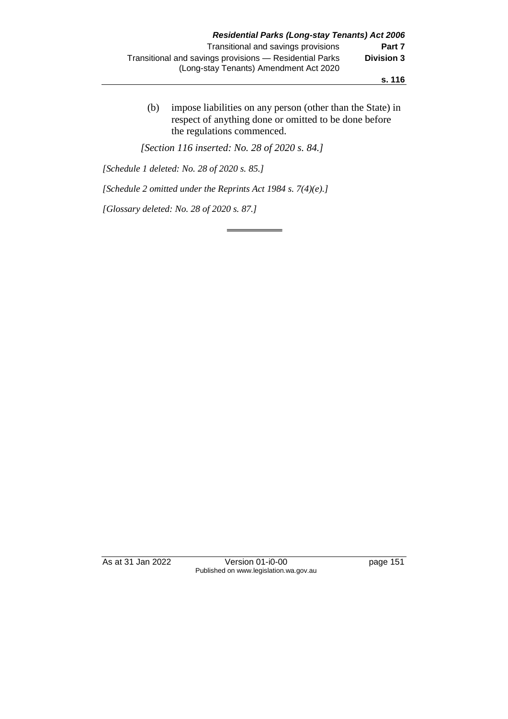(b) impose liabilities on any person (other than the State) in respect of anything done or omitted to be done before the regulations commenced.

*[Section 116 inserted: No. 28 of 2020 s. 84.]*

*[Schedule 1 deleted: No. 28 of 2020 s. 85.]*

*[Schedule 2 omitted under the Reprints Act 1984 s. 7(4)(e).]*

*[Glossary deleted: No. 28 of 2020 s. 87.]*

As at 31 Jan 2022 Version 01-i0-00 page 151 Published on www.legislation.wa.gov.au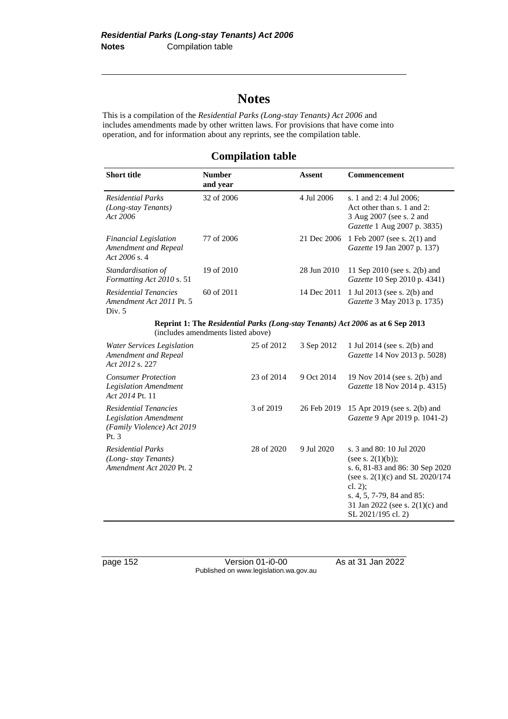# **Notes**

This is a compilation of the *Residential Parks (Long-stay Tenants) Act 2006* and includes amendments made by other written laws. For provisions that have come into operation, and for information about any reprints, see the compilation table.

## **Compilation table**

| <b>Short title</b>                                                             | <b>Number</b><br>and year | Assent      | Commencement                                                                                                     |
|--------------------------------------------------------------------------------|---------------------------|-------------|------------------------------------------------------------------------------------------------------------------|
| <b>Residential Parks</b><br>(Long-stay Tenants)<br>Act 2006                    | 32 of 2006                | 4 Jul 2006  | s. 1 and 2: 4 Jul 2006;<br>Act other than s. 1 and 2:<br>3 Aug 2007 (see s. 2 and<br>Gazette 1 Aug 2007 p. 3835) |
| <b>Financial Legislation</b><br>Amendment and Repeal<br>Act $2006$ s. 4        | 77 of 2006                | 21 Dec 2006 | 1 Feb 2007 (see s. 2(1) and<br><i>Gazette</i> 19 Jan 2007 p. 137)                                                |
| Standardisation of<br>Formatting Act 2010 s. 51                                | 19 of 2010                | 28 Jun 2010 | 11 Sep 2010 (see s. 2(b) and<br>Gazette 10 Sep 2010 p. 4341)                                                     |
| <b>Residential Tenancies</b><br>Amendment Act 2011 Pt. 5<br>Div. $5$           | $60$ of $2011$            | 14 Dec 2011 | 1 Jul 2013 (see s. 2(b) and<br><i>Gazette</i> 3 May 2013 p. 1735)                                                |
| Reprint 1: The Residential Parks (Long-stay Tenants) Act 2006 as at 6 Sep 2013 |                           |             |                                                                                                                  |

(includes amendments listed above)

| Water Services Legislation<br>Amendment and Repeal<br>Act 2012 s. 227                          | 25 of 2012 | 3 Sep 2012  | 1 Jul 2014 (see s. 2(b) and<br>Gazette 14 Nov 2013 p. 5028)                                                                                                                                                                      |
|------------------------------------------------------------------------------------------------|------------|-------------|----------------------------------------------------------------------------------------------------------------------------------------------------------------------------------------------------------------------------------|
| <b>Consumer Protection</b><br><b>Legislation Amendment</b><br>Act 2014 Pt. 11                  | 23 of 2014 | 9 Oct 2014  | 19 Nov 2014 (see s. 2(b) and<br><i>Gazette</i> 18 Nov 2014 p. 4315)                                                                                                                                                              |
| Residential Tenancies<br><b>Legislation Amendment</b><br>(Family Violence) Act 2019<br>Pt. $3$ | 3 of 2019  | 26 Feb 2019 | 15 Apr 2019 (see s. 2(b) and<br>Gazette 9 Apr 2019 p. 1041-2)                                                                                                                                                                    |
| <b>Residential Parks</b><br>(Long-stay Tenants)<br>Amendment Act 2020 Pt. 2                    | 28 of 2020 | 9 Jul 2020  | s. 3 and 80: 10 Jul 2020<br>(see s. $2(1)(b)$ );<br>s. 6, 81-83 and 86: 30 Sep 2020<br>(see s. $2(1)(c)$ and SL $2020/174$<br>cl. $2)$ ;<br>s. 4, 5, 7-79, 84 and 85:<br>31 Jan 2022 (see s. $2(1)(c)$ and<br>SL 2021/195 cl. 2) |

page 152 Version 01-i0-00 As at 31 Jan 2022 Published on www.legislation.wa.gov.au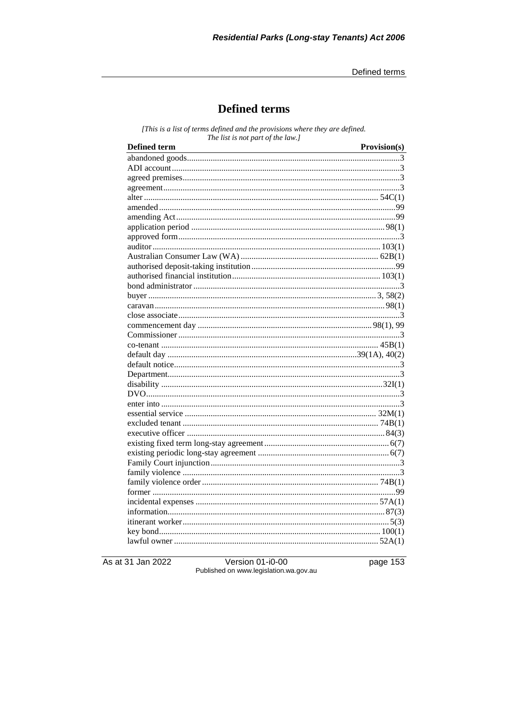# **Defined terms**

[This is a list of terms defined and the provisions where they are defined. The list is not part of the law.]

| <b>Defined</b> term | Provision(s) |
|---------------------|--------------|
|                     |              |
|                     |              |
|                     |              |
|                     |              |
|                     |              |
|                     |              |
|                     |              |
|                     |              |
|                     |              |
|                     |              |
|                     |              |
|                     |              |
|                     |              |
|                     |              |
|                     |              |
|                     |              |
|                     |              |
|                     |              |
|                     |              |
|                     |              |
|                     |              |
|                     |              |
|                     |              |
|                     |              |
|                     |              |
|                     |              |
|                     |              |
|                     |              |
|                     |              |
|                     |              |
|                     |              |
|                     |              |
|                     |              |
|                     |              |
|                     |              |
|                     |              |
|                     |              |
|                     |              |
|                     |              |
|                     |              |

As at 31 Jan 2022

Version 01-i0-00<br>Published on www.legislation.wa.gov.au

page 153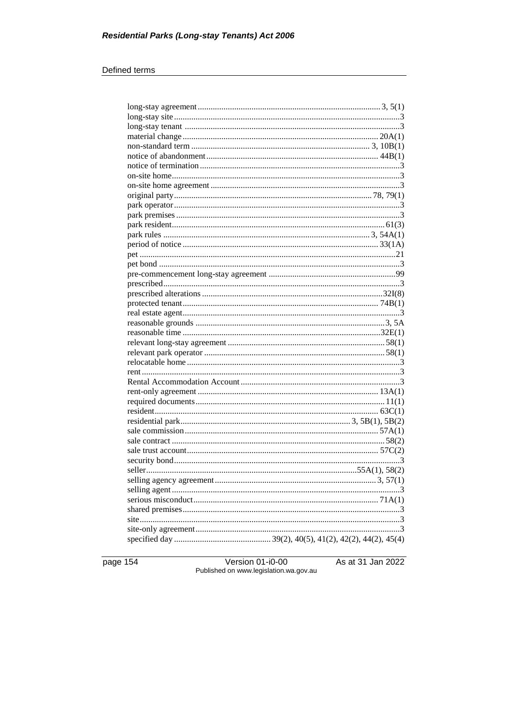#### Defined terms

page 154

Version 01-i0-00<br>Published on www.legislation.wa.gov.au

As at 31 Jan 2022